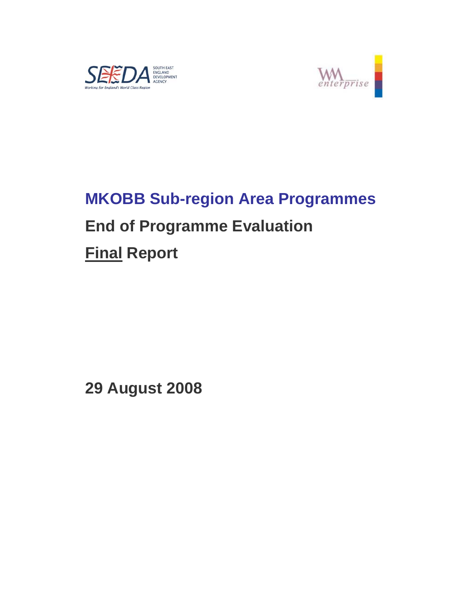



# **MKOBB Sub-region Area Programmes End of Programme Evaluation**

**Final Report** 

**29 August 2008**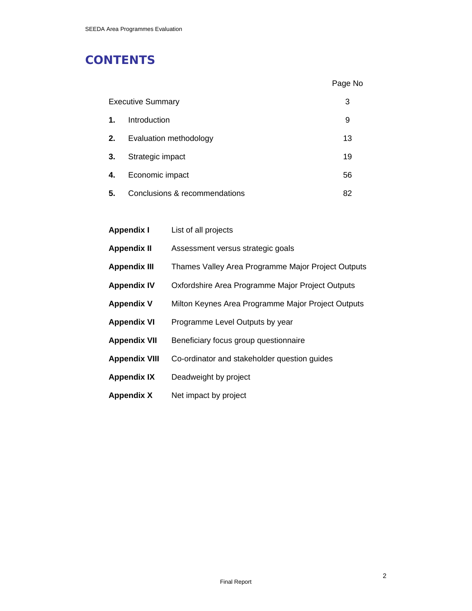## **CONTENTS**

|    |                               | Page No |
|----|-------------------------------|---------|
|    | <b>Executive Summary</b>      | 3       |
| 1. | Introduction                  | 9       |
| 2. | Evaluation methodology        | 13      |
| 3. | Strategic impact              | 19      |
| 4. | Economic impact               | 56      |
| 5. | Conclusions & recommendations | 82      |

| <b>Appendix I</b>    | List of all projects                               |
|----------------------|----------------------------------------------------|
| <b>Appendix II</b>   | Assessment versus strategic goals                  |
| <b>Appendix III</b>  | Thames Valley Area Programme Major Project Outputs |
| <b>Appendix IV</b>   | Oxfordshire Area Programme Major Project Outputs   |
| <b>Appendix V</b>    | Milton Keynes Area Programme Major Project Outputs |
| <b>Appendix VI</b>   | Programme Level Outputs by year                    |
| <b>Appendix VII</b>  | Beneficiary focus group questionnaire              |
| <b>Appendix VIII</b> | Co-ordinator and stakeholder question guides       |
| <b>Appendix IX</b>   | Deadweight by project                              |
| <b>Appendix X</b>    | Net impact by project                              |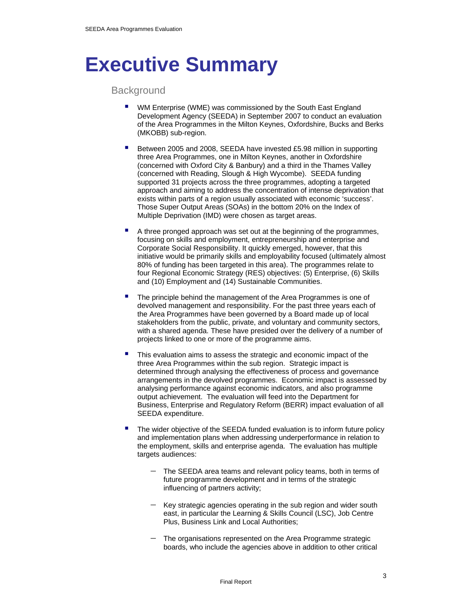## **Executive Summary**

**Background** 

- WM Enterprise (WME) was commissioned by the South East England Development Agency (SEEDA) in September 2007 to conduct an evaluation of the Area Programmes in the Milton Keynes, Oxfordshire, Bucks and Berks (MKOBB) sub-region.
- Between 2005 and 2008, SEEDA have invested £5.98 million in supporting three Area Programmes, one in Milton Keynes, another in Oxfordshire (concerned with Oxford City & Banbury) and a third in the Thames Valley (concerned with Reading, Slough & High Wycombe). SEEDA funding supported 31 projects across the three programmes, adopting a targeted approach and aiming to address the concentration of intense deprivation that exists within parts of a region usually associated with economic 'success'. Those Super Output Areas (SOAs) in the bottom 20% on the Index of Multiple Deprivation (IMD) were chosen as target areas.
- A three pronged approach was set out at the beginning of the programmes, focusing on skills and employment, entrepreneurship and enterprise and Corporate Social Responsibility. It quickly emerged, however, that this initiative would be primarily skills and employability focused (ultimately almost 80% of funding has been targeted in this area). The programmes relate to four Regional Economic Strategy (RES) objectives: (5) Enterprise, (6) Skills and (10) Employment and (14) Sustainable Communities.
- The principle behind the management of the Area Programmes is one of devolved management and responsibility. For the past three years each of the Area Programmes have been governed by a Board made up of local stakeholders from the public, private, and voluntary and community sectors, with a shared agenda. These have presided over the delivery of a number of projects linked to one or more of the programme aims.
- This evaluation aims to assess the strategic and economic impact of the three Area Programmes within the sub region. Strategic impact is determined through analysing the effectiveness of process and governance arrangements in the devolved programmes. Economic impact is assessed by analysing performance against economic indicators, and also programme output achievement. The evaluation will feed into the Department for Business, Enterprise and Regulatory Reform (BERR) impact evaluation of all SEEDA expenditure.
- The wider objective of the SEEDA funded evaluation is to inform future policy and implementation plans when addressing underperformance in relation to the employment, skills and enterprise agenda. The evaluation has multiple targets audiences:
	- The SEEDA area teams and relevant policy teams, both in terms of future programme development and in terms of the strategic influencing of partners activity;
	- Key strategic agencies operating in the sub region and wider south east, in particular the Learning & Skills Council (LSC), Job Centre Plus, Business Link and Local Authorities;
	- The organisations represented on the Area Programme strategic boards, who include the agencies above in addition to other critical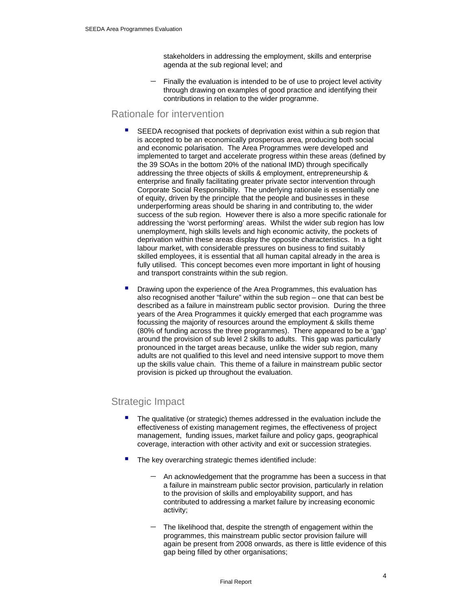stakeholders in addressing the employment, skills and enterprise agenda at the sub regional level; and

Finally the evaluation is intended to be of use to project level activity through drawing on examples of good practice and identifying their contributions in relation to the wider programme.

### Rationale for intervention

- SEEDA recognised that pockets of deprivation exist within a sub region that is accepted to be an economically prosperous area, producing both social and economic polarisation. The Area Programmes were developed and implemented to target and accelerate progress within these areas (defined by the 39 SOAs in the bottom 20% of the national IMD) through specifically addressing the three objects of skills & employment, entrepreneurship & enterprise and finally facilitating greater private sector intervention through Corporate Social Responsibility. The underlying rationale is essentially one of equity, driven by the principle that the people and businesses in these underperforming areas should be sharing in and contributing to, the wider success of the sub region. However there is also a more specific rationale for addressing the 'worst performing' areas. Whilst the wider sub region has low unemployment, high skills levels and high economic activity, the pockets of deprivation within these areas display the opposite characteristics. In a tight labour market, with considerable pressures on business to find suitably skilled employees, it is essential that all human capital already in the area is fully utilised. This concept becomes even more important in light of housing and transport constraints within the sub region.
- Drawing upon the experience of the Area Programmes, this evaluation has also recognised another "failure" within the sub region – one that can best be described as a failure in mainstream public sector provision. During the three years of the Area Programmes it quickly emerged that each programme was focussing the majority of resources around the employment & skills theme (80% of funding across the three programmes). There appeared to be a 'gap' around the provision of sub level 2 skills to adults. This gap was particularly pronounced in the target areas because, unlike the wider sub region, many adults are not qualified to this level and need intensive support to move them up the skills value chain. This theme of a failure in mainstream public sector provision is picked up throughout the evaluation.

## Strategic Impact

- The qualitative (or strategic) themes addressed in the evaluation include the effectiveness of existing management regimes, the effectiveness of project management, funding issues, market failure and policy gaps, geographical coverage, interaction with other activity and exit or succession strategies.
- The key overarching strategic themes identified include:
	- − An acknowledgement that the programme has been a success in that a failure in mainstream public sector provision, particularly in relation to the provision of skills and employability support, and has contributed to addressing a market failure by increasing economic activity;
	- The likelihood that, despite the strength of engagement within the programmes, this mainstream public sector provision failure will again be present from 2008 onwards, as there is little evidence of this gap being filled by other organisations;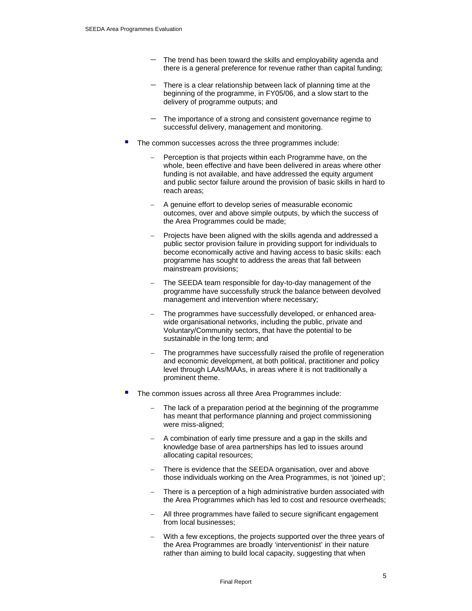- − The trend has been toward the skills and employability agenda and there is a general preference for revenue rather than capital funding;
- There is a clear relationship between lack of planning time at the beginning of the programme, in FY05/06, and a slow start to the delivery of programme outputs; and
- The importance of a strong and consistent governance regime to successful delivery, management and monitoring.
- The common successes across the three programmes include:
	- Perception is that projects within each Programme have, on the whole, been effective and have been delivered in areas where other funding is not available, and have addressed the equity argument and public sector failure around the provision of basic skills in hard to reach areas;
	- A genuine effort to develop series of measurable economic outcomes, over and above simple outputs, by which the success of the Area Programmes could be made;
	- Projects have been aligned with the skills agenda and addressed a public sector provision failure in providing support for individuals to become economically active and having access to basic skills: each programme has sought to address the areas that fall between mainstream provisions;
	- The SEEDA team responsible for day-to-day management of the programme have successfully struck the balance between devolved management and intervention where necessary;
	- − The programmes have successfully developed, or enhanced areawide organisational networks, including the public, private and Voluntary/Community sectors, that have the potential to be sustainable in the long term; and
	- The programmes have successfully raised the profile of regeneration and economic development, at both political, practitioner and policy level through LAAs/MAAs, in areas where it is not traditionally a prominent theme.
- The common issues across all three Area Programmes include:
	- The lack of a preparation period at the beginning of the programme has meant that performance planning and project commissioning were miss-aligned;
	- A combination of early time pressure and a gap in the skills and knowledge base of area partnerships has led to issues around allocating capital resources;
	- There is evidence that the SEEDA organisation, over and above those individuals working on the Area Programmes, is not 'joined up';
	- There is a perception of a high administrative burden associated with the Area Programmes which has led to cost and resource overheads;
	- All three programmes have failed to secure significant engagement from local businesses;
	- With a few exceptions, the projects supported over the three years of the Area Programmes are broadly 'interventionist' in their nature rather than aiming to build local capacity, suggesting that when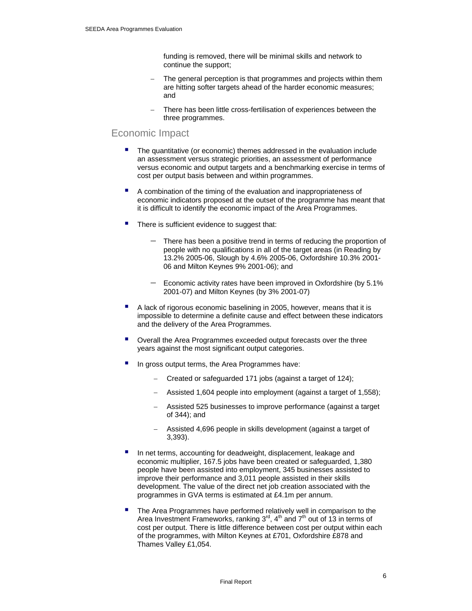funding is removed, there will be minimal skills and network to continue the support;

- The general perception is that programmes and projects within them are hitting softer targets ahead of the harder economic measures; and
- There has been little cross-fertilisation of experiences between the three programmes.

### Economic Impact

- The quantitative (or economic) themes addressed in the evaluation include an assessment versus strategic priorities, an assessment of performance versus economic and output targets and a benchmarking exercise in terms of cost per output basis between and within programmes.
- A combination of the timing of the evaluation and inappropriateness of economic indicators proposed at the outset of the programme has meant that it is difficult to identify the economic impact of the Area Programmes.
- There is sufficient evidence to suggest that:
	- There has been a positive trend in terms of reducing the proportion of people with no qualifications in all of the target areas (in Reading by 13.2% 2005-06, Slough by 4.6% 2005-06, Oxfordshire 10.3% 2001- 06 and Milton Keynes 9% 2001-06); and
	- Economic activity rates have been improved in Oxfordshire (by 5.1% 2001-07) and Milton Keynes (by 3% 2001-07)
- A lack of rigorous economic baselining in 2005, however, means that it is impossible to determine a definite cause and effect between these indicators and the delivery of the Area Programmes.
- Overall the Area Programmes exceeded output forecasts over the three years against the most significant output categories.
- In gross output terms, the Area Programmes have:
	- − Created or safeguarded 171 jobs (against a target of 124);
	- − Assisted 1,604 people into employment (against a target of 1,558);
	- − Assisted 525 businesses to improve performance (against a target of 344); and
	- − Assisted 4,696 people in skills development (against a target of 3,393).
- In net terms, accounting for deadweight, displacement, leakage and economic multiplier, 167.5 jobs have been created or safeguarded, 1,380 people have been assisted into employment, 345 businesses assisted to improve their performance and 3,011 people assisted in their skills development. The value of the direct net job creation associated with the programmes in GVA terms is estimated at £4.1m per annum.
- The Area Programmes have performed relatively well in comparison to the Area Investment Frameworks, ranking  $3<sup>rd</sup>$ , 4<sup>th</sup> and  $7<sup>th</sup>$  out of 13 in terms of cost per output. There is little difference between cost per output within each of the programmes, with Milton Keynes at £701, Oxfordshire £878 and Thames Valley £1,054.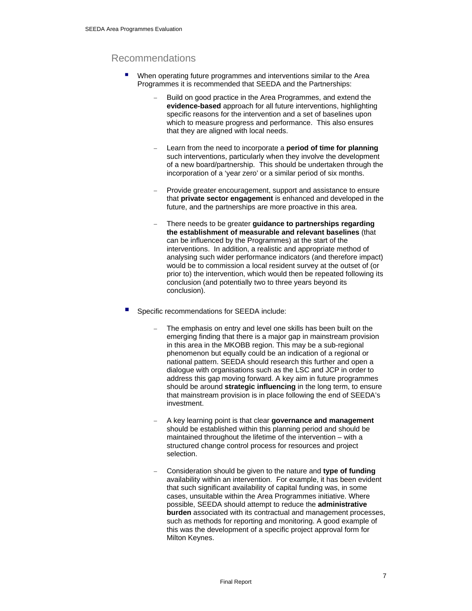## Recommendations

- When operating future programmes and interventions similar to the Area Programmes it is recommended that SEEDA and the Partnerships:
	- Build on good practice in the Area Programmes, and extend the **evidence-based** approach for all future interventions, highlighting specific reasons for the intervention and a set of baselines upon which to measure progress and performance. This also ensures that they are aligned with local needs.
	- − Learn from the need to incorporate a **period of time for planning** such interventions, particularly when they involve the development of a new board/partnership. This should be undertaken through the incorporation of a 'year zero' or a similar period of six months.
	- Provide greater encouragement, support and assistance to ensure that **private sector engagement** is enhanced and developed in the future, and the partnerships are more proactive in this area.
	- − There needs to be greater **guidance to partnerships regarding the establishment of measurable and relevant baselines** (that can be influenced by the Programmes) at the start of the interventions. In addition, a realistic and appropriate method of analysing such wider performance indicators (and therefore impact) would be to commission a local resident survey at the outset of (or prior to) the intervention, which would then be repeated following its conclusion (and potentially two to three years beyond its conclusion).
- Specific recommendations for SEEDA include:
	- The emphasis on entry and level one skills has been built on the emerging finding that there is a major gap in mainstream provision in this area in the MKOBB region. This may be a sub-regional phenomenon but equally could be an indication of a regional or national pattern. SEEDA should research this further and open a dialogue with organisations such as the LSC and JCP in order to address this gap moving forward. A key aim in future programmes should be around **strategic influencing** in the long term, to ensure that mainstream provision is in place following the end of SEEDA's investment.
	- − A key learning point is that clear **governance and management** should be established within this planning period and should be maintained throughout the lifetime of the intervention – with a structured change control process for resources and project selection.
	- − Consideration should be given to the nature and **type of funding** availability within an intervention. For example, it has been evident that such significant availability of capital funding was, in some cases, unsuitable within the Area Programmes initiative. Where possible, SEEDA should attempt to reduce the **administrative burden** associated with its contractual and management processes, such as methods for reporting and monitoring. A good example of this was the development of a specific project approval form for Milton Keynes.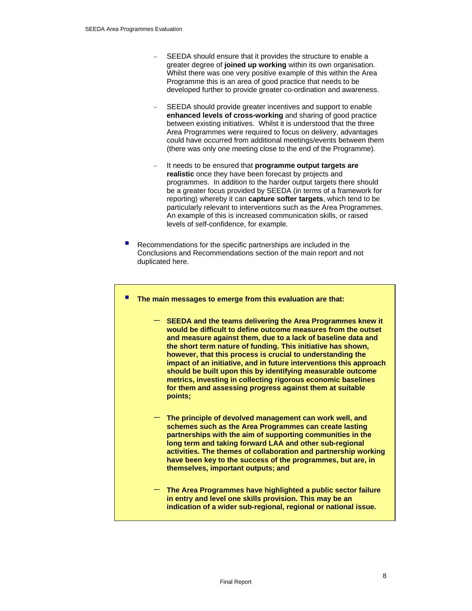- SEEDA should ensure that it provides the structure to enable a greater degree of **joined up working** within its own organisation. Whilst there was one very positive example of this within the Area Programme this is an area of good practice that needs to be developed further to provide greater co-ordination and awareness.
- SEEDA should provide greater incentives and support to enable **enhanced levels of cross-working** and sharing of good practice between existing initiatives. Whilst it is understood that the three Area Programmes were required to focus on delivery, advantages could have occurred from additional meetings/events between them (there was only one meeting close to the end of the Programme).
- It needs to be ensured that **programme output targets are realistic** once they have been forecast by projects and programmes. In addition to the harder output targets there should be a greater focus provided by SEEDA (in terms of a framework for reporting) whereby it can **capture softer targets**, which tend to be particularly relevant to interventions such as the Area Programmes. An example of this is increased communication skills, or raised levels of self-confidence, for example.
- Recommendations for the specific partnerships are included in the Conclusions and Recommendations section of the main report and not duplicated here.

#### **The main messages to emerge from this evaluation are that:**

- − **SEEDA and the teams delivering the Area Programmes knew it would be difficult to define outcome measures from the outset and measure against them, due to a lack of baseline data and the short term nature of funding. This initiative has shown, however, that this process is crucial to understanding the impact of an initiative, and in future interventions this approach should be built upon this by identifying measurable outcome metrics, investing in collecting rigorous economic baselines for them and assessing progress against them at suitable points;**
- − **The principle of devolved management can work well, and schemes such as the Area Programmes can create lasting partnerships with the aim of supporting communities in the long term and taking forward LAA and other sub-regional activities. The themes of collaboration and partnership working have been key to the success of the programmes, but are, in themselves, important outputs; and**
- − **The Area Programmes have highlighted a public sector failure in entry and level one skills provision. This may be an indication of a wider sub-regional, regional or national issue.**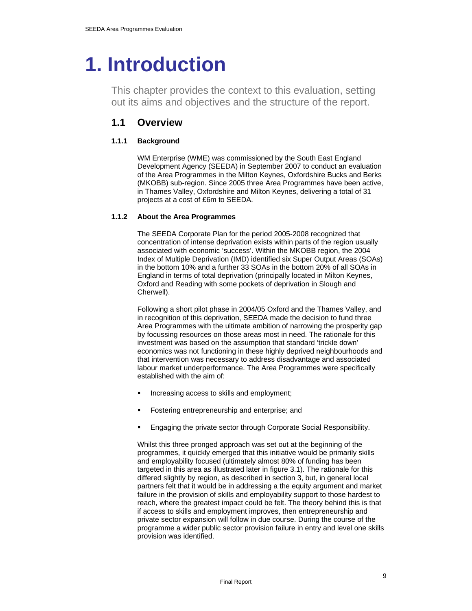## **1. Introduction**

This chapter provides the context to this evaluation, setting out its aims and objectives and the structure of the report.

## **1.1 Overview**

#### **1.1.1 Background**

WM Enterprise (WME) was commissioned by the South East England Development Agency (SEEDA) in September 2007 to conduct an evaluation of the Area Programmes in the Milton Keynes, Oxfordshire Bucks and Berks (MKOBB) sub-region. Since 2005 three Area Programmes have been active, in Thames Valley, Oxfordshire and Milton Keynes, delivering a total of 31 projects at a cost of £6m to SEEDA.

#### **1.1.2 About the Area Programmes**

The SEEDA Corporate Plan for the period 2005-2008 recognized that concentration of intense deprivation exists within parts of the region usually associated with economic 'success'. Within the MKOBB region, the 2004 Index of Multiple Deprivation (IMD) identified six Super Output Areas (SOAs) in the bottom 10% and a further 33 SOAs in the bottom 20% of all SOAs in England in terms of total deprivation (principally located in Milton Keynes, Oxford and Reading with some pockets of deprivation in Slough and Cherwell).

Following a short pilot phase in 2004/05 Oxford and the Thames Valley, and in recognition of this deprivation, SEEDA made the decision to fund three Area Programmes with the ultimate ambition of narrowing the prosperity gap by focussing resources on those areas most in need. The rationale for this investment was based on the assumption that standard 'trickle down' economics was not functioning in these highly deprived neighbourhoods and that intervention was necessary to address disadvantage and associated labour market underperformance. The Area Programmes were specifically established with the aim of:

- Increasing access to skills and employment;
- Fostering entrepreneurship and enterprise; and
- Engaging the private sector through Corporate Social Responsibility.

Whilst this three pronged approach was set out at the beginning of the programmes, it quickly emerged that this initiative would be primarily skills and employability focused (ultimately almost 80% of funding has been targeted in this area as illustrated later in figure 3.1). The rationale for this differed slightly by region, as described in section 3, but, in general local partners felt that it would be in addressing a the equity argument and market failure in the provision of skills and employability support to those hardest to reach, where the greatest impact could be felt. The theory behind this is that if access to skills and employment improves, then entrepreneurship and private sector expansion will follow in due course. During the course of the programme a wider public sector provision failure in entry and level one skills provision was identified.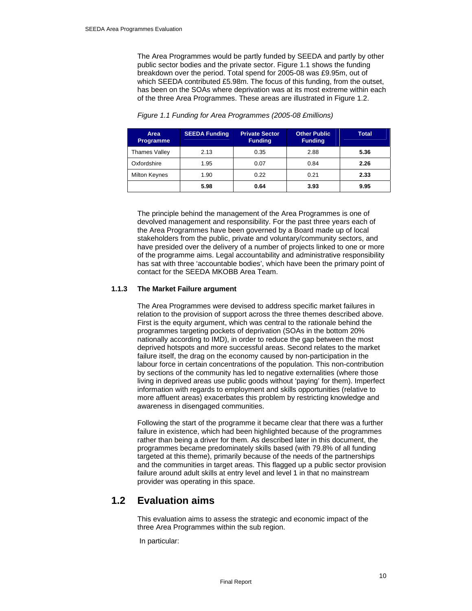The Area Programmes would be partly funded by SEEDA and partly by other public sector bodies and the private sector. Figure 1.1 shows the funding breakdown over the period. Total spend for 2005-08 was £9.95m, out of which SEEDA contributed £5.98m. The focus of this funding, from the outset, has been on the SOAs where deprivation was at its most extreme within each of the three Area Programmes. These areas are illustrated in Figure 1.2.

| Area<br><b>Programme</b> | <b>SEEDA Funding</b> | <b>Private Sector</b><br><b>Funding</b> | <b>Other Public</b><br><b>Funding</b> | <b>Total</b> |
|--------------------------|----------------------|-----------------------------------------|---------------------------------------|--------------|
| Thames Valley            | 2.13                 | 0.35                                    | 2.88                                  | 5.36         |
| Oxfordshire              | 1.95                 | 0.07                                    | 0.84                                  | 2.26         |
| <b>Milton Keynes</b>     | 1.90                 | 0.22                                    | 0.21                                  | 2.33         |
|                          | 5.98                 | 0.64                                    | 3.93                                  | 9.95         |

#### *Figure 1.1 Funding for Area Programmes (2005-08 £millions)*

The principle behind the management of the Area Programmes is one of devolved management and responsibility. For the past three years each of the Area Programmes have been governed by a Board made up of local stakeholders from the public, private and voluntary/community sectors, and have presided over the delivery of a number of projects linked to one or more of the programme aims. Legal accountability and administrative responsibility has sat with three 'accountable bodies', which have been the primary point of contact for the SEEDA MKOBB Area Team.

#### **1.1.3 The Market Failure argument**

The Area Programmes were devised to address specific market failures in relation to the provision of support across the three themes described above. First is the equity argument, which was central to the rationale behind the programmes targeting pockets of deprivation (SOAs in the bottom 20% nationally according to IMD), in order to reduce the gap between the most deprived hotspots and more successful areas. Second relates to the market failure itself, the drag on the economy caused by non-participation in the labour force in certain concentrations of the population. This non-contribution by sections of the community has led to negative externalities (where those living in deprived areas use public goods without 'paying' for them). Imperfect information with regards to employment and skills opportunities (relative to more affluent areas) exacerbates this problem by restricting knowledge and awareness in disengaged communities.

Following the start of the programme it became clear that there was a further failure in existence, which had been highlighted because of the programmes rather than being a driver for them. As described later in this document, the programmes became predominately skills based (with 79.8% of all funding targeted at this theme), primarily because of the needs of the partnerships and the communities in target areas. This flagged up a public sector provision failure around adult skills at entry level and level 1 in that no mainstream provider was operating in this space.

## **1.2 Evaluation aims**

This evaluation aims to assess the strategic and economic impact of the three Area Programmes within the sub region.

In particular: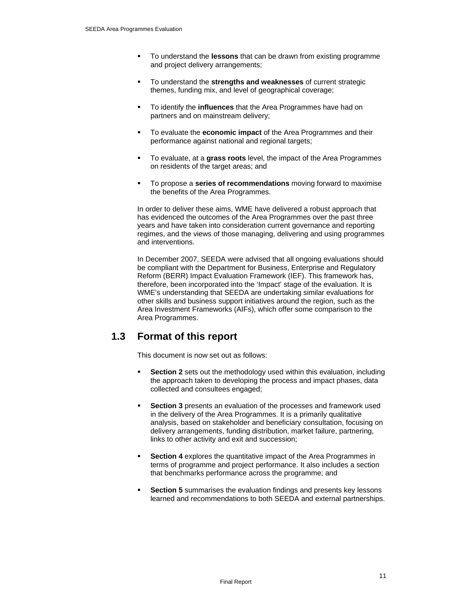- To understand the **lessons** that can be drawn from existing programme and project delivery arrangements;
- To understand the **strengths and weaknesses** of current strategic themes, funding mix, and level of geographical coverage;
- To identify the **influences** that the Area Programmes have had on partners and on mainstream delivery;
- To evaluate the **economic impact** of the Area Programmes and their performance against national and regional targets;
- To evaluate, at a **grass roots** level, the impact of the Area Programmes on residents of the target areas; and
- To propose a **series of recommendations** moving forward to maximise the benefits of the Area Programmes.

In order to deliver these aims, WME have delivered a robust approach that has evidenced the outcomes of the Area Programmes over the past three years and have taken into consideration current governance and reporting regimes, and the views of those managing, delivering and using programmes and interventions.

In December 2007, SEEDA were advised that all ongoing evaluations should be compliant with the Department for Business, Enterprise and Regulatory Reform (BERR) Impact Evaluation Framework (IEF). This framework has, therefore, been incorporated into the 'Impact' stage of the evaluation. It is WME's understanding that SEEDA are undertaking similar evaluations for other skills and business support initiatives around the region, such as the Area Investment Frameworks (AIFs), which offer some comparison to the Area Programmes.

## **1.3 Format of this report**

This document is now set out as follows:

- **Section 2** sets out the methodology used within this evaluation, including the approach taken to developing the process and impact phases, data collected and consultees engaged;
- **Section 3** presents an evaluation of the processes and framework used in the delivery of the Area Programmes. It is a primarily qualitative analysis, based on stakeholder and beneficiary consultation, focusing on delivery arrangements, funding distribution, market failure, partnering, links to other activity and exit and succession;
- **Section 4** explores the quantitative impact of the Area Programmes in terms of programme and project performance. It also includes a section that benchmarks performance across the programme; and
- **Section 5** summarises the evaluation findings and presents key lessons learned and recommendations to both SEEDA and external partnerships.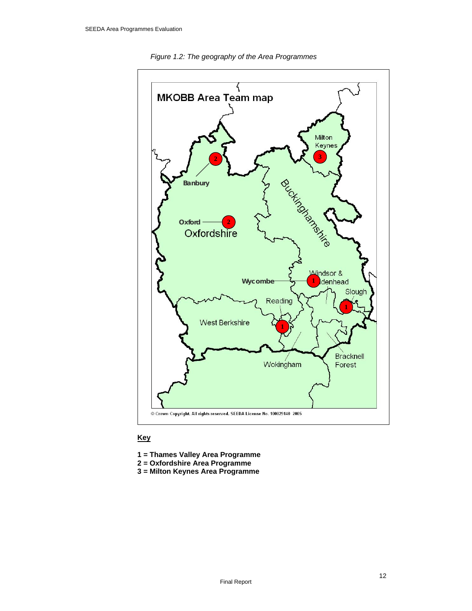

*Figure 1.2: The geography of the Area Programmes* 

#### **Key**

- **1 = Thames Valley Area Programme**
- **2 = Oxfordshire Area Programme**
- **3 = Milton Keynes Area Programme**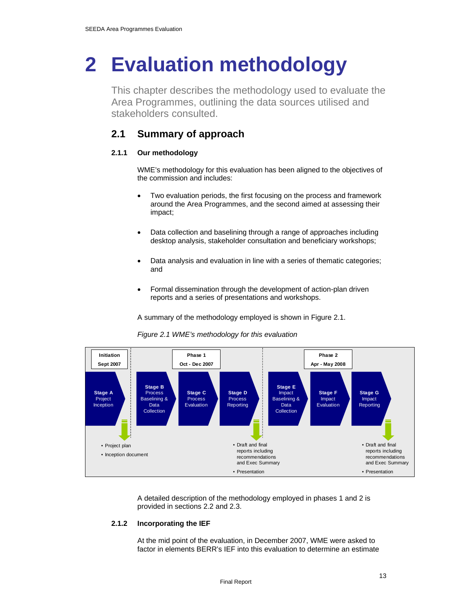## **2 Evaluation methodology**

This chapter describes the methodology used to evaluate the Area Programmes, outlining the data sources utilised and stakeholders consulted.

## **2.1 Summary of approach**

#### **2.1.1 Our methodology**

WME's methodology for this evaluation has been aligned to the objectives of the commission and includes:

- Two evaluation periods, the first focusing on the process and framework around the Area Programmes, and the second aimed at assessing their impact;
- Data collection and baselining through a range of approaches including desktop analysis, stakeholder consultation and beneficiary workshops;
- Data analysis and evaluation in line with a series of thematic categories; and
- Formal dissemination through the development of action-plan driven reports and a series of presentations and workshops.

A summary of the methodology employed is shown in Figure 2.1.





A detailed description of the methodology employed in phases 1 and 2 is provided in sections 2.2 and 2.3.

#### **2.1.2 Incorporating the IEF**

At the mid point of the evaluation, in December 2007, WME were asked to factor in elements BERR's IEF into this evaluation to determine an estimate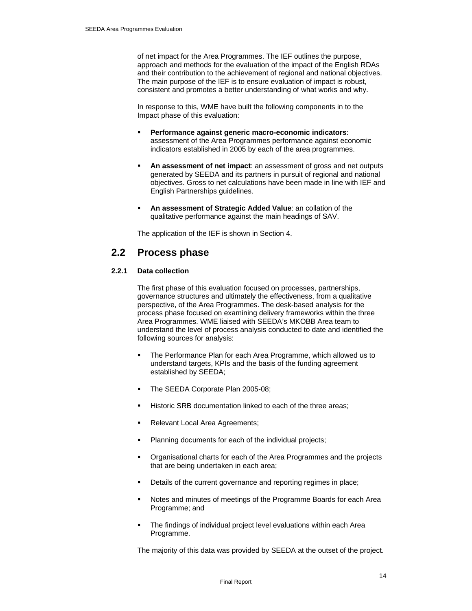of net impact for the Area Programmes. The IEF outlines the purpose, approach and methods for the evaluation of the impact of the English RDAs and their contribution to the achievement of regional and national objectives. The main purpose of the IEF is to ensure evaluation of impact is robust, consistent and promotes a better understanding of what works and why.

In response to this, WME have built the following components in to the Impact phase of this evaluation:

- **Performance against generic macro-economic indicators**: assessment of the Area Programmes performance against economic indicators established in 2005 by each of the area programmes.
- **An assessment of net impact**: an assessment of gross and net outputs generated by SEEDA and its partners in pursuit of regional and national objectives. Gross to net calculations have been made in line with IEF and English Partnerships guidelines.
- **An assessment of Strategic Added Value**: an collation of the qualitative performance against the main headings of SAV.

The application of the IEF is shown in Section 4.

### **2.2 Process phase**

#### **2.2.1 Data collection**

The first phase of this evaluation focused on processes, partnerships, governance structures and ultimately the effectiveness, from a qualitative perspective, of the Area Programmes. The desk-based analysis for the process phase focused on examining delivery frameworks within the three Area Programmes. WME liaised with SEEDA's MKOBB Area team to understand the level of process analysis conducted to date and identified the following sources for analysis:

- The Performance Plan for each Area Programme, which allowed us to understand targets, KPIs and the basis of the funding agreement established by SEEDA;
- The SEEDA Corporate Plan 2005-08;
- Historic SRB documentation linked to each of the three areas;
- Relevant Local Area Agreements;
- Planning documents for each of the individual projects;
- Organisational charts for each of the Area Programmes and the projects that are being undertaken in each area;
- Details of the current governance and reporting regimes in place;
- Notes and minutes of meetings of the Programme Boards for each Area Programme; and
- The findings of individual project level evaluations within each Area Programme.

The majority of this data was provided by SEEDA at the outset of the project.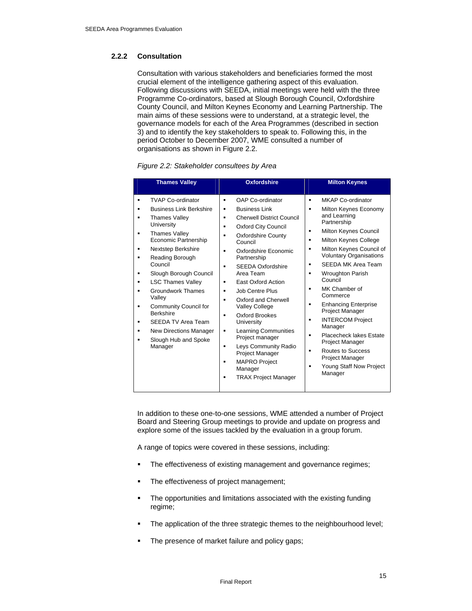#### **2.2.2 Consultation**

Consultation with various stakeholders and beneficiaries formed the most crucial element of the intelligence gathering aspect of this evaluation. Following discussions with SEEDA, initial meetings were held with the three Programme Co-ordinators, based at Slough Borough Council, Oxfordshire County Council, and Milton Keynes Economy and Learning Partnership. The main aims of these sessions were to understand, at a strategic level, the governance models for each of the Area Programmes (described in section 3) and to identify the key stakeholders to speak to. Following this, in the period October to December 2007, WME consulted a number of organisations as shown in Figure 2.2.

| <b>Thames Valley</b>                                                                                                                                                                                                                                                                                                                                                                                                                                                              | <b>Oxfordshire</b>                                                                                                                                                                                                                                                                                                                                                                                                                                                                                                                                                                                                                                 | <b>Milton Keynes</b>                                                                                                                                                                                                                                                                                                                                                                                                                                                                                                                                                                                           |
|-----------------------------------------------------------------------------------------------------------------------------------------------------------------------------------------------------------------------------------------------------------------------------------------------------------------------------------------------------------------------------------------------------------------------------------------------------------------------------------|----------------------------------------------------------------------------------------------------------------------------------------------------------------------------------------------------------------------------------------------------------------------------------------------------------------------------------------------------------------------------------------------------------------------------------------------------------------------------------------------------------------------------------------------------------------------------------------------------------------------------------------------------|----------------------------------------------------------------------------------------------------------------------------------------------------------------------------------------------------------------------------------------------------------------------------------------------------------------------------------------------------------------------------------------------------------------------------------------------------------------------------------------------------------------------------------------------------------------------------------------------------------------|
| <b>TVAP Co-ordinator</b><br><b>Business Link Berkshire</b><br><b>Thames Valley</b><br>University<br><b>Thames Valley</b><br>٠<br>Economic Partnership<br><b>Nextstep Berkshire</b><br>٠<br>Reading Borough<br>Council<br>Slough Borough Council<br><b>LSC Thames Valley</b><br><b>Groundwork Thames</b><br>Valley<br>Community Council for<br>$\blacksquare$<br><b>Berkshire</b><br><b>SEEDA TV Area Team</b><br><b>New Directions Manager</b><br>Slough Hub and Spoke<br>Manager | OAP Co-ordinator<br>$\blacksquare$<br><b>Business Link</b><br>п<br><b>Cherwell District Council</b><br>٠<br><b>Oxford City Council</b><br>٠<br>Oxfordshire County<br>٠<br>Council<br>Oxfordshire Economic<br>$\blacksquare$<br>Partnership<br><b>SEEDA Oxfordshire</b><br>$\blacksquare$<br>Area Team<br>East Oxford Action<br>٠<br>Job Centre Plus<br>٠<br>Oxford and Cherwell<br>٠<br><b>Valley College</b><br>Oxford Brookes<br>$\blacksquare$<br>University<br><b>Learning Communities</b><br>٠<br>Project manager<br>Leys Community Radio<br>٠<br>Project Manager<br><b>MAPRO Project</b><br>٠<br>Manager<br><b>TRAX Project Manager</b><br>٠ | MKAP Co-ordinator<br>٠<br>Milton Keynes Economy<br>٠<br>and Learning<br>Partnership<br>Milton Keynes Council<br>٠<br>Milton Keynes College<br>٠<br>Milton Keynes Council of<br>٠<br><b>Voluntary Organisations</b><br>SEEDA MK Area Team<br>٠<br><b>Wroughton Parish</b><br>٠<br>Council<br>MK Chamber of<br>$\blacksquare$<br>Commerce<br><b>Enhancing Enterprise</b><br>٠<br>Project Manager<br><b>INTERCOM Project</b><br>$\blacksquare$<br>Manager<br>Placecheck lakes Estate<br>٠<br>Project Manager<br>Routes to Success<br>٠<br>Project Manager<br>Young Staff Now Project<br>$\blacksquare$<br>Manager |

*Figure 2.2: Stakeholder consultees by Area* 

In addition to these one-to-one sessions, WME attended a number of Project Board and Steering Group meetings to provide and update on progress and explore some of the issues tackled by the evaluation in a group forum.

A range of topics were covered in these sessions, including:

- The effectiveness of existing management and governance regimes;
- The effectiveness of project management;
- The opportunities and limitations associated with the existing funding regime;
- The application of the three strategic themes to the neighbourhood level;
- The presence of market failure and policy gaps;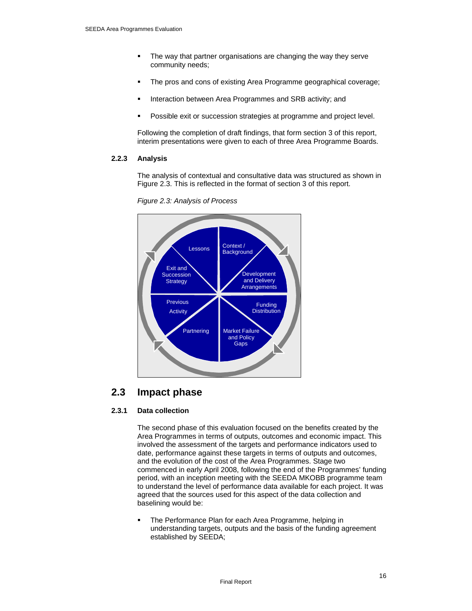- The way that partner organisations are changing the way they serve community needs;
- The pros and cons of existing Area Programme geographical coverage;
- Interaction between Area Programmes and SRB activity; and
- Possible exit or succession strategies at programme and project level.

Following the completion of draft findings, that form section 3 of this report, interim presentations were given to each of three Area Programme Boards.

#### **2.2.3 Analysis**

The analysis of contextual and consultative data was structured as shown in Figure 2.3. This is reflected in the format of section 3 of this report.



*Figure 2.3: Analysis of Process* 

## **2.3 Impact phase**

#### **2.3.1 Data collection**

The second phase of this evaluation focused on the benefits created by the Area Programmes in terms of outputs, outcomes and economic impact. This involved the assessment of the targets and performance indicators used to date, performance against these targets in terms of outputs and outcomes, and the evolution of the cost of the Area Programmes. Stage two commenced in early April 2008, following the end of the Programmes' funding period, with an inception meeting with the SEEDA MKOBB programme team to understand the level of performance data available for each project. It was agreed that the sources used for this aspect of the data collection and baselining would be:

 The Performance Plan for each Area Programme, helping in understanding targets, outputs and the basis of the funding agreement established by SEEDA;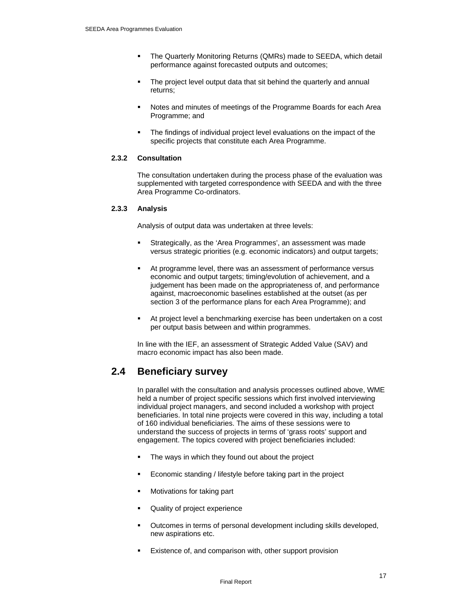- The Quarterly Monitoring Returns (QMRs) made to SEEDA, which detail performance against forecasted outputs and outcomes;
- The project level output data that sit behind the quarterly and annual returns;
- Notes and minutes of meetings of the Programme Boards for each Area Programme; and
- The findings of individual project level evaluations on the impact of the specific projects that constitute each Area Programme.

#### **2.3.2 Consultation**

The consultation undertaken during the process phase of the evaluation was supplemented with targeted correspondence with SEEDA and with the three Area Programme Co-ordinators.

#### **2.3.3 Analysis**

Analysis of output data was undertaken at three levels:

- Strategically, as the 'Area Programmes', an assessment was made versus strategic priorities (e.g. economic indicators) and output targets;
- At programme level, there was an assessment of performance versus economic and output targets; timing/evolution of achievement, and a judgement has been made on the appropriateness of, and performance against, macroeconomic baselines established at the outset (as per section 3 of the performance plans for each Area Programme); and
- At project level a benchmarking exercise has been undertaken on a cost per output basis between and within programmes.

In line with the IEF, an assessment of Strategic Added Value (SAV) and macro economic impact has also been made.

## **2.4 Beneficiary survey**

In parallel with the consultation and analysis processes outlined above, WME held a number of project specific sessions which first involved interviewing individual project managers, and second included a workshop with project beneficiaries. In total nine projects were covered in this way, including a total of 160 individual beneficiaries. The aims of these sessions were to understand the success of projects in terms of 'grass roots' support and engagement. The topics covered with project beneficiaries included:

- The ways in which they found out about the project
- Economic standing / lifestyle before taking part in the project
- Motivations for taking part
- Quality of project experience
- Outcomes in terms of personal development including skills developed, new aspirations etc.
- Existence of, and comparison with, other support provision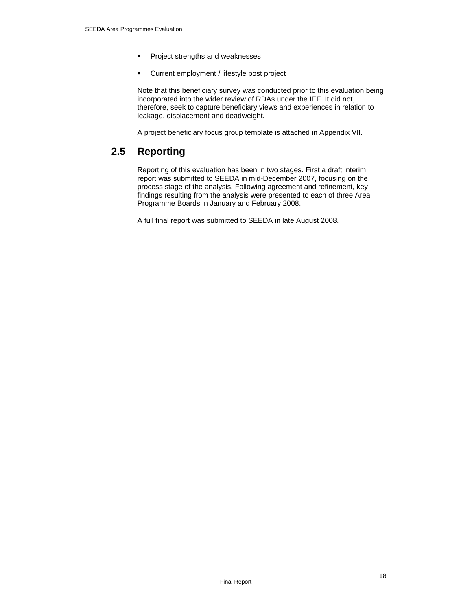- **Project strengths and weaknesses**
- **EXECUTE:** Current employment / lifestyle post project

Note that this beneficiary survey was conducted prior to this evaluation being incorporated into the wider review of RDAs under the IEF. It did not, therefore, seek to capture beneficiary views and experiences in relation to leakage, displacement and deadweight.

A project beneficiary focus group template is attached in Appendix VII.

## **2.5 Reporting**

Reporting of this evaluation has been in two stages. First a draft interim report was submitted to SEEDA in mid-December 2007, focusing on the process stage of the analysis. Following agreement and refinement, key findings resulting from the analysis were presented to each of three Area Programme Boards in January and February 2008.

A full final report was submitted to SEEDA in late August 2008.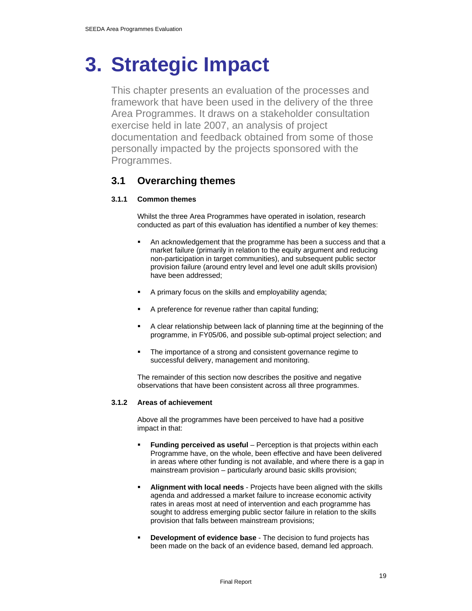## **3. Strategic Impact**

This chapter presents an evaluation of the processes and framework that have been used in the delivery of the three Area Programmes. It draws on a stakeholder consultation exercise held in late 2007, an analysis of project documentation and feedback obtained from some of those personally impacted by the projects sponsored with the Programmes.

## **3.1 Overarching themes**

#### **3.1.1 Common themes**

Whilst the three Area Programmes have operated in isolation, research conducted as part of this evaluation has identified a number of key themes:

- An acknowledgement that the programme has been a success and that a market failure (primarily in relation to the equity argument and reducing non-participation in target communities), and subsequent public sector provision failure (around entry level and level one adult skills provision) have been addressed;
- A primary focus on the skills and employability agenda;
- A preference for revenue rather than capital funding;
- A clear relationship between lack of planning time at the beginning of the programme, in FY05/06, and possible sub-optimal project selection; and
- The importance of a strong and consistent governance regime to successful delivery, management and monitoring.

The remainder of this section now describes the positive and negative observations that have been consistent across all three programmes.

#### **3.1.2 Areas of achievement**

Above all the programmes have been perceived to have had a positive impact in that:

- **Funding perceived as useful** Perception is that projects within each Programme have, on the whole, been effective and have been delivered in areas where other funding is not available, and where there is a gap in mainstream provision – particularly around basic skills provision;
- **Alignment with local needs** Projects have been aligned with the skills agenda and addressed a market failure to increase economic activity rates in areas most at need of intervention and each programme has sought to address emerging public sector failure in relation to the skills provision that falls between mainstream provisions;
- **Development of evidence base** The decision to fund projects has been made on the back of an evidence based, demand led approach.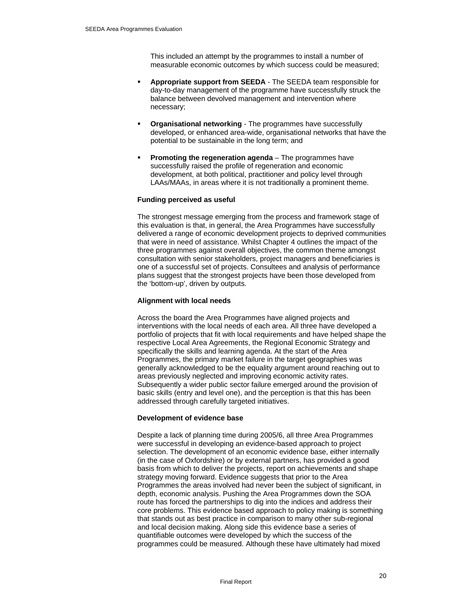This included an attempt by the programmes to install a number of measurable economic outcomes by which success could be measured;

- **Appropriate support from SEEDA** The SEEDA team responsible for day-to-day management of the programme have successfully struck the balance between devolved management and intervention where necessary;
- **Organisational networking** The programmes have successfully developed, or enhanced area-wide, organisational networks that have the potential to be sustainable in the long term; and
- **Promoting the regeneration agenda**  The programmes have successfully raised the profile of regeneration and economic development, at both political, practitioner and policy level through LAAs/MAAs, in areas where it is not traditionally a prominent theme.

#### **Funding perceived as useful**

The strongest message emerging from the process and framework stage of this evaluation is that, in general, the Area Programmes have successfully delivered a range of economic development projects to deprived communities that were in need of assistance. Whilst Chapter 4 outlines the impact of the three programmes against overall objectives, the common theme amongst consultation with senior stakeholders, project managers and beneficiaries is one of a successful set of projects. Consultees and analysis of performance plans suggest that the strongest projects have been those developed from the 'bottom-up', driven by outputs.

#### **Alignment with local needs**

Across the board the Area Programmes have aligned projects and interventions with the local needs of each area. All three have developed a portfolio of projects that fit with local requirements and have helped shape the respective Local Area Agreements, the Regional Economic Strategy and specifically the skills and learning agenda. At the start of the Area Programmes, the primary market failure in the target geographies was generally acknowledged to be the equality argument around reaching out to areas previously neglected and improving economic activity rates. Subsequently a wider public sector failure emerged around the provision of basic skills (entry and level one), and the perception is that this has been addressed through carefully targeted initiatives.

#### **Development of evidence base**

Despite a lack of planning time during 2005/6, all three Area Programmes were successful in developing an evidence-based approach to project selection. The development of an economic evidence base, either internally (in the case of Oxfordshire) or by external partners, has provided a good basis from which to deliver the projects, report on achievements and shape strategy moving forward. Evidence suggests that prior to the Area Programmes the areas involved had never been the subject of significant, in depth, economic analysis. Pushing the Area Programmes down the SOA route has forced the partnerships to dig into the indices and address their core problems. This evidence based approach to policy making is something that stands out as best practice in comparison to many other sub-regional and local decision making. Along side this evidence base a series of quantifiable outcomes were developed by which the success of the programmes could be measured. Although these have ultimately had mixed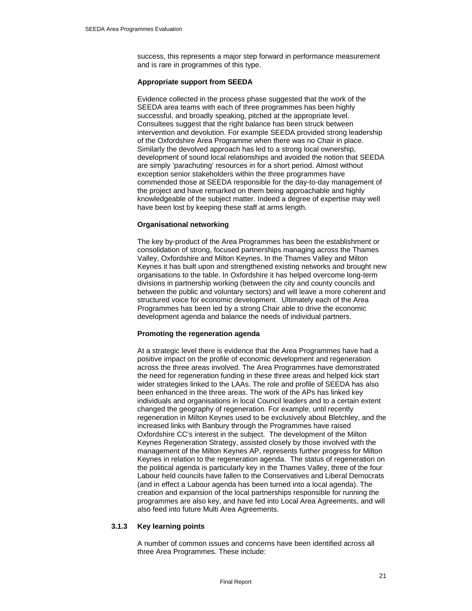success, this represents a major step forward in performance measurement and is rare in programmes of this type.

#### **Appropriate support from SEEDA**

Evidence collected in the process phase suggested that the work of the SEEDA area teams with each of three programmes has been highly successful, and broadly speaking, pitched at the appropriate level. Consultees suggest that the right balance has been struck between intervention and devolution. For example SEEDA provided strong leadership of the Oxfordshire Area Programme when there was no Chair in place. Similarly the devolved approach has led to a strong local ownership, development of sound local relationships and avoided the notion that SEEDA are simply 'parachuting' resources in for a short period. Almost without exception senior stakeholders within the three programmes have commended those at SEEDA responsible for the day-to-day management of the project and have remarked on them being approachable and highly knowledgeable of the subject matter. Indeed a degree of expertise may well have been lost by keeping these staff at arms length.

#### **Organisational networking**

The key by-product of the Area Programmes has been the establishment or consolidation of strong, focused partnerships managing across the Thames Valley, Oxfordshire and Milton Keynes. In the Thames Valley and Milton Keynes it has built upon and strengthened existing networks and brought new organisations to the table. In Oxfordshire it has helped overcome long-term divisions in partnership working (between the city and county councils and between the public and voluntary sectors) and will leave a more coherent and structured voice for economic development. Ultimately each of the Area Programmes has been led by a strong Chair able to drive the economic development agenda and balance the needs of individual partners.

#### **Promoting the regeneration agenda**

At a strategic level there is evidence that the Area Programmes have had a positive impact on the profile of economic development and regeneration across the three areas involved. The Area Programmes have demonstrated the need for regeneration funding in these three areas and helped kick start wider strategies linked to the LAAs. The role and profile of SEEDA has also been enhanced in the three areas. The work of the APs has linked key individuals and organisations in local Council leaders and to a certain extent changed the geography of regeneration. For example, until recently regeneration in Milton Keynes used to be exclusively about Bletchley, and the increased links with Banbury through the Programmes have raised Oxfordshire CC's interest in the subject. The development of the Milton Keynes Regeneration Strategy, assisted closely by those involved with the management of the Milton Keynes AP, represents further progress for Milton Keynes in relation to the regeneration agenda. The status of regeneration on the political agenda is particularly key in the Thames Valley, three of the four Labour held councils have fallen to the Conservatives and Liberal Democrats (and in effect a Labour agenda has been turned into a local agenda). The creation and expansion of the local partnerships responsible for running the programmes are also key, and have fed into Local Area Agreements, and will also feed into future Multi Area Agreements.

#### **3.1.3 Key learning points**

A number of common issues and concerns have been identified across all three Area Programmes. These include: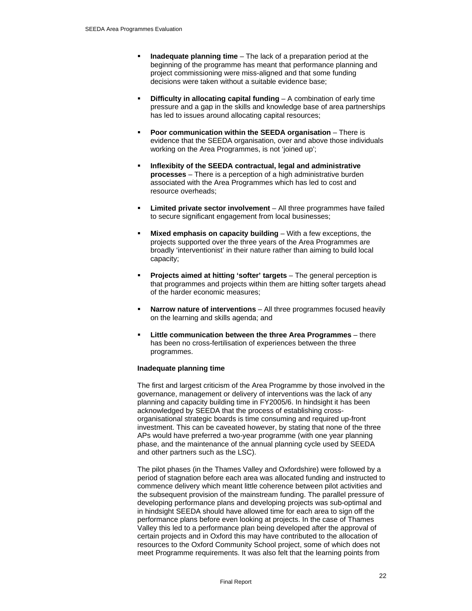- **Inadequate planning time** The lack of a preparation period at the beginning of the programme has meant that performance planning and project commissioning were miss-aligned and that some funding decisions were taken without a suitable evidence base;
- **Difficulty in allocating capital funding** A combination of early time pressure and a gap in the skills and knowledge base of area partnerships has led to issues around allocating capital resources;
- **Poor communication within the SEEDA organisation** There is evidence that the SEEDA organisation, over and above those individuals working on the Area Programmes, is not 'joined up';
- **Inflexibity of the SEEDA contractual, legal and administrative processes** – There is a perception of a high administrative burden associated with the Area Programmes which has led to cost and resource overheads;
- **Limited private sector involvement** All three programmes have failed to secure significant engagement from local businesses;
- **Mixed emphasis on capacity building** With a few exceptions, the projects supported over the three years of the Area Programmes are broadly 'interventionist' in their nature rather than aiming to build local capacity;
- **Projects aimed at hitting 'softer' targets**  The general perception is that programmes and projects within them are hitting softer targets ahead of the harder economic measures;
- **Narrow nature of interventions**  All three programmes focused heavily on the learning and skills agenda; and
- **Little communication between the three Area Programmes**  there has been no cross-fertilisation of experiences between the three programmes.

#### **Inadequate planning time**

The first and largest criticism of the Area Programme by those involved in the governance, management or delivery of interventions was the lack of any planning and capacity building time in FY2005/6. In hindsight it has been acknowledged by SEEDA that the process of establishing crossorganisational strategic boards is time consuming and required up-front investment. This can be caveated however, by stating that none of the three APs would have preferred a two-year programme (with one year planning phase, and the maintenance of the annual planning cycle used by SEEDA and other partners such as the LSC).

The pilot phases (in the Thames Valley and Oxfordshire) were followed by a period of stagnation before each area was allocated funding and instructed to commence delivery which meant little coherence between pilot activities and the subsequent provision of the mainstream funding. The parallel pressure of developing performance plans and developing projects was sub-optimal and in hindsight SEEDA should have allowed time for each area to sign off the performance plans before even looking at projects. In the case of Thames Valley this led to a performance plan being developed after the approval of certain projects and in Oxford this may have contributed to the allocation of resources to the Oxford Community School project, some of which does not meet Programme requirements. It was also felt that the learning points from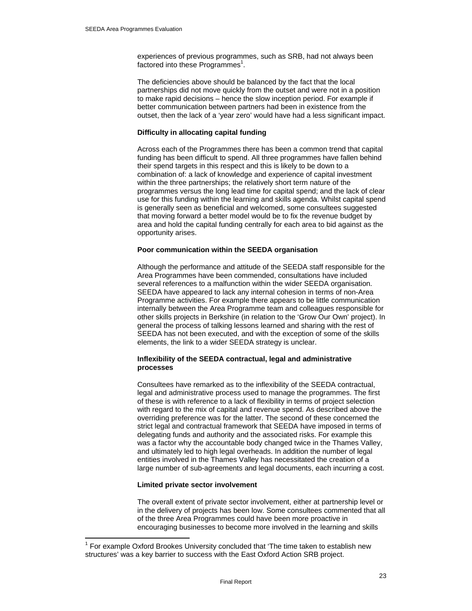experiences of previous programmes, such as SRB, had not always been factored into these Programmes<sup>1</sup>.

The deficiencies above should be balanced by the fact that the local partnerships did not move quickly from the outset and were not in a position to make rapid decisions – hence the slow inception period. For example if better communication between partners had been in existence from the outset, then the lack of a 'year zero' would have had a less significant impact.

#### **Difficulty in allocating capital funding**

Across each of the Programmes there has been a common trend that capital funding has been difficult to spend. All three programmes have fallen behind their spend targets in this respect and this is likely to be down to a combination of: a lack of knowledge and experience of capital investment within the three partnerships; the relatively short term nature of the programmes versus the long lead time for capital spend; and the lack of clear use for this funding within the learning and skills agenda. Whilst capital spend is generally seen as beneficial and welcomed, some consultees suggested that moving forward a better model would be to fix the revenue budget by area and hold the capital funding centrally for each area to bid against as the opportunity arises.

#### **Poor communication within the SEEDA organisation**

Although the performance and attitude of the SEEDA staff responsible for the Area Programmes have been commended, consultations have included several references to a malfunction within the wider SEEDA organisation. SEEDA have appeared to lack any internal cohesion in terms of non-Area Programme activities. For example there appears to be little communication internally between the Area Programme team and colleagues responsible for other skills projects in Berkshire (in relation to the 'Grow Our Own' project). In general the process of talking lessons learned and sharing with the rest of SEEDA has not been executed, and with the exception of some of the skills elements, the link to a wider SEEDA strategy is unclear.

#### **Inflexibility of the SEEDA contractual, legal and administrative processes**

Consultees have remarked as to the inflexibility of the SEEDA contractual, legal and administrative process used to manage the programmes. The first of these is with reference to a lack of flexibility in terms of project selection with regard to the mix of capital and revenue spend. As described above the overriding preference was for the latter. The second of these concerned the strict legal and contractual framework that SEEDA have imposed in terms of delegating funds and authority and the associated risks. For example this was a factor why the accountable body changed twice in the Thames Valley, and ultimately led to high legal overheads. In addition the number of legal entities involved in the Thames Valley has necessitated the creation of a large number of sub-agreements and legal documents, each incurring a cost.

#### **Limited private sector involvement**

 $\overline{a}$ 

The overall extent of private sector involvement, either at partnership level or in the delivery of projects has been low. Some consultees commented that all of the three Area Programmes could have been more proactive in encouraging businesses to become more involved in the learning and skills

 $1$  For example Oxford Brookes University concluded that 'The time taken to establish new structures' was a key barrier to success with the East Oxford Action SRB project.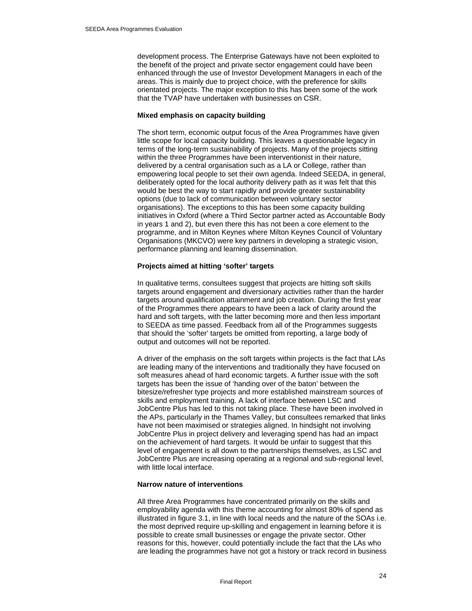development process. The Enterprise Gateways have not been exploited to the benefit of the project and private sector engagement could have been enhanced through the use of Investor Development Managers in each of the areas. This is mainly due to project choice, with the preference for skills orientated projects. The major exception to this has been some of the work that the TVAP have undertaken with businesses on CSR.

#### **Mixed emphasis on capacity building**

The short term, economic output focus of the Area Programmes have given little scope for local capacity building. This leaves a questionable legacy in terms of the long-term sustainability of projects. Many of the projects sitting within the three Programmes have been interventionist in their nature, delivered by a central organisation such as a LA or College, rather than empowering local people to set their own agenda. Indeed SEEDA, in general, deliberately opted for the local authority delivery path as it was felt that this would be best the way to start rapidly and provide greater sustainability options (due to lack of communication between voluntary sector organisations). The exceptions to this has been some capacity building initiatives in Oxford (where a Third Sector partner acted as Accountable Body in years 1 and 2), but even there this has not been a core element to the programme, and in Milton Keynes where Milton Keynes Council of Voluntary Organisations (MKCVO) were key partners in developing a strategic vision, performance planning and learning dissemination.

#### **Projects aimed at hitting 'softer' targets**

In qualitative terms, consultees suggest that projects are hitting soft skills targets around engagement and diversionary activities rather than the harder targets around qualification attainment and job creation. During the first year of the Programmes there appears to have been a lack of clarity around the hard and soft targets, with the latter becoming more and then less important to SEEDA as time passed. Feedback from all of the Programmes suggests that should the 'softer' targets be omitted from reporting, a large body of output and outcomes will not be reported.

A driver of the emphasis on the soft targets within projects is the fact that LAs are leading many of the interventions and traditionally they have focused on soft measures ahead of hard economic targets. A further issue with the soft targets has been the issue of 'handing over of the baton' between the bitesize/refresher type projects and more established mainstream sources of skills and employment training. A lack of interface between LSC and JobCentre Plus has led to this not taking place. These have been involved in the APs, particularly in the Thames Valley, but consultees remarked that links have not been maximised or strategies aligned. In hindsight not involving JobCentre Plus in project delivery and leveraging spend has had an impact on the achievement of hard targets. It would be unfair to suggest that this level of engagement is all down to the partnerships themselves, as LSC and JobCentre Plus are increasing operating at a regional and sub-regional level, with little local interface.

#### **Narrow nature of interventions**

All three Area Programmes have concentrated primarily on the skills and employability agenda with this theme accounting for almost 80% of spend as illustrated in figure 3.1, in line with local needs and the nature of the SOAs i.e. the most deprived require up-skilling and engagement in learning before it is possible to create small businesses or engage the private sector. Other reasons for this, however, could potentially include the fact that the LAs who are leading the programmes have not got a history or track record in business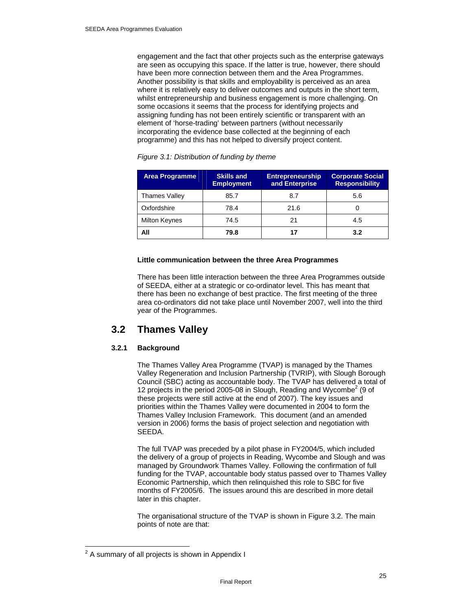engagement and the fact that other projects such as the enterprise gateways are seen as occupying this space. If the latter is true, however, there should have been more connection between them and the Area Programmes. Another possibility is that skills and employability is perceived as an area where it is relatively easy to deliver outcomes and outputs in the short term, whilst entrepreneurship and business engagement is more challenging. On some occasions it seems that the process for identifying projects and assigning funding has not been entirely scientific or transparent with an element of 'horse-trading' between partners (without necessarily incorporating the evidence base collected at the beginning of each programme) and this has not helped to diversify project content.

| <b>Area Programme</b> | <b>Skills and</b><br><b>Employment</b> | <b>Entrepreneurship</b><br>and Enterprise | <b>Corporate Social</b><br><b>Responsibility</b> |
|-----------------------|----------------------------------------|-------------------------------------------|--------------------------------------------------|
| <b>Thames Valley</b>  | 85.7                                   | 8.7                                       | 5.6                                              |
| Oxfordshire           | 78.4                                   | 21.6                                      |                                                  |
| <b>Milton Keynes</b>  | 74.5                                   | 21                                        | 4.5                                              |
| All                   | 79.8                                   | 17                                        | 3.2                                              |

*Figure 3.1: Distribution of funding by theme* 

#### **Little communication between the three Area Programmes**

There has been little interaction between the three Area Programmes outside of SEEDA, either at a strategic or co-ordinator level. This has meant that there has been no exchange of best practice. The first meeting of the three area co-ordinators did not take place until November 2007, well into the third year of the Programmes.

## **3.2 Thames Valley**

#### **3.2.1 Background**

The Thames Valley Area Programme (TVAP) is managed by the Thames Valley Regeneration and Inclusion Partnership (TVRIP), with Slough Borough Council (SBC) acting as accountable body. The TVAP has delivered a total of 12 projects in the period 2005-08 in Slough, Reading and Wycombe<sup>2</sup> (9 of these projects were still active at the end of 2007). The key issues and priorities within the Thames Valley were documented in 2004 to form the Thames Valley Inclusion Framework. This document (and an amended version in 2006) forms the basis of project selection and negotiation with SEEDA.

The full TVAP was preceded by a pilot phase in FY2004/5, which included the delivery of a group of projects in Reading, Wycombe and Slough and was managed by Groundwork Thames Valley. Following the confirmation of full funding for the TVAP, accountable body status passed over to Thames Valley Economic Partnership, which then relinquished this role to SBC for five months of FY2005/6. The issues around this are described in more detail later in this chapter.

The organisational structure of the TVAP is shown in Figure 3.2. The main points of note are that:

 $\overline{a}$ 

 $2$  A summary of all projects is shown in Appendix I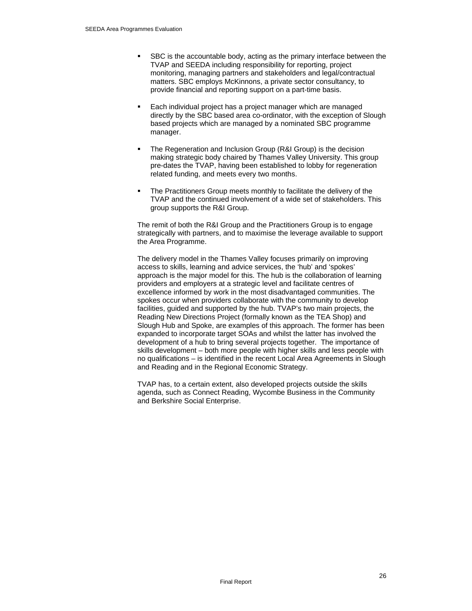- SBC is the accountable body, acting as the primary interface between the TVAP and SEEDA including responsibility for reporting, project monitoring, managing partners and stakeholders and legal/contractual matters. SBC employs McKinnons, a private sector consultancy, to provide financial and reporting support on a part-time basis.
- Each individual project has a project manager which are managed directly by the SBC based area co-ordinator, with the exception of Slough based projects which are managed by a nominated SBC programme manager.
- The Regeneration and Inclusion Group (R&I Group) is the decision making strategic body chaired by Thames Valley University. This group pre-dates the TVAP, having been established to lobby for regeneration related funding, and meets every two months.
- The Practitioners Group meets monthly to facilitate the delivery of the TVAP and the continued involvement of a wide set of stakeholders. This group supports the R&I Group.

The remit of both the R&I Group and the Practitioners Group is to engage strategically with partners, and to maximise the leverage available to support the Area Programme.

The delivery model in the Thames Valley focuses primarily on improving access to skills, learning and advice services, the 'hub' and 'spokes' approach is the major model for this. The hub is the collaboration of learning providers and employers at a strategic level and facilitate centres of excellence informed by work in the most disadvantaged communities. The spokes occur when providers collaborate with the community to develop facilities, guided and supported by the hub. TVAP's two main projects, the Reading New Directions Project (formally known as the TEA Shop) and Slough Hub and Spoke, are examples of this approach. The former has been expanded to incorporate target SOAs and whilst the latter has involved the development of a hub to bring several projects together. The importance of skills development – both more people with higher skills and less people with no qualifications – is identified in the recent Local Area Agreements in Slough and Reading and in the Regional Economic Strategy.

TVAP has, to a certain extent, also developed projects outside the skills agenda, such as Connect Reading, Wycombe Business in the Community and Berkshire Social Enterprise.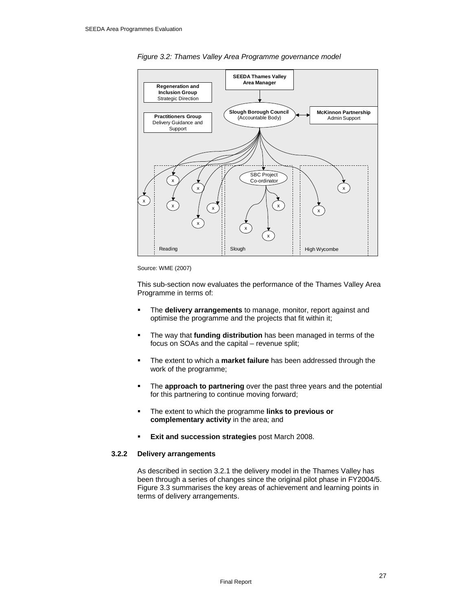

*Figure 3.2: Thames Valley Area Programme governance model* 

Source: WME (2007)

This sub-section now evaluates the performance of the Thames Valley Area Programme in terms of:

- The **delivery arrangements** to manage, monitor, report against and optimise the programme and the projects that fit within it;
- The way that **funding distribution** has been managed in terms of the focus on SOAs and the capital – revenue split;
- The extent to which a **market failure** has been addressed through the work of the programme;
- **The approach to partnering** over the past three years and the potential for this partnering to continue moving forward;
- The extent to which the programme **links to previous or complementary activity** in the area; and
- **Exit and succession strategies** post March 2008.

#### **3.2.2 Delivery arrangements**

As described in section 3.2.1 the delivery model in the Thames Valley has been through a series of changes since the original pilot phase in FY2004/5. Figure 3.3 summarises the key areas of achievement and learning points in terms of delivery arrangements.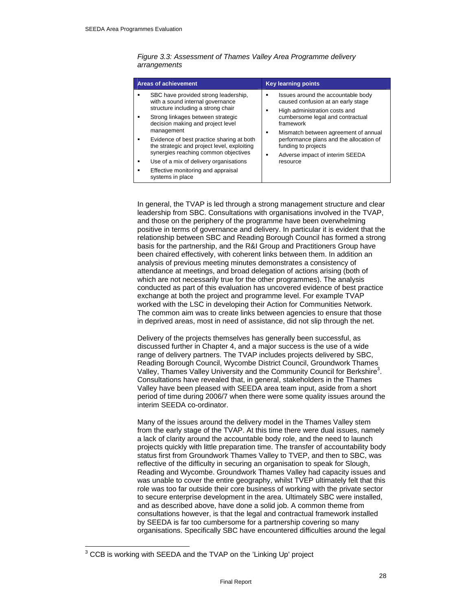| <b>Areas of achievement</b>                                                                                                                                                                                                                                                                                                                                                                                                                                             | <b>Key learning points</b>                                                                                                                                                                                                                                                                                               |
|-------------------------------------------------------------------------------------------------------------------------------------------------------------------------------------------------------------------------------------------------------------------------------------------------------------------------------------------------------------------------------------------------------------------------------------------------------------------------|--------------------------------------------------------------------------------------------------------------------------------------------------------------------------------------------------------------------------------------------------------------------------------------------------------------------------|
| SBC have provided strong leadership,<br>٠<br>with a sound internal governance<br>structure including a strong chair<br>Strong linkages between strategic<br>٠<br>decision making and project level<br>management<br>Evidence of best practice sharing at both<br>٠<br>the strategic and project level, exploiting<br>synergies reaching common objectives<br>Use of a mix of delivery organisations<br>٠<br>Effective monitoring and appraisal<br>٠<br>systems in place | Issues around the accountable body<br>caused confusion at an early stage<br>High administration costs and<br>cumbersome legal and contractual<br>framework<br>Mismatch between agreement of annual<br>٠<br>performance plans and the allocation of<br>funding to projects<br>Adverse impact of interim SEEDA<br>resource |

*Figure 3.3: Assessment of Thames Valley Area Programme delivery arrangements* 

In general, the TVAP is led through a strong management structure and clear leadership from SBC. Consultations with organisations involved in the TVAP, and those on the periphery of the programme have been overwhelming positive in terms of governance and delivery. In particular it is evident that the relationship between SBC and Reading Borough Council has formed a strong basis for the partnership, and the R&I Group and Practitioners Group have been chaired effectively, with coherent links between them. In addition an analysis of previous meeting minutes demonstrates a consistency of attendance at meetings, and broad delegation of actions arising (both of which are not necessarily true for the other programmes). The analysis conducted as part of this evaluation has uncovered evidence of best practice exchange at both the project and programme level. For example TVAP worked with the LSC in developing their Action for Communities Network. The common aim was to create links between agencies to ensure that those in deprived areas, most in need of assistance, did not slip through the net.

Delivery of the projects themselves has generally been successful, as discussed further in Chapter 4, and a major success is the use of a wide range of delivery partners. The TVAP includes projects delivered by SBC, Reading Borough Council, Wycombe District Council, Groundwork Thames Valley, Thames Valley University and the Community Council for Berkshire<sup>3</sup>. Consultations have revealed that, in general, stakeholders in the Thames Valley have been pleased with SEEDA area team input, aside from a short period of time during 2006/7 when there were some quality issues around the interim SEEDA co-ordinator.

Many of the issues around the delivery model in the Thames Valley stem from the early stage of the TVAP. At this time there were dual issues, namely a lack of clarity around the accountable body role, and the need to launch projects quickly with little preparation time. The transfer of accountability body status first from Groundwork Thames Valley to TVEP, and then to SBC, was reflective of the difficulty in securing an organisation to speak for Slough, Reading and Wycombe. Groundwork Thames Valley had capacity issues and was unable to cover the entire geography, whilst TVEP ultimately felt that this role was too far outside their core business of working with the private sector to secure enterprise development in the area. Ultimately SBC were installed, and as described above, have done a solid job. A common theme from consultations however, is that the legal and contractual framework installed by SEEDA is far too cumbersome for a partnership covering so many organisations. Specifically SBC have encountered difficulties around the legal

 $\overline{a}$ 

 $3$  CCB is working with SEEDA and the TVAP on the 'Linking Up' project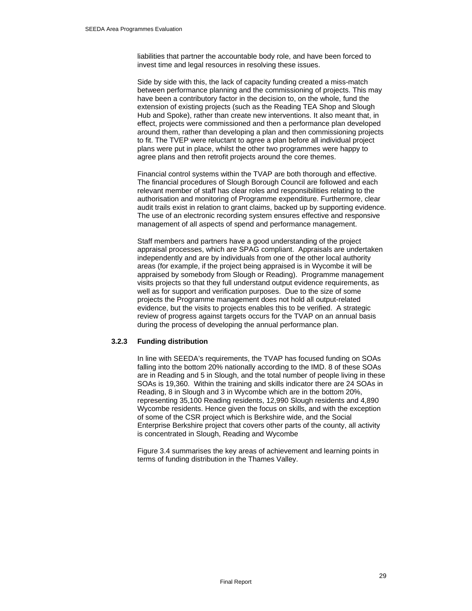liabilities that partner the accountable body role, and have been forced to invest time and legal resources in resolving these issues.

Side by side with this, the lack of capacity funding created a miss-match between performance planning and the commissioning of projects. This may have been a contributory factor in the decision to, on the whole, fund the extension of existing projects (such as the Reading TEA Shop and Slough Hub and Spoke), rather than create new interventions. It also meant that, in effect, projects were commissioned and then a performance plan developed around them, rather than developing a plan and then commissioning projects to fit. The TVEP were reluctant to agree a plan before all individual project plans were put in place, whilst the other two programmes were happy to agree plans and then retrofit projects around the core themes.

Financial control systems within the TVAP are both thorough and effective. The financial procedures of Slough Borough Council are followed and each relevant member of staff has clear roles and responsibilities relating to the authorisation and monitoring of Programme expenditure. Furthermore, clear audit trails exist in relation to grant claims, backed up by supporting evidence. The use of an electronic recording system ensures effective and responsive management of all aspects of spend and performance management.

Staff members and partners have a good understanding of the project appraisal processes, which are SPAG compliant. Appraisals are undertaken independently and are by individuals from one of the other local authority areas (for example, if the project being appraised is in Wycombe it will be appraised by somebody from Slough or Reading). Programme management visits projects so that they full understand output evidence requirements, as well as for support and verification purposes. Due to the size of some projects the Programme management does not hold all output-related evidence, but the visits to projects enables this to be verified. A strategic review of progress against targets occurs for the TVAP on an annual basis during the process of developing the annual performance plan.

#### **3.2.3 Funding distribution**

In line with SEEDA's requirements, the TVAP has focused funding on SOAs falling into the bottom 20% nationally according to the IMD. 8 of these SOAs are in Reading and 5 in Slough, and the total number of people living in these SOAs is 19,360. Within the training and skills indicator there are 24 SOAs in Reading, 8 in Slough and 3 in Wycombe which are in the bottom 20%, representing 35,100 Reading residents, 12,990 Slough residents and 4,890 Wycombe residents. Hence given the focus on skills, and with the exception of some of the CSR project which is Berkshire wide, and the Social Enterprise Berkshire project that covers other parts of the county, all activity is concentrated in Slough, Reading and Wycombe

Figure 3.4 summarises the key areas of achievement and learning points in terms of funding distribution in the Thames Valley.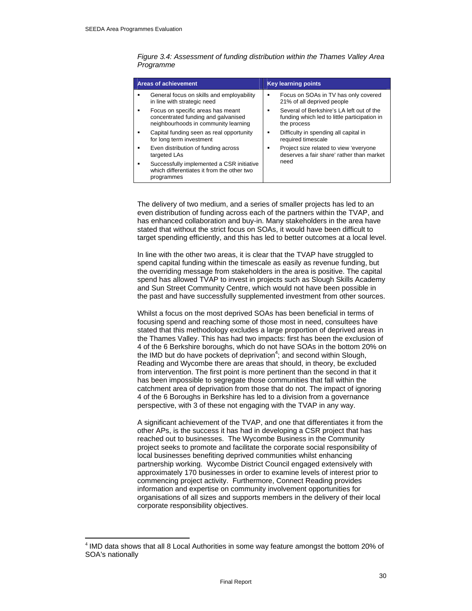$\overline{a}$ 

| <b>Areas of achievement</b>                                                                                      |   | <b>Key learning points</b>                                                                               |
|------------------------------------------------------------------------------------------------------------------|---|----------------------------------------------------------------------------------------------------------|
| General focus on skills and employability<br>in line with strategic need                                         | ٠ | Focus on SOAs in TV has only covered<br>21% of all deprived people                                       |
| Focus on specific areas has meant<br>concentrated funding and galvanised<br>neighbourhoods in community learning | ٠ | Several of Berkshire's LA left out of the<br>funding which led to little participation in<br>the process |
| Capital funding seen as real opportunity<br>for long term investment                                             | ٠ | Difficulty in spending all capital in<br>required timescale                                              |
| Even distribution of funding across<br>targeted LAs                                                              | ٠ | Project size related to view 'everyone<br>deserves a fair share' rather than market                      |
| Successfully implemented a CSR initiative<br>which differentiates it from the other two<br>programmes            |   | need                                                                                                     |

*Figure 3.4: Assessment of funding distribution within the Thames Valley Area Programme* 

The delivery of two medium, and a series of smaller projects has led to an even distribution of funding across each of the partners within the TVAP, and has enhanced collaboration and buy-in. Many stakeholders in the area have stated that without the strict focus on SOAs, it would have been difficult to target spending efficiently, and this has led to better outcomes at a local level.

In line with the other two areas, it is clear that the TVAP have struggled to spend capital funding within the timescale as easily as revenue funding, but the overriding message from stakeholders in the area is positive. The capital spend has allowed TVAP to invest in projects such as Slough Skills Academy and Sun Street Community Centre, which would not have been possible in the past and have successfully supplemented investment from other sources.

Whilst a focus on the most deprived SOAs has been beneficial in terms of focusing spend and reaching some of those most in need, consultees have stated that this methodology excludes a large proportion of deprived areas in the Thames Valley. This has had two impacts: first has been the exclusion of 4 of the 6 Berkshire boroughs, which do not have SOAs in the bottom 20% on the IMD but do have pockets of deprivation<sup>4</sup>; and second within Slough, Reading and Wycombe there are areas that should, in theory, be excluded from intervention. The first point is more pertinent than the second in that it has been impossible to segregate those communities that fall within the catchment area of deprivation from those that do not. The impact of ignoring 4 of the 6 Boroughs in Berkshire has led to a division from a governance perspective, with 3 of these not engaging with the TVAP in any way.

A significant achievement of the TVAP, and one that differentiates it from the other APs, is the success it has had in developing a CSR project that has reached out to businesses. The Wycombe Business in the Community project seeks to promote and facilitate the corporate social responsibility of local businesses benefiting deprived communities whilst enhancing partnership working. Wycombe District Council engaged extensively with approximately 170 businesses in order to examine levels of interest prior to commencing project activity. Furthermore, Connect Reading provides information and expertise on community involvement opportunities for organisations of all sizes and supports members in the delivery of their local corporate responsibility objectives.

<sup>4</sup> IMD data shows that all 8 Local Authorities in some way feature amongst the bottom 20% of SOA's nationally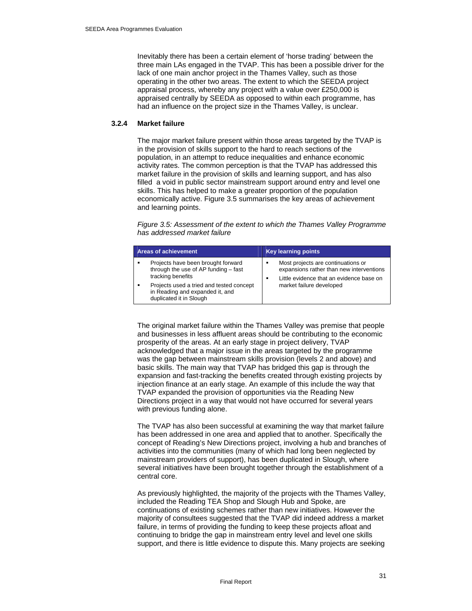Inevitably there has been a certain element of 'horse trading' between the three main LAs engaged in the TVAP. This has been a possible driver for the lack of one main anchor project in the Thames Valley, such as those operating in the other two areas. The extent to which the SEEDA project appraisal process, whereby any project with a value over £250,000 is appraised centrally by SEEDA as opposed to within each programme, has had an influence on the project size in the Thames Valley, is unclear.

#### **3.2.4 Market failure**

The major market failure present within those areas targeted by the TVAP is in the provision of skills support to the hard to reach sections of the population, in an attempt to reduce inequalities and enhance economic activity rates. The common perception is that the TVAP has addressed this market failure in the provision of skills and learning support, and has also filled a void in public sector mainstream support around entry and level one skills. This has helped to make a greater proportion of the population economically active. Figure 3.5 summarises the key areas of achievement and learning points.

*Figure 3.5: Assessment of the extent to which the Thames Valley Programme has addressed market failure* 

|   | <b>Areas of achievement</b>                                                                            | Key learning points                                                                                                                  |
|---|--------------------------------------------------------------------------------------------------------|--------------------------------------------------------------------------------------------------------------------------------------|
| ٠ | Projects have been brought forward<br>through the use of AP funding - fast<br>tracking benefits        | Most projects are continuations or<br>٠<br>expansions rather than new interventions<br>Little evidence that an evidence base on<br>٠ |
|   | Projects used a tried and tested concept<br>in Reading and expanded it, and<br>duplicated it in Slough | market failure developed                                                                                                             |

The original market failure within the Thames Valley was premise that people and businesses in less affluent areas should be contributing to the economic prosperity of the areas. At an early stage in project delivery, TVAP acknowledged that a major issue in the areas targeted by the programme was the gap between mainstream skills provision (levels 2 and above) and basic skills. The main way that TVAP has bridged this gap is through the expansion and fast-tracking the benefits created through existing projects by injection finance at an early stage. An example of this include the way that TVAP expanded the provision of opportunities via the Reading New Directions project in a way that would not have occurred for several years with previous funding alone.

The TVAP has also been successful at examining the way that market failure has been addressed in one area and applied that to another. Specifically the concept of Reading's New Directions project, involving a hub and branches of activities into the communities (many of which had long been neglected by mainstream providers of support), has been duplicated in Slough, where several initiatives have been brought together through the establishment of a central core.

As previously highlighted, the majority of the projects with the Thames Valley, included the Reading TEA Shop and Slough Hub and Spoke, are continuations of existing schemes rather than new initiatives. However the majority of consultees suggested that the TVAP did indeed address a market failure, in terms of providing the funding to keep these projects afloat and continuing to bridge the gap in mainstream entry level and level one skills support, and there is little evidence to dispute this. Many projects are seeking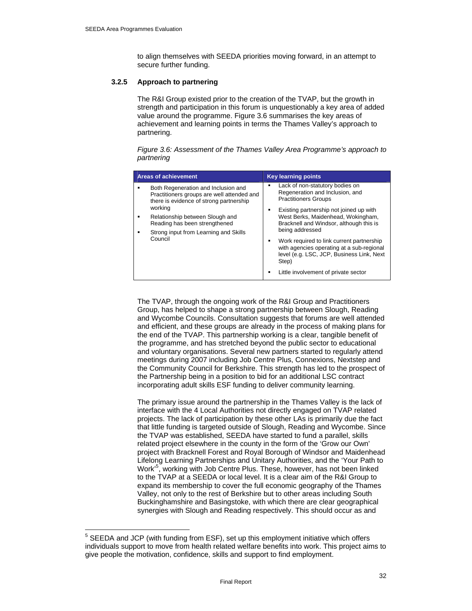$\overline{a}$ 

to align themselves with SEEDA priorities moving forward, in an attempt to secure further funding.

#### **3.2.5 Approach to partnering**

The R&I Group existed prior to the creation of the TVAP, but the growth in strength and participation in this forum is unquestionably a key area of added value around the programme. Figure 3.6 summarises the key areas of achievement and learning points in terms the Thames Valley's approach to partnering.

*Figure 3.6: Assessment of the Thames Valley Area Programme's approach to partnering* 

| <b>Areas of achievement</b>                                                                                                                                                                                                                                     | <b>Key learning points</b>                                                                                                                                                                                                                                                                                                                                                                                                                              |
|-----------------------------------------------------------------------------------------------------------------------------------------------------------------------------------------------------------------------------------------------------------------|---------------------------------------------------------------------------------------------------------------------------------------------------------------------------------------------------------------------------------------------------------------------------------------------------------------------------------------------------------------------------------------------------------------------------------------------------------|
| Both Regeneration and Inclusion and<br>Practitioners groups are well attended and<br>there is evidence of strong partnership<br>working<br>Relationship between Slough and<br>Reading has been strengthened<br>Strong input from Learning and Skills<br>Council | Lack of non-statutory bodies on<br>■<br>Regeneration and Inclusion, and<br><b>Practitioners Groups</b><br>Existing partnership not joined up with<br>٠<br>West Berks, Maidenhead, Wokingham,<br>Bracknell and Windsor, although this is<br>being addressed<br>Work required to link current partnership<br>٠<br>with agencies operating at a sub-regional<br>level (e.g. LSC, JCP, Business Link, Next<br>Step)<br>Little involvement of private sector |

The TVAP, through the ongoing work of the R&I Group and Practitioners Group, has helped to shape a strong partnership between Slough, Reading and Wycombe Councils. Consultation suggests that forums are well attended and efficient, and these groups are already in the process of making plans for the end of the TVAP. This partnership working is a clear, tangible benefit of the programme, and has stretched beyond the public sector to educational and voluntary organisations. Several new partners started to regularly attend meetings during 2007 including Job Centre Plus, Connexions, Nextstep and the Community Council for Berkshire. This strength has led to the prospect of the Partnership being in a position to bid for an additional LSC contract incorporating adult skills ESF funding to deliver community learning.

The primary issue around the partnership in the Thames Valley is the lack of interface with the 4 Local Authorities not directly engaged on TVAP related projects. The lack of participation by these other LAs is primarily due the fact that little funding is targeted outside of Slough, Reading and Wycombe. Since the TVAP was established, SEEDA have started to fund a parallel, skills related project elsewhere in the county in the form of the 'Grow our Own' project with Bracknell Forest and Royal Borough of Windsor and Maidenhead Lifelong Learning Partnerships and Unitary Authorities, and the 'Your Path to Work'<sup>5</sup>, working with Job Centre Plus. These, however, has not been linked to the TVAP at a SEEDA or local level. It is a clear aim of the R&I Group to expand its membership to cover the full economic geography of the Thames Valley, not only to the rest of Berkshire but to other areas including South Buckinghamshire and Basingstoke, with which there are clear geographical synergies with Slough and Reading respectively. This should occur as and

<sup>&</sup>lt;sup>5</sup> SEEDA and JCP (with funding from ESF), set up this employment initiative which offers individuals support to move from health related welfare benefits into work. This project aims to give people the motivation, confidence, skills and support to find employment.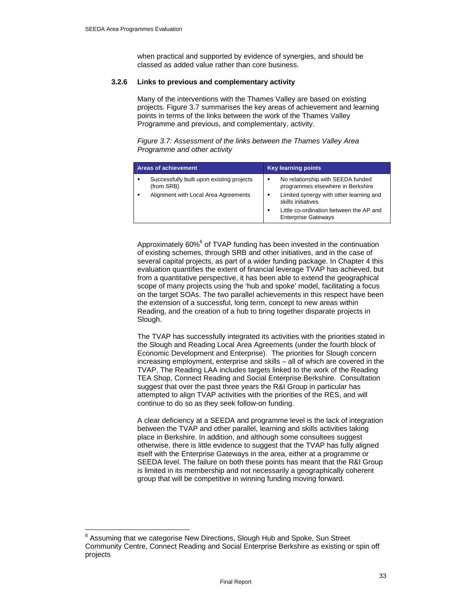$\overline{a}$ 

when practical and supported by evidence of synergies, and should be classed as added value rather than core business.

#### **3.2.6 Links to previous and complementary activity**

Many of the interventions with the Thames Valley are based on existing projects. Figure 3.7 summarises the key areas of achievement and learning points in terms of the links between the work of the Thames Valley Programme and previous, and complementary, activity.

*Figure 3.7: Assessment of the links between the Thames Valley Area Programme and other activity* 

| <b>Areas of achievement</b>                             | <b>Key learning points</b>                                             |
|---------------------------------------------------------|------------------------------------------------------------------------|
| Successfully built upon existing projects<br>(from SRB) | No relationship with SEEDA funded<br>programmes elsewhere in Berkshire |
| Alignment with Local Area Agreements                    | Limited synergy with other learning and<br>skills initiatives          |
|                                                         | Little co-ordination between the AP and<br><b>Enterprise Gateways</b>  |

Approximately 60%<sup>6</sup> of TVAP funding has been invested in the continuation of existing schemes, through SRB and other initiatives, and in the case of several capital projects, as part of a wider funding package. In Chapter 4 this evaluation quantifies the extent of financial leverage TVAP has achieved, but from a quantitative perspective, it has been able to extend the geographical scope of many projects using the 'hub and spoke' model, facilitating a focus on the target SOAs. The two parallel achievements in this respect have been the extension of a successful, long term, concept to new areas within Reading, and the creation of a hub to bring together disparate projects in Slough.

The TVAP has successfully integrated its activities with the priorities stated in the Slough and Reading Local Area Agreements (under the fourth block of Economic Development and Enterprise). The priorities for Slough concern increasing employment, enterprise and skills – all of which are covered in the TVAP. The Reading LAA includes targets linked to the work of the Reading TEA Shop, Connect Reading and Social Enterprise Berkshire. Consultation suggest that over the past three years the R&I Group in particular has attempted to align TVAP activities with the priorities of the RES, and will continue to do so as they seek follow-on funding.

A clear deficiency at a SEEDA and programme level is the lack of integration between the TVAP and other parallel, learning and skills activities taking place in Berkshire. In addition, and although some consultees suggest otherwise, there is little evidence to suggest that the TVAP has fully aligned itself with the Enterprise Gateways in the area, either at a programme or SEEDA level. The failure on both these points has meant that the R&I Group is limited in its membership and not necessarily a geographically coherent group that will be competitive in winning funding moving forward.

<sup>&</sup>lt;sup>6</sup> Assuming that we categorise New Directions, Slough Hub and Spoke, Sun Street Community Centre, Connect Reading and Social Enterprise Berkshire as existing or spin off projects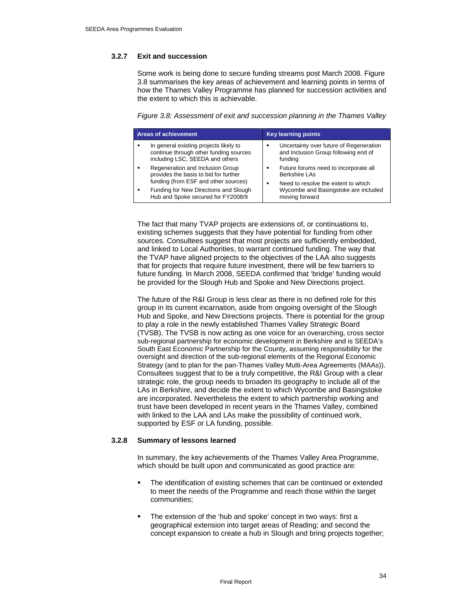#### **3.2.7 Exit and succession**

Some work is being done to secure funding streams post March 2008. Figure 3.8 summarises the key areas of achievement and learning points in terms of how the Thames Valley Programme has planned for succession activities and the extent to which this is achievable.

*Figure 3.8: Assessment of exit and succession planning in the Thames Valley* 

|   | <b>Areas of achievement</b>                                                                                         | <b>Key learning points</b>                                                                              |
|---|---------------------------------------------------------------------------------------------------------------------|---------------------------------------------------------------------------------------------------------|
|   | In general existing projects likely to<br>continue through other funding sources<br>including LSC, SEEDA and others | Uncertainty over future of Regeneration<br>٠<br>and Inclusion Group following end of<br>funding         |
| ٠ | Regeneration and Inclusion Group<br>provides the basis to bid for further<br>funding (from ESF and other sources)   | Future forums need to incorporate all<br>٠<br>Berkshire LAs<br>Need to resolve the extent to which<br>٠ |
|   | Funding for New Directions and Slough<br>Hub and Spoke secured for FY2008/9                                         | Wycombe and Basingstoke are included<br>moving forward                                                  |

The fact that many TVAP projects are extensions of, or continuations to, existing schemes suggests that they have potential for funding from other sources. Consultees suggest that most projects are sufficiently embedded, and linked to Local Authorities, to warrant continued funding. The way that the TVAP have aligned projects to the objectives of the LAA also suggests that for projects that require future investment, there will be few barriers to future funding. In March 2008, SEEDA confirmed that 'bridge' funding would be provided for the Slough Hub and Spoke and New Directions project.

The future of the R&I Group is less clear as there is no defined role for this group in its current incarnation, aside from ongoing oversight of the Slough Hub and Spoke, and New Directions projects. There is potential for the group to play a role in the newly established Thames Valley Strategic Board (TVSB). The TVSB is now acting as one voice for an overarching, cross sector sub-regional partnership for economic development in Berkshire and is SEEDA's South East Economic Partnership for the County, assuming responsibility for the oversight and direction of the sub-regional elements of the Regional Economic Strategy (and to plan for the pan-Thames Valley Multi-Area Agreements (MAAs)). Consultees suggest that to be a truly competitive, the R&I Group with a clear strategic role, the group needs to broaden its geography to include all of the LAs in Berkshire, and decide the extent to which Wycombe and Basingstoke are incorporated. Nevertheless the extent to which partnership working and trust have been developed in recent years in the Thames Valley, combined with linked to the LAA and LAs make the possibility of continued work, supported by ESF or LA funding, possible.

#### **3.2.8 Summary of lessons learned**

In summary, the key achievements of the Thames Valley Area Programme, which should be built upon and communicated as good practice are:

- The identification of existing schemes that can be continued or extended to meet the needs of the Programme and reach those within the target communities;
- The extension of the 'hub and spoke' concept in two ways: first a geographical extension into target areas of Reading; and second the concept expansion to create a hub in Slough and bring projects together;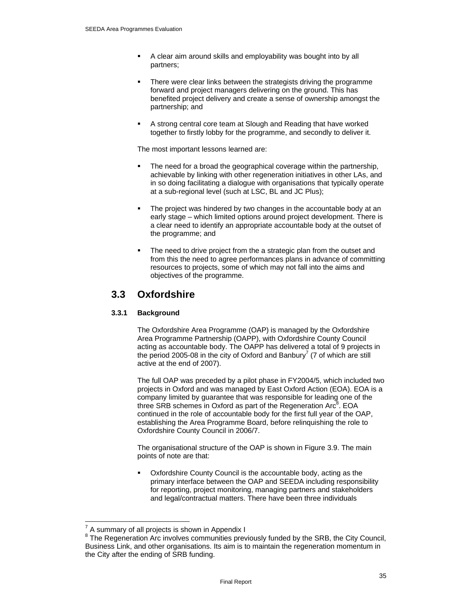- A clear aim around skills and employability was bought into by all partners;
- There were clear links between the strategists driving the programme forward and project managers delivering on the ground. This has benefited project delivery and create a sense of ownership amongst the partnership; and
- A strong central core team at Slough and Reading that have worked together to firstly lobby for the programme, and secondly to deliver it.

The most important lessons learned are:

- The need for a broad the geographical coverage within the partnership, achievable by linking with other regeneration initiatives in other LAs, and in so doing facilitating a dialogue with organisations that typically operate at a sub-regional level (such at LSC, BL and JC Plus);
- The project was hindered by two changes in the accountable body at an early stage – which limited options around project development. There is a clear need to identify an appropriate accountable body at the outset of the programme; and
- The need to drive project from the a strategic plan from the outset and from this the need to agree performances plans in advance of committing resources to projects, some of which may not fall into the aims and objectives of the programme.

## **3.3 Oxfordshire**

#### **3.3.1 Background**

The Oxfordshire Area Programme (OAP) is managed by the Oxfordshire Area Programme Partnership (OAPP), with Oxfordshire County Council acting as accountable body. The OAPP has delivered a total of 9 projects in the period 2005-08 in the city of Oxford and Banbury<sup>7</sup> (7 of which are still active at the end of 2007).

The full OAP was preceded by a pilot phase in FY2004/5, which included two projects in Oxford and was managed by East Oxford Action (EOA). EOA is a company limited by guarantee that was responsible for leading one of the three SRB schemes in Oxford as part of the Regeneration Arc<sup>8</sup>. EOA continued in the role of accountable body for the first full year of the OAP, establishing the Area Programme Board, before relinquishing the role to Oxfordshire County Council in 2006/7.

The organisational structure of the OAP is shown in Figure 3.9. The main points of note are that:

 Oxfordshire County Council is the accountable body, acting as the primary interface between the OAP and SEEDA including responsibility for reporting, project monitoring, managing partners and stakeholders and legal/contractual matters. There have been three individuals

 $\overline{a}$ 

<sup>7</sup> A summary of all projects is shown in Appendix I

<sup>&</sup>lt;sup>8</sup> The Regeneration Arc involves communities previously funded by the SRB, the City Council, Business Link, and other organisations. Its aim is to maintain the regeneration momentum in the City after the ending of SRB funding.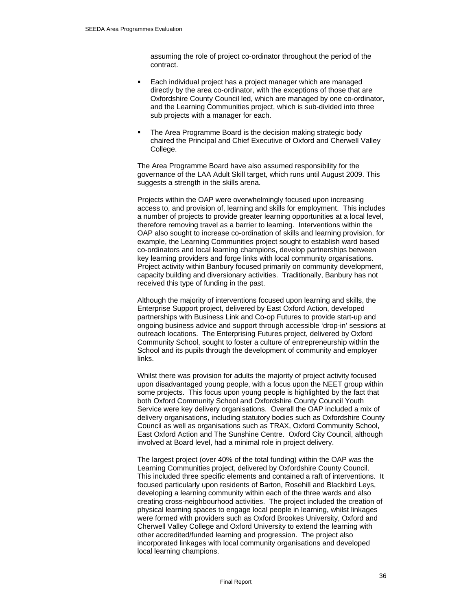assuming the role of project co-ordinator throughout the period of the contract.

- Each individual project has a project manager which are managed directly by the area co-ordinator, with the exceptions of those that are Oxfordshire County Council led, which are managed by one co-ordinator, and the Learning Communities project, which is sub-divided into three sub projects with a manager for each.
- The Area Programme Board is the decision making strategic body chaired the Principal and Chief Executive of Oxford and Cherwell Valley College.

The Area Programme Board have also assumed responsibility for the governance of the LAA Adult Skill target, which runs until August 2009. This suggests a strength in the skills arena.

Projects within the OAP were overwhelmingly focused upon increasing access to, and provision of, learning and skills for employment. This includes a number of projects to provide greater learning opportunities at a local level, therefore removing travel as a barrier to learning. Interventions within the OAP also sought to increase co-ordination of skills and learning provision, for example, the Learning Communities project sought to establish ward based co-ordinators and local learning champions, develop partnerships between key learning providers and forge links with local community organisations. Project activity within Banbury focused primarily on community development, capacity building and diversionary activities. Traditionally, Banbury has not received this type of funding in the past.

Although the majority of interventions focused upon learning and skills, the Enterprise Support project, delivered by East Oxford Action, developed partnerships with Business Link and Co-op Futures to provide start-up and ongoing business advice and support through accessible 'drop-in' sessions at outreach locations. The Enterprising Futures project, delivered by Oxford Community School, sought to foster a culture of entrepreneurship within the School and its pupils through the development of community and employer links.

Whilst there was provision for adults the majority of project activity focused upon disadvantaged young people, with a focus upon the NEET group within some projects. This focus upon young people is highlighted by the fact that both Oxford Community School and Oxfordshire County Council Youth Service were key delivery organisations. Overall the OAP included a mix of delivery organisations, including statutory bodies such as Oxfordshire County Council as well as organisations such as TRAX, Oxford Community School, East Oxford Action and The Sunshine Centre. Oxford City Council, although involved at Board level, had a minimal role in project delivery.

The largest project (over 40% of the total funding) within the OAP was the Learning Communities project, delivered by Oxfordshire County Council. This included three specific elements and contained a raft of interventions. It focused particularly upon residents of Barton, Rosehill and Blackbird Leys, developing a learning community within each of the three wards and also creating cross-neighbourhood activities. The project included the creation of physical learning spaces to engage local people in learning, whilst linkages were formed with providers such as Oxford Brookes University, Oxford and Cherwell Valley College and Oxford University to extend the learning with other accredited/funded learning and progression. The project also incorporated linkages with local community organisations and developed local learning champions.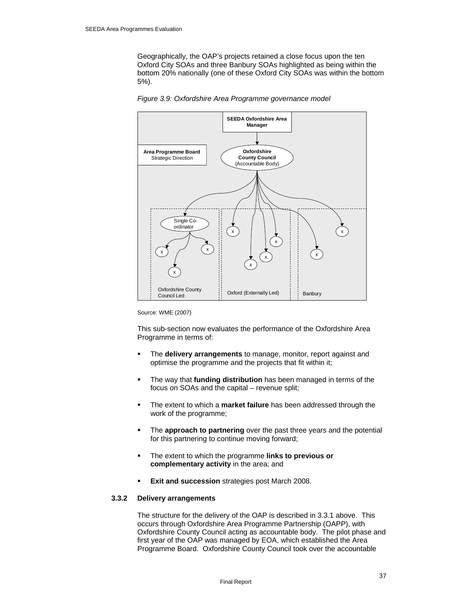Geographically, the OAP's projects retained a close focus upon the ten Oxford City SOAs and three Banbury SOAs highlighted as being within the bottom 20% nationally (one of these Oxford City SOAs was within the bottom 5%).



*Figure 3.9: Oxfordshire Area Programme governance model* 

Source: WME (2007)

This sub-section now evaluates the performance of the Oxfordshire Area Programme in terms of:

- The **delivery arrangements** to manage, monitor, report against and optimise the programme and the projects that fit within it;
- The way that **funding distribution** has been managed in terms of the focus on SOAs and the capital – revenue split;
- The extent to which a **market failure** has been addressed through the work of the programme;
- The **approach to partnering** over the past three years and the potential for this partnering to continue moving forward;
- The extent to which the programme **links to previous or complementary activity** in the area; and
- **Exit and succession** strategies post March 2008.

# **3.3.2 Delivery arrangements**

The structure for the delivery of the OAP is described in 3.3.1 above. This occurs through Oxfordshire Area Programme Partnership (OAPP), with Oxfordshire County Council acting as accountable body. The pilot phase and first year of the OAP was managed by EOA, which established the Area Programme Board. Oxfordshire County Council took over the accountable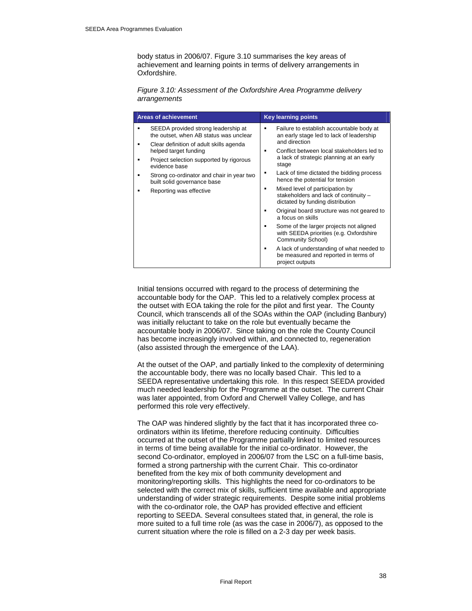body status in 2006/07. Figure 3.10 summarises the key areas of achievement and learning points in terms of delivery arrangements in Oxfordshire.

*Figure 3.10: Assessment of the Oxfordshire Area Programme delivery arrangements* 

| <b>Areas of achievement</b>                                                   | <b>Key learning points</b>                                                                                   |
|-------------------------------------------------------------------------------|--------------------------------------------------------------------------------------------------------------|
| SEEDA provided strong leadership at<br>the outset, when AB status was unclear | Failure to establish accountable body at<br>an early stage led to lack of leadership                         |
| Clear definition of adult skills agenda<br>helped target funding              | and direction<br>Conflict between local stakeholders led to                                                  |
| Project selection supported by rigorous<br>evidence base                      | a lack of strategic planning at an early<br>stage                                                            |
| Strong co-ordinator and chair in year two<br>built solid governance base      | Lack of time dictated the bidding process<br>hence the potential for tension                                 |
| Reporting was effective                                                       | Mixed level of participation by<br>stakeholders and lack of continuity -<br>dictated by funding distribution |
|                                                                               | Original board structure was not geared to<br>a focus on skills                                              |
|                                                                               | Some of the larger projects not aligned<br>with SEEDA priorities (e.g. Oxfordshire<br>Community School)      |
|                                                                               | A lack of understanding of what needed to<br>be measured and reported in terms of<br>project outputs         |

Initial tensions occurred with regard to the process of determining the accountable body for the OAP. This led to a relatively complex process at the outset with EOA taking the role for the pilot and first year. The County Council, which transcends all of the SOAs within the OAP (including Banbury) was initially reluctant to take on the role but eventually became the accountable body in 2006/07. Since taking on the role the County Council has become increasingly involved within, and connected to, regeneration (also assisted through the emergence of the LAA).

At the outset of the OAP, and partially linked to the complexity of determining the accountable body, there was no locally based Chair. This led to a SEEDA representative undertaking this role. In this respect SEEDA provided much needed leadership for the Programme at the outset. The current Chair was later appointed, from Oxford and Cherwell Valley College, and has performed this role very effectively.

The OAP was hindered slightly by the fact that it has incorporated three coordinators within its lifetime, therefore reducing continuity. Difficulties occurred at the outset of the Programme partially linked to limited resources in terms of time being available for the initial co-ordinator. However, the second Co-ordinator, employed in 2006/07 from the LSC on a full-time basis, formed a strong partnership with the current Chair. This co-ordinator benefited from the key mix of both community development and monitoring/reporting skills. This highlights the need for co-ordinators to be selected with the correct mix of skills, sufficient time available and appropriate understanding of wider strategic requirements. Despite some initial problems with the co-ordinator role, the OAP has provided effective and efficient reporting to SEEDA. Several consultees stated that, in general, the role is more suited to a full time role (as was the case in 2006/7), as opposed to the current situation where the role is filled on a 2-3 day per week basis.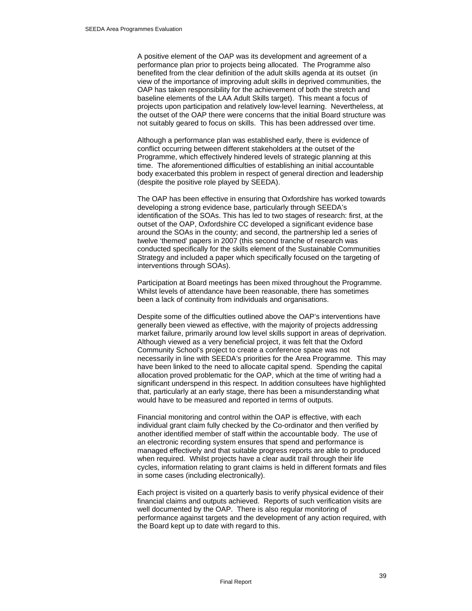A positive element of the OAP was its development and agreement of a performance plan prior to projects being allocated. The Programme also benefited from the clear definition of the adult skills agenda at its outset (in view of the importance of improving adult skills in deprived communities, the OAP has taken responsibility for the achievement of both the stretch and baseline elements of the LAA Adult Skills target). This meant a focus of projects upon participation and relatively low-level learning. Nevertheless, at the outset of the OAP there were concerns that the initial Board structure was not suitably geared to focus on skills. This has been addressed over time.

Although a performance plan was established early, there is evidence of conflict occurring between different stakeholders at the outset of the Programme, which effectively hindered levels of strategic planning at this time. The aforementioned difficulties of establishing an initial accountable body exacerbated this problem in respect of general direction and leadership (despite the positive role played by SEEDA).

The OAP has been effective in ensuring that Oxfordshire has worked towards developing a strong evidence base, particularly through SEEDA's identification of the SOAs. This has led to two stages of research: first, at the outset of the OAP, Oxfordshire CC developed a significant evidence base around the SOAs in the county; and second, the partnership led a series of twelve 'themed' papers in 2007 (this second tranche of research was conducted specifically for the skills element of the Sustainable Communities Strategy and included a paper which specifically focused on the targeting of interventions through SOAs).

Participation at Board meetings has been mixed throughout the Programme. Whilst levels of attendance have been reasonable, there has sometimes been a lack of continuity from individuals and organisations.

Despite some of the difficulties outlined above the OAP's interventions have generally been viewed as effective, with the majority of projects addressing market failure, primarily around low level skills support in areas of deprivation. Although viewed as a very beneficial project, it was felt that the Oxford Community School's project to create a conference space was not necessarily in line with SEEDA's priorities for the Area Programme. This may have been linked to the need to allocate capital spend. Spending the capital allocation proved problematic for the OAP, which at the time of writing had a significant underspend in this respect. In addition consultees have highlighted that, particularly at an early stage, there has been a misunderstanding what would have to be measured and reported in terms of outputs.

Financial monitoring and control within the OAP is effective, with each individual grant claim fully checked by the Co-ordinator and then verified by another identified member of staff within the accountable body. The use of an electronic recording system ensures that spend and performance is managed effectively and that suitable progress reports are able to produced when required. Whilst projects have a clear audit trail through their life cycles, information relating to grant claims is held in different formats and files in some cases (including electronically).

Each project is visited on a quarterly basis to verify physical evidence of their financial claims and outputs achieved. Reports of such verification visits are well documented by the OAP. There is also regular monitoring of performance against targets and the development of any action required, with the Board kept up to date with regard to this.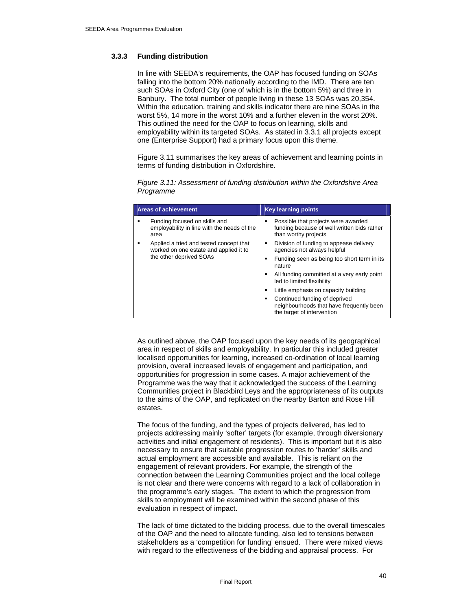## **3.3.3 Funding distribution**

In line with SEEDA's requirements, the OAP has focused funding on SOAs falling into the bottom 20% nationally according to the IMD. There are ten such SOAs in Oxford City (one of which is in the bottom 5%) and three in Banbury. The total number of people living in these 13 SOAs was 20,354. Within the education, training and skills indicator there are nine SOAs in the worst 5%, 14 more in the worst 10% and a further eleven in the worst 20%. This outlined the need for the OAP to focus on learning, skills and employability within its targeted SOAs. As stated in 3.3.1 all projects except one (Enterprise Support) had a primary focus upon this theme.

Figure 3.11 summarises the key areas of achievement and learning points in terms of funding distribution in Oxfordshire.

| <b>Areas of achievement</b>                                                                                  | <b>Key learning points</b>                                                                                      |
|--------------------------------------------------------------------------------------------------------------|-----------------------------------------------------------------------------------------------------------------|
| Funding focused on skills and<br>employability in line with the needs of the<br>area                         | Possible that projects were awarded<br>٠<br>funding because of well written bids rather<br>than worthy projects |
| Applied a tried and tested concept that<br>worked on one estate and applied it to<br>the other deprived SOAs | Division of funding to appease delivery<br>٠<br>agencies not always helpful                                     |
|                                                                                                              | Funding seen as being too short term in its<br>٠<br>nature                                                      |
|                                                                                                              | All funding committed at a very early point<br>led to limited flexibility                                       |
|                                                                                                              | Little emphasis on capacity building                                                                            |
|                                                                                                              | Continued funding of deprived<br>neighbourhoods that have frequently been<br>the target of intervention         |

*Figure 3.11: Assessment of funding distribution within the Oxfordshire Area Programme* 

As outlined above, the OAP focused upon the key needs of its geographical area in respect of skills and employability. In particular this included greater localised opportunities for learning, increased co-ordination of local learning provision, overall increased levels of engagement and participation, and opportunities for progression in some cases. A major achievement of the Programme was the way that it acknowledged the success of the Learning Communities project in Blackbird Leys and the appropriateness of its outputs to the aims of the OAP, and replicated on the nearby Barton and Rose Hill estates.

The focus of the funding, and the types of projects delivered, has led to projects addressing mainly 'softer' targets (for example, through diversionary activities and initial engagement of residents). This is important but it is also necessary to ensure that suitable progression routes to 'harder' skills and actual employment are accessible and available. This is reliant on the engagement of relevant providers. For example, the strength of the connection between the Learning Communities project and the local college is not clear and there were concerns with regard to a lack of collaboration in the programme's early stages. The extent to which the progression from skills to employment will be examined within the second phase of this evaluation in respect of impact.

The lack of time dictated to the bidding process, due to the overall timescales of the OAP and the need to allocate funding, also led to tensions between stakeholders as a 'competition for funding' ensued. There were mixed views with regard to the effectiveness of the bidding and appraisal process. For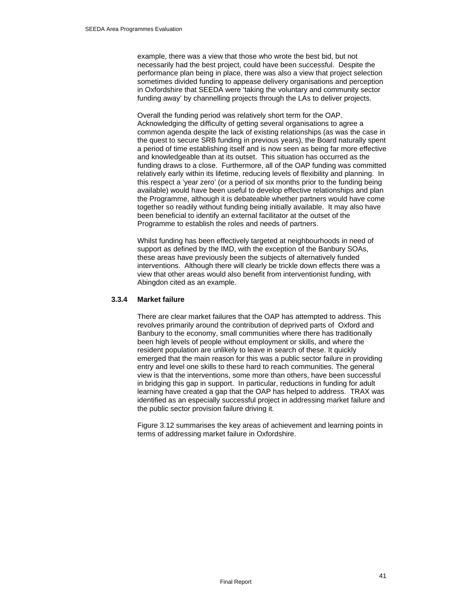example, there was a view that those who wrote the best bid, but not necessarily had the best project, could have been successful. Despite the performance plan being in place, there was also a view that project selection sometimes divided funding to appease delivery organisations and perception in Oxfordshire that SEEDA were 'taking the voluntary and community sector funding away' by channelling projects through the LAs to deliver projects.

Overall the funding period was relatively short term for the OAP. Acknowledging the difficulty of getting several organisations to agree a common agenda despite the lack of existing relationships (as was the case in the quest to secure SRB funding in previous years), the Board naturally spent a period of time establishing itself and is now seen as being far more effective and knowledgeable than at its outset. This situation has occurred as the funding draws to a close. Furthermore, all of the OAP funding was committed relatively early within its lifetime, reducing levels of flexibility and planning. In this respect a 'year zero' (or a period of six months prior to the funding being available) would have been useful to develop effective relationships and plan the Programme, although it is debateable whether partners would have come together so readily without funding being initially available. It may also have been beneficial to identify an external facilitator at the outset of the Programme to establish the roles and needs of partners.

Whilst funding has been effectively targeted at neighbourhoods in need of support as defined by the IMD, with the exception of the Banbury SOAs, these areas have previously been the subjects of alternatively funded interventions. Although there will clearly be trickle down effects there was a view that other areas would also benefit from interventionist funding, with Abingdon cited as an example.

#### **3.3.4 Market failure**

There are clear market failures that the OAP has attempted to address. This revolves primarily around the contribution of deprived parts of Oxford and Banbury to the economy, small communities where there has traditionally been high levels of people without employment or skills, and where the resident population are unlikely to leave in search of these. It quickly emerged that the main reason for this was a public sector failure in providing entry and level one skills to these hard to reach communities. The general view is that the interventions, some more than others, have been successful in bridging this gap in support. In particular, reductions in funding for adult learning have created a gap that the OAP has helped to address. TRAX was identified as an especially successful project in addressing market failure and the public sector provision failure driving it.

Figure 3.12 summarises the key areas of achievement and learning points in terms of addressing market failure in Oxfordshire.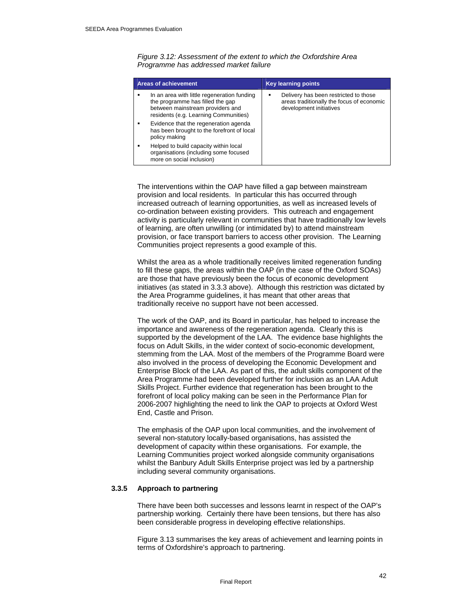*Figure 3.12: Assessment of the extent to which the Oxfordshire Area Programme has addressed market failure* 

|   | Areas of achievement                                                                                                                                         | <b>Key learning points</b>                                                                                         |
|---|--------------------------------------------------------------------------------------------------------------------------------------------------------------|--------------------------------------------------------------------------------------------------------------------|
| ٠ | In an area with little regeneration funding<br>the programme has filled the gap<br>between mainstream providers and<br>residents (e.g. Learning Communities) | Delivery has been restricted to those<br>٠<br>areas traditionally the focus of economic<br>development initiatives |
|   | Evidence that the regeneration agenda<br>has been brought to the forefront of local<br>policy making                                                         |                                                                                                                    |
| ٠ | Helped to build capacity within local<br>organisations (including some focused<br>more on social inclusion)                                                  |                                                                                                                    |

The interventions within the OAP have filled a gap between mainstream provision and local residents. In particular this has occurred through increased outreach of learning opportunities, as well as increased levels of co-ordination between existing providers. This outreach and engagement activity is particularly relevant in communities that have traditionally low levels of learning, are often unwilling (or intimidated by) to attend mainstream provision, or face transport barriers to access other provision. The Learning Communities project represents a good example of this.

Whilst the area as a whole traditionally receives limited regeneration funding to fill these gaps, the areas within the OAP (in the case of the Oxford SOAs) are those that have previously been the focus of economic development initiatives (as stated in 3.3.3 above). Although this restriction was dictated by the Area Programme guidelines, it has meant that other areas that traditionally receive no support have not been accessed.

The work of the OAP, and its Board in particular, has helped to increase the importance and awareness of the regeneration agenda. Clearly this is supported by the development of the LAA. The evidence base highlights the focus on Adult Skills, in the wider context of socio-economic development, stemming from the LAA. Most of the members of the Programme Board were also involved in the process of developing the Economic Development and Enterprise Block of the LAA. As part of this, the adult skills component of the Area Programme had been developed further for inclusion as an LAA Adult Skills Project. Further evidence that regeneration has been brought to the forefront of local policy making can be seen in the Performance Plan for 2006-2007 highlighting the need to link the OAP to projects at Oxford West End, Castle and Prison.

The emphasis of the OAP upon local communities, and the involvement of several non-statutory locally-based organisations, has assisted the development of capacity within these organisations. For example, the Learning Communities project worked alongside community organisations whilst the Banbury Adult Skills Enterprise project was led by a partnership including several community organisations.

# **3.3.5 Approach to partnering**

There have been both successes and lessons learnt in respect of the OAP's partnership working. Certainly there have been tensions, but there has also been considerable progress in developing effective relationships.

Figure 3.13 summarises the key areas of achievement and learning points in terms of Oxfordshire's approach to partnering.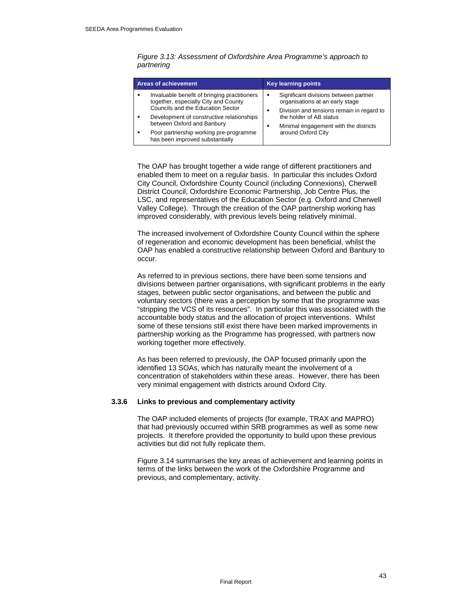| <b>Areas of achievement</b>                  | <b>Key learning points</b>                |
|----------------------------------------------|-------------------------------------------|
| Invaluable benefit of bringing practitioners | Significant divisions between partner     |
| ٠                                            | ٠                                         |
| together, especially City and County         | organisations at an early stage           |
| Councils and the Education Sector            | Division and tensions remain in regard to |
| Development of constructive relationships    | ٠                                         |
| between Oxford and Banbury                   | the holder of AB status                   |
| Poor partnership working pre-programme       | Minimal engagement with the districts     |
| has been improved substantially              | around Oxford City                        |

#### *Figure 3.13: Assessment of Oxfordshire Area Programme's approach to partnering*

The OAP has brought together a wide range of different practitioners and enabled them to meet on a regular basis. In particular this includes Oxford City Council, Oxfordshire County Council (including Connexions), Cherwell District Council, Oxfordshire Economic Partnership, Job Centre Plus, the LSC, and representatives of the Education Sector (e.g. Oxford and Cherwell Valley College). Through the creation of the OAP partnership working has improved considerably, with previous levels being relatively minimal.

The increased involvement of Oxfordshire County Council within the sphere of regeneration and economic development has been beneficial, whilst the OAP has enabled a constructive relationship between Oxford and Banbury to occur.

As referred to in previous sections, there have been some tensions and divisions between partner organisations, with significant problems in the early stages, between public sector organisations, and between the public and voluntary sectors (there was a perception by some that the programme was "stripping the VCS of its resources". In particular this was associated with the accountable body status and the allocation of project interventions. Whilst some of these tensions still exist there have been marked improvements in partnership working as the Programme has progressed, with partners now working together more effectively.

As has been referred to previously, the OAP focused primarily upon the identified 13 SOAs, which has naturally meant the involvement of a concentration of stakeholders within these areas. However, there has been very minimal engagement with districts around Oxford City.

#### **3.3.6 Links to previous and complementary activity**

The OAP included elements of projects (for example, TRAX and MAPRO) that had previously occurred within SRB programmes as well as some new projects. It therefore provided the opportunity to build upon these previous activities but did not fully replicate them.

Figure 3.14 summarises the key areas of achievement and learning points in terms of the links between the work of the Oxfordshire Programme and previous, and complementary, activity.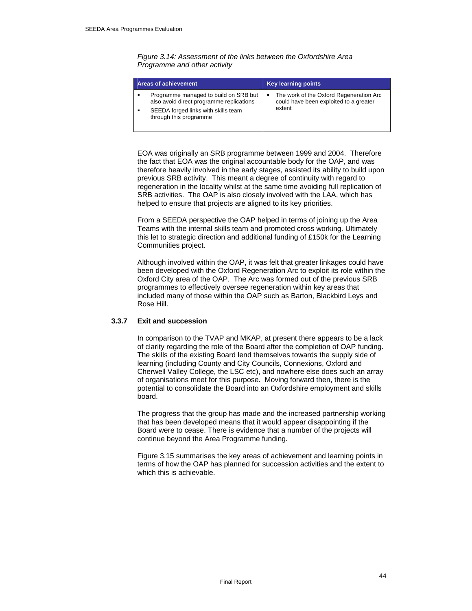*Figure 3.14: Assessment of the links between the Oxfordshire Area Programme and other activity* 

| <b>Areas of achievement</b>                                                       | <b>Key learning points</b>                                                        |
|-----------------------------------------------------------------------------------|-----------------------------------------------------------------------------------|
| Programme managed to build on SRB but<br>also avoid direct programme replications | The work of the Oxford Regeneration Arc<br>could have been exploited to a greater |
| SEEDA forged links with skills team<br>through this programme                     | extent                                                                            |

EOA was originally an SRB programme between 1999 and 2004. Therefore the fact that EOA was the original accountable body for the OAP, and was therefore heavily involved in the early stages, assisted its ability to build upon previous SRB activity. This meant a degree of continuity with regard to regeneration in the locality whilst at the same time avoiding full replication of SRB activities. The OAP is also closely involved with the LAA, which has helped to ensure that projects are aligned to its key priorities.

From a SEEDA perspective the OAP helped in terms of joining up the Area Teams with the internal skills team and promoted cross working. Ultimately this let to strategic direction and additional funding of £150k for the Learning Communities project.

Although involved within the OAP, it was felt that greater linkages could have been developed with the Oxford Regeneration Arc to exploit its role within the Oxford City area of the OAP. The Arc was formed out of the previous SRB programmes to effectively oversee regeneration within key areas that included many of those within the OAP such as Barton, Blackbird Leys and Rose Hill.

# **3.3.7 Exit and succession**

In comparison to the TVAP and MKAP, at present there appears to be a lack of clarity regarding the role of the Board after the completion of OAP funding. The skills of the existing Board lend themselves towards the supply side of learning (including County and City Councils, Connexions, Oxford and Cherwell Valley College, the LSC etc), and nowhere else does such an array of organisations meet for this purpose. Moving forward then, there is the potential to consolidate the Board into an Oxfordshire employment and skills board.

The progress that the group has made and the increased partnership working that has been developed means that it would appear disappointing if the Board were to cease. There is evidence that a number of the projects will continue beyond the Area Programme funding.

Figure 3.15 summarises the key areas of achievement and learning points in terms of how the OAP has planned for succession activities and the extent to which this is achievable.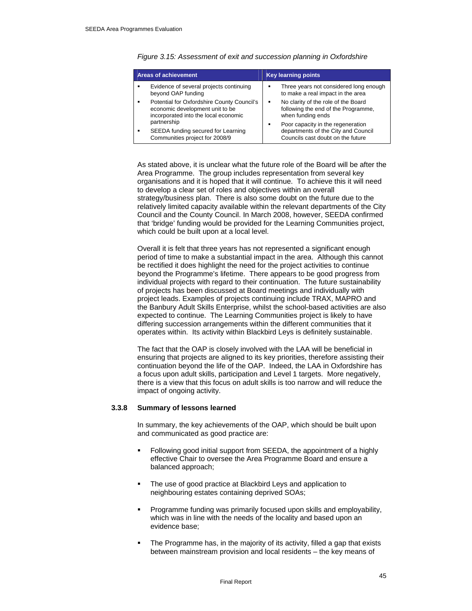|             | <b>Areas of achievement</b>                                                                                                |   | <b>Key learning points</b>                                                                      |  |
|-------------|----------------------------------------------------------------------------------------------------------------------------|---|-------------------------------------------------------------------------------------------------|--|
|             | Evidence of several projects continuing<br>beyond OAP funding                                                              |   | Three years not considered long enough<br>to make a real impact in the area                     |  |
|             | Potential for Oxfordshire County Council's<br>٠<br>economic development unit to be<br>incorporated into the local economic |   | No clarity of the role of the Board<br>following the end of the Programme,<br>when funding ends |  |
| partnership |                                                                                                                            | ٠ | Poor capacity in the regeneration                                                               |  |
| ٠           | SEEDA funding secured for Learning<br>Communities project for 2008/9                                                       |   | departments of the City and Council<br>Councils cast doubt on the future                        |  |

*Figure 3.15: Assessment of exit and succession planning in Oxfordshire* 

As stated above, it is unclear what the future role of the Board will be after the Area Programme. The group includes representation from several key organisations and it is hoped that it will continue. To achieve this it will need to develop a clear set of roles and objectives within an overall strategy/business plan. There is also some doubt on the future due to the relatively limited capacity available within the relevant departments of the City Council and the County Council. In March 2008, however, SEEDA confirmed that 'bridge' funding would be provided for the Learning Communities project, which could be built upon at a local level.

Overall it is felt that three years has not represented a significant enough period of time to make a substantial impact in the area. Although this cannot be rectified it does highlight the need for the project activities to continue beyond the Programme's lifetime. There appears to be good progress from individual projects with regard to their continuation. The future sustainability of projects has been discussed at Board meetings and individually with project leads. Examples of projects continuing include TRAX, MAPRO and the Banbury Adult Skills Enterprise, whilst the school-based activities are also expected to continue. The Learning Communities project is likely to have differing succession arrangements within the different communities that it operates within. Its activity within Blackbird Leys is definitely sustainable.

The fact that the OAP is closely involved with the LAA will be beneficial in ensuring that projects are aligned to its key priorities, therefore assisting their continuation beyond the life of the OAP. Indeed, the LAA in Oxfordshire has a focus upon adult skills, participation and Level 1 targets. More negatively, there is a view that this focus on adult skills is too narrow and will reduce the impact of ongoing activity.

#### **3.3.8 Summary of lessons learned**

In summary, the key achievements of the OAP, which should be built upon and communicated as good practice are:

- Following good initial support from SEEDA, the appointment of a highly effective Chair to oversee the Area Programme Board and ensure a balanced approach;
- The use of good practice at Blackbird Leys and application to neighbouring estates containing deprived SOAs;
- Programme funding was primarily focused upon skills and employability, which was in line with the needs of the locality and based upon an evidence base;
- The Programme has, in the majority of its activity, filled a gap that exists between mainstream provision and local residents – the key means of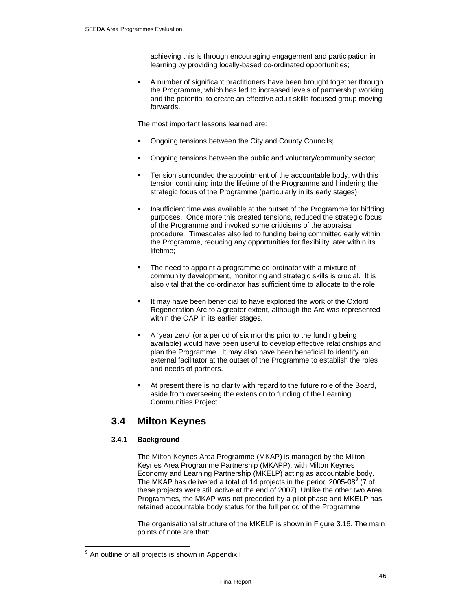achieving this is through encouraging engagement and participation in learning by providing locally-based co-ordinated opportunities;

 A number of significant practitioners have been brought together through the Programme, which has led to increased levels of partnership working and the potential to create an effective adult skills focused group moving forwards.

The most important lessons learned are:

- Ongoing tensions between the City and County Councils;
- Ongoing tensions between the public and voluntary/community sector;
- Tension surrounded the appointment of the accountable body, with this tension continuing into the lifetime of the Programme and hindering the strategic focus of the Programme (particularly in its early stages);
- Insufficient time was available at the outset of the Programme for bidding purposes. Once more this created tensions, reduced the strategic focus of the Programme and invoked some criticisms of the appraisal procedure. Timescales also led to funding being committed early within the Programme, reducing any opportunities for flexibility later within its lifetime;
- The need to appoint a programme co-ordinator with a mixture of community development, monitoring and strategic skills is crucial. It is also vital that the co-ordinator has sufficient time to allocate to the role
- It may have been beneficial to have exploited the work of the Oxford Regeneration Arc to a greater extent, although the Arc was represented within the OAP in its earlier stages.
- A 'year zero' (or a period of six months prior to the funding being available) would have been useful to develop effective relationships and plan the Programme. It may also have been beneficial to identify an external facilitator at the outset of the Programme to establish the roles and needs of partners.
- At present there is no clarity with regard to the future role of the Board, aside from overseeing the extension to funding of the Learning Communities Project.

# **3.4 Milton Keynes**

# **3.4.1 Background**

The Milton Keynes Area Programme (MKAP) is managed by the Milton Keynes Area Programme Partnership (MKAPP), with Milton Keynes Economy and Learning Partnership (MKELP) acting as accountable body. The MKAP has delivered a total of 14 projects in the period 2005-08 $^{\circ}$  (7 of these projects were still active at the end of 2007). Unlike the other two Area Programmes, the MKAP was not preceded by a pilot phase and MKELP has retained accountable body status for the full period of the Programme.

The organisational structure of the MKELP is shown in Figure 3.16. The main points of note are that:

 $\overline{a}$ 

<sup>&</sup>lt;sup>9</sup> An outline of all projects is shown in Appendix I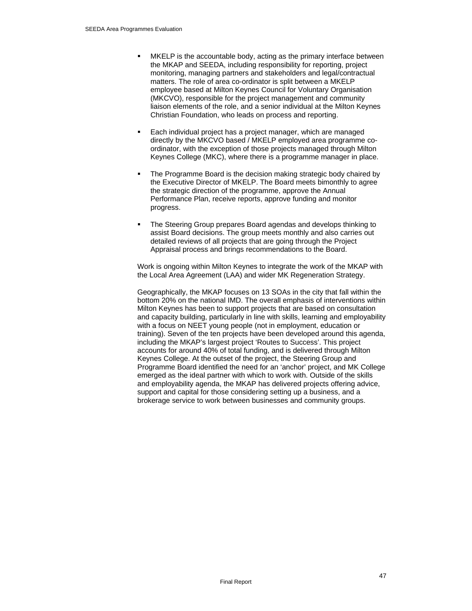- MKELP is the accountable body, acting as the primary interface between the MKAP and SEEDA, including responsibility for reporting, project monitoring, managing partners and stakeholders and legal/contractual matters. The role of area co-ordinator is split between a MKELP employee based at Milton Keynes Council for Voluntary Organisation (MKCVO), responsible for the project management and community liaison elements of the role, and a senior individual at the Milton Keynes Christian Foundation, who leads on process and reporting.
- Each individual project has a project manager, which are managed directly by the MKCVO based / MKELP employed area programme coordinator, with the exception of those projects managed through Milton Keynes College (MKC), where there is a programme manager in place.
- The Programme Board is the decision making strategic body chaired by the Executive Director of MKELP. The Board meets bimonthly to agree the strategic direction of the programme, approve the Annual Performance Plan, receive reports, approve funding and monitor progress.
- The Steering Group prepares Board agendas and develops thinking to assist Board decisions. The group meets monthly and also carries out detailed reviews of all projects that are going through the Project Appraisal process and brings recommendations to the Board.

Work is ongoing within Milton Keynes to integrate the work of the MKAP with the Local Area Agreement (LAA) and wider MK Regeneration Strategy.

Geographically, the MKAP focuses on 13 SOAs in the city that fall within the bottom 20% on the national IMD. The overall emphasis of interventions within Milton Keynes has been to support projects that are based on consultation and capacity building, particularly in line with skills, learning and employability with a focus on NEET young people (not in employment, education or training). Seven of the ten projects have been developed around this agenda, including the MKAP's largest project 'Routes to Success'. This project accounts for around 40% of total funding, and is delivered through Milton Keynes College. At the outset of the project, the Steering Group and Programme Board identified the need for an 'anchor' project, and MK College emerged as the ideal partner with which to work with. Outside of the skills and employability agenda, the MKAP has delivered projects offering advice, support and capital for those considering setting up a business, and a brokerage service to work between businesses and community groups.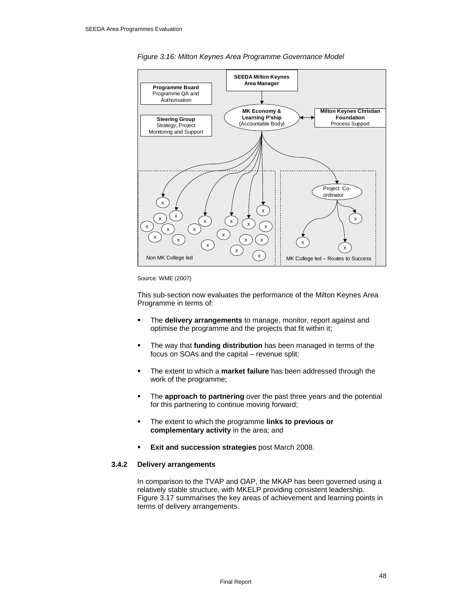



#### Source: WME (2007)

This sub-section now evaluates the performance of the Milton Keynes Area Programme in terms of:

- The **delivery arrangements** to manage, monitor, report against and optimise the programme and the projects that fit within it;
- The way that **funding distribution** has been managed in terms of the focus on SOAs and the capital – revenue split;
- The extent to which a **market failure** has been addressed through the work of the programme;
- **The approach to partnering** over the past three years and the potential for this partnering to continue moving forward;
- The extent to which the programme **links to previous or complementary activity** in the area; and
- **Exit and succession strategies** post March 2008.

#### **3.4.2 Delivery arrangements**

In comparison to the TVAP and OAP, the MKAP has been governed using a relatively stable structure, with MKELP providing consistent leadership. Figure 3.17 summarises the key areas of achievement and learning points in terms of delivery arrangements.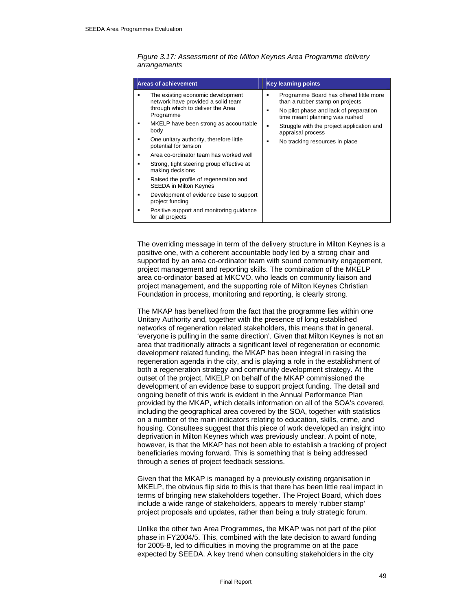| <b>Areas of achievement</b>                                                                                                                                                                                                                                                                                                                                                                                                                                                                                                                                        | <b>Key learning points</b>                                                                                                                                                                                                                                                     |
|--------------------------------------------------------------------------------------------------------------------------------------------------------------------------------------------------------------------------------------------------------------------------------------------------------------------------------------------------------------------------------------------------------------------------------------------------------------------------------------------------------------------------------------------------------------------|--------------------------------------------------------------------------------------------------------------------------------------------------------------------------------------------------------------------------------------------------------------------------------|
| The existing economic development<br>network have provided a solid team<br>through which to deliver the Area<br>Programme<br>MKELP have been strong as accountable<br>body<br>One unitary authority, therefore little<br>potential for tension<br>Area co-ordinator team has worked well<br>Strong, tight steering group effective at<br>making decisions<br>Raised the profile of regeneration and<br><b>SEEDA in Milton Keynes</b><br>Development of evidence base to support<br>project funding<br>Positive support and monitoring guidance<br>for all projects | Programme Board has offered little more<br>٠<br>than a rubber stamp on projects<br>No pilot phase and lack of preparation<br>٠<br>time meant planning was rushed<br>Struggle with the project application and<br>٠<br>appraisal process<br>No tracking resources in place<br>٠ |

#### *Figure 3.17: Assessment of the Milton Keynes Area Programme delivery arrangements*

The overriding message in term of the delivery structure in Milton Keynes is a positive one, with a coherent accountable body led by a strong chair and supported by an area co-ordinator team with sound community engagement, project management and reporting skills. The combination of the MKELP area co-ordinator based at MKCVO, who leads on community liaison and project management, and the supporting role of Milton Keynes Christian Foundation in process, monitoring and reporting, is clearly strong.

The MKAP has benefited from the fact that the programme lies within one Unitary Authority and, together with the presence of long established networks of regeneration related stakeholders, this means that in general. 'everyone is pulling in the same direction'. Given that Milton Keynes is not an area that traditionally attracts a significant level of regeneration or economic development related funding, the MKAP has been integral in raising the regeneration agenda in the city, and is playing a role in the establishment of both a regeneration strategy and community development strategy. At the outset of the project, MKELP on behalf of the MKAP commissioned the development of an evidence base to support project funding. The detail and ongoing benefit of this work is evident in the Annual Performance Plan provided by the MKAP, which details information on all of the SOA's covered, including the geographical area covered by the SOA, together with statistics on a number of the main indicators relating to education, skills, crime, and housing. Consultees suggest that this piece of work developed an insight into deprivation in Milton Keynes which was previously unclear. A point of note, however, is that the MKAP has not been able to establish a tracking of project beneficiaries moving forward. This is something that is being addressed through a series of project feedback sessions.

Given that the MKAP is managed by a previously existing organisation in MKELP, the obvious flip side to this is that there has been little real impact in terms of bringing new stakeholders together. The Project Board, which does include a wide range of stakeholders, appears to merely 'rubber stamp' project proposals and updates, rather than being a truly strategic forum.

Unlike the other two Area Programmes, the MKAP was not part of the pilot phase in FY2004/5. This, combined with the late decision to award funding for 2005-8, led to difficulties in moving the programme on at the pace expected by SEEDA. A key trend when consulting stakeholders in the city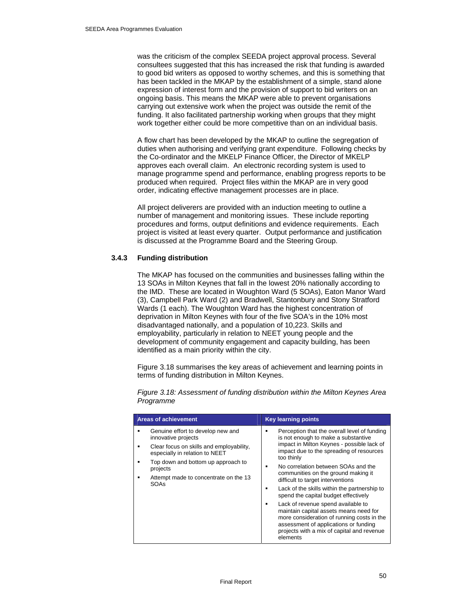was the criticism of the complex SEEDA project approval process. Several consultees suggested that this has increased the risk that funding is awarded to good bid writers as opposed to worthy schemes, and this is something that has been tackled in the MKAP by the establishment of a simple, stand alone expression of interest form and the provision of support to bid writers on an ongoing basis. This means the MKAP were able to prevent organisations carrying out extensive work when the project was outside the remit of the funding. It also facilitated partnership working when groups that they might work together either could be more competitive than on an individual basis.

A flow chart has been developed by the MKAP to outline the segregation of duties when authorising and verifying grant expenditure. Following checks by the Co-ordinator and the MKELP Finance Officer, the Director of MKELP approves each overall claim. An electronic recording system is used to manage programme spend and performance, enabling progress reports to be produced when required. Project files within the MKAP are in very good order, indicating effective management processes are in place.

All project deliverers are provided with an induction meeting to outline a number of management and monitoring issues. These include reporting procedures and forms, output definitions and evidence requirements. Each project is visited at least every quarter. Output performance and justification is discussed at the Programme Board and the Steering Group.

# **3.4.3 Funding distribution**

The MKAP has focused on the communities and businesses falling within the 13 SOAs in Milton Keynes that fall in the lowest 20% nationally according to the IMD. These are located in Woughton Ward (5 SOAs), Eaton Manor Ward (3), Campbell Park Ward (2) and Bradwell, Stantonbury and Stony Stratford Wards (1 each). The Woughton Ward has the highest concentration of deprivation in Milton Keynes with four of the five SOA's in the 10% most disadvantaged nationally, and a population of 10,223. Skills and employability, particularly in relation to NEET young people and the development of community engagement and capacity building, has been identified as a main priority within the city.

Figure 3.18 summarises the key areas of achievement and learning points in terms of funding distribution in Milton Keynes.

| <b>Areas of achievement</b>                                                                                                                                                                                                               | <b>Key learning points</b>                                                                                                                                                                                                                                                                                                                                                                                                                                                                                                                                                                                                              |
|-------------------------------------------------------------------------------------------------------------------------------------------------------------------------------------------------------------------------------------------|-----------------------------------------------------------------------------------------------------------------------------------------------------------------------------------------------------------------------------------------------------------------------------------------------------------------------------------------------------------------------------------------------------------------------------------------------------------------------------------------------------------------------------------------------------------------------------------------------------------------------------------------|
| Genuine effort to develop new and<br>innovative projects<br>Clear focus on skills and employability,<br>especially in relation to NEET<br>Top down and bottom up approach to<br>projects<br>Attempt made to concentrate on the 13<br>SOAs | Perception that the overall level of funding<br>is not enough to make a substantive<br>impact in Milton Keynes - possible lack of<br>impact due to the spreading of resources<br>too thinly<br>No correlation between SOAs and the<br>communities on the ground making it<br>difficult to target interventions<br>Lack of the skills within the partnership to<br>spend the capital budget effectively<br>Lack of revenue spend available to<br>maintain capital assets means need for<br>more consideration of running costs in the<br>assessment of applications or funding<br>projects with a mix of capital and revenue<br>elements |

*Figure 3.18: Assessment of funding distribution within the Milton Keynes Area Programme*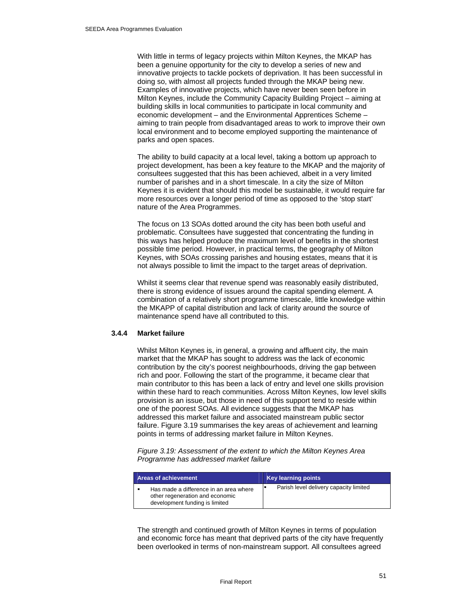With little in terms of legacy projects within Milton Keynes, the MKAP has been a genuine opportunity for the city to develop a series of new and innovative projects to tackle pockets of deprivation. It has been successful in doing so, with almost all projects funded through the MKAP being new. Examples of innovative projects, which have never been seen before in Milton Keynes, include the Community Capacity Building Project – aiming at building skills in local communities to participate in local community and economic development – and the Environmental Apprentices Scheme – aiming to train people from disadvantaged areas to work to improve their own local environment and to become employed supporting the maintenance of parks and open spaces.

The ability to build capacity at a local level, taking a bottom up approach to project development, has been a key feature to the MKAP and the majority of consultees suggested that this has been achieved, albeit in a very limited number of parishes and in a short timescale. In a city the size of Milton Keynes it is evident that should this model be sustainable, it would require far more resources over a longer period of time as opposed to the 'stop start' nature of the Area Programmes.

The focus on 13 SOAs dotted around the city has been both useful and problematic. Consultees have suggested that concentrating the funding in this ways has helped produce the maximum level of benefits in the shortest possible time period. However, in practical terms, the geography of Milton Keynes, with SOAs crossing parishes and housing estates, means that it is not always possible to limit the impact to the target areas of deprivation.

Whilst it seems clear that revenue spend was reasonably easily distributed, there is strong evidence of issues around the capital spending element. A combination of a relatively short programme timescale, little knowledge within the MKAPP of capital distribution and lack of clarity around the source of maintenance spend have all contributed to this.

#### **3.4.4 Market failure**

Whilst Milton Keynes is, in general, a growing and affluent city, the main market that the MKAP has sought to address was the lack of economic contribution by the city's poorest neighbourhoods, driving the gap between rich and poor. Following the start of the programme, it became clear that main contributor to this has been a lack of entry and level one skills provision within these hard to reach communities. Across Milton Keynes, low level skills provision is an issue, but those in need of this support tend to reside within one of the poorest SOAs. All evidence suggests that the MKAP has addressed this market failure and associated mainstream public sector failure. Figure 3.19 summarises the key areas of achievement and learning points in terms of addressing market failure in Milton Keynes.

*Figure 3.19: Assessment of the extent to which the Milton Keynes Area Programme has addressed market failure* 

| <b>Areas of achievement</b> |                                                                                                             | Key learning points                    |
|-----------------------------|-------------------------------------------------------------------------------------------------------------|----------------------------------------|
|                             | Has made a difference in an area where<br>other regeneration and economic<br>development funding is limited | Parish level delivery capacity limited |

The strength and continued growth of Milton Keynes in terms of population and economic force has meant that deprived parts of the city have frequently been overlooked in terms of non-mainstream support. All consultees agreed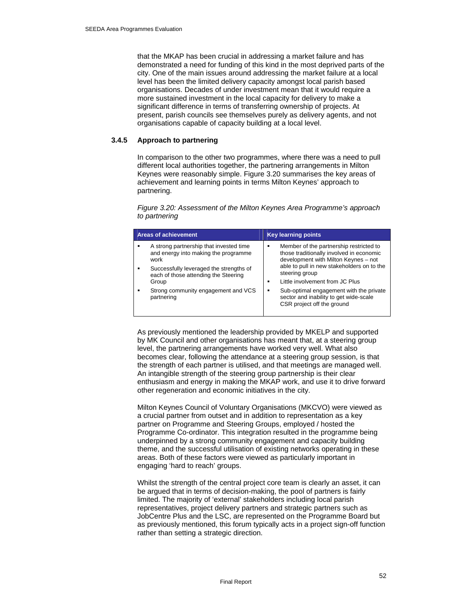that the MKAP has been crucial in addressing a market failure and has demonstrated a need for funding of this kind in the most deprived parts of the city. One of the main issues around addressing the market failure at a local level has been the limited delivery capacity amongst local parish based organisations. Decades of under investment mean that it would require a more sustained investment in the local capacity for delivery to make a significant difference in terms of transferring ownership of projects. At present, parish councils see themselves purely as delivery agents, and not organisations capable of capacity building at a local level.

## **3.4.5 Approach to partnering**

In comparison to the other two programmes, where there was a need to pull different local authorities together, the partnering arrangements in Milton Keynes were reasonably simple. Figure 3.20 summarises the key areas of achievement and learning points in terms Milton Keynes' approach to partnering.

*Figure 3.20: Assessment of the Milton Keynes Area Programme's approach to partnering* 

| <b>Areas of achievement</b> |                                                                                 |   | <b>Key learning points</b>                                                                                                  |
|-----------------------------|---------------------------------------------------------------------------------|---|-----------------------------------------------------------------------------------------------------------------------------|
| work                        | A strong partnership that invested time<br>and energy into making the programme | ٠ | Member of the partnership restricted to<br>those traditionally involved in economic<br>development with Milton Keynes - not |
|                             | Successfully leveraged the strengths of<br>each of those attending the Steering |   | able to pull in new stakeholders on to the<br>steering group                                                                |
| Group                       |                                                                                 | ٠ | Little involvement from JC Plus                                                                                             |
| partnering                  | Strong community engagement and VCS                                             | ٠ | Sub-optimal engagement with the private<br>sector and inability to get wide-scale<br>CSR project off the ground             |
|                             |                                                                                 |   |                                                                                                                             |

As previously mentioned the leadership provided by MKELP and supported by MK Council and other organisations has meant that, at a steering group level, the partnering arrangements have worked very well. What also becomes clear, following the attendance at a steering group session, is that the strength of each partner is utilised, and that meetings are managed well. An intangible strength of the steering group partnership is their clear enthusiasm and energy in making the MKAP work, and use it to drive forward other regeneration and economic initiatives in the city.

Milton Keynes Council of Voluntary Organisations (MKCVO) were viewed as a crucial partner from outset and in addition to representation as a key partner on Programme and Steering Groups, employed / hosted the Programme Co-ordinator. This integration resulted in the programme being underpinned by a strong community engagement and capacity building theme, and the successful utilisation of existing networks operating in these areas. Both of these factors were viewed as particularly important in engaging 'hard to reach' groups.

Whilst the strength of the central project core team is clearly an asset, it can be argued that in terms of decision-making, the pool of partners is fairly limited. The majority of 'external' stakeholders including local parish representatives, project delivery partners and strategic partners such as JobCentre Plus and the LSC, are represented on the Programme Board but as previously mentioned, this forum typically acts in a project sign-off function rather than setting a strategic direction.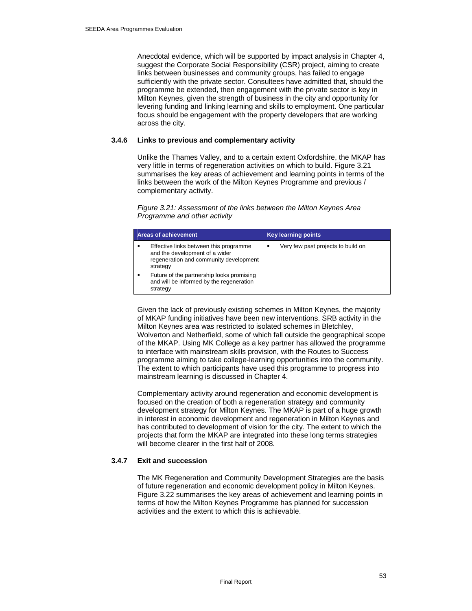Anecdotal evidence, which will be supported by impact analysis in Chapter 4, suggest the Corporate Social Responsibility (CSR) project, aiming to create links between businesses and community groups, has failed to engage sufficiently with the private sector. Consultees have admitted that, should the programme be extended, then engagement with the private sector is key in Milton Keynes, given the strength of business in the city and opportunity for levering funding and linking learning and skills to employment. One particular focus should be engagement with the property developers that are working across the city.

#### **3.4.6 Links to previous and complementary activity**

Unlike the Thames Valley, and to a certain extent Oxfordshire, the MKAP has very little in terms of regeneration activities on which to build. Figure 3.21 summarises the key areas of achievement and learning points in terms of the links between the work of the Milton Keynes Programme and previous / complementary activity.

#### *Figure 3.21: Assessment of the links between the Milton Keynes Area Programme and other activity*

| <b>Areas of achievement</b>                                                                                                    | <b>Key learning points</b>              |
|--------------------------------------------------------------------------------------------------------------------------------|-----------------------------------------|
| Effective links between this programme<br>and the development of a wider<br>regeneration and community development<br>strategy | Very few past projects to build on<br>٠ |
| Future of the partnership looks promising<br>and will be informed by the regeneration<br>strategy                              |                                         |

Given the lack of previously existing schemes in Milton Keynes, the majority of MKAP funding initiatives have been new interventions. SRB activity in the Milton Keynes area was restricted to isolated schemes in Bletchley, Wolverton and Netherfield, some of which fall outside the geographical scope of the MKAP. Using MK College as a key partner has allowed the programme to interface with mainstream skills provision, with the Routes to Success programme aiming to take college-learning opportunities into the community. The extent to which participants have used this programme to progress into mainstream learning is discussed in Chapter 4.

Complementary activity around regeneration and economic development is focused on the creation of both a regeneration strategy and community development strategy for Milton Keynes. The MKAP is part of a huge growth in interest in economic development and regeneration in Milton Keynes and has contributed to development of vision for the city. The extent to which the projects that form the MKAP are integrated into these long terms strategies will become clearer in the first half of 2008.

# **3.4.7 Exit and succession**

The MK Regeneration and Community Development Strategies are the basis of future regeneration and economic development policy in Milton Keynes. Figure 3.22 summarises the key areas of achievement and learning points in terms of how the Milton Keynes Programme has planned for succession activities and the extent to which this is achievable.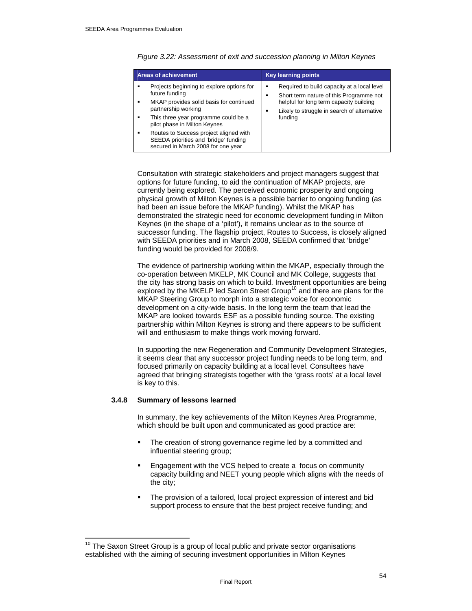|   | <b>Areas of achievement</b>                                                                                                   |   | <b>Key learning points</b>                                                                                                                                                       |
|---|-------------------------------------------------------------------------------------------------------------------------------|---|----------------------------------------------------------------------------------------------------------------------------------------------------------------------------------|
|   | Projects beginning to explore options for<br>future funding<br>MKAP provides solid basis for continued<br>partnership working | ٠ | Required to build capacity at a local level<br>Short term nature of this Programme not<br>helpful for long term capacity building<br>Likely to struggle in search of alternative |
|   | This three year programme could be a<br>pilot phase in Milton Keynes                                                          |   | funding                                                                                                                                                                          |
| ٠ | Routes to Success project aligned with<br>SEEDA priorities and 'bridge' funding<br>secured in March 2008 for one year         |   |                                                                                                                                                                                  |

*Figure 3.22: Assessment of exit and succession planning in Milton Keynes* 

Consultation with strategic stakeholders and project managers suggest that options for future funding, to aid the continuation of MKAP projects, are currently being explored. The perceived economic prosperity and ongoing physical growth of Milton Keynes is a possible barrier to ongoing funding (as had been an issue before the MKAP funding). Whilst the MKAP has demonstrated the strategic need for economic development funding in Milton Keynes (in the shape of a 'pilot'), it remains unclear as to the source of successor funding. The flagship project, Routes to Success, is closely aligned with SEEDA priorities and in March 2008, SEEDA confirmed that 'bridge' funding would be provided for 2008/9.

The evidence of partnership working within the MKAP, especially through the co-operation between MKELP, MK Council and MK College, suggests that the city has strong basis on which to build. Investment opportunities are being explored by the MKELP led Saxon Street Group<sup>10</sup> and there are plans for the MKAP Steering Group to morph into a strategic voice for economic development on a city-wide basis. In the long term the team that lead the MKAP are looked towards ESF as a possible funding source. The existing partnership within Milton Keynes is strong and there appears to be sufficient will and enthusiasm to make things work moving forward.

In supporting the new Regeneration and Community Development Strategies, it seems clear that any successor project funding needs to be long term, and focused primarily on capacity building at a local level. Consultees have agreed that bringing strategists together with the 'grass roots' at a local level is key to this.

#### **3.4.8 Summary of lessons learned**

 $\overline{a}$ 

In summary, the key achievements of the Milton Keynes Area Programme, which should be built upon and communicated as good practice are:

- The creation of strong governance regime led by a committed and influential steering group;
- Engagement with the VCS helped to create a focus on community capacity building and NEET young people which aligns with the needs of the city;
- The provision of a tailored, local project expression of interest and bid support process to ensure that the best project receive funding; and

 $10$  The Saxon Street Group is a group of local public and private sector organisations established with the aiming of securing investment opportunities in Milton Keynes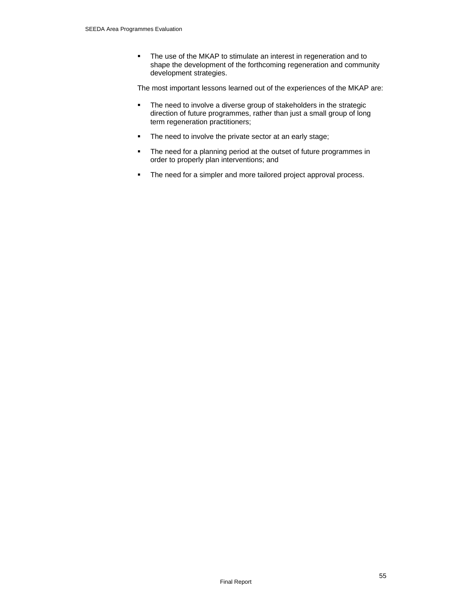• The use of the MKAP to stimulate an interest in regeneration and to shape the development of the forthcoming regeneration and community development strategies.

The most important lessons learned out of the experiences of the MKAP are:

- The need to involve a diverse group of stakeholders in the strategic direction of future programmes, rather than just a small group of long term regeneration practitioners;
- **The need to involve the private sector at an early stage;**
- The need for a planning period at the outset of future programmes in order to properly plan interventions; and
- The need for a simpler and more tailored project approval process.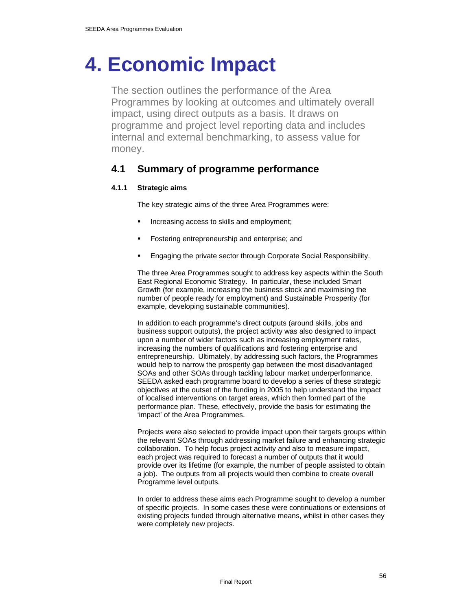# **4. Economic Impact**

The section outlines the performance of the Area Programmes by looking at outcomes and ultimately overall impact, using direct outputs as a basis. It draws on programme and project level reporting data and includes internal and external benchmarking, to assess value for money.

# **4.1 Summary of programme performance**

# **4.1.1 Strategic aims**

The key strategic aims of the three Area Programmes were:

- Increasing access to skills and employment;
- Fostering entrepreneurship and enterprise; and
- Engaging the private sector through Corporate Social Responsibility.

The three Area Programmes sought to address key aspects within the South East Regional Economic Strategy. In particular, these included Smart Growth (for example, increasing the business stock and maximising the number of people ready for employment) and Sustainable Prosperity (for example, developing sustainable communities).

In addition to each programme's direct outputs (around skills, jobs and business support outputs), the project activity was also designed to impact upon a number of wider factors such as increasing employment rates, increasing the numbers of qualifications and fostering enterprise and entrepreneurship. Ultimately, by addressing such factors, the Programmes would help to narrow the prosperity gap between the most disadvantaged SOAs and other SOAs through tackling labour market underperformance. SEEDA asked each programme board to develop a series of these strategic objectives at the outset of the funding in 2005 to help understand the impact of localised interventions on target areas, which then formed part of the performance plan. These, effectively, provide the basis for estimating the 'impact' of the Area Programmes.

Projects were also selected to provide impact upon their targets groups within the relevant SOAs through addressing market failure and enhancing strategic collaboration. To help focus project activity and also to measure impact, each project was required to forecast a number of outputs that it would provide over its lifetime (for example, the number of people assisted to obtain a job). The outputs from all projects would then combine to create overall Programme level outputs.

In order to address these aims each Programme sought to develop a number of specific projects. In some cases these were continuations or extensions of existing projects funded through alternative means, whilst in other cases they were completely new projects.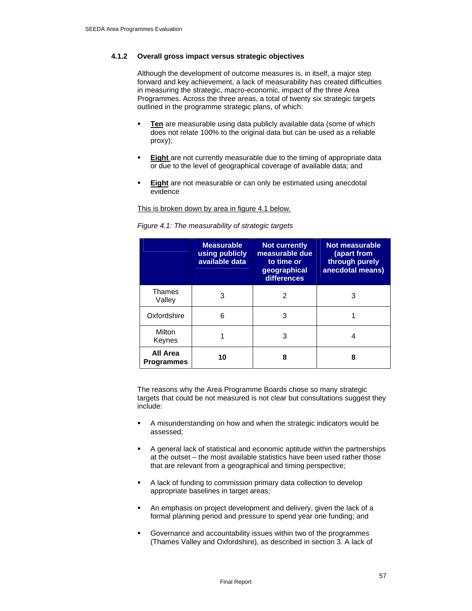#### **4.1.2 Overall gross impact versus strategic objectives**

Although the development of outcome measures is, in itself, a major step forward and key achievement, a lack of measurability has created difficulties in measuring the strategic, macro-economic, impact of the three Area Programmes. Across the three areas, a total of twenty six strategic targets outlined in the programme strategic plans, of which:

- **Ten** are measurable using data publicly available data (some of which does not relate 100% to the original data but can be used as a reliable proxy);
- **Eight** are not currently measurable due to the timing of appropriate data or due to the level of geographical coverage of available data; and
- **Eight** are not measurable or can only be estimated using anecdotal evidence

This is broken down by area in figure 4.1 below.

|                               | <b>Measurable</b><br>using publicly<br>available data | <b>Not currently</b><br>measurable due<br>to time or<br>geographical<br>differences | Not measurable<br>(apart from<br>through purely<br>anecdotal means) |
|-------------------------------|-------------------------------------------------------|-------------------------------------------------------------------------------------|---------------------------------------------------------------------|
| <b>Thames</b><br>Valley       | 3                                                     | 2                                                                                   | 3                                                                   |
| Oxfordshire                   | 6                                                     | 3                                                                                   |                                                                     |
| Milton<br>Keynes              |                                                       | З                                                                                   |                                                                     |
| All Area<br><b>Programmes</b> | 10                                                    | 8                                                                                   | 8                                                                   |

*Figure 4.1: The measurability of strategic targets* 

The reasons why the Area Programme Boards chose so many strategic targets that could be not measured is not clear but consultations suggest they include:

- A misunderstanding on how and when the strategic indicators would be assessed;
- A general lack of statistical and economic aptitude within the partnerships at the outset – the most available statistics have been used rather those that are relevant from a geographical and timing perspective;
- A lack of funding to commission primary data collection to develop appropriate baselines in target areas;
- An emphasis on project development and delivery, given the lack of a formal planning period and pressure to spend year one funding; and
- Governance and accountability issues within two of the programmes (Thames Valley and Oxfordshire), as described in section 3. A lack of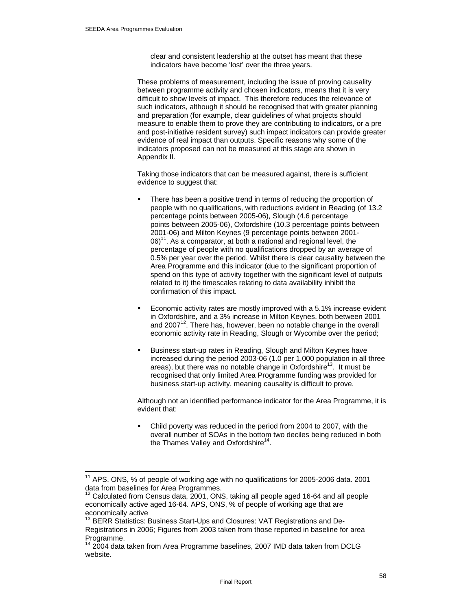$\overline{a}$ 

clear and consistent leadership at the outset has meant that these indicators have become 'lost' over the three years.

These problems of measurement, including the issue of proving causality between programme activity and chosen indicators, means that it is very difficult to show levels of impact. This therefore reduces the relevance of such indicators, although it should be recognised that with greater planning and preparation (for example, clear guidelines of what projects should measure to enable them to prove they are contributing to indicators, or a pre and post-initiative resident survey) such impact indicators can provide greater evidence of real impact than outputs. Specific reasons why some of the indicators proposed can not be measured at this stage are shown in Appendix II.

Taking those indicators that can be measured against, there is sufficient evidence to suggest that:

- There has been a positive trend in terms of reducing the proportion of people with no qualifications, with reductions evident in Reading (of 13.2 percentage points between 2005-06), Slough (4.6 percentage points between 2005-06), Oxfordshire (10.3 percentage points between 2001-06) and Milton Keynes (9 percentage points between 2001-  $06$ <sup>11</sup>. As a comparator, at both a national and regional level, the percentage of people with no qualifications dropped by an average of 0.5% per year over the period. Whilst there is clear causality between the Area Programme and this indicator (due to the significant proportion of spend on this type of activity together with the significant level of outputs related to it) the timescales relating to data availability inhibit the confirmation of this impact.
- Economic activity rates are mostly improved with a 5.1% increase evident in Oxfordshire, and a 3% increase in Milton Keynes, both between 2001 and  $2007<sup>12</sup>$ . There has, however, been no notable change in the overall economic activity rate in Reading, Slough or Wycombe over the period;
- Business start-up rates in Reading, Slough and Milton Keynes have increased during the period 2003-06 (1.0 per 1,000 population in all three areas), but there was no notable change in Oxfordshire<sup>13</sup>. It must be recognised that only limited Area Programme funding was provided for business start-up activity, meaning causality is difficult to prove.

Although not an identified performance indicator for the Area Programme, it is evident that:

 Child poverty was reduced in the period from 2004 to 2007, with the overall number of SOAs in the bottom two deciles being reduced in both the Thames Valley and Oxfordshire<sup>14</sup>.

<sup>&</sup>lt;sup>11</sup> APS, ONS, % of people of working age with no qualifications for 2005-2006 data. 2001 data from baselines for Area Programmes.

Calculated from Census data, 2001, ONS, taking all people aged 16-64 and all people economically active aged 16-64. APS, ONS, % of people of working age that are economically active

<sup>&</sup>lt;sup>13</sup> BERR Statistics: Business Start-Ups and Closures: VAT Registrations and De-Registrations in 2006; Figures from 2003 taken from those reported in baseline for area Programme.

 $14$  2004 data taken from Area Programme baselines, 2007 IMD data taken from DCLG website.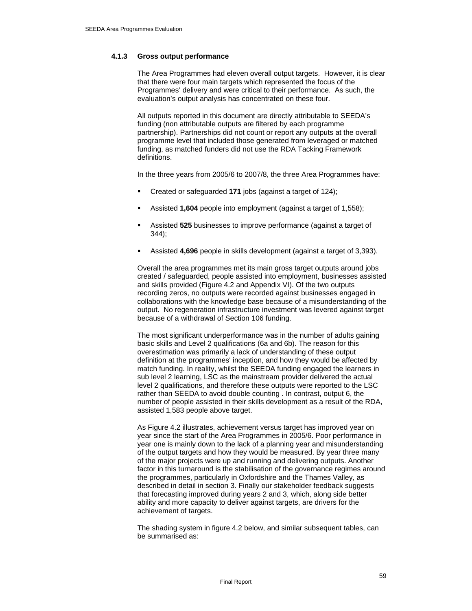## **4.1.3 Gross output performance**

The Area Programmes had eleven overall output targets. However, it is clear that there were four main targets which represented the focus of the Programmes' delivery and were critical to their performance. As such, the evaluation's output analysis has concentrated on these four.

All outputs reported in this document are directly attributable to SEEDA's funding (non attributable outputs are filtered by each programme partnership). Partnerships did not count or report any outputs at the overall programme level that included those generated from leveraged or matched funding, as matched funders did not use the RDA Tacking Framework definitions.

In the three years from 2005/6 to 2007/8, the three Area Programmes have:

- Created or safeguarded **171** jobs (against a target of 124);
- Assisted **1,604** people into employment (against a target of 1,558);
- Assisted **525** businesses to improve performance (against a target of 344);
- Assisted **4,696** people in skills development (against a target of 3,393).

Overall the area programmes met its main gross target outputs around jobs created / safeguarded, people assisted into employment, businesses assisted and skills provided (Figure 4.2 and Appendix VI). Of the two outputs recording zeros, no outputs were recorded against businesses engaged in collaborations with the knowledge base because of a misunderstanding of the output. No regeneration infrastructure investment was levered against target because of a withdrawal of Section 106 funding.

The most significant underperformance was in the number of adults gaining basic skills and Level 2 qualifications (6a and 6b). The reason for this overestimation was primarily a lack of understanding of these output definition at the programmes' inception, and how they would be affected by match funding. In reality, whilst the SEEDA funding engaged the learners in sub level 2 learning, LSC as the mainstream provider delivered the actual level 2 qualifications, and therefore these outputs were reported to the LSC rather than SEEDA to avoid double counting . In contrast, output 6, the number of people assisted in their skills development as a result of the RDA, assisted 1,583 people above target.

As Figure 4.2 illustrates, achievement versus target has improved year on year since the start of the Area Programmes in 2005/6. Poor performance in year one is mainly down to the lack of a planning year and misunderstanding of the output targets and how they would be measured. By year three many of the major projects were up and running and delivering outputs. Another factor in this turnaround is the stabilisation of the governance regimes around the programmes, particularly in Oxfordshire and the Thames Valley, as described in detail in section 3. Finally our stakeholder feedback suggests that forecasting improved during years 2 and 3, which, along side better ability and more capacity to deliver against targets, are drivers for the achievement of targets.

The shading system in figure 4.2 below, and similar subsequent tables, can be summarised as: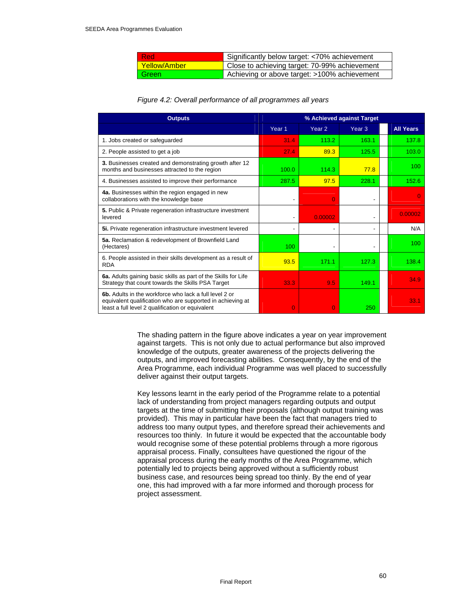| -Red                  | Significantly below target: <70% achievement  |
|-----------------------|-----------------------------------------------|
| <u>l Yellow/Amber</u> | Close to achieving target: 70-99% achievement |
| Green <sup>1</sup>    | Achieving or above target: >100% achievement  |

#### *Figure 4.2: Overall performance of all programmes all years*

| <b>Outputs</b>                                                                                                                                                           | % Achieved against Target |                   |                   |  |                  |
|--------------------------------------------------------------------------------------------------------------------------------------------------------------------------|---------------------------|-------------------|-------------------|--|------------------|
|                                                                                                                                                                          | Year <sub>1</sub>         | Year <sub>2</sub> | Year <sub>3</sub> |  | <b>All Years</b> |
| 1. Jobs created or safeguarded                                                                                                                                           | 31.4                      | 113.2             | 163.1             |  | 137.8            |
| 2. People assisted to get a job                                                                                                                                          | 27.4                      | 89.3              | 125.5             |  | 103.0            |
| 3. Businesses created and demonstrating growth after 12<br>months and businesses attracted to the region                                                                 | 100.0                     | 114.3             | 77.8              |  | 100              |
| 4. Businesses assisted to improve their performance                                                                                                                      | 287.5                     | 97.5              | 228.1             |  | 152.6            |
| 4a. Businesses within the region engaged in new<br>collaborations with the knowledge base                                                                                |                           | 0                 | ٠                 |  |                  |
| 5. Public & Private regeneration infrastructure investment<br>levered                                                                                                    |                           | 0.00002           |                   |  | 0.00002          |
| 5i. Private regeneration infrastructure investment levered                                                                                                               |                           | $\overline{a}$    |                   |  | N/A              |
| 5a. Reclamation & redevelopment of Brownfield Land<br>(Hectares)                                                                                                         | 100                       |                   |                   |  | 100              |
| 6. People assisted in their skills development as a result of<br><b>RDA</b>                                                                                              | 93.5                      | 171.1             | 127.3             |  | 138.4            |
| 6a. Adults gaining basic skills as part of the Skills for Life<br>Strategy that count towards the Skills PSA Target                                                      | 33.3                      | 9.5               | 149.1             |  | 34.9             |
| 6b. Adults in the workforce who lack a full level 2 or<br>equivalent qualification who are supported in achieving at<br>least a full level 2 qualification or equivalent | $\Omega$                  | $\Omega$          | 250               |  | 33.1             |

The shading pattern in the figure above indicates a year on year improvement against targets. This is not only due to actual performance but also improved knowledge of the outputs, greater awareness of the projects delivering the outputs, and improved forecasting abilities. Consequently, by the end of the Area Programme, each individual Programme was well placed to successfully deliver against their output targets.

Key lessons learnt in the early period of the Programme relate to a potential lack of understanding from project managers regarding outputs and output targets at the time of submitting their proposals (although output training was provided). This may in particular have been the fact that managers tried to address too many output types, and therefore spread their achievements and resources too thinly. In future it would be expected that the accountable body would recognise some of these potential problems through a more rigorous appraisal process. Finally, consultees have questioned the rigour of the appraisal process during the early months of the Area Programme, which potentially led to projects being approved without a sufficiently robust business case, and resources being spread too thinly. By the end of year one, this had improved with a far more informed and thorough process for project assessment.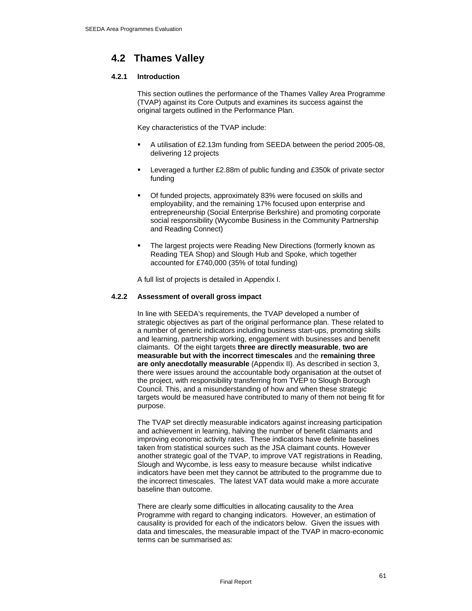# **4.2 Thames Valley**

# **4.2.1 Introduction**

This section outlines the performance of the Thames Valley Area Programme (TVAP) against its Core Outputs and examines its success against the original targets outlined in the Performance Plan.

Key characteristics of the TVAP include:

- A utilisation of £2.13m funding from SEEDA between the period 2005-08, delivering 12 projects
- Leveraged a further £2.88m of public funding and £350k of private sector funding
- Of funded projects, approximately 83% were focused on skills and employability, and the remaining 17% focused upon enterprise and entrepreneurship (Social Enterprise Berkshire) and promoting corporate social responsibility (Wycombe Business in the Community Partnership and Reading Connect)
- The largest projects were Reading New Directions (formerly known as Reading TEA Shop) and Slough Hub and Spoke, which together accounted for £740,000 (35% of total funding)

A full list of projects is detailed in Appendix I.

## **4.2.2 Assessment of overall gross impact**

In line with SEEDA's requirements, the TVAP developed a number of strategic objectives as part of the original performance plan. These related to a number of generic indicators including business start-ups, promoting skills and learning, partnership working, engagement with businesses and benefit claimants. Of the eight targets **three are directly measurable**, **two are measurable but with the incorrect timescales** and the **remaining three are only anecdotally measurable** (Appendix II). As described in section 3, there were issues around the accountable body organisation at the outset of the project, with responsibility transferring from TVEP to Slough Borough Council. This, and a misunderstanding of how and when these strategic targets would be measured have contributed to many of them not being fit for purpose.

The TVAP set directly measurable indicators against increasing participation and achievement in learning, halving the number of benefit claimants and improving economic activity rates. These indicators have definite baselines taken from statistical sources such as the JSA claimant counts. However another strategic goal of the TVAP, to improve VAT registrations in Reading, Slough and Wycombe, is less easy to measure because whilst indicative indicators have been met they cannot be attributed to the programme due to the incorrect timescales. The latest VAT data would make a more accurate baseline than outcome.

There are clearly some difficulties in allocating causality to the Area Programme with regard to changing indicators. However, an estimation of causality is provided for each of the indicators below. Given the issues with data and timescales, the measurable impact of the TVAP in macro-economic terms can be summarised as: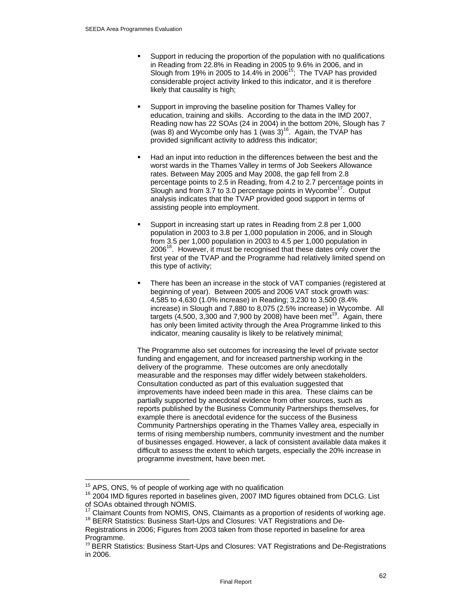- Support in reducing the proportion of the population with no qualifications in Reading from 22.8% in Reading in 2005 to 9.6% in 2006, and in Slough from 19% in 2005 to 14.4% in 2006<sup>15</sup>; The TVAP has provided considerable project activity linked to this indicator, and it is therefore likely that causality is high;
- Support in improving the baseline position for Thames Valley for education, training and skills. According to the data in the IMD 2007, Reading now has 22 SOAs (24 in 2004) in the bottom 20%, Slough has 7 (was 8) and Wycombe only has 1 (was  $3$ )<sup>16</sup>. Again, the TVAP has provided significant activity to address this indicator;
- Had an input into reduction in the differences between the best and the worst wards in the Thames Valley in terms of Job Seekers Allowance rates. Between May 2005 and May 2008, the gap fell from 2.8 percentage points to 2.5 in Reading, from 4.2 to 2.7 percentage points in Slough and from  $3.7$  to  $3.0$  percentage points in Wycombe<sup>17</sup>. Output analysis indicates that the TVAP provided good support in terms of assisting people into employment.
- Support in increasing start up rates in Reading from 2.8 per 1,000 population in 2003 to 3.8 per 1,000 population in 2006, and in Slough from 3.5 per 1,000 population in 2003 to 4.5 per 1,000 population in 2006<sup>18</sup>. However, it must be recognised that these dates only cover the first year of the TVAP and the Programme had relatively limited spend on this type of activity;
- There has been an increase in the stock of VAT companies (registered at beginning of year). Between 2005 and 2006 VAT stock growth was: 4,585 to 4,630 (1.0% increase) in Reading; 3,230 to 3,500 (8.4% increase) in Slough and 7,880 to 8,075 (2.5% increase) in Wycombe. All targets (4,500, 3,300 and 7,900 by 2008) have been met<sup>19</sup>. Again, there has only been limited activity through the Area Programme linked to this indicator, meaning causality is likely to be relatively minimal;

The Programme also set outcomes for increasing the level of private sector funding and engagement, and for increased partnership working in the delivery of the programme. These outcomes are only anecdotally measurable and the responses may differ widely between stakeholders. Consultation conducted as part of this evaluation suggested that improvements have indeed been made in this area. These claims can be partially supported by anecdotal evidence from other sources, such as reports published by the Business Community Partnerships themselves, for example there is anecdotal evidence for the success of the Business Community Partnerships operating in the Thames Valley area, especially in terms of rising membership numbers, community investment and the number of businesses engaged. However, a lack of consistent available data makes it difficult to assess the extent to which targets, especially the 20% increase in programme investment, have been met.

<sup>15</sup> 

<sup>&</sup>lt;sup>15</sup> APS, ONS, % of people of working age with no qualification  $16$  2004 IMD figures obtained from DCLG. List of SOAs obtained through NOMIS.

<sup>&</sup>lt;sup>17</sup> Claimant Counts from NOMIS, ONS, Claimants as a proportion of residents of working age. <sup>18</sup> BERR Statistics: Business Start-Ups and Closures: VAT Registrations and De-

Registrations in 2006; Figures from 2003 taken from those reported in baseline for area Programme.<br><sup>19</sup> BERR Statistics: Business Start-Ups and Closures: VAT Registrations and De-Registrations

in 2006.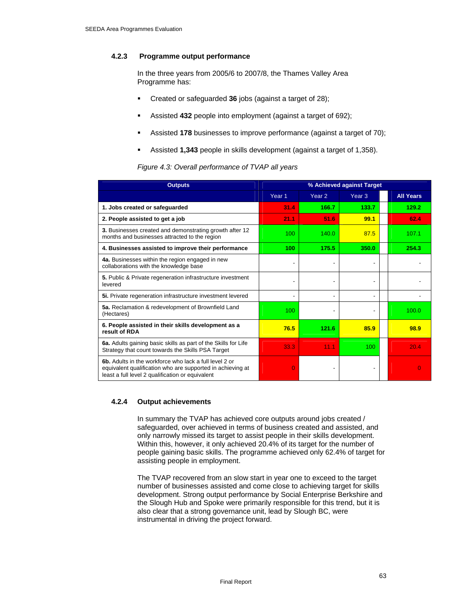# **4.2.3 Programme output performance**

In the three years from 2005/6 to 2007/8, the Thames Valley Area Programme has:

- Created or safeguarded **36** jobs (against a target of 28);
- Assisted **432** people into employment (against a target of 692);
- Assisted **178** businesses to improve performance (against a target of 70);
- Assisted **1,343** people in skills development (against a target of 1,358).

#### *Figure 4.3: Overall performance of TVAP all years*

| <b>Outputs</b>                                                                                                                                                                  | % Achieved against Target |                   |                   |                  |
|---------------------------------------------------------------------------------------------------------------------------------------------------------------------------------|---------------------------|-------------------|-------------------|------------------|
|                                                                                                                                                                                 | Year <sub>1</sub>         | Year <sub>2</sub> | Year <sub>3</sub> | <b>All Years</b> |
| 1. Jobs created or safeguarded                                                                                                                                                  | 31.4                      | 166.7             | 133.7             | 129.2            |
| 2. People assisted to get a job                                                                                                                                                 | 21.1                      | 51.6              | 99.1              | 62.4             |
| 3. Businesses created and demonstrating growth after 12<br>months and businesses attracted to the region                                                                        | 100                       | 140.0             | 87.5              | 107.1            |
| 4. Businesses assisted to improve their performance                                                                                                                             | 100                       | 175.5             | 350.0             | 254.3            |
| 4a. Businesses within the region engaged in new<br>collaborations with the knowledge base                                                                                       |                           |                   |                   |                  |
| 5. Public & Private regeneration infrastructure investment<br>levered                                                                                                           |                           |                   |                   |                  |
| 5i. Private regeneration infrastructure investment levered                                                                                                                      |                           |                   |                   |                  |
| 5a. Reclamation & redevelopment of Brownfield Land<br>(Hectares)                                                                                                                | 100                       |                   |                   | 100.0            |
| 6. People assisted in their skills development as a<br>result of RDA                                                                                                            | 76.5                      | 121.6             | 85.9              | 98.9             |
| 6a. Adults gaining basic skills as part of the Skills for Life<br>Strategy that count towards the Skills PSA Target                                                             | 33.3                      | 11.1              | 100               | 20.4             |
| <b>6b.</b> Adults in the workforce who lack a full level 2 or<br>equivalent qualification who are supported in achieving at<br>least a full level 2 qualification or equivalent | $\Omega$                  |                   |                   | O                |

#### **4.2.4 Output achievements**

In summary the TVAP has achieved core outputs around jobs created / safeguarded, over achieved in terms of business created and assisted, and only narrowly missed its target to assist people in their skills development. Within this, however, it only achieved 20.4% of its target for the number of people gaining basic skills. The programme achieved only 62.4% of target for assisting people in employment.

The TVAP recovered from an slow start in year one to exceed to the target number of businesses assisted and come close to achieving target for skills development. Strong output performance by Social Enterprise Berkshire and the Slough Hub and Spoke were primarily responsible for this trend, but it is also clear that a strong governance unit, lead by Slough BC, were instrumental in driving the project forward.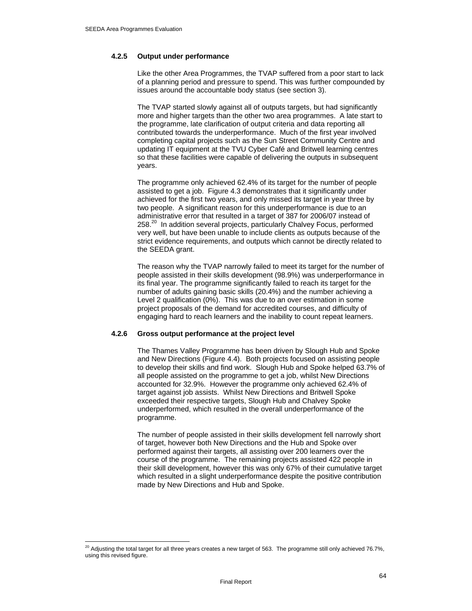$\overline{a}$ 

## **4.2.5 Output under performance**

Like the other Area Programmes, the TVAP suffered from a poor start to lack of a planning period and pressure to spend. This was further compounded by issues around the accountable body status (see section 3).

The TVAP started slowly against all of outputs targets, but had significantly more and higher targets than the other two area programmes. A late start to the programme, late clarification of output criteria and data reporting all contributed towards the underperformance. Much of the first year involved completing capital projects such as the Sun Street Community Centre and updating IT equipment at the TVU Cyber Café and Britwell learning centres so that these facilities were capable of delivering the outputs in subsequent years.

The programme only achieved 62.4% of its target for the number of people assisted to get a job. Figure 4.3 demonstrates that it significantly under achieved for the first two years, and only missed its target in year three by two people. A significant reason for this underperformance is due to an administrative error that resulted in a target of 387 for 2006/07 instead of 258.<sup>20</sup> In addition several projects, particularly Chalvey Focus, performed very well, but have been unable to include clients as outputs because of the strict evidence requirements, and outputs which cannot be directly related to the SEEDA grant.

The reason why the TVAP narrowly failed to meet its target for the number of people assisted in their skills development (98.9%) was underperformance in its final year. The programme significantly failed to reach its target for the number of adults gaining basic skills (20.4%) and the number achieving a Level 2 qualification (0%). This was due to an over estimation in some project proposals of the demand for accredited courses, and difficulty of engaging hard to reach learners and the inability to count repeat learners.

#### **4.2.6 Gross output performance at the project level**

The Thames Valley Programme has been driven by Slough Hub and Spoke and New Directions (Figure 4.4). Both projects focused on assisting people to develop their skills and find work. Slough Hub and Spoke helped 63.7% of all people assisted on the programme to get a job, whilst New Directions accounted for 32.9%. However the programme only achieved 62.4% of target against job assists. Whilst New Directions and Britwell Spoke exceeded their respective targets, Slough Hub and Chalvey Spoke underperformed, which resulted in the overall underperformance of the programme.

The number of people assisted in their skills development fell narrowly short of target, however both New Directions and the Hub and Spoke over performed against their targets, all assisting over 200 learners over the course of the programme. The remaining projects assisted 422 people in their skill development, however this was only 67% of their cumulative target which resulted in a slight underperformance despite the positive contribution made by New Directions and Hub and Spoke.

 $^{20}$  Adjusting the total target for all three years creates a new target of 563. The programme still only achieved 76.7%, using this revised figure.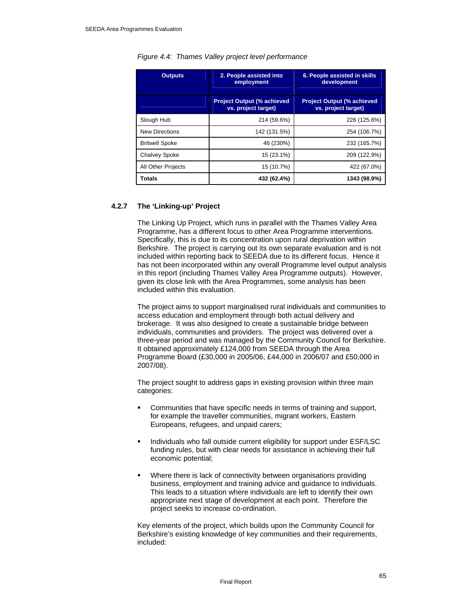| <b>Outputs</b>        | 2. People assisted into<br>employment                     | 6. People assisted in skills<br>development               |  |  |
|-----------------------|-----------------------------------------------------------|-----------------------------------------------------------|--|--|
|                       | <b>Project Output (% achieved)</b><br>vs. project target) | <b>Project Output (% achieved)</b><br>vs. project target) |  |  |
| Slough Hub            | 214 (59.6%)                                               | 226 (125.6%)                                              |  |  |
| <b>New Directions</b> | 142 (131.5%)                                              | 254 (106.7%)                                              |  |  |
| <b>Britwell Spoke</b> | 46 (230%)                                                 | 232 (165.7%)                                              |  |  |
| <b>Chalvey Spoke</b>  | 15 (23.1%)                                                | 209 (122.9%)                                              |  |  |
| All Other Projects    | 15 (10.7%)                                                | 422 (67.0%)                                               |  |  |
| <b>Totals</b>         | 432 (62.4%)                                               | 1343 (98.9%)                                              |  |  |

#### *Figure 4.4: Thames Valley project level performance*

# **4.2.7 The 'Linking-up' Project**

The Linking Up Project, which runs in parallel with the Thames Valley Area Programme, has a different focus to other Area Programme interventions. Specifically, this is due to its concentration upon rural deprivation within Berkshire. The project is carrying out its own separate evaluation and is not included within reporting back to SEEDA due to its different focus. Hence it has not been incorporated within any overall Programme level output analysis in this report (including Thames Valley Area Programme outputs). However, given its close link with the Area Programmes, some analysis has been included within this evaluation.

The project aims to support marginalised rural individuals and communities to access education and employment through both actual delivery and brokerage. It was also designed to create a sustainable bridge between individuals, communities and providers. The project was delivered over a three-year period and was managed by the Community Council for Berkshire. It obtained approximately £124,000 from SEEDA through the Area Programme Board (£30,000 in 2005/06, £44,000 in 2006/07 and £50,000 in 2007/08).

The project sought to address gaps in existing provision within three main categories:

- Communities that have specific needs in terms of training and support, for example the traveller communities, migrant workers, Eastern Europeans, refugees, and unpaid carers;
- Individuals who fall outside current eligibility for support under ESF/LSC funding rules, but with clear needs for assistance in achieving their full economic potential;
- Where there is lack of connectivity between organisations providing business, employment and training advice and guidance to individuals. This leads to a situation where individuals are left to identify their own appropriate next stage of development at each point. Therefore the project seeks to increase co-ordination.

Key elements of the project, which builds upon the Community Council for Berkshire's existing knowledge of key communities and their requirements, included: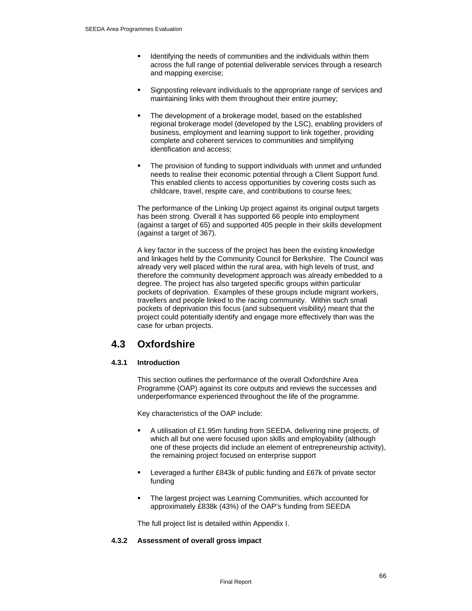- Identifying the needs of communities and the individuals within them across the full range of potential deliverable services through a research and mapping exercise;
- Signposting relevant individuals to the appropriate range of services and maintaining links with them throughout their entire journey;
- The development of a brokerage model, based on the established regional brokerage model (developed by the LSC), enabling providers of business, employment and learning support to link together, providing complete and coherent services to communities and simplifying identification and access;
- The provision of funding to support individuals with unmet and unfunded needs to realise their economic potential through a Client Support fund. This enabled clients to access opportunities by covering costs such as childcare, travel, respite care, and contributions to course fees;

The performance of the Linking Up project against its original output targets has been strong. Overall it has supported 66 people into employment (against a target of 65) and supported 405 people in their skills development (against a target of 367).

A key factor in the success of the project has been the existing knowledge and linkages held by the Community Council for Berkshire. The Council was already very well placed within the rural area, with high levels of trust, and therefore the community development approach was already embedded to a degree. The project has also targeted specific groups within particular pockets of deprivation. Examples of these groups include migrant workers, travellers and people linked to the racing community. Within such small pockets of deprivation this focus (and subsequent visibility) meant that the project could potentially identify and engage more effectively than was the case for urban projects.

# **4.3 Oxfordshire**

# **4.3.1 Introduction**

This section outlines the performance of the overall Oxfordshire Area Programme (OAP) against its core outputs and reviews the successes and underperformance experienced throughout the life of the programme.

Key characteristics of the OAP include:

- A utilisation of £1.95m funding from SEEDA, delivering nine projects, of which all but one were focused upon skills and employability (although one of these projects did include an element of entrepreneurship activity), the remaining project focused on enterprise support
- Leveraged a further £843k of public funding and £67k of private sector funding
- The largest project was Learning Communities, which accounted for approximately £838k (43%) of the OAP's funding from SEEDA

The full project list is detailed within Appendix I.

# **4.3.2 Assessment of overall gross impact**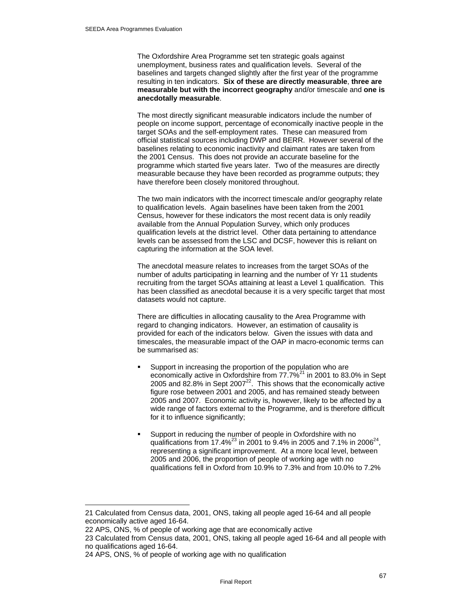The Oxfordshire Area Programme set ten strategic goals against unemployment, business rates and qualification levels. Several of the baselines and targets changed slightly after the first year of the programme resulting in ten indicators. **Six of these are directly measurable**, **three are measurable but with the incorrect geography** and/or timescale and **one is anecdotally measurable**.

The most directly significant measurable indicators include the number of people on income support, percentage of economically inactive people in the target SOAs and the self-employment rates. These can measured from official statistical sources including DWP and BERR. However several of the baselines relating to economic inactivity and claimant rates are taken from the 2001 Census. This does not provide an accurate baseline for the programme which started five years later. Two of the measures are directly measurable because they have been recorded as programme outputs; they have therefore been closely monitored throughout.

The two main indicators with the incorrect timescale and/or geography relate to qualification levels. Again baselines have been taken from the 2001 Census, however for these indicators the most recent data is only readily available from the Annual Population Survey, which only produces qualification levels at the district level. Other data pertaining to attendance levels can be assessed from the LSC and DCSF, however this is reliant on capturing the information at the SOA level.

The anecdotal measure relates to increases from the target SOAs of the number of adults participating in learning and the number of Yr 11 students recruiting from the target SOAs attaining at least a Level 1 qualification. This has been classified as anecdotal because it is a very specific target that most datasets would not capture.

There are difficulties in allocating causality to the Area Programme with regard to changing indicators. However, an estimation of causality is provided for each of the indicators below. Given the issues with data and timescales, the measurable impact of the OAP in macro-economic terms can be summarised as:

- Support in increasing the proportion of the population who are economically active in Oxfordshire from 77.7%<sup>21</sup> in 2001 to 83.0% in Sept 2005 and 82.8% in Sept 2007 $^{22}$ . This shows that the economically active figure rose between 2001 and 2005, and has remained steady between 2005 and 2007. Economic activity is, however, likely to be affected by a wide range of factors external to the Programme, and is therefore difficult for it to influence significantly;
- Support in reducing the number of people in Oxfordshire with no qualifications from  $17.4\%^{23}$  in 2001 to 9.4% in 2005 and 7.1% in 2006<sup>24</sup>, representing a significant improvement. At a more local level, between 2005 and 2006, the proportion of people of working age with no qualifications fell in Oxford from 10.9% to 7.3% and from 10.0% to 7.2%

 $\overline{a}$ 

<sup>21</sup> Calculated from Census data, 2001, ONS, taking all people aged 16-64 and all people economically active aged 16-64.

<sup>22</sup> APS, ONS, % of people of working age that are economically active

<sup>23</sup> Calculated from Census data, 2001, ONS, taking all people aged 16-64 and all people with no qualifications aged 16-64.

<sup>24</sup> APS, ONS, % of people of working age with no qualification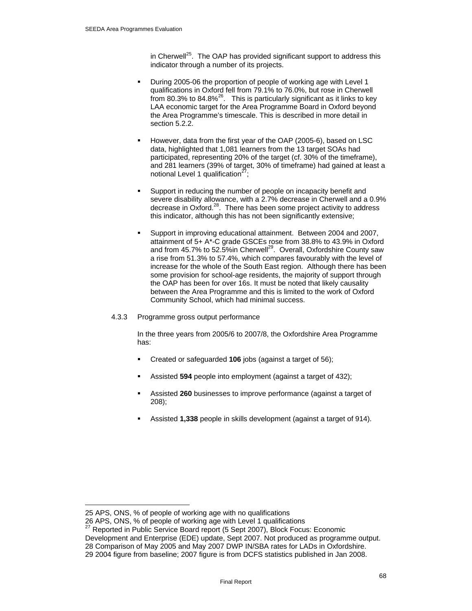in Cherwell<sup>25</sup>. The OAP has provided significant support to address this indicator through a number of its projects.

- During 2005-06 the proportion of people of working age with Level 1 qualifications in Oxford fell from 79.1% to 76.0%, but rose in Cherwell from 80.3% to 84.8% $^{26}$ . This is particularly significant as it links to key LAA economic target for the Area Programme Board in Oxford beyond the Area Programme's timescale. This is described in more detail in section 5.2.2.
- However, data from the first year of the OAP (2005-6), based on LSC data, highlighted that 1,081 learners from the 13 target SOAs had participated, representing 20% of the target (cf. 30% of the timeframe), and 281 learners (39% of target, 30% of timeframe) had gained at least a notional Level 1 qualification $27$ ;
- Support in reducing the number of people on incapacity benefit and severe disability allowance, with a 2.7% decrease in Cherwell and a 0.9% decrease in Oxford.28. There has been some project activity to address this indicator, although this has not been significantly extensive;
- Support in improving educational attainment. Between 2004 and 2007, attainment of 5+ A\*-C grade GSCEs rose from 38.8% to 43.9% in Oxford and from 45.7% to 52.5%in Cherwell<sup>29</sup>. Overall, Oxfordshire County saw a rise from 51.3% to 57.4%, which compares favourably with the level of increase for the whole of the South East region. Although there has been some provision for school-age residents, the majority of support through the OAP has been for over 16s. It must be noted that likely causality between the Area Programme and this is limited to the work of Oxford Community School, which had minimal success.
- 4.3.3 Programme gross output performance

In the three years from 2005/6 to 2007/8, the Oxfordshire Area Programme has:

- Created or safeguarded **106** jobs (against a target of 56);
- Assisted **594** people into employment (against a target of 432);
- Assisted **260** businesses to improve performance (against a target of 208);
- Assisted **1,338** people in skills development (against a target of 914).

 $\overline{a}$ 

<sup>25</sup> APS, ONS, % of people of working age with no qualifications

<sup>26</sup> APS, ONS, % of people of working age with Level 1 qualifications

 $27$  Reported in Public Service Board report (5 Sept 2007), Block Focus: Economic

Development and Enterprise (EDE) update, Sept 2007. Not produced as programme output.

<sup>28</sup> Comparison of May 2005 and May 2007 DWP IN/SBA rates for LADs in Oxfordshire. 29 2004 figure from baseline; 2007 figure is from DCFS statistics published in Jan 2008.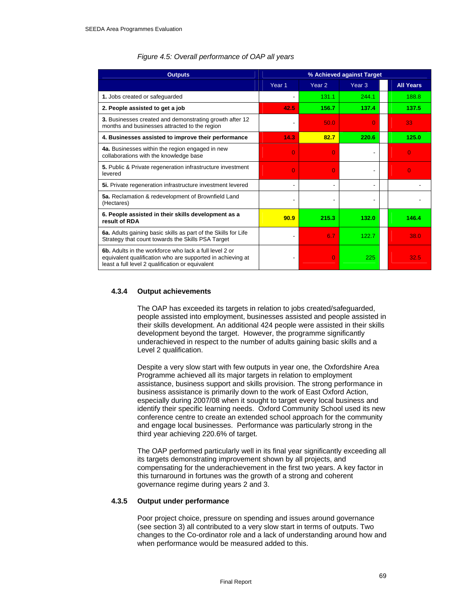| <b>Outputs</b>                                                                                                                                                           | % Achieved against Target |                   |                   |                  |
|--------------------------------------------------------------------------------------------------------------------------------------------------------------------------|---------------------------|-------------------|-------------------|------------------|
|                                                                                                                                                                          | Year <sub>1</sub>         | Year <sub>2</sub> | Year <sub>3</sub> | <b>All Years</b> |
| 1. Jobs created or safeguarded                                                                                                                                           |                           | 131.1             | 244.1             | 188.8            |
| 2. People assisted to get a job                                                                                                                                          | 42.5                      | 156.7             | 137.4             | 137.5            |
| 3. Businesses created and demonstrating growth after 12<br>months and businesses attracted to the region                                                                 |                           | 50.0              | O                 | 33               |
| 4. Businesses assisted to improve their performance                                                                                                                      | 14.3                      | 82.7              | 220.6             | 125.0            |
| 4a. Businesses within the region engaged in new<br>collaborations with the knowledge base                                                                                | $\Omega$                  | O                 |                   | $\Omega$         |
| 5. Public & Private regeneration infrastructure investment<br>levered                                                                                                    | 0                         | $\Omega$          |                   | 0                |
| 5i. Private regeneration infrastructure investment levered                                                                                                               | ٠                         |                   |                   |                  |
| 5a. Reclamation & redevelopment of Brownfield Land<br>(Hectares)                                                                                                         |                           |                   |                   |                  |
| 6. People assisted in their skills development as a<br>result of RDA                                                                                                     | 90.9                      | 215.3             | 132.0             | 146.4            |
| 6a. Adults gaining basic skills as part of the Skills for Life<br>Strategy that count towards the Skills PSA Target                                                      |                           | 6.7               | 122.7             | 38.0             |
| 6b. Adults in the workforce who lack a full level 2 or<br>equivalent qualification who are supported in achieving at<br>least a full level 2 qualification or equivalent |                           | 0                 | 225               | 32.5             |

#### *Figure 4.5: Overall performance of OAP all years*

#### **4.3.4 Output achievements**

The OAP has exceeded its targets in relation to jobs created/safeguarded, people assisted into employment, businesses assisted and people assisted in their skills development. An additional 424 people were assisted in their skills development beyond the target. However, the programme significantly underachieved in respect to the number of adults gaining basic skills and a Level 2 qualification.

Despite a very slow start with few outputs in year one, the Oxfordshire Area Programme achieved all its major targets in relation to employment assistance, business support and skills provision. The strong performance in business assistance is primarily down to the work of East Oxford Action, especially during 2007/08 when it sought to target every local business and identify their specific learning needs. Oxford Community School used its new conference centre to create an extended school approach for the community and engage local businesses. Performance was particularly strong in the third year achieving 220.6% of target.

The OAP performed particularly well in its final year significantly exceeding all its targets demonstrating improvement shown by all projects, and compensating for the underachievement in the first two years. A key factor in this turnaround in fortunes was the growth of a strong and coherent governance regime during years 2 and 3.

## **4.3.5 Output under performance**

Poor project choice, pressure on spending and issues around governance (see section 3) all contributed to a very slow start in terms of outputs. Two changes to the Co-ordinator role and a lack of understanding around how and when performance would be measured added to this.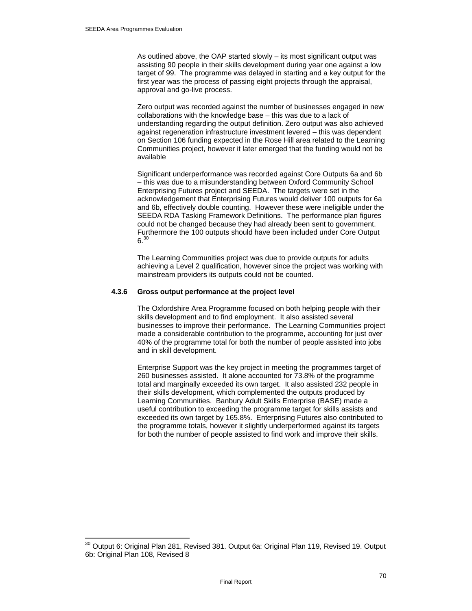$\overline{a}$ 

As outlined above, the OAP started slowly – its most significant output was assisting 90 people in their skills development during year one against a low target of 99. The programme was delayed in starting and a key output for the first year was the process of passing eight projects through the appraisal, approval and go-live process.

Zero output was recorded against the number of businesses engaged in new collaborations with the knowledge base – this was due to a lack of understanding regarding the output definition. Zero output was also achieved against regeneration infrastructure investment levered – this was dependent on Section 106 funding expected in the Rose Hill area related to the Learning Communities project, however it later emerged that the funding would not be available

Significant underperformance was recorded against Core Outputs 6a and 6b – this was due to a misunderstanding between Oxford Community School Enterprising Futures project and SEEDA. The targets were set in the acknowledgement that Enterprising Futures would deliver 100 outputs for 6a and 6b, effectively double counting. However these were ineligible under the SEEDA RDA Tasking Framework Definitions. The performance plan figures could not be changed because they had already been sent to government. Furthermore the 100 outputs should have been included under Core Output  $6.30$ 

The Learning Communities project was due to provide outputs for adults achieving a Level 2 qualification, however since the project was working with mainstream providers its outputs could not be counted.

#### **4.3.6 Gross output performance at the project level**

The Oxfordshire Area Programme focused on both helping people with their skills development and to find employment. It also assisted several businesses to improve their performance. The Learning Communities project made a considerable contribution to the programme, accounting for just over 40% of the programme total for both the number of people assisted into jobs and in skill development.

Enterprise Support was the key project in meeting the programmes target of 260 businesses assisted. It alone accounted for 73.8% of the programme total and marginally exceeded its own target. It also assisted 232 people in their skills development, which complemented the outputs produced by Learning Communities. Banbury Adult Skills Enterprise (BASE) made a useful contribution to exceeding the programme target for skills assists and exceeded its own target by 165.8%. Enterprising Futures also contributed to the programme totals, however it slightly underperformed against its targets for both the number of people assisted to find work and improve their skills.

 $30$  Output 6: Original Plan 281, Revised 381. Output 6a: Original Plan 119, Revised 19. Output 6b: Original Plan 108, Revised 8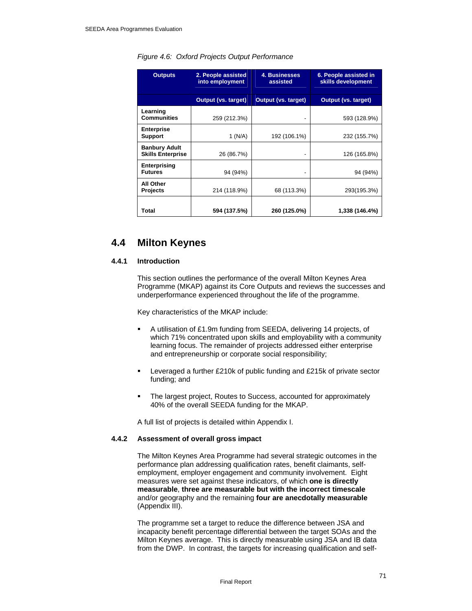| <b>Outputs</b>                                   | 2. People assisted<br>into employment | 4. Businesses<br>assisted  | 6. People assisted in<br>skills development |
|--------------------------------------------------|---------------------------------------|----------------------------|---------------------------------------------|
|                                                  | <b>Output (vs. target)</b>            | <b>Output (vs. target)</b> | <b>Output (vs. target)</b>                  |
| Learning<br><b>Communities</b>                   | 259 (212.3%)                          |                            | 593 (128.9%)                                |
| <b>Enterprise</b><br><b>Support</b>              | 1 (N/A)                               | 192 (106.1%)               | 232 (155.7%)                                |
| <b>Banbury Adult</b><br><b>Skills Enterprise</b> | 26 (86.7%)                            |                            | 126 (165.8%)                                |
| Enterprising<br><b>Futures</b>                   | 94 (94%)                              | $\blacksquare$             | 94 (94%)                                    |
| All Other<br><b>Projects</b>                     | 214 (118.9%)                          | 68 (113.3%)                | 293(195.3%)                                 |
| Total                                            | 594 (137.5%)                          | 260 (125.0%)               | 1,338 (146.4%)                              |

# *Figure 4.6: Oxford Projects Output Performance*

# **4.4 Milton Keynes**

## **4.4.1 Introduction**

This section outlines the performance of the overall Milton Keynes Area Programme (MKAP) against its Core Outputs and reviews the successes and underperformance experienced throughout the life of the programme.

Key characteristics of the MKAP include:

- A utilisation of £1.9m funding from SEEDA, delivering 14 projects, of which 71% concentrated upon skills and employability with a community learning focus. The remainder of projects addressed either enterprise and entrepreneurship or corporate social responsibility;
- Leveraged a further £210k of public funding and £215k of private sector funding; and
- The largest project, Routes to Success, accounted for approximately 40% of the overall SEEDA funding for the MKAP.

A full list of projects is detailed within Appendix I.

# **4.4.2 Assessment of overall gross impact**

The Milton Keynes Area Programme had several strategic outcomes in the performance plan addressing qualification rates, benefit claimants, selfemployment, employer engagement and community involvement. Eight measures were set against these indicators, of which **one is directly measurable**, **three are measurable but with the incorrect timescale** and/or geography and the remaining **four are anecdotally measurable** (Appendix III).

The programme set a target to reduce the difference between JSA and incapacity benefit percentage differential between the target SOAs and the Milton Keynes average. This is directly measurable using JSA and IB data from the DWP. In contrast, the targets for increasing qualification and self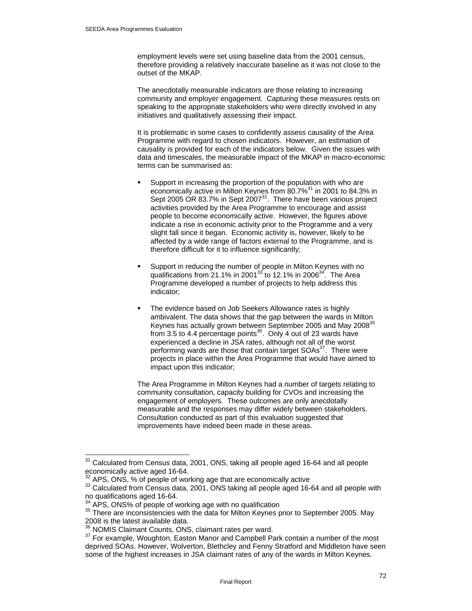employment levels were set using baseline data from the 2001 census, therefore providing a relatively inaccurate baseline as it was not close to the outset of the MKAP.

The anecdotally measurable indicators are those relating to increasing community and employer engagement. Capturing these measures rests on speaking to the appropriate stakeholders who were directly involved in any initiatives and qualitatively assessing their impact.

It is problematic in some cases to confidently assess causality of the Area Programme with regard to chosen indicators. However, an estimation of causality is provided for each of the indicators below. Given the issues with data and timescales, the measurable impact of the MKAP in macro-economic terms can be summarised as:

- Support in increasing the proportion of the population with who are economically active in Milton Keynes from 80.7%<sup>31</sup> in 2001 to 84.3% in Sept 2005 OR 83.7% in Sept 2007<sup>32</sup>. There have been various project activities provided by the Area Programme to encourage and assist people to become economically active. However, the figures above indicate a rise in economic activity prior to the Programme and a very slight fall since it began. Economic activity is, however, likely to be affected by a wide range of factors external to the Programme, and is therefore difficult for it to influence significantly;
- Support in reducing the number of people in Milton Keynes with no qualifications from 21.1% in 2001 $33$  to 12.1% in 2006 $34$ . The Area Programme developed a number of projects to help address this indicator;
- The evidence based on Job Seekers Allowance rates is highly ambivalent. The data shows that the gap between the wards in Milton Keynes has actually grown between September 2005 and May 2008<sup>35</sup> from 3.5 to 4.4 percentage points $36$ . Only 4 out of 23 wards have experienced a decline in JSA rates, although not all of the worst performing wards are those that contain target SOAs<sup>37</sup>. There were projects in place within the Area Programme that would have aimed to impact upon this indicator;

The Area Programme in Milton Keynes had a number of targets relating to community consultation, capacity building for CVOs and increasing the engagement of employers. These outcomes are only anecdotally measurable and the responses may differ widely between stakeholders. Consultation conducted as part of this evaluation suggested that improvements have indeed been made in these areas.

 $\overline{a}$  $31$  Calculated from Census data, 2001, ONS, taking all people aged 16-64 and all people economically active aged 16-64.<br>  $\frac{32}{2}$  APS, ONS, % of people of working age that are economically active

<sup>&</sup>lt;sup>33</sup> Calculated from Census data, 2001, ONS taking all people aged 16-64 and all people with no qualifications aged 16-64.<br><sup>34</sup> APS, ONS% of people of working age with no qualification

 $35$  There are inconsistencies with the data for Milton Keynes prior to September 2005. May 2008 is the latest available data.<br><sup>36</sup> NOMIS Claimant Counts, ONS, claimant rates per ward.

<sup>&</sup>lt;sup>37</sup> For example, Woughton, Easton Manor and Campbell Park contain a number of the most deprived SOAs. However, Wolverton, Blethcley and Fenny Stratford and Middleton have seen some of the highest increases in JSA claimant rates of any of the wards in Milton Keynes.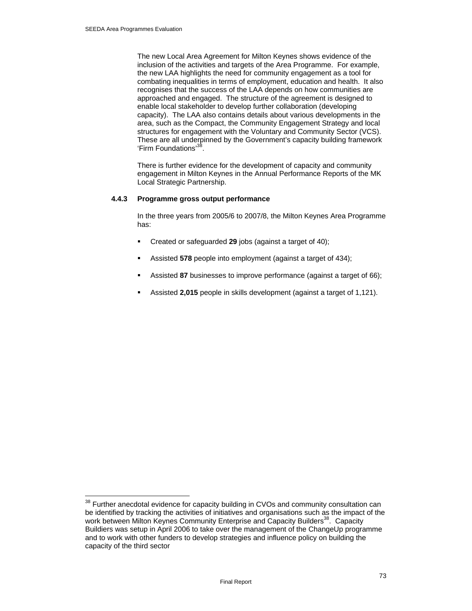$\overline{a}$ 

The new Local Area Agreement for Milton Keynes shows evidence of the inclusion of the activities and targets of the Area Programme. For example, the new LAA highlights the need for community engagement as a tool for combating inequalities in terms of employment, education and health. It also recognises that the success of the LAA depends on how communities are approached and engaged. The structure of the agreement is designed to enable local stakeholder to develop further collaboration (developing capacity). The LAA also contains details about various developments in the area, such as the Compact, the Community Engagement Strategy and local structures for engagement with the Voluntary and Community Sector (VCS). These are all underpinned by the Government's capacity building framework 'Firm Foundations'38.

There is further evidence for the development of capacity and community engagement in Milton Keynes in the Annual Performance Reports of the MK Local Strategic Partnership.

## **4.4.3 Programme gross output performance**

In the three years from 2005/6 to 2007/8, the Milton Keynes Area Programme has:

- Created or safeguarded **29** jobs (against a target of 40);
- Assisted **578** people into employment (against a target of 434);
- Assisted **87** businesses to improve performance (against a target of 66);
- Assisted **2,015** people in skills development (against a target of 1,121).

 $38$  Further anecdotal evidence for capacity building in CVOs and community consultation can be identified by tracking the activities of initiatives and organisations such as the impact of the work between Milton Keynes Community Enterprise and Capacity Builders<sup>38</sup>. Capacity Buildiers was setup in April 2006 to take over the management of the ChangeUp programme and to work with other funders to develop strategies and influence policy on building the capacity of the third sector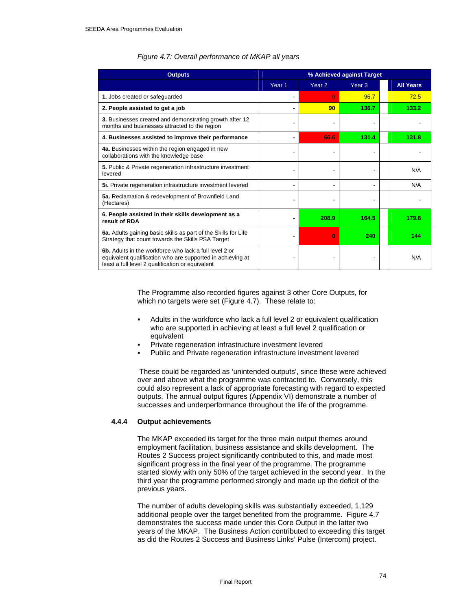| <b>Outputs</b>                                                                                                                                                           | % Achieved against Target |                   |                   |                  |
|--------------------------------------------------------------------------------------------------------------------------------------------------------------------------|---------------------------|-------------------|-------------------|------------------|
|                                                                                                                                                                          | Year <sub>1</sub>         | Year <sub>2</sub> | Year <sub>3</sub> | <b>All Years</b> |
| 1. Jobs created or safeguarded                                                                                                                                           |                           | $\Omega$          | 96.7              | 72.5             |
| 2. People assisted to get a job                                                                                                                                          |                           | 90                | 136.7             | 133.2            |
| 3. Businesses created and demonstrating growth after 12<br>months and businesses attracted to the region                                                                 |                           |                   |                   |                  |
| 4. Businesses assisted to improve their performance                                                                                                                      |                           | 66.6              | 131.4             | 131.8            |
| 4a. Businesses within the region engaged in new<br>collaborations with the knowledge base                                                                                |                           |                   |                   |                  |
| 5. Public & Private regeneration infrastructure investment<br>levered                                                                                                    |                           |                   |                   | N/A              |
| 5i. Private regeneration infrastructure investment levered                                                                                                               |                           |                   |                   | N/A              |
| 5a. Reclamation & redevelopment of Brownfield Land<br>(Hectares)                                                                                                         |                           |                   |                   |                  |
| 6. People assisted in their skills development as a<br>result of RDA                                                                                                     |                           | 208.9             | 164.5             | 179.8            |
| 6a. Adults gaining basic skills as part of the Skills for Life<br>Strategy that count towards the Skills PSA Target                                                      |                           | $\Omega$          | 240               | 144              |
| 6b. Adults in the workforce who lack a full level 2 or<br>equivalent qualification who are supported in achieving at<br>least a full level 2 qualification or equivalent |                           |                   |                   | N/A              |

## *Figure 4.7: Overall performance of MKAP all years*

The Programme also recorded figures against 3 other Core Outputs, for which no targets were set (Figure 4.7). These relate to:

- Adults in the workforce who lack a full level 2 or equivalent qualification who are supported in achieving at least a full level 2 qualification or equivalent
- Private regeneration infrastructure investment levered
- Public and Private regeneration infrastructure investment levered

 These could be regarded as 'unintended outputs', since these were achieved over and above what the programme was contracted to. Conversely, this could also represent a lack of appropriate forecasting with regard to expected outputs. The annual output figures (Appendix VI) demonstrate a number of successes and underperformance throughout the life of the programme.

#### **4.4.4 Output achievements**

The MKAP exceeded its target for the three main output themes around employment facilitation, business assistance and skills development. The Routes 2 Success project significantly contributed to this, and made most significant progress in the final year of the programme. The programme started slowly with only 50% of the target achieved in the second year. In the third year the programme performed strongly and made up the deficit of the previous years.

The number of adults developing skills was substantially exceeded, 1,129 additional people over the target benefited from the programme. Figure 4.7 demonstrates the success made under this Core Output in the latter two years of the MKAP. The Business Action contributed to exceeding this target as did the Routes 2 Success and Business Links' Pulse (Intercom) project.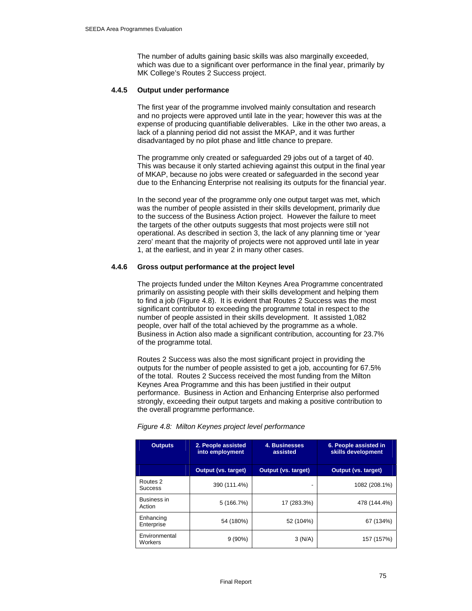The number of adults gaining basic skills was also marginally exceeded, which was due to a significant over performance in the final year, primarily by MK College's Routes 2 Success project.

#### **4.4.5 Output under performance**

The first year of the programme involved mainly consultation and research and no projects were approved until late in the year; however this was at the expense of producing quantifiable deliverables. Like in the other two areas, a lack of a planning period did not assist the MKAP, and it was further disadvantaged by no pilot phase and little chance to prepare.

The programme only created or safeguarded 29 jobs out of a target of 40. This was because it only started achieving against this output in the final year of MKAP, because no jobs were created or safeguarded in the second year due to the Enhancing Enterprise not realising its outputs for the financial year.

In the second year of the programme only one output target was met, which was the number of people assisted in their skills development, primarily due to the success of the Business Action project. However the failure to meet the targets of the other outputs suggests that most projects were still not operational. As described in section 3, the lack of any planning time or 'year zero' meant that the majority of projects were not approved until late in year 1, at the earliest, and in year 2 in many other cases.

## **4.4.6 Gross output performance at the project level**

The projects funded under the Milton Keynes Area Programme concentrated primarily on assisting people with their skills development and helping them to find a job (Figure 4.8). It is evident that Routes 2 Success was the most significant contributor to exceeding the programme total in respect to the number of people assisted in their skills development. It assisted 1,082 people, over half of the total achieved by the programme as a whole. Business in Action also made a significant contribution, accounting for 23.7% of the programme total.

Routes 2 Success was also the most significant project in providing the outputs for the number of people assisted to get a job, accounting for 67.5% of the total. Routes 2 Success received the most funding from the Milton Keynes Area Programme and this has been justified in their output performance. Business in Action and Enhancing Enterprise also performed strongly, exceeding their output targets and making a positive contribution to the overall programme performance.

| <b>Outputs</b>                        | 2. People assisted<br>into employment | 4. Businesses<br>assisted  | 6. People assisted in<br>skills development |
|---------------------------------------|---------------------------------------|----------------------------|---------------------------------------------|
|                                       | <b>Output (vs. target)</b>            | <b>Output (vs. target)</b> | <b>Output (vs. target)</b>                  |
| Routes <sub>2</sub><br><b>Success</b> | 390 (111.4%)                          |                            | 1082 (208.1%)                               |
| Business in<br>Action                 | 5 (166.7%)                            | 17 (283.3%)                | 478 (144.4%)                                |
| Enhancing<br>Enterprise               | 54 (180%)                             | 52 (104%)                  | 67 (134%)                                   |
| Environmental<br>Workers              | $9(90\%)$                             | 3(N/A)                     | 157 (157%)                                  |

#### *Figure 4.8: Milton Keynes project level performance*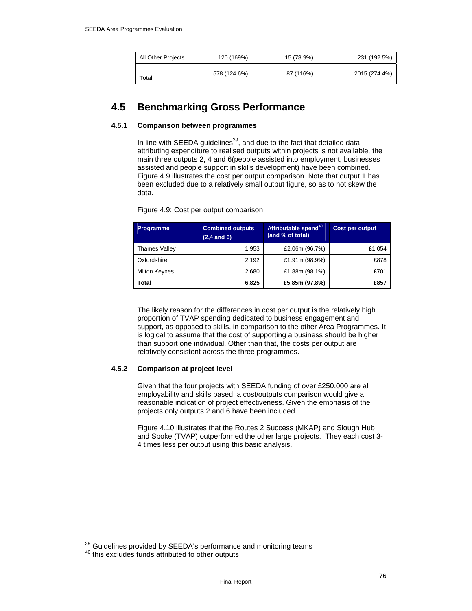| All Other Projects | 120 (169%)   | 15 (78.9%) | 231 (192.5%)  |
|--------------------|--------------|------------|---------------|
| Total              | 578 (124.6%) | 87 (116%)  | 2015 (274.4%) |

# **4.5 Benchmarking Gross Performance**

## **4.5.1 Comparison between programmes**

In line with SEEDA guidelines<sup>39</sup>, and due to the fact that detailed data attributing expenditure to realised outputs within projects is not available, the main three outputs 2, 4 and 6(people assisted into employment, businesses assisted and people support in skills development) have been combined. Figure 4.9 illustrates the cost per output comparison. Note that output 1 has been excluded due to a relatively small output figure, so as to not skew the data.

**Programme Combined outputs (2,4 and 6) Attributable spend<sup>40</sup> (and % of total) Cost per output**  Thames Valley 1,953 | £2.06m (96.7%)  $\vert$  £1,054 Oxfordshire 2,192 **£1.91m** (98.9%) **E878** 

Figure 4.9: Cost per output comparison

The likely reason for the differences in cost per output is the relatively high proportion of TVAP spending dedicated to business engagement and support, as opposed to skills, in comparison to the other Area Programmes. It is logical to assume that the cost of supporting a business should be higher than support one individual. Other than that, the costs per output are relatively consistent across the three programmes.

Milton Keynes 2,680 **£1.88m** (98.1%) **ETO1 Total 6,825 £5.85m (97.8%) £857** 

# **4.5.2 Comparison at project level**

Given that the four projects with SEEDA funding of over £250,000 are all employability and skills based, a cost/outputs comparison would give a reasonable indication of project effectiveness. Given the emphasis of the projects only outputs 2 and 6 have been included.

Figure 4.10 illustrates that the Routes 2 Success (MKAP) and Slough Hub and Spoke (TVAP) outperformed the other large projects. They each cost 3- 4 times less per output using this basic analysis.

 $\overline{a}$ 

 $^{39}$  Guidelines provided by SEEDA's performance and monitoring teams<br><sup>40</sup> this excludes funds attributed to other outputs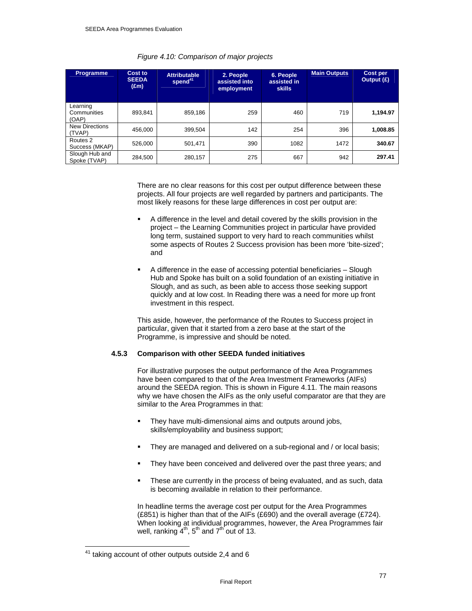| <b>Programme</b>                 | Cost to<br><b>SEEDA</b><br>$(\text{Em})$ | <b>Attributable</b><br>spend <sup>41</sup> | 2. People<br>assisted into<br>employment | 6. People<br>assisted in<br>skills | <b>Main Outputs</b> | Cost per<br>Output (£) |
|----------------------------------|------------------------------------------|--------------------------------------------|------------------------------------------|------------------------------------|---------------------|------------------------|
| Learning<br>Communities<br>(OAP) | 893,841                                  | 859,186                                    | 259                                      | 460                                | 719                 | 1,194.97               |
| <b>New Directions</b><br>(TVAP)  | 456.000                                  | 399.504                                    | 142                                      | 254                                | 396                 | 1,008.85               |
| Routes 2<br>Success (MKAP)       | 526,000                                  | 501.471                                    | 390                                      | 1082                               | 1472                | 340.67                 |
| Slough Hub and<br>Spoke (TVAP)   | 284,500                                  | 280,157                                    | 275                                      | 667                                | 942                 | 297.41                 |

#### *Figure 4.10: Comparison of major projects*

There are no clear reasons for this cost per output difference between these projects. All four projects are well regarded by partners and participants. The most likely reasons for these large differences in cost per output are:

- A difference in the level and detail covered by the skills provision in the project – the Learning Communities project in particular have provided long term, sustained support to very hard to reach communities whilst some aspects of Routes 2 Success provision has been more 'bite-sized'; and
- A difference in the ease of accessing potential beneficiaries Slough Hub and Spoke has built on a solid foundation of an existing initiative in Slough, and as such, as been able to access those seeking support quickly and at low cost. In Reading there was a need for more up front investment in this respect.

This aside, however, the performance of the Routes to Success project in particular, given that it started from a zero base at the start of the Programme, is impressive and should be noted.

#### **4.5.3 Comparison with other SEEDA funded initiatives**

For illustrative purposes the output performance of the Area Programmes have been compared to that of the Area Investment Frameworks (AIFs) around the SEEDA region. This is shown in Figure 4.11. The main reasons why we have chosen the AIFs as the only useful comparator are that they are similar to the Area Programmes in that:

- They have multi-dimensional aims and outputs around jobs, skills/employability and business support;
- They are managed and delivered on a sub-regional and / or local basis;
- They have been conceived and delivered over the past three years; and
- These are currently in the process of being evaluated, and as such, data is becoming available in relation to their performance.

In headline terms the average cost per output for the Area Programmes (£851) is higher than that of the AIFs (£690) and the overall average (£724). When looking at individual programmes, however, the Area Programmes fair well, ranking  $4<sup>th</sup>$ ,  $5<sup>th</sup>$  and  $7<sup>th</sup>$  out of 13.

<sup>41</sup> taking account of other outputs outside 2,4 and 6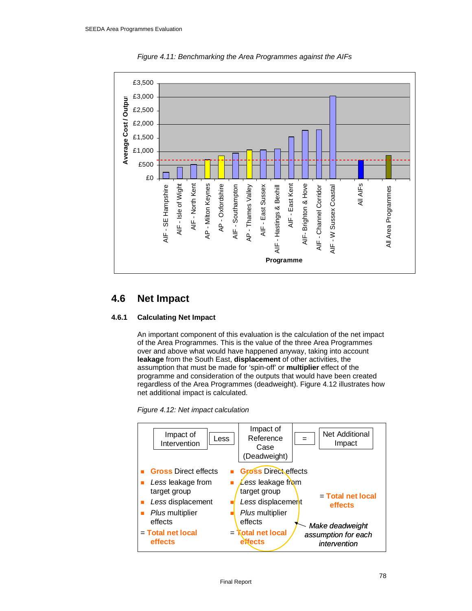

*Figure 4.11: Benchmarking the Area Programmes against the AIFs* 

# **4.6 Net Impact**

# **4.6.1 Calculating Net Impact**

An important component of this evaluation is the calculation of the net impact of the Area Programmes. This is the value of the three Area Programmes over and above what would have happened anyway, taking into account **leakage** from the South East, **displacement** of other activities, the assumption that must be made for 'spin-off' or **multiplier** effect of the programme and consideration of the outputs that would have been created regardless of the Area Programmes (deadweight). Figure 4.12 illustrates how net additional impact is calculated.

*Figure 4.12: Net impact calculation* 

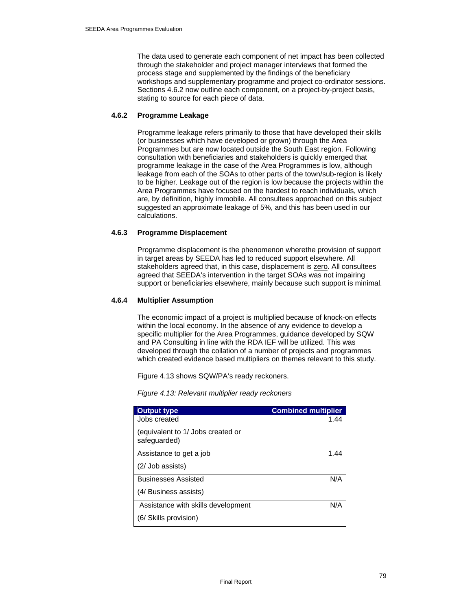The data used to generate each component of net impact has been collected through the stakeholder and project manager interviews that formed the process stage and supplemented by the findings of the beneficiary workshops and supplementary programme and project co-ordinator sessions. Sections 4.6.2 now outline each component, on a project-by-project basis, stating to source for each piece of data.

#### **4.6.2 Programme Leakage**

Programme leakage refers primarily to those that have developed their skills (or businesses which have developed or grown) through the Area Programmes but are now located outside the South East region. Following consultation with beneficiaries and stakeholders is quickly emerged that programme leakage in the case of the Area Programmes is low, although leakage from each of the SOAs to other parts of the town/sub-region is likely to be higher. Leakage out of the region is low because the projects within the Area Programmes have focused on the hardest to reach individuals, which are, by definition, highly immobile. All consultees approached on this subject suggested an approximate leakage of 5%, and this has been used in our calculations.

# **4.6.3 Programme Displacement**

Programme displacement is the phenomenon wherethe provision of support in target areas by SEEDA has led to reduced support elsewhere. All stakeholders agreed that, in this case, displacement is zero. All consultees agreed that SEEDA's intervention in the target SOAs was not impairing support or beneficiaries elsewhere, mainly because such support is minimal.

## **4.6.4 Multiplier Assumption**

The economic impact of a project is multiplied because of knock-on effects within the local economy. In the absence of any evidence to develop a specific multiplier for the Area Programmes, guidance developed by SQW and PA Consulting in line with the RDA IEF will be utilized. This was developed through the collation of a number of projects and programmes which created evidence based multipliers on themes relevant to this study.

Figure 4.13 shows SQW/PA's ready reckoners.

*Figure 4.13: Relevant multiplier ready reckoners* 

| <b>Output type</b>                                | <b>Combined multiplier</b> |
|---------------------------------------------------|----------------------------|
| Jobs created                                      | 1.44                       |
| (equivalent to 1/ Jobs created or<br>safeguarded) |                            |
| Assistance to get a job                           | 1.44                       |
| (2/ Job assists)                                  |                            |
| <b>Businesses Assisted</b>                        | N/A                        |
| (4/ Business assists)                             |                            |
| Assistance with skills development                | N/A                        |
| (6/ Skills provision)                             |                            |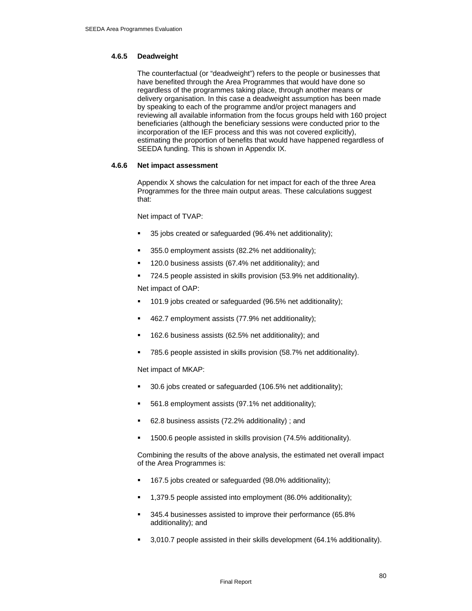## **4.6.5 Deadweight**

The counterfactual (or "deadweight") refers to the people or businesses that have benefited through the Area Programmes that would have done so regardless of the programmes taking place, through another means or delivery organisation. In this case a deadweight assumption has been made by speaking to each of the programme and/or project managers and reviewing all available information from the focus groups held with 160 project beneficiaries (although the beneficiary sessions were conducted prior to the incorporation of the IEF process and this was not covered explicitly), estimating the proportion of benefits that would have happened regardless of SEEDA funding. This is shown in Appendix IX.

## **4.6.6 Net impact assessment**

Appendix X shows the calculation for net impact for each of the three Area Programmes for the three main output areas. These calculations suggest that:

Net impact of TVAP:

- 35 jobs created or safeguarded (96.4% net additionality);
- 355.0 employment assists (82.2% net additionality);
- 120.0 business assists (67.4% net additionality); and
- 724.5 people assisted in skills provision (53.9% net additionality).

Net impact of OAP:

- 101.9 jobs created or safeguarded (96.5% net additionality);
- 462.7 employment assists (77.9% net additionality);
- 162.6 business assists (62.5% net additionality); and
- 785.6 people assisted in skills provision (58.7% net additionality).

Net impact of MKAP:

- 30.6 jobs created or safeguarded (106.5% net additionality);
- 561.8 employment assists (97.1% net additionality);
- 62.8 business assists (72.2% additionality) ; and
- 1500.6 people assisted in skills provision (74.5% additionality).

Combining the results of the above analysis, the estimated net overall impact of the Area Programmes is:

- 167.5 jobs created or safeguarded (98.0% additionality);
- 1,379.5 people assisted into employment (86.0% additionality);
- 345.4 businesses assisted to improve their performance (65.8% additionality); and
- 3,010.7 people assisted in their skills development (64.1% additionality).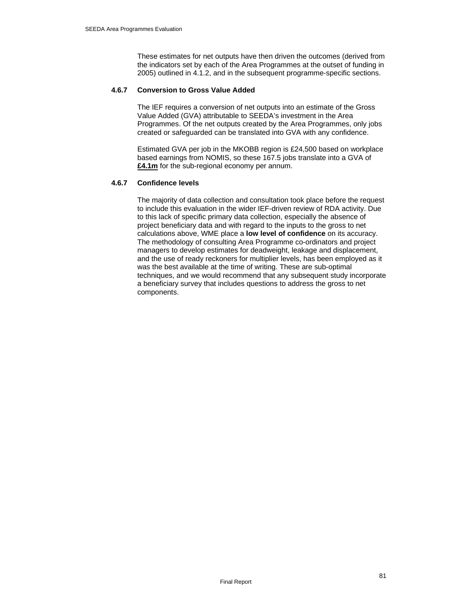These estimates for net outputs have then driven the outcomes (derived from the indicators set by each of the Area Programmes at the outset of funding in 2005) outlined in 4.1.2, and in the subsequent programme-specific sections.

#### **4.6.7 Conversion to Gross Value Added**

The IEF requires a conversion of net outputs into an estimate of the Gross Value Added (GVA) attributable to SEEDA's investment in the Area Programmes. Of the net outputs created by the Area Programmes, only jobs created or safeguarded can be translated into GVA with any confidence.

Estimated GVA per job in the MKOBB region is £24,500 based on workplace based earnings from NOMIS, so these 167.5 jobs translate into a GVA of **£4.1m** for the sub-regional economy per annum.

# **4.6.7 Confidence levels**

The majority of data collection and consultation took place before the request to include this evaluation in the wider IEF-driven review of RDA activity. Due to this lack of specific primary data collection, especially the absence of project beneficiary data and with regard to the inputs to the gross to net calculations above, WME place a **low level of confidence** on its accuracy. The methodology of consulting Area Programme co-ordinators and project managers to develop estimates for deadweight, leakage and displacement, and the use of ready reckoners for multiplier levels, has been employed as it was the best available at the time of writing. These are sub-optimal techniques, and we would recommend that any subsequent study incorporate a beneficiary survey that includes questions to address the gross to net components.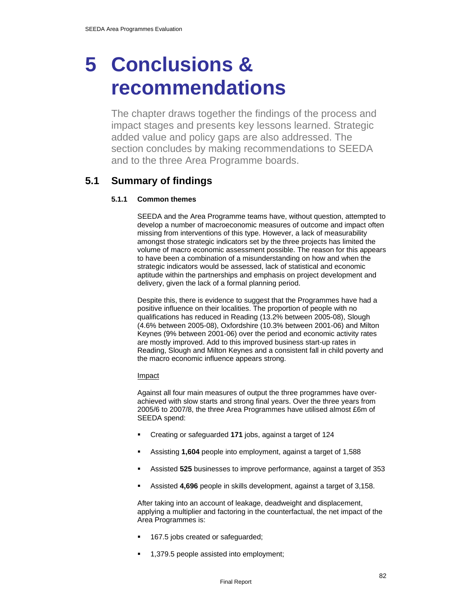# **5 Conclusions & recommendations**

The chapter draws together the findings of the process and impact stages and presents key lessons learned. Strategic added value and policy gaps are also addressed. The section concludes by making recommendations to SEEDA and to the three Area Programme boards.

# **5.1 Summary of findings**

# **5.1.1 Common themes**

SEEDA and the Area Programme teams have, without question, attempted to develop a number of macroeconomic measures of outcome and impact often missing from interventions of this type. However, a lack of measurability amongst those strategic indicators set by the three projects has limited the volume of macro economic assessment possible. The reason for this appears to have been a combination of a misunderstanding on how and when the strategic indicators would be assessed, lack of statistical and economic aptitude within the partnerships and emphasis on project development and delivery, given the lack of a formal planning period.

Despite this, there is evidence to suggest that the Programmes have had a positive influence on their localities. The proportion of people with no qualifications has reduced in Reading (13.2% between 2005-08), Slough (4.6% between 2005-08), Oxfordshire (10.3% between 2001-06) and Milton Keynes (9% between 2001-06) over the period and economic activity rates are mostly improved. Add to this improved business start-up rates in Reading, Slough and Milton Keynes and a consistent fall in child poverty and the macro economic influence appears strong.

# Impact

Against all four main measures of output the three programmes have overachieved with slow starts and strong final years. Over the three years from 2005/6 to 2007/8, the three Area Programmes have utilised almost £6m of SEEDA spend:

- Creating or safeguarded **171** jobs, against a target of 124
- Assisting **1,604** people into employment, against a target of 1,588
- Assisted **525** businesses to improve performance, against a target of 353
- Assisted **4,696** people in skills development, against a target of 3,158.

After taking into an account of leakage, deadweight and displacement, applying a multiplier and factoring in the counterfactual, the net impact of the Area Programmes is:

- 167.5 jobs created or safeguarded;
- 1,379.5 people assisted into employment;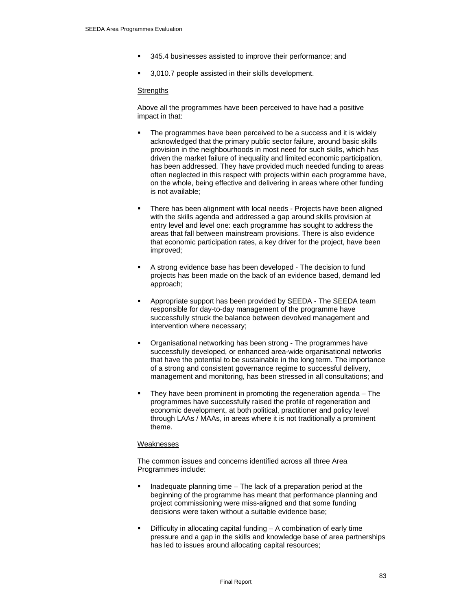- 345.4 businesses assisted to improve their performance; and
- 3,010.7 people assisted in their skills development.

#### **Strengths**

Above all the programmes have been perceived to have had a positive impact in that:

- The programmes have been perceived to be a success and it is widely acknowledged that the primary public sector failure, around basic skills provision in the neighbourhoods in most need for such skills, which has driven the market failure of inequality and limited economic participation, has been addressed. They have provided much needed funding to areas often neglected in this respect with projects within each programme have, on the whole, being effective and delivering in areas where other funding is not available;
- There has been alignment with local needs Projects have been aligned with the skills agenda and addressed a gap around skills provision at entry level and level one: each programme has sought to address the areas that fall between mainstream provisions. There is also evidence that economic participation rates, a key driver for the project, have been improved;
- A strong evidence base has been developed The decision to fund projects has been made on the back of an evidence based, demand led approach;
- Appropriate support has been provided by SEEDA The SEEDA team responsible for day-to-day management of the programme have successfully struck the balance between devolved management and intervention where necessary;
- Organisational networking has been strong The programmes have successfully developed, or enhanced area-wide organisational networks that have the potential to be sustainable in the long term. The importance of a strong and consistent governance regime to successful delivery, management and monitoring, has been stressed in all consultations; and
- They have been prominent in promoting the regeneration agenda The programmes have successfully raised the profile of regeneration and economic development, at both political, practitioner and policy level through LAAs / MAAs, in areas where it is not traditionally a prominent theme.

#### Weaknesses

The common issues and concerns identified across all three Area Programmes include:

- Inadequate planning time The lack of a preparation period at the beginning of the programme has meant that performance planning and project commissioning were miss-aligned and that some funding decisions were taken without a suitable evidence base;
- Difficulty in allocating capital funding A combination of early time pressure and a gap in the skills and knowledge base of area partnerships has led to issues around allocating capital resources;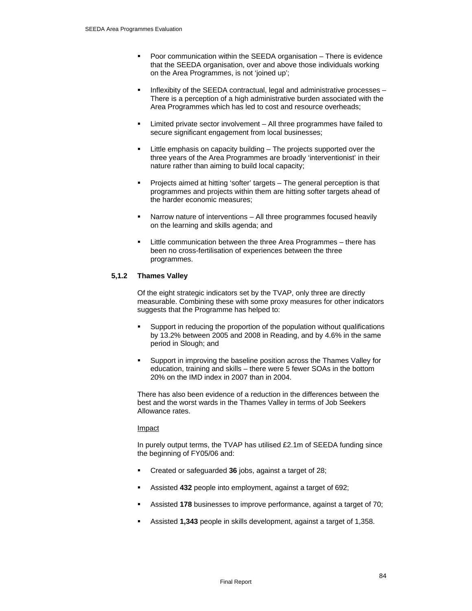- **Poor communication within the SEEDA organisation There is evidence** that the SEEDA organisation, over and above those individuals working on the Area Programmes, is not 'joined up';
- Inflexibity of the SEEDA contractual, legal and administrative processes There is a perception of a high administrative burden associated with the Area Programmes which has led to cost and resource overheads;
- Limited private sector involvement All three programmes have failed to secure significant engagement from local businesses;
- Little emphasis on capacity building The projects supported over the three years of the Area Programmes are broadly 'interventionist' in their nature rather than aiming to build local capacity;
- Projects aimed at hitting 'softer' targets The general perception is that programmes and projects within them are hitting softer targets ahead of the harder economic measures;
- Narrow nature of interventions All three programmes focused heavily on the learning and skills agenda; and
- Little communication between the three Area Programmes there has been no cross-fertilisation of experiences between the three programmes.

# **5,1.2 Thames Valley**

Of the eight strategic indicators set by the TVAP, only three are directly measurable. Combining these with some proxy measures for other indicators suggests that the Programme has helped to:

- Support in reducing the proportion of the population without qualifications by 13.2% between 2005 and 2008 in Reading, and by 4.6% in the same period in Slough; and
- Support in improving the baseline position across the Thames Valley for education, training and skills – there were 5 fewer SOAs in the bottom 20% on the IMD index in 2007 than in 2004.

There has also been evidence of a reduction in the differences between the best and the worst wards in the Thames Valley in terms of Job Seekers Allowance rates.

#### Impact

In purely output terms, the TVAP has utilised £2.1m of SEEDA funding since the beginning of FY05/06 and:

- Created or safeguarded **36** jobs, against a target of 28;
- Assisted **432** people into employment, against a target of 692;
- Assisted **178** businesses to improve performance, against a target of 70;
- Assisted **1,343** people in skills development, against a target of 1,358.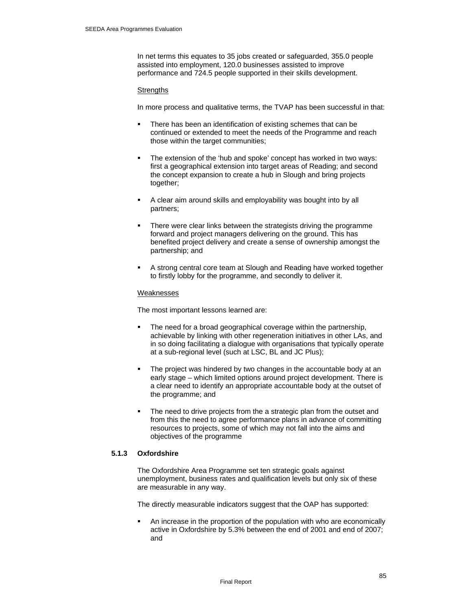In net terms this equates to 35 jobs created or safeguarded, 355.0 people assisted into employment, 120.0 businesses assisted to improve performance and 724.5 people supported in their skills development.

#### **Strengths**

In more process and qualitative terms, the TVAP has been successful in that:

- There has been an identification of existing schemes that can be continued or extended to meet the needs of the Programme and reach those within the target communities;
- The extension of the 'hub and spoke' concept has worked in two ways: first a geographical extension into target areas of Reading; and second the concept expansion to create a hub in Slough and bring projects together;
- A clear aim around skills and employability was bought into by all partners;
- There were clear links between the strategists driving the programme forward and project managers delivering on the ground. This has benefited project delivery and create a sense of ownership amongst the partnership; and
- A strong central core team at Slough and Reading have worked together to firstly lobby for the programme, and secondly to deliver it.

#### Weaknesses

The most important lessons learned are:

- The need for a broad geographical coverage within the partnership, achievable by linking with other regeneration initiatives in other LAs, and in so doing facilitating a dialogue with organisations that typically operate at a sub-regional level (such at LSC, BL and JC Plus);
- The project was hindered by two changes in the accountable body at an early stage – which limited options around project development. There is a clear need to identify an appropriate accountable body at the outset of the programme; and
- The need to drive projects from the a strategic plan from the outset and from this the need to agree performance plans in advance of committing resources to projects, some of which may not fall into the aims and objectives of the programme

## **5.1.3 Oxfordshire**

The Oxfordshire Area Programme set ten strategic goals against unemployment, business rates and qualification levels but only six of these are measurable in any way.

The directly measurable indicators suggest that the OAP has supported:

 An increase in the proportion of the population with who are economically active in Oxfordshire by 5.3% between the end of 2001 and end of 2007; and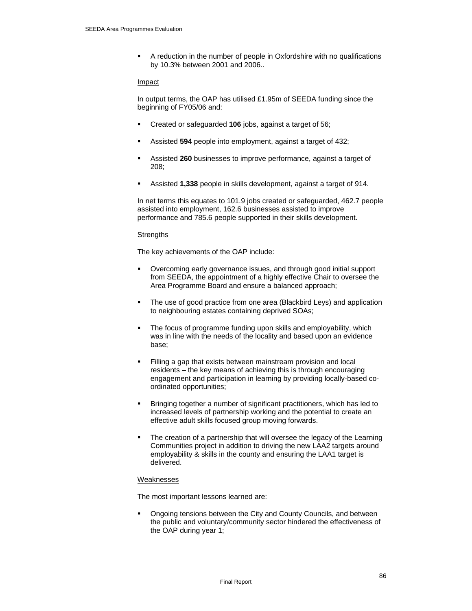A reduction in the number of people in Oxfordshire with no qualifications by 10.3% between 2001 and 2006..

#### Impact

In output terms, the OAP has utilised £1.95m of SEEDA funding since the beginning of FY05/06 and:

- Created or safeguarded **106** jobs, against a target of 56;
- Assisted **594** people into employment, against a target of 432;
- Assisted **260** businesses to improve performance, against a target of 208;
- Assisted **1,338** people in skills development, against a target of 914.

In net terms this equates to 101.9 jobs created or safeguarded, 462.7 people assisted into employment, 162.6 businesses assisted to improve performance and 785.6 people supported in their skills development.

#### **Strengths**

The key achievements of the OAP include:

- Overcoming early governance issues, and through good initial support from SEEDA, the appointment of a highly effective Chair to oversee the Area Programme Board and ensure a balanced approach;
- The use of good practice from one area (Blackbird Leys) and application to neighbouring estates containing deprived SOAs;
- The focus of programme funding upon skills and employability, which was in line with the needs of the locality and based upon an evidence base;
- Filling a gap that exists between mainstream provision and local residents – the key means of achieving this is through encouraging engagement and participation in learning by providing locally-based coordinated opportunities;
- Bringing together a number of significant practitioners, which has led to increased levels of partnership working and the potential to create an effective adult skills focused group moving forwards.
- The creation of a partnership that will oversee the legacy of the Learning Communities project in addition to driving the new LAA2 targets around employability & skills in the county and ensuring the LAA1 target is delivered.

#### Weaknesses

The most important lessons learned are:

 Ongoing tensions between the City and County Councils, and between the public and voluntary/community sector hindered the effectiveness of the OAP during year 1;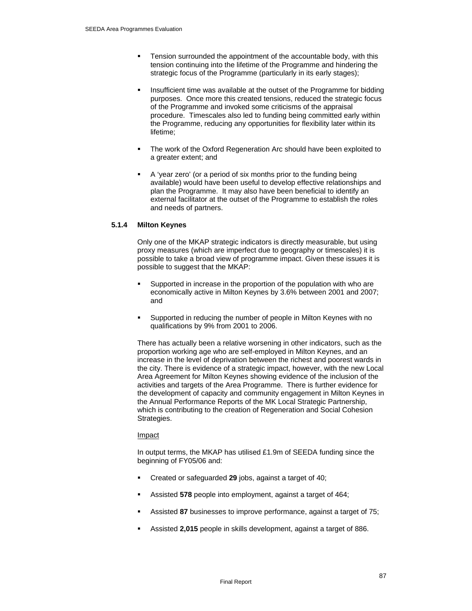- Tension surrounded the appointment of the accountable body, with this tension continuing into the lifetime of the Programme and hindering the strategic focus of the Programme (particularly in its early stages);
- Insufficient time was available at the outset of the Programme for bidding purposes. Once more this created tensions, reduced the strategic focus of the Programme and invoked some criticisms of the appraisal procedure. Timescales also led to funding being committed early within the Programme, reducing any opportunities for flexibility later within its lifetime;
- The work of the Oxford Regeneration Arc should have been exploited to a greater extent; and
- A 'year zero' (or a period of six months prior to the funding being available) would have been useful to develop effective relationships and plan the Programme. It may also have been beneficial to identify an external facilitator at the outset of the Programme to establish the roles and needs of partners.

## **5.1.4 Milton Keynes**

Only one of the MKAP strategic indicators is directly measurable, but using proxy measures (which are imperfect due to geography or timescales) it is possible to take a broad view of programme impact. Given these issues it is possible to suggest that the MKAP:

- Supported in increase in the proportion of the population with who are economically active in Milton Keynes by 3.6% between 2001 and 2007; and
- Supported in reducing the number of people in Milton Keynes with no qualifications by 9% from 2001 to 2006.

There has actually been a relative worsening in other indicators, such as the proportion working age who are self-employed in Milton Keynes, and an increase in the level of deprivation between the richest and poorest wards in the city. There is evidence of a strategic impact, however, with the new Local Area Agreement for Milton Keynes showing evidence of the inclusion of the activities and targets of the Area Programme. There is further evidence for the development of capacity and community engagement in Milton Keynes in the Annual Performance Reports of the MK Local Strategic Partnership, which is contributing to the creation of Regeneration and Social Cohesion Strategies.

#### Impact

In output terms, the MKAP has utilised £1.9m of SEEDA funding since the beginning of FY05/06 and:

- Created or safeguarded **29** jobs, against a target of 40;
- Assisted **578** people into employment, against a target of 464;
- Assisted **87** businesses to improve performance, against a target of 75;
- Assisted **2,015** people in skills development, against a target of 886.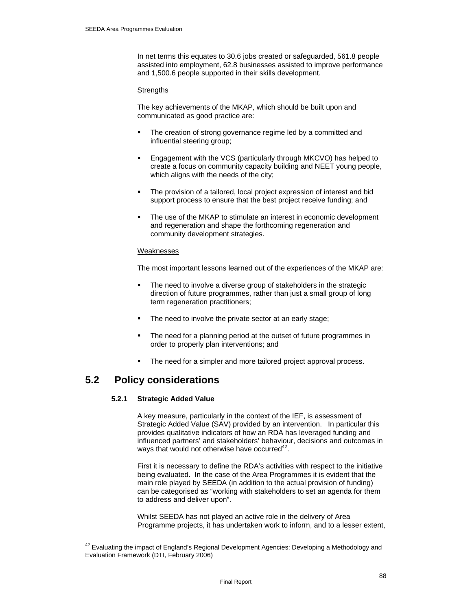In net terms this equates to 30.6 jobs created or safeguarded, 561.8 people assisted into employment, 62.8 businesses assisted to improve performance and 1,500.6 people supported in their skills development.

#### **Strengths**

The key achievements of the MKAP, which should be built upon and communicated as good practice are:

- The creation of strong governance regime led by a committed and influential steering group;
- Engagement with the VCS (particularly through MKCVO) has helped to create a focus on community capacity building and NEET young people, which aligns with the needs of the city;
- The provision of a tailored, local project expression of interest and bid support process to ensure that the best project receive funding; and
- The use of the MKAP to stimulate an interest in economic development and regeneration and shape the forthcoming regeneration and community development strategies.

#### Weaknesses

The most important lessons learned out of the experiences of the MKAP are:

- The need to involve a diverse group of stakeholders in the strategic direction of future programmes, rather than just a small group of long term regeneration practitioners;
- The need to involve the private sector at an early stage;
- The need for a planning period at the outset of future programmes in order to properly plan interventions; and
- The need for a simpler and more tailored project approval process.

# **5.2 Policy considerations**

 $\overline{a}$ 

#### **5.2.1 Strategic Added Value**

A key measure, particularly in the context of the IEF, is assessment of Strategic Added Value (SAV) provided by an intervention. In particular this provides qualitative indicators of how an RDA has leveraged funding and influenced partners' and stakeholders' behaviour, decisions and outcomes in ways that would not otherwise have occurred $42$ .

First it is necessary to define the RDA's activities with respect to the initiative being evaluated. In the case of the Area Programmes it is evident that the main role played by SEEDA (in addition to the actual provision of funding) can be categorised as "working with stakeholders to set an agenda for them to address and deliver upon".

Whilst SEEDA has not played an active role in the delivery of Area Programme projects, it has undertaken work to inform, and to a lesser extent,

 $^{42}$  Evaluating the impact of England's Regional Development Agencies: Developing a Methodology and Evaluation Framework (DTI, February 2006)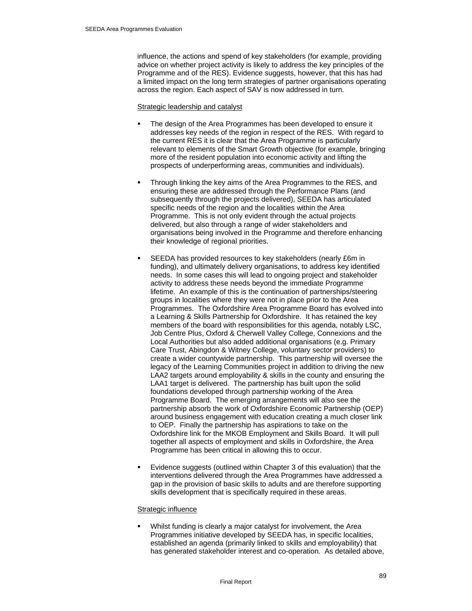influence, the actions and spend of key stakeholders (for example, providing advice on whether project activity is likely to address the key principles of the Programme and of the RES). Evidence suggests, however, that this has had a limited impact on the long term strategies of partner organisations operating across the region. Each aspect of SAV is now addressed in turn.

#### Strategic leadership and catalyst

- The design of the Area Programmes has been developed to ensure it addresses key needs of the region in respect of the RES. With regard to the current RES it is clear that the Area Programme is particularly relevant to elements of the Smart Growth objective (for example, bringing more of the resident population into economic activity and lifting the prospects of underperforming areas, communities and individuals).
- Through linking the key aims of the Area Programmes to the RES, and ensuring these are addressed through the Performance Plans (and subsequently through the projects delivered), SEEDA has articulated specific needs of the region and the localities within the Area Programme. This is not only evident through the actual projects delivered, but also through a range of wider stakeholders and organisations being involved in the Programme and therefore enhancing their knowledge of regional priorities.
- SEEDA has provided resources to key stakeholders (nearly £6m in funding), and ultimately delivery organisations, to address key identified needs. In some cases this will lead to ongoing project and stakeholder activity to address these needs beyond the immediate Programme lifetime. An example of this is the continuation of partnerships/steering groups in localities where they were not in place prior to the Area Programmes. The Oxfordshire Area Programme Board has evolved into a Learning & Skills Partnership for Oxfordshire. It has retained the key members of the board with responsibilities for this agenda, notably LSC, Job Centre Plus, Oxford & Cherwell Valley College, Connexions and the Local Authorities but also added additional organisations (e.g. Primary Care Trust, Abingdon & Witney College, voluntary sector providers) to create a wider countywide partnership. This partnership will oversee the legacy of the Learning Communities project in addition to driving the new LAA2 targets around employability & skills in the county and ensuring the LAA1 target is delivered. The partnership has built upon the solid foundations developed through partnership working of the Area Programme Board. The emerging arrangements will also see the partnership absorb the work of Oxfordshire Economic Partnership (OEP) around business engagement with education creating a much closer link to OEP. Finally the partnership has aspirations to take on the Oxfordshire link for the MKOB Employment and Skills Board. It will pull together all aspects of employment and skills in Oxfordshire, the Area Programme has been critical in allowing this to occur.
- Evidence suggests (outlined within Chapter 3 of this evaluation) that the interventions delivered through the Area Programmes have addressed a gap in the provision of basic skills to adults and are therefore supporting skills development that is specifically required in these areas.

#### Strategic influence

 Whilst funding is clearly a major catalyst for involvement, the Area Programmes initiative developed by SEEDA has, in specific localities, established an agenda (primarily linked to skills and employability) that has generated stakeholder interest and co-operation. As detailed above,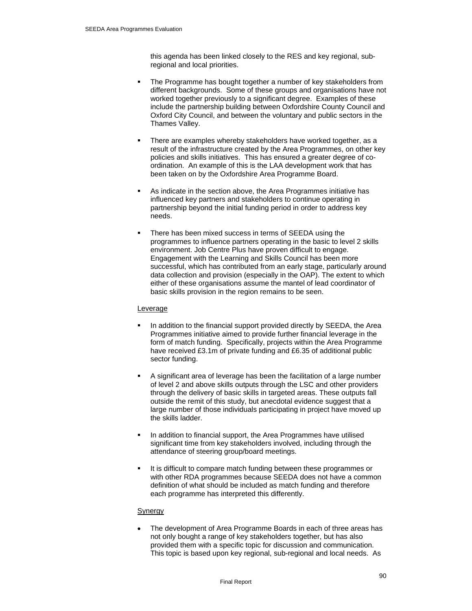this agenda has been linked closely to the RES and key regional, subregional and local priorities.

- The Programme has bought together a number of key stakeholders from different backgrounds. Some of these groups and organisations have not worked together previously to a significant degree. Examples of these include the partnership building between Oxfordshire County Council and Oxford City Council, and between the voluntary and public sectors in the Thames Valley.
- There are examples whereby stakeholders have worked together, as a result of the infrastructure created by the Area Programmes, on other key policies and skills initiatives. This has ensured a greater degree of coordination. An example of this is the LAA development work that has been taken on by the Oxfordshire Area Programme Board.
- As indicate in the section above, the Area Programmes initiative has influenced key partners and stakeholders to continue operating in partnership beyond the initial funding period in order to address key needs.
- There has been mixed success in terms of SEEDA using the programmes to influence partners operating in the basic to level 2 skills environment. Job Centre Plus have proven difficult to engage. Engagement with the Learning and Skills Council has been more successful, which has contributed from an early stage, particularly around data collection and provision (especially in the OAP). The extent to which either of these organisations assume the mantel of lead coordinator of basic skills provision in the region remains to be seen.

#### Leverage

- In addition to the financial support provided directly by SEEDA, the Area Programmes initiative aimed to provide further financial leverage in the form of match funding. Specifically, projects within the Area Programme have received £3.1m of private funding and £6.35 of additional public sector funding.
- A significant area of leverage has been the facilitation of a large number of level 2 and above skills outputs through the LSC and other providers through the delivery of basic skills in targeted areas. These outputs fall outside the remit of this study, but anecdotal evidence suggest that a large number of those individuals participating in project have moved up the skills ladder.
- In addition to financial support, the Area Programmes have utilised significant time from key stakeholders involved, including through the attendance of steering group/board meetings.
- It is difficult to compare match funding between these programmes or with other RDA programmes because SEEDA does not have a common definition of what should be included as match funding and therefore each programme has interpreted this differently.

#### Synergy

The development of Area Programme Boards in each of three areas has not only bought a range of key stakeholders together, but has also provided them with a specific topic for discussion and communication. This topic is based upon key regional, sub-regional and local needs. As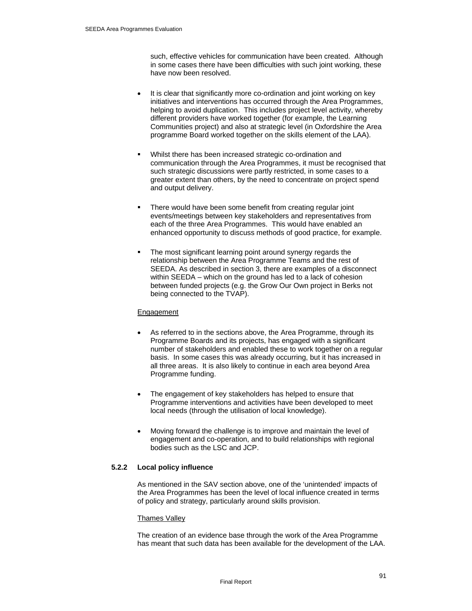such, effective vehicles for communication have been created. Although in some cases there have been difficulties with such joint working, these have now been resolved.

- It is clear that significantly more co-ordination and joint working on key initiatives and interventions has occurred through the Area Programmes, helping to avoid duplication. This includes project level activity, whereby different providers have worked together (for example, the Learning Communities project) and also at strategic level (in Oxfordshire the Area programme Board worked together on the skills element of the LAA).
- Whilst there has been increased strategic co-ordination and communication through the Area Programmes, it must be recognised that such strategic discussions were partly restricted, in some cases to a greater extent than others, by the need to concentrate on project spend and output delivery.
- There would have been some benefit from creating regular joint events/meetings between key stakeholders and representatives from each of the three Area Programmes. This would have enabled an enhanced opportunity to discuss methods of good practice, for example.
- The most significant learning point around synergy regards the relationship between the Area Programme Teams and the rest of SEEDA. As described in section 3, there are examples of a disconnect within SEEDA – which on the ground has led to a lack of cohesion between funded projects (e.g. the Grow Our Own project in Berks not being connected to the TVAP).

# Engagement

- As referred to in the sections above, the Area Programme, through its Programme Boards and its projects, has engaged with a significant number of stakeholders and enabled these to work together on a regular basis. In some cases this was already occurring, but it has increased in all three areas. It is also likely to continue in each area beyond Area Programme funding.
- The engagement of key stakeholders has helped to ensure that Programme interventions and activities have been developed to meet local needs (through the utilisation of local knowledge).
- Moving forward the challenge is to improve and maintain the level of engagement and co-operation, and to build relationships with regional bodies such as the LSC and JCP.

# **5.2.2 Local policy influence**

As mentioned in the SAV section above, one of the 'unintended' impacts of the Area Programmes has been the level of local influence created in terms of policy and strategy, particularly around skills provision.

#### Thames Valley

The creation of an evidence base through the work of the Area Programme has meant that such data has been available for the development of the LAA.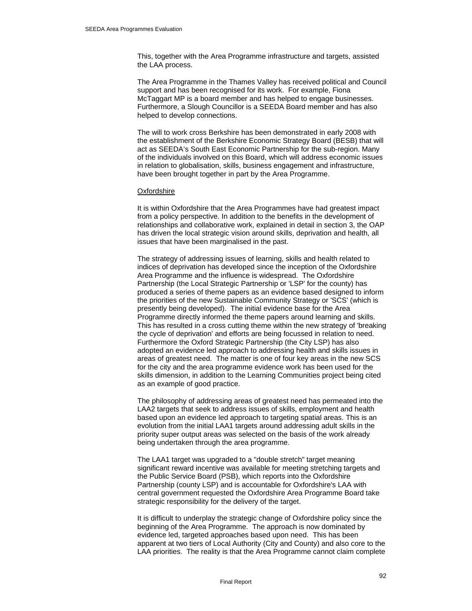This, together with the Area Programme infrastructure and targets, assisted the LAA process.

The Area Programme in the Thames Valley has received political and Council support and has been recognised for its work. For example, Fiona McTaggart MP is a board member and has helped to engage businesses. Furthermore, a Slough Councillor is a SEEDA Board member and has also helped to develop connections.

The will to work cross Berkshire has been demonstrated in early 2008 with the establishment of the Berkshire Economic Strategy Board (BESB) that will act as SEEDA's South East Economic Partnership for the sub-region. Many of the individuals involved on this Board, which will address economic issues in relation to globalisation, skills, business engagement and infrastructure, have been brought together in part by the Area Programme.

#### **Oxfordshire**

It is within Oxfordshire that the Area Programmes have had greatest impact from a policy perspective. In addition to the benefits in the development of relationships and collaborative work, explained in detail in section 3, the OAP has driven the local strategic vision around skills, deprivation and health, all issues that have been marginalised in the past.

The strategy of addressing issues of learning, skills and health related to indices of deprivation has developed since the inception of the Oxfordshire Area Programme and the influence is widespread. The Oxfordshire Partnership (the Local Strategic Partnership or 'LSP' for the county) has produced a series of theme papers as an evidence based designed to inform the priorities of the new Sustainable Community Strategy or 'SCS' (which is presently being developed). The initial evidence base for the Area Programme directly informed the theme papers around learning and skills. This has resulted in a cross cutting theme within the new strategy of 'breaking the cycle of deprivation' and efforts are being focussed in relation to need. Furthermore the Oxford Strategic Partnership (the City LSP) has also adopted an evidence led approach to addressing health and skills issues in areas of greatest need. The matter is one of four key areas in the new SCS for the city and the area programme evidence work has been used for the skills dimension, in addition to the Learning Communities project being cited as an example of good practice.

The philosophy of addressing areas of greatest need has permeated into the LAA2 targets that seek to address issues of skills, employment and health based upon an evidence led approach to targeting spatial areas. This is an evolution from the initial LAA1 targets around addressing adult skills in the priority super output areas was selected on the basis of the work already being undertaken through the area programme.

The LAA1 target was upgraded to a "double stretch" target meaning significant reward incentive was available for meeting stretching targets and the Public Service Board (PSB), which reports into the Oxfordshire Partnership (county LSP) and is accountable for Oxfordshire's LAA with central government requested the Oxfordshire Area Programme Board take strategic responsibility for the delivery of the target.

It is difficult to underplay the strategic change of Oxfordshire policy since the beginning of the Area Programme. The approach is now dominated by evidence led, targeted approaches based upon need. This has been apparent at two tiers of Local Authority (City and County) and also core to the LAA priorities. The reality is that the Area Programme cannot claim complete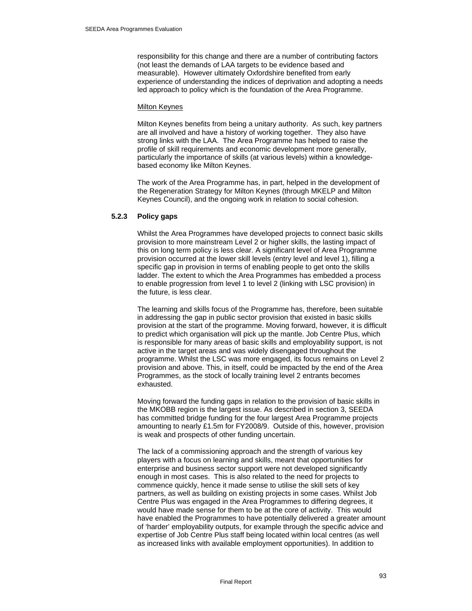responsibility for this change and there are a number of contributing factors (not least the demands of LAA targets to be evidence based and measurable). However ultimately Oxfordshire benefited from early experience of understanding the indices of deprivation and adopting a needs led approach to policy which is the foundation of the Area Programme.

#### Milton Keynes

Milton Keynes benefits from being a unitary authority. As such, key partners are all involved and have a history of working together. They also have strong links with the LAA. The Area Programme has helped to raise the profile of skill requirements and economic development more generally, particularly the importance of skills (at various levels) within a knowledgebased economy like Milton Keynes.

The work of the Area Programme has, in part, helped in the development of the Regeneration Strategy for Milton Keynes (through MKELP and Milton Keynes Council), and the ongoing work in relation to social cohesion.

## **5.2.3 Policy gaps**

Whilst the Area Programmes have developed projects to connect basic skills provision to more mainstream Level 2 or higher skills, the lasting impact of this on long term policy is less clear. A significant level of Area Programme provision occurred at the lower skill levels (entry level and level 1), filling a specific gap in provision in terms of enabling people to get onto the skills ladder. The extent to which the Area Programmes has embedded a process to enable progression from level 1 to level 2 (linking with LSC provision) in the future, is less clear.

The learning and skills focus of the Programme has, therefore, been suitable in addressing the gap in public sector provision that existed in basic skills provision at the start of the programme. Moving forward, however, it is difficult to predict which organisation will pick up the mantle. Job Centre Plus, which is responsible for many areas of basic skills and employability support, is not active in the target areas and was widely disengaged throughout the programme. Whilst the LSC was more engaged, its focus remains on Level 2 provision and above. This, in itself, could be impacted by the end of the Area Programmes, as the stock of locally training level 2 entrants becomes exhausted.

Moving forward the funding gaps in relation to the provision of basic skills in the MKOBB region is the largest issue. As described in section 3, SEEDA has committed bridge funding for the four largest Area Programme projects amounting to nearly £1.5m for FY2008/9. Outside of this, however, provision is weak and prospects of other funding uncertain.

The lack of a commissioning approach and the strength of various key players with a focus on learning and skills, meant that opportunities for enterprise and business sector support were not developed significantly enough in most cases. This is also related to the need for projects to commence quickly, hence it made sense to utilise the skill sets of key partners, as well as building on existing projects in some cases. Whilst Job Centre Plus was engaged in the Area Programmes to differing degrees, it would have made sense for them to be at the core of activity. This would have enabled the Programmes to have potentially delivered a greater amount of 'harder' employability outputs, for example through the specific advice and expertise of Job Centre Plus staff being located within local centres (as well as increased links with available employment opportunities). In addition to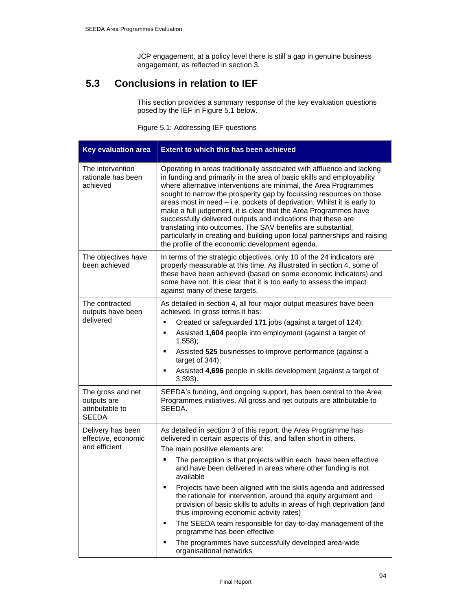JCP engagement, at a policy level there is still a gap in genuine business engagement, as reflected in section 3.

# **5.3 Conclusions in relation to IEF**

This section provides a summary response of the key evaluation questions posed by the IEF in Figure 5.1 below.

Figure 5.1: Addressing IEF questions

| <b>Key evaluation area</b>                                          | <b>Extent to which this has been achieved</b>                                                                                                                                                                                                                                                                                                                                                                                                                                                                                                                                                                                                                                                                                                                                    |
|---------------------------------------------------------------------|----------------------------------------------------------------------------------------------------------------------------------------------------------------------------------------------------------------------------------------------------------------------------------------------------------------------------------------------------------------------------------------------------------------------------------------------------------------------------------------------------------------------------------------------------------------------------------------------------------------------------------------------------------------------------------------------------------------------------------------------------------------------------------|
| The intervention<br>rationale has been<br>achieved                  | Operating in areas traditionally associated with affluence and lacking<br>in funding and primarily in the area of basic skills and employability<br>where alternative interventions are minimal, the Area Programmes<br>sought to narrow the prosperity gap by focussing resources on those<br>areas most in need - i.e. pockets of deprivation. Whilst it is early to<br>make a full judgement, it is clear that the Area Programmes have<br>successfully delivered outputs and indications that these are<br>translating into outcomes. The SAV benefits are substantial,<br>particularly in creating and building upon local partnerships and raising<br>the profile of the economic development agenda.                                                                      |
| The objectives have<br>been achieved                                | In terms of the strategic objectives, only 10 of the 24 indicators are<br>properly measurable at this time. As illustrated in section 4, some of<br>these have been achieved (based on some economic indicators) and<br>some have not. It is clear that it is too early to assess the impact<br>against many of these targets.                                                                                                                                                                                                                                                                                                                                                                                                                                                   |
| The contracted<br>outputs have been<br>delivered                    | As detailed in section 4, all four major output measures have been<br>achieved. In gross terms it has:<br>Created or safeguarded 171 jobs (against a target of 124);<br>٠<br>Assisted 1,604 people into employment (against a target of<br>٠<br>$1,558$ ;<br>Assisted 525 businesses to improve performance (against a<br>٠<br>target of $344$ ;<br>Assisted 4,696 people in skills development (against a target of<br>$3,393$ ).                                                                                                                                                                                                                                                                                                                                               |
| The gross and net<br>outputs are<br>attributable to<br><b>SEEDA</b> | SEEDA's funding, and ongoing support, has been central to the Area<br>Programmes initiatives. All gross and net outputs are attributable to<br>SEEDA.                                                                                                                                                                                                                                                                                                                                                                                                                                                                                                                                                                                                                            |
| Delivery has been<br>effective, economic<br>and efficient           | As detailed in section 3 of this report, the Area Programme has<br>delivered in certain aspects of this, and fallen short in others.<br>The main positive elements are:<br>The perception is that projects within each have been effective<br>П<br>and have been delivered in areas where other funding is not<br>available<br>Projects have been aligned with the skills agenda and addressed<br>the rationale for intervention, around the equity argument and<br>provision of basic skills to adults in areas of high deprivation (and<br>thus improving economic activity rates)<br>The SEEDA team responsible for day-to-day management of the<br>п<br>programme has been effective<br>The programmes have successfully developed area-wide<br>П<br>organisational networks |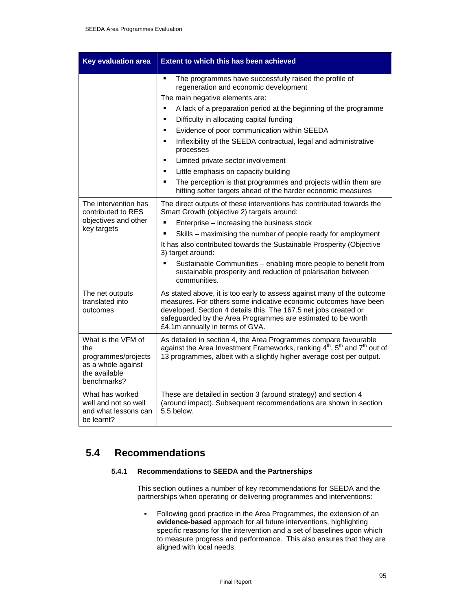| <b>Key evaluation area</b>                                                                             | <b>Extent to which this has been achieved</b>                                                                                                                                                                                                                                                                     |  |
|--------------------------------------------------------------------------------------------------------|-------------------------------------------------------------------------------------------------------------------------------------------------------------------------------------------------------------------------------------------------------------------------------------------------------------------|--|
|                                                                                                        | The programmes have successfully raised the profile of<br>$\blacksquare$<br>regeneration and economic development                                                                                                                                                                                                 |  |
|                                                                                                        | The main negative elements are:                                                                                                                                                                                                                                                                                   |  |
|                                                                                                        | A lack of a preparation period at the beginning of the programme<br>П                                                                                                                                                                                                                                             |  |
|                                                                                                        | Difficulty in allocating capital funding<br>$\blacksquare$                                                                                                                                                                                                                                                        |  |
|                                                                                                        | Evidence of poor communication within SEEDA<br>$\blacksquare$                                                                                                                                                                                                                                                     |  |
|                                                                                                        | Inflexibility of the SEEDA contractual, legal and administrative<br>$\blacksquare$<br>processes                                                                                                                                                                                                                   |  |
|                                                                                                        | Limited private sector involvement<br>$\blacksquare$                                                                                                                                                                                                                                                              |  |
|                                                                                                        | Little emphasis on capacity building<br>٠                                                                                                                                                                                                                                                                         |  |
|                                                                                                        | The perception is that programmes and projects within them are<br>п<br>hitting softer targets ahead of the harder economic measures                                                                                                                                                                               |  |
| The intervention has<br>contributed to RES                                                             | The direct outputs of these interventions has contributed towards the<br>Smart Growth (objective 2) targets around:                                                                                                                                                                                               |  |
| objectives and other                                                                                   | E<br>Enterprise – increasing the business stock                                                                                                                                                                                                                                                                   |  |
| key targets                                                                                            | Skills - maximising the number of people ready for employment                                                                                                                                                                                                                                                     |  |
|                                                                                                        | It has also contributed towards the Sustainable Prosperity (Objective<br>3) target around:                                                                                                                                                                                                                        |  |
|                                                                                                        | Sustainable Communities - enabling more people to benefit from<br>$\blacksquare$<br>sustainable prosperity and reduction of polarisation between<br>communities.                                                                                                                                                  |  |
| The net outputs<br>translated into<br>outcomes                                                         | As stated above, it is too early to assess against many of the outcome<br>measures. For others some indicative economic outcomes have been<br>developed. Section 4 details this. The 167.5 net jobs created or<br>safeguarded by the Area Programmes are estimated to be worth<br>£4.1m annually in terms of GVA. |  |
| What is the VFM of<br>the<br>programmes/projects<br>as a whole against<br>the available<br>benchmarks? | As detailed in section 4, the Area Programmes compare favourable<br>against the Area Investment Frameworks, ranking $4^{th}$ , $5^{th}$ and $7^{th}$ out of<br>13 programmes, albeit with a slightly higher average cost per output.                                                                              |  |
| What has worked<br>well and not so well<br>and what lessons can<br>be learnt?                          | These are detailed in section 3 (around strategy) and section 4<br>(around impact). Subsequent recommendations are shown in section<br>5.5 below.                                                                                                                                                                 |  |

# **5.4 Recommendations**

# **5.4.1 Recommendations to SEEDA and the Partnerships**

This section outlines a number of key recommendations for SEEDA and the partnerships when operating or delivering programmes and interventions:

Following good practice in the Area Programmes, the extension of an **evidence-based** approach for all future interventions, highlighting specific reasons for the intervention and a set of baselines upon which to measure progress and performance. This also ensures that they are aligned with local needs.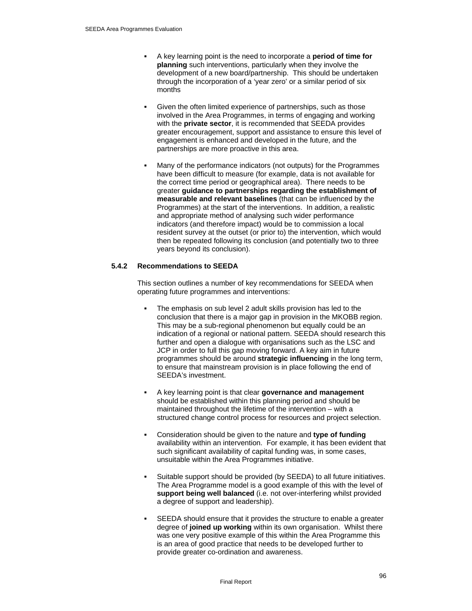- A key learning point is the need to incorporate a **period of time for planning** such interventions, particularly when they involve the development of a new board/partnership. This should be undertaken through the incorporation of a 'year zero' or a similar period of six months
- Given the often limited experience of partnerships, such as those involved in the Area Programmes, in terms of engaging and working with the **private sector**, it is recommended that SEEDA provides greater encouragement, support and assistance to ensure this level of engagement is enhanced and developed in the future, and the partnerships are more proactive in this area.
- Many of the performance indicators (not outputs) for the Programmes have been difficult to measure (for example, data is not available for the correct time period or geographical area). There needs to be greater **guidance to partnerships regarding the establishment of measurable and relevant baselines** (that can be influenced by the Programmes) at the start of the interventions. In addition, a realistic and appropriate method of analysing such wider performance indicators (and therefore impact) would be to commission a local resident survey at the outset (or prior to) the intervention, which would then be repeated following its conclusion (and potentially two to three years beyond its conclusion).

## **5.4.2 Recommendations to SEEDA**

This section outlines a number of key recommendations for SEEDA when operating future programmes and interventions:

- The emphasis on sub level 2 adult skills provision has led to the conclusion that there is a major gap in provision in the MKOBB region. This may be a sub-regional phenomenon but equally could be an indication of a regional or national pattern. SEEDA should research this further and open a dialogue with organisations such as the LSC and JCP in order to full this gap moving forward. A key aim in future programmes should be around **strategic influencing** in the long term, to ensure that mainstream provision is in place following the end of SEEDA's investment.
- A key learning point is that clear **governance and management** should be established within this planning period and should be maintained throughout the lifetime of the intervention – with a structured change control process for resources and project selection.
- Consideration should be given to the nature and **type of funding** availability within an intervention. For example, it has been evident that such significant availability of capital funding was, in some cases, unsuitable within the Area Programmes initiative.
- Suitable support should be provided (by SEEDA) to all future initiatives. The Area Programme model is a good example of this with the level of support being well balanced (i.e. not over-interfering whilst provided a degree of support and leadership).
- SEEDA should ensure that it provides the structure to enable a greater degree of **joined up working** within its own organisation. Whilst there was one very positive example of this within the Area Programme this is an area of good practice that needs to be developed further to provide greater co-ordination and awareness.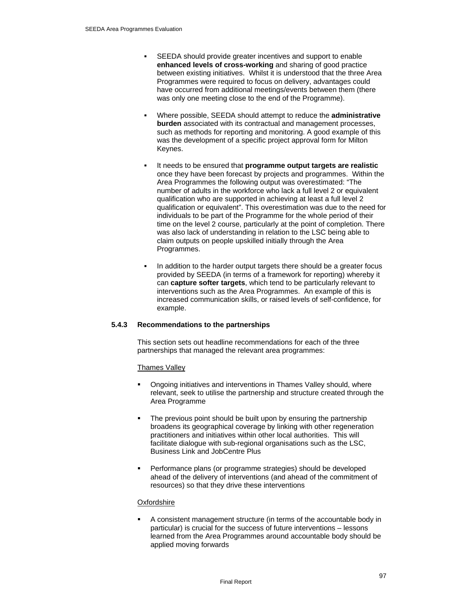- SEEDA should provide greater incentives and support to enable **enhanced levels of cross-working** and sharing of good practice between existing initiatives. Whilst it is understood that the three Area Programmes were required to focus on delivery, advantages could have occurred from additional meetings/events between them (there was only one meeting close to the end of the Programme).
- Where possible, SEEDA should attempt to reduce the **administrative burden** associated with its contractual and management processes, such as methods for reporting and monitoring. A good example of this was the development of a specific project approval form for Milton Keynes.
- It needs to be ensured that **programme output targets are realistic** once they have been forecast by projects and programmes. Within the Area Programmes the following output was overestimated: "The number of adults in the workforce who lack a full level 2 or equivalent qualification who are supported in achieving at least a full level 2 qualification or equivalent". This overestimation was due to the need for individuals to be part of the Programme for the whole period of their time on the level 2 course, particularly at the point of completion. There was also lack of understanding in relation to the LSC being able to claim outputs on people upskilled initially through the Area Programmes.
- In addition to the harder output targets there should be a greater focus provided by SEEDA (in terms of a framework for reporting) whereby it can **capture softer targets**, which tend to be particularly relevant to interventions such as the Area Programmes. An example of this is increased communication skills, or raised levels of self-confidence, for example.

# **5.4.3 Recommendations to the partnerships**

This section sets out headline recommendations for each of the three partnerships that managed the relevant area programmes:

#### Thames Valley

- Ongoing initiatives and interventions in Thames Valley should, where relevant, seek to utilise the partnership and structure created through the Area Programme
- The previous point should be built upon by ensuring the partnership broadens its geographical coverage by linking with other regeneration practitioners and initiatives within other local authorities. This will facilitate dialogue with sub-regional organisations such as the LSC, Business Link and JobCentre Plus
- Performance plans (or programme strategies) should be developed ahead of the delivery of interventions (and ahead of the commitment of resources) so that they drive these interventions

#### **Oxfordshire**

 A consistent management structure (in terms of the accountable body in particular) is crucial for the success of future interventions – lessons learned from the Area Programmes around accountable body should be applied moving forwards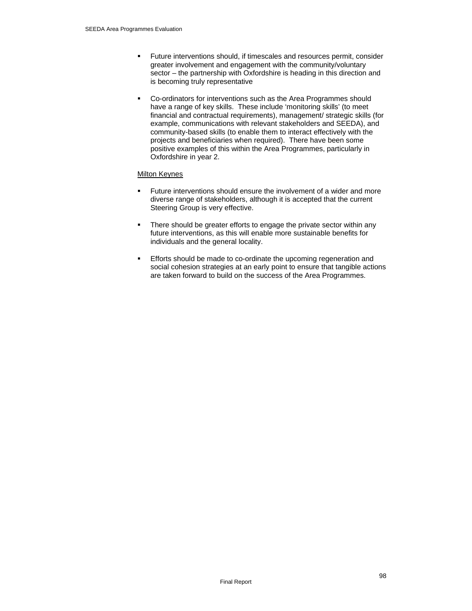- Future interventions should, if timescales and resources permit, consider greater involvement and engagement with the community/voluntary sector – the partnership with Oxfordshire is heading in this direction and is becoming truly representative
- Co-ordinators for interventions such as the Area Programmes should have a range of key skills. These include 'monitoring skills' (to meet financial and contractual requirements), management/ strategic skills (for example, communications with relevant stakeholders and SEEDA), and community-based skills (to enable them to interact effectively with the projects and beneficiaries when required). There have been some positive examples of this within the Area Programmes, particularly in Oxfordshire in year 2.

## Milton Keynes

- Future interventions should ensure the involvement of a wider and more diverse range of stakeholders, although it is accepted that the current Steering Group is very effective.
- There should be greater efforts to engage the private sector within any future interventions, as this will enable more sustainable benefits for individuals and the general locality.
- **Efforts should be made to co-ordinate the upcoming regeneration and** social cohesion strategies at an early point to ensure that tangible actions are taken forward to build on the success of the Area Programmes.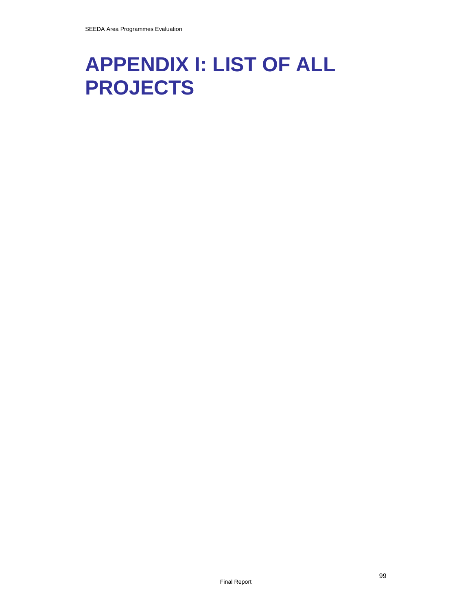# **APPENDIX I: LIST OF ALL PROJECTS**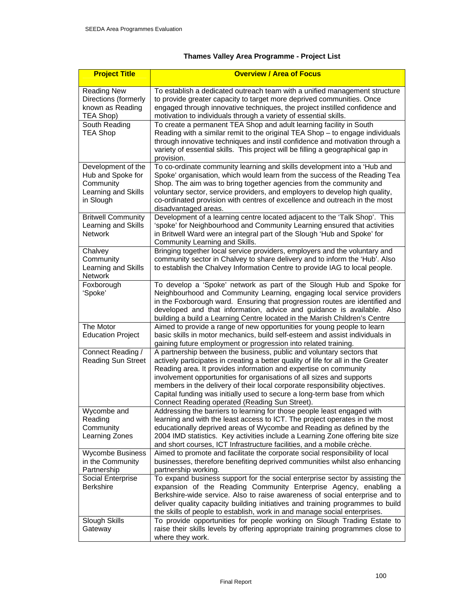# **Thames Valley Area Programme - Project List**

| <b>Project Title</b>                                                                     | <b>Overview / Area of Focus</b>                                                                                                                                                                                                                                                                                                                                                                                                                                                                                      |
|------------------------------------------------------------------------------------------|----------------------------------------------------------------------------------------------------------------------------------------------------------------------------------------------------------------------------------------------------------------------------------------------------------------------------------------------------------------------------------------------------------------------------------------------------------------------------------------------------------------------|
| <b>Reading New</b><br>Directions (formerly<br>known as Reading<br>TEA Shop)              | To establish a dedicated outreach team with a unified management structure<br>to provide greater capacity to target more deprived communities. Once<br>engaged through innovative techniques, the project instilled confidence and<br>motivation to individuals through a variety of essential skills.                                                                                                                                                                                                               |
| South Reading<br><b>TEA Shop</b>                                                         | To create a permanent TEA Shop and adult learning facility in South<br>Reading with a similar remit to the original TEA Shop - to engage individuals<br>through innovative techniques and instil confidence and motivation through a<br>variety of essential skills. This project will be filling a geographical gap in<br>provision.                                                                                                                                                                                |
| Development of the<br>Hub and Spoke for<br>Community<br>Learning and Skills<br>in Slough | To co-ordinate community learning and skills development into a 'Hub and<br>Spoke' organisation, which would learn from the success of the Reading Tea<br>Shop. The aim was to bring together agencies from the community and<br>voluntary sector, service providers, and employers to develop high quality,<br>co-ordinated provision with centres of excellence and outreach in the most<br>disadvantaged areas.                                                                                                   |
| <b>Britwell Community</b><br>Learning and Skills<br><b>Network</b>                       | Development of a learning centre located adjacent to the 'Talk Shop'. This<br>'spoke' for Neighbourhood and Community Learning ensured that activities<br>in Britwell Ward were an integral part of the Slough 'Hub and Spoke' for<br>Community Learning and Skills.                                                                                                                                                                                                                                                 |
| Chalvey<br>Community<br>Learning and Skills<br>Network                                   | Bringing together local service providers, employers and the voluntary and<br>community sector in Chalvey to share delivery and to inform the 'Hub'. Also<br>to establish the Chalvey Information Centre to provide IAG to local people.                                                                                                                                                                                                                                                                             |
| Foxborough<br>'Spoke'                                                                    | To develop a 'Spoke' network as part of the Slough Hub and Spoke for<br>Neighbourhood and Community Learning, engaging local service providers<br>in the Foxborough ward. Ensuring that progression routes are identified and<br>developed and that information, advice and guidance is available. Also<br>building a build a Learning Centre located in the Marish Children's Centre                                                                                                                                |
| The Motor<br><b>Education Project</b>                                                    | Aimed to provide a range of new opportunities for young people to learn<br>basic skills in motor mechanics, build self-esteem and assist individuals in<br>gaining future employment or progression into related training.                                                                                                                                                                                                                                                                                           |
| Connect Reading /<br><b>Reading Sun Street</b>                                           | A partnership between the business, public and voluntary sectors that<br>actively participates in creating a better quality of life for all in the Greater<br>Reading area. It provides information and expertise on community<br>involvement opportunities for organisations of all sizes and supports<br>members in the delivery of their local corporate responsibility objectives.<br>Capital funding was initially used to secure a long-term base from which<br>Connect Reading operated (Reading Sun Street). |
| Wycombe and<br>Reading<br>Community<br>Learning Zones                                    | Addressing the barriers to learning for those people least engaged with<br>learning and with the least access to ICT. The project operates in the most<br>educationally deprived areas of Wycombe and Reading as defined by the<br>2004 IMD statistics. Key activities include a Learning Zone offering bite size<br>and short courses, ICT Infrastructure facilities, and a mobile crèche.                                                                                                                          |
| <b>Wycombe Business</b><br>in the Community<br>Partnership                               | Aimed to promote and facilitate the corporate social responsibility of local<br>businesses, therefore benefiting deprived communities whilst also enhancing<br>partnership working.                                                                                                                                                                                                                                                                                                                                  |
| Social Enterprise<br><b>Berkshire</b>                                                    | To expand business support for the social enterprise sector by assisting the<br>expansion of the Reading Community Enterprise Agency, enabling a<br>Berkshire-wide service. Also to raise awareness of social enterprise and to<br>deliver quality capacity building initiatives and training programmes to build<br>the skills of people to establish, work in and manage social enterprises.                                                                                                                       |
| Slough Skills<br>Gateway                                                                 | To provide opportunities for people working on Slough Trading Estate to<br>raise their skills levels by offering appropriate training programmes close to<br>where they work.                                                                                                                                                                                                                                                                                                                                        |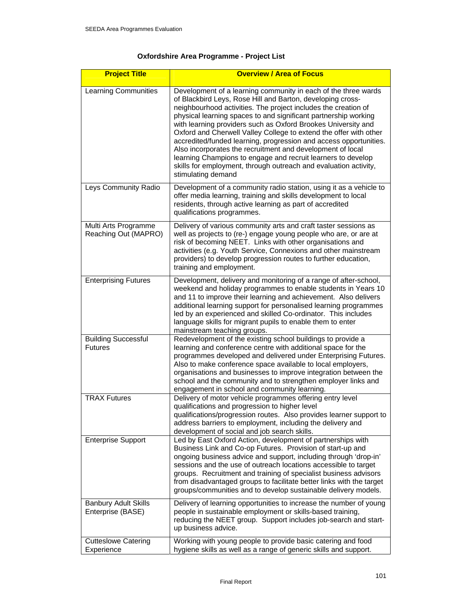# **Oxfordshire Area Programme - Project List**

| <b>Project Title</b>                             | <b>Overview / Area of Focus</b>                                                                                                                                                                                                                                                                                                                                                                                                                                                                                                                                                                                                                                                                      |
|--------------------------------------------------|------------------------------------------------------------------------------------------------------------------------------------------------------------------------------------------------------------------------------------------------------------------------------------------------------------------------------------------------------------------------------------------------------------------------------------------------------------------------------------------------------------------------------------------------------------------------------------------------------------------------------------------------------------------------------------------------------|
| <b>Learning Communities</b>                      | Development of a learning community in each of the three wards<br>of Blackbird Leys, Rose Hill and Barton, developing cross-<br>neighbourhood activities. The project includes the creation of<br>physical learning spaces to and significant partnership working<br>with learning providers such as Oxford Brookes University and<br>Oxford and Cherwell Valley College to extend the offer with other<br>accredited/funded learning, progression and access opportunities.<br>Also incorporates the recruitment and development of local<br>learning Champions to engage and recruit learners to develop<br>skills for employment, through outreach and evaluation activity,<br>stimulating demand |
| Leys Community Radio                             | Development of a community radio station, using it as a vehicle to<br>offer media learning, training and skills development to local<br>residents, through active learning as part of accredited<br>qualifications programmes.                                                                                                                                                                                                                                                                                                                                                                                                                                                                       |
| Multi Arts Programme<br>Reaching Out (MAPRO)     | Delivery of various community arts and craft taster sessions as<br>well as projects to (re-) engage young people who are, or are at<br>risk of becoming NEET. Links with other organisations and<br>activities (e.g. Youth Service, Connexions and other mainstream<br>providers) to develop progression routes to further education,<br>training and employment.                                                                                                                                                                                                                                                                                                                                    |
| <b>Enterprising Futures</b>                      | Development, delivery and monitoring of a range of after-school,<br>weekend and holiday programmes to enable students in Years 10<br>and 11 to improve their learning and achievement. Also delivers<br>additional learning support for personalised learning programmes<br>led by an experienced and skilled Co-ordinator. This includes<br>language skills for migrant pupils to enable them to enter<br>mainstream teaching groups.                                                                                                                                                                                                                                                               |
| <b>Building Successful</b><br><b>Futures</b>     | Redevelopment of the existing school buildings to provide a<br>learning and conference centre with additional space for the<br>programmes developed and delivered under Enterprising Futures.<br>Also to make conference space available to local employers,<br>organisations and businesses to improve integration between the<br>school and the community and to strengthen employer links and<br>engagement in school and community learning.                                                                                                                                                                                                                                                     |
| <b>TRAX Futures</b>                              | Delivery of motor vehicle programmes offering entry level<br>qualifications and progression to higher level<br>qualifications/progression routes. Also provides learner support to<br>address barriers to employment, including the delivery and<br>development of social and job search skills.                                                                                                                                                                                                                                                                                                                                                                                                     |
| <b>Enterprise Support</b>                        | Led by East Oxford Action, development of partnerships with<br>Business Link and Co-op Futures. Provision of start-up and<br>ongoing business advice and support, including through 'drop-in'<br>sessions and the use of outreach locations accessible to target<br>groups. Recruitment and training of specialist business advisors<br>from disadvantaged groups to facilitate better links with the target<br>groups/communities and to develop sustainable delivery models.                                                                                                                                                                                                                       |
| <b>Banbury Adult Skills</b><br>Enterprise (BASE) | Delivery of learning opportunities to increase the number of young<br>people in sustainable employment or skills-based training,<br>reducing the NEET group. Support includes job-search and start-<br>up business advice.                                                                                                                                                                                                                                                                                                                                                                                                                                                                           |
| <b>Cutteslowe Catering</b><br>Experience         | Working with young people to provide basic catering and food<br>hygiene skills as well as a range of generic skills and support.                                                                                                                                                                                                                                                                                                                                                                                                                                                                                                                                                                     |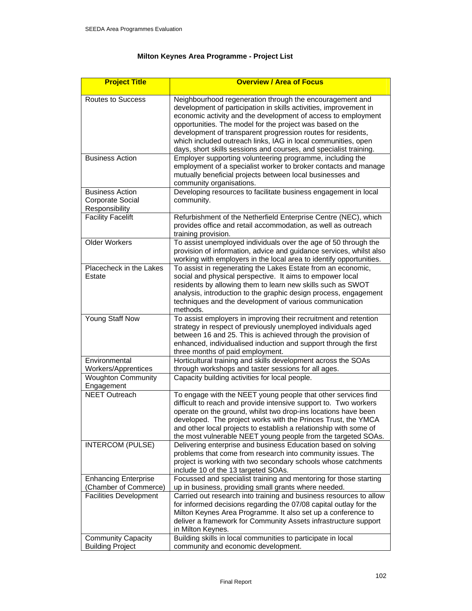# **Milton Keynes Area Programme - Project List**

| <b>Project Title</b>                                         | <b>Overview / Area of Focus</b>                                                                                                                                                                                                                                                                                                                                                                                                                                   |
|--------------------------------------------------------------|-------------------------------------------------------------------------------------------------------------------------------------------------------------------------------------------------------------------------------------------------------------------------------------------------------------------------------------------------------------------------------------------------------------------------------------------------------------------|
| Routes to Success                                            | Neighbourhood regeneration through the encouragement and<br>development of participation in skills activities, improvement in<br>economic activity and the development of access to employment<br>opportunities. The model for the project was based on the<br>development of transparent progression routes for residents,<br>which included outreach links, IAG in local communities, open<br>days, short skills sessions and courses, and specialist training. |
| <b>Business Action</b>                                       | Employer supporting volunteering programme, including the<br>employment of a specialist worker to broker contacts and manage<br>mutually beneficial projects between local businesses and<br>community organisations.                                                                                                                                                                                                                                             |
| <b>Business Action</b><br>Corporate Social<br>Responsibility | Developing resources to facilitate business engagement in local<br>community.                                                                                                                                                                                                                                                                                                                                                                                     |
| <b>Facility Facelift</b>                                     | Refurbishment of the Netherfield Enterprise Centre (NEC), which<br>provides office and retail accommodation, as well as outreach<br>training provision.                                                                                                                                                                                                                                                                                                           |
| <b>Older Workers</b>                                         | To assist unemployed individuals over the age of 50 through the<br>provision of information, advice and guidance services, whilst also<br>working with employers in the local area to identify opportunities.                                                                                                                                                                                                                                                     |
| Placecheck in the Lakes<br>Estate                            | To assist in regenerating the Lakes Estate from an economic,<br>social and physical perspective. It aims to empower local<br>residents by allowing them to learn new skills such as SWOT<br>analysis, introduction to the graphic design process, engagement<br>techniques and the development of various communication<br>methods.                                                                                                                               |
| Young Staff Now                                              | To assist employers in improving their recruitment and retention<br>strategy in respect of previously unemployed individuals aged<br>between 16 and 25. This is achieved through the provision of<br>enhanced, individualised induction and support through the first<br>three months of paid employment.                                                                                                                                                         |
| Environmental<br><b>Workers/Apprentices</b>                  | Horticultural training and skills development across the SOAs<br>through workshops and taster sessions for all ages.                                                                                                                                                                                                                                                                                                                                              |
| <b>Woughton Community</b><br>Engagement                      | Capacity building activities for local people.                                                                                                                                                                                                                                                                                                                                                                                                                    |
| <b>NEET Outreach</b>                                         | To engage with the NEET young people that other services find<br>difficult to reach and provide intensive support to. Two workers<br>operate on the ground, whilst two drop-ins locations have been<br>developed. The project works with the Princes Trust, the YMCA<br>and other local projects to establish a relationship with some of<br>the most vulnerable NEET young people from the targeted SOAs.                                                        |
| <b>INTERCOM (PULSE)</b>                                      | Delivering enterprise and business Education based on solving<br>problems that come from research into community issues. The<br>project is working with two secondary schools whose catchments<br>include 10 of the 13 targeted SOAs.                                                                                                                                                                                                                             |
| <b>Enhancing Enterprise</b><br>(Chamber of Commerce)         | Focussed and specialist training and mentoring for those starting<br>up in business, providing small grants where needed.                                                                                                                                                                                                                                                                                                                                         |
| <b>Facilities Development</b>                                | Carried out research into training and business resources to allow<br>for informed decisions regarding the 07/08 capital outlay for the<br>Milton Keynes Area Programme. It also set up a conference to<br>deliver a framework for Community Assets infrastructure support<br>in Milton Keynes.                                                                                                                                                                   |
| <b>Community Capacity</b><br><b>Building Project</b>         | Building skills in local communities to participate in local<br>community and economic development.                                                                                                                                                                                                                                                                                                                                                               |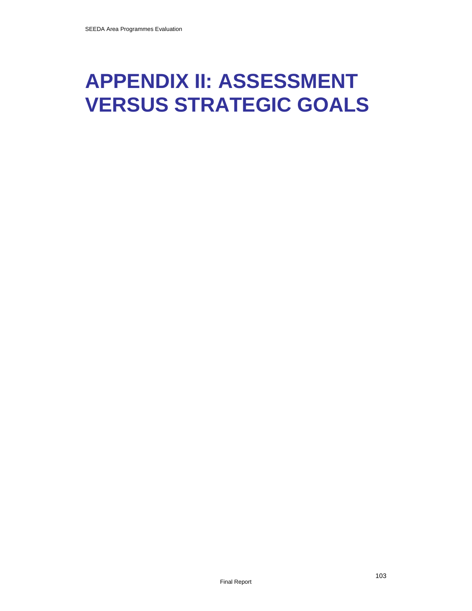# **APPENDIX II: ASSESSMENT VERSUS STRATEGIC GOALS**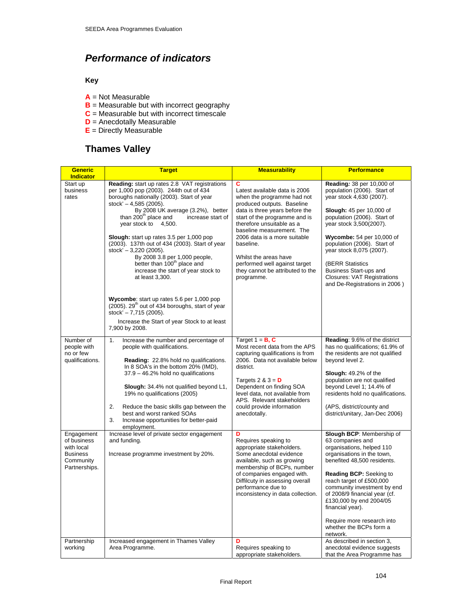# *Performance of indicators*

# **Key**

- **A** = Not Measurable
- **B** = Measurable but with incorrect geography
- **C** = Measurable but with incorrect timescale
- **D** = Anecdotally Measurable
- **E** = Directly Measurable

# **Thames Valley**

| <b>Generic</b><br><b>Indicator</b>                                                       | <b>Target</b>                                                                                                                                                                                                                                                                                                                                                                                                                                                                                                                                                                                      | <b>Measurability</b>                                                                                                                                                                                                                                                                                                                                                                 | <b>Performance</b>                                                                                                                                                                                                                                                                                                                                                                                     |
|------------------------------------------------------------------------------------------|----------------------------------------------------------------------------------------------------------------------------------------------------------------------------------------------------------------------------------------------------------------------------------------------------------------------------------------------------------------------------------------------------------------------------------------------------------------------------------------------------------------------------------------------------------------------------------------------------|--------------------------------------------------------------------------------------------------------------------------------------------------------------------------------------------------------------------------------------------------------------------------------------------------------------------------------------------------------------------------------------|--------------------------------------------------------------------------------------------------------------------------------------------------------------------------------------------------------------------------------------------------------------------------------------------------------------------------------------------------------------------------------------------------------|
| Start up<br>business<br>rates                                                            | Reading: start up rates 2.8 VAT registrations<br>per 1,000 pop (2003). 244th out of 434<br>boroughs nationally (2003). Start of year<br>stock' $- 4,585$ (2005).<br>By 2008 UK average (3.2%), better<br>than 200 <sup>th</sup> place and<br>increase start of<br>year stock to 4,500.<br>Slough: start up rates 3.5 per 1,000 pop<br>(2003). 137th out of 434 (2003). Start of year<br>stock' $-3,220$ (2005).<br>By 2008 3.8 per 1,000 people,<br>better than 100 <sup>th</sup> place and<br>increase the start of year stock to<br>at least 3,300.<br>Wycombe: start up rates 5.6 per 1,000 pop | C<br>Latest available data is 2006<br>when the programme had not<br>produced outputs. Baseline<br>data is three years before the<br>start of the programme and is<br>therefore unsuitable as a<br>baseline measurement. The<br>2006 data is a more suitable<br>baseline.<br>Whilst the areas have<br>performed well against target<br>they cannot be attributed to the<br>programme. | Reading: 38 per 10,000 of<br>population (2006). Start of<br>year stock 4,630 (2007).<br><b>Slough:</b> 45 per 10,000 of<br>population (2006). Start of<br>year stock 3,500(2007).<br>Wycombe: 54 per 10,000 of<br>population (2006). Start of<br>year stock 8,075 (2007).<br><b>(BERR Statistics)</b><br>Business Start-ups and<br><b>Closures: VAT Registrations</b><br>and De-Registrations in 2006) |
|                                                                                          | (2005). 29 <sup>th</sup> out of 434 boroughs, start of year<br>stock' - 7,715 (2005).<br>Increase the Start of year Stock to at least<br>7,900 by 2008.                                                                                                                                                                                                                                                                                                                                                                                                                                            |                                                                                                                                                                                                                                                                                                                                                                                      |                                                                                                                                                                                                                                                                                                                                                                                                        |
| Number of<br>people with<br>no or few<br>qualifications.                                 | 1.<br>Increase the number and percentage of<br>people with qualifications.<br>Reading: 22.8% hold no qualifications.<br>In 8 SOA's in the bottom 20% (IMD),<br>37.9 - 46.2% hold no qualifications<br>Slough: 34.4% not qualified beyond L1,<br>19% no qualifications (2005)<br>2.<br>Reduce the basic skills gap between the<br>best and worst ranked SOAs<br>3.<br>Increase opportunities for better-paid<br>employment.                                                                                                                                                                         | Target $1 = B$ , C<br>Most recent data from the APS<br>capturing qualifications is from<br>2006. Data not available below<br>district.<br>Targets $2 & 3 = D$<br>Dependent on finding SOA<br>level data, not available from<br>APS. Relevant stakeholders<br>could provide information<br>anecdotally.                                                                               | <b>Reading: 9.6% of the district</b><br>has no qualifications; 61.9% of<br>the residents are not qualified<br>beyond level 2.<br>Slough: 49.2% of the<br>population are not qualified<br>beyond Level 1; 14.4% of<br>residents hold no qualifications.<br>(APS, district/county and<br>district/unitary, Jan-Dec 2006)                                                                                 |
| Engagement<br>of business<br>with local<br><b>Business</b><br>Community<br>Partnerships. | Increase level of private sector engagement<br>and funding.<br>Increase programme investment by 20%.                                                                                                                                                                                                                                                                                                                                                                                                                                                                                               | D<br>Requires speaking to<br>appropriate stakeholders.<br>Some anecdotal evidence<br>available, such as growing<br>membership of BCPs, number<br>of companies engaged with.<br>Diffilcuty in assessing overall<br>performance due to<br>inconsistency in data collection.                                                                                                            | Slough BCP: Membership of<br>63 companies and<br>organisations, helped 110<br>organisations in the town,<br>benefited 48,500 residents.<br><b>Reading BCP:</b> Seeking to<br>reach target of £500,000<br>community investment by end<br>of 2008/9 financial year (cf.<br>£130,000 by end 2004/05<br>financial year).<br>Require more research into<br>whether the BCPs form a<br>network.              |
| Partnership<br>working                                                                   | Increased engagement in Thames Valley<br>Area Programme.                                                                                                                                                                                                                                                                                                                                                                                                                                                                                                                                           | Requires speaking to<br>appropriate stakeholders.                                                                                                                                                                                                                                                                                                                                    | As described in section 3,<br>anecdotal evidence suggests<br>that the Area Programme has                                                                                                                                                                                                                                                                                                               |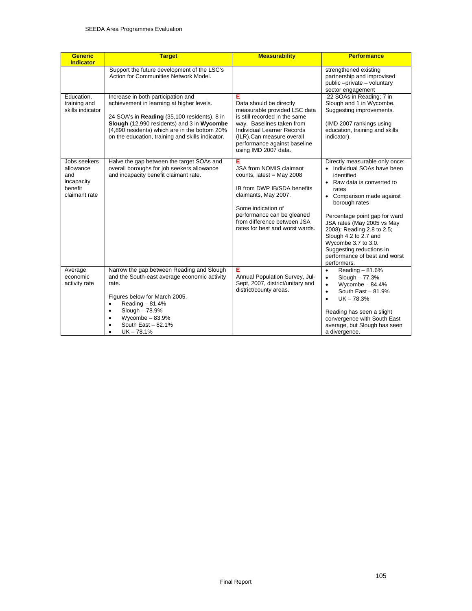| <b>Generic</b><br><b>Indicator</b>                                         | <b>Target</b>                                                                                                                                                                                                                                                                      | <b>Measurability</b>                                                                                                                                                                                                                          | <b>Performance</b>                                                                                                                                                                                                                                                                                                                                                                        |
|----------------------------------------------------------------------------|------------------------------------------------------------------------------------------------------------------------------------------------------------------------------------------------------------------------------------------------------------------------------------|-----------------------------------------------------------------------------------------------------------------------------------------------------------------------------------------------------------------------------------------------|-------------------------------------------------------------------------------------------------------------------------------------------------------------------------------------------------------------------------------------------------------------------------------------------------------------------------------------------------------------------------------------------|
|                                                                            | Support the future development of the LSC's<br>Action for Communities Network Model.                                                                                                                                                                                               |                                                                                                                                                                                                                                               | strengthened existing<br>partnership and improvised<br>public-private-voluntary<br>sector engagement                                                                                                                                                                                                                                                                                      |
| Education,<br>training and<br>skills indicator                             | Increase in both participation and<br>achievement in learning at higher levels.<br>24 SOA's in Reading (35,100 residents), 8 in<br>Slough (12,990 residents) and 3 in Wycombe<br>(4,890 residents) which are in the bottom 20%<br>on the education, training and skills indicator. | Е<br>Data should be directly<br>measurable provided LSC data<br>is still recorded in the same<br>way. Baselines taken from<br>Individual Learner Records<br>(ILR).Can measure overall<br>performance against baseline<br>using IMD 2007 data. | 22 SOAs in Reading; 7 in<br>Slough and 1 in Wycombe.<br>Suggesting improvements.<br>(IMD 2007 rankings using<br>education, training and skills<br>indicator).                                                                                                                                                                                                                             |
| Jobs seekers<br>allowance<br>and<br>incapacity<br>benefit<br>claimant rate | Halve the gap between the target SOAs and<br>overall boroughs for job seekers allowance<br>and incapacity benefit claimant rate.                                                                                                                                                   | Е<br><b>JSA from NOMIS claimant</b><br>counts, latest = May 2008<br>IB from DWP IB/SDA benefits<br>claimants, May 2007.<br>Some indication of<br>performance can be gleaned<br>from difference between JSA<br>rates for best and worst wards. | Directly measurable only once:<br>• Individual SOAs have been<br>identified<br>• Raw data is converted to<br>rates<br>• Comparison made against<br>borough rates<br>Percentage point gap for ward<br>JSA rates (May 2005 vs May<br>2008): Reading 2.8 to 2.5;<br>Slough 4.2 to 2.7 and<br>Wycombe 3.7 to 3.0.<br>Suggesting reductions in<br>performance of best and worst<br>performers. |
| Average<br>economic<br>activity rate                                       | Narrow the gap between Reading and Slough<br>and the South-east average economic activity<br>rate.<br>Figures below for March 2005.<br>Reading $-81.4%$<br>$\bullet$<br>Slough - 78.9%<br>$\bullet$<br>Wycombe $-83.9%$<br>$\bullet$<br>South East $-82.1%$<br>٠<br>$UK - 78.1%$   | Е<br>Annual Population Survey, Jul-<br>Sept, 2007, district/unitary and<br>district/county areas.                                                                                                                                             | Reading - 81.6%<br>$\bullet$<br>$S$ lough $-77.3%$<br>$\bullet$<br>Wycombe $-84.4%$<br>$\bullet$<br>South East $-81.9%$<br>$\bullet$<br>$UK - 78.3%$<br>$\bullet$<br>Reading has seen a slight<br>convergence with South East<br>average, but Slough has seen<br>a divergence.                                                                                                            |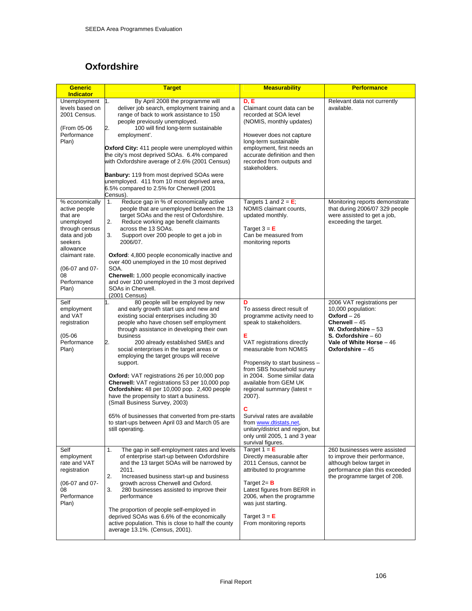# **Oxfordshire**

| <b>Generic</b><br><b>Indicator</b>                                                                                                                                                    | <b>Target</b>                                                                                                                                                                                                                                                                                                                                                                                                                                                                                                                                                                                                                                                                                                                                  | <b>Measurability</b>                                                                                                                                                                                                                                                                                                                                                                                                                                                       | <b>Performance</b>                                                                                                                                                                   |
|---------------------------------------------------------------------------------------------------------------------------------------------------------------------------------------|------------------------------------------------------------------------------------------------------------------------------------------------------------------------------------------------------------------------------------------------------------------------------------------------------------------------------------------------------------------------------------------------------------------------------------------------------------------------------------------------------------------------------------------------------------------------------------------------------------------------------------------------------------------------------------------------------------------------------------------------|----------------------------------------------------------------------------------------------------------------------------------------------------------------------------------------------------------------------------------------------------------------------------------------------------------------------------------------------------------------------------------------------------------------------------------------------------------------------------|--------------------------------------------------------------------------------------------------------------------------------------------------------------------------------------|
| Unemployment<br>levels based on<br>2001 Census.<br>(From 05-06<br>Performance<br>Plan)                                                                                                | By April 2008 the programme will<br>1.<br>deliver job search, employment training and a<br>range of back to work assistance to 150<br>people previously unemployed.<br>2.<br>100 will find long-term sustainable<br>employment'.<br><b>Oxford City:</b> 411 people were unemployed within<br>the city's most deprived SOAs. 6.4% compared<br>with Oxfordshire average of 2.6% (2001 Census)<br><b>Banbury: 119 from most deprived SOAs were</b><br>unemployed. 411 from 10 most deprived area,<br>6.5% compared to 2.5% for Cherwell (2001<br>Census).                                                                                                                                                                                         | D, E<br>Claimant count data can be<br>recorded at SOA level<br>(NOMIS, monthly updates)<br>However does not capture<br>long-term sustainable<br>employment, first needs an<br>accurate definition and then<br>recorded from outputs and<br>stakeholders.                                                                                                                                                                                                                   | Relevant data not currently<br>available.                                                                                                                                            |
| % economically<br>active people<br>that are<br>unemployed<br>through census<br>data and job<br>seekers<br>allowance<br>claimant rate.<br>(06-07 and 07-<br>08<br>Performance<br>Plan) | Reduce gap in % of economically active<br>1.<br>people that are unemployed between the 13<br>target SOAs and the rest of Oxfordshire.<br>2.<br>Reduce working age benefit claimants<br>across the 13 SOAs.<br>3.<br>Support over 200 people to get a job in<br>2006/07.<br><b>Oxford:</b> 4,800 people economically inactive and<br>over 400 unemployed in the 10 most deprived<br>SOA.<br><b>Cherwell:</b> 1,000 people economically inactive<br>and over 100 unemployed in the 3 most deprived<br>SOAs in Cherwell.<br>(2001 Census)                                                                                                                                                                                                         | Targets 1 and $2 = E$ ;<br>NOMIS claimant counts,<br>updated monthly.<br>Target $3 = E$<br>Can be measured from<br>monitoring reports                                                                                                                                                                                                                                                                                                                                      | Monitoring reports demonstrate<br>that during 2006/07 329 people<br>were assisted to get a job,<br>exceeding the target.                                                             |
| Self<br>employment<br>and VAT<br>registration<br>$(05-06)$<br>Performance<br>Plan)                                                                                                    | 80 people will be employed by new<br>1.<br>and early growth start ups and new and<br>existing social enterprises including 30<br>people who have chosen self employment<br>through assistance in developing their own<br>business<br>2.<br>200 already established SMEs and<br>social enterprises in the target areas or<br>employing the target groups will receive<br>support.<br><b>Oxford:</b> VAT registrations 26 per 10,000 pop<br>Cherwell: VAT registrations 53 per 10,000 pop<br>Oxfordshire: 48 per 10,000 pop. 2,400 people<br>have the propensity to start a business.<br>(Small Business Survey, 2003)<br>65% of businesses that converted from pre-starts<br>to start-ups between April 03 and March 05 are<br>still operating. | D<br>To assess direct result of<br>programme activity need to<br>speak to stakeholders.<br>Е<br>VAT registrations directly<br>measurable from NOMIS<br>Propensity to start business -<br>from SBS household survey<br>in 2004. Some similar data<br>available from GEM UK<br>regional summary (latest =<br>2007).<br>C<br>Survival rates are available<br>from www.dtistats.net,<br>unitary/district and region, but<br>only until 2005, 1 and 3 year<br>survival figures. | 2006 VAT registrations per<br>10,000 population:<br>$Oxford - 26$<br>Cherwell $-45$<br>W. Oxfordshire $-53$<br>S. Oxfordshire $-60$<br>Vale of White Horse - 46<br>Oxfordshire $-45$ |
| Self<br>employment<br>rate and VAT<br>registration<br>(06-07 and 07-<br>08<br>Performance<br>Plan)                                                                                    | The gap in self-employment rates and levels<br>1.<br>of enterprise start-up between Oxfordshire<br>and the 13 target SOAs will be narrowed by<br>2011.<br>2.<br>Increased business start-up and business<br>growth across Cherwell and Oxford.<br>3.<br>280 businesses assisted to improve their<br>performance<br>The proportion of people self-employed in<br>deprived SOAs was 6.6% of the economically<br>active population. This is close to half the county<br>average 13.1%. (Census, 2001).                                                                                                                                                                                                                                            | Target $1 = E$<br>Directly measurable after<br>2011 Census, cannot be<br>attributed to programme<br>Target $2 = B$<br>Latest figures from BERR in<br>2006, when the programme<br>was just starting.<br>Target $3 = E$<br>From monitoring reports                                                                                                                                                                                                                           | 260 businesses were assisted<br>to improve their performance,<br>although below target in<br>performance plan this exceeded<br>the programme target of 208.                          |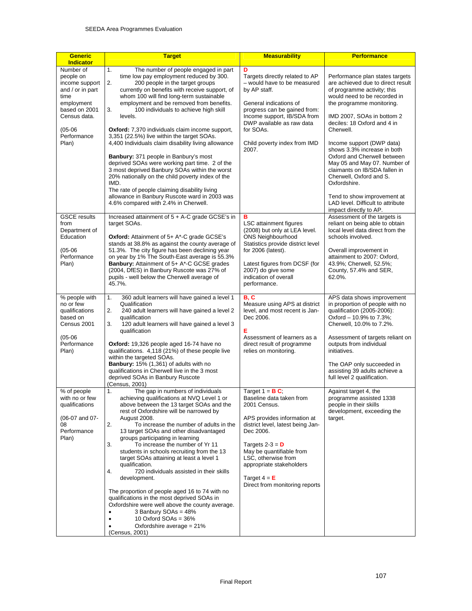| <b>Generic</b><br><b>Indicator</b>                                                                                                                       | <b>Target</b>                                                                                                                                                                                                                                                                                                                                                                                                                                                                                                                                                                                                                                                                                                                                                                                                                                | <b>Measurability</b>                                                                                                                                                                                                                                                                                            | <b>Performance</b>                                                                                                                                                                                                                                                                                                                                                                                                                                                                                                    |
|----------------------------------------------------------------------------------------------------------------------------------------------------------|----------------------------------------------------------------------------------------------------------------------------------------------------------------------------------------------------------------------------------------------------------------------------------------------------------------------------------------------------------------------------------------------------------------------------------------------------------------------------------------------------------------------------------------------------------------------------------------------------------------------------------------------------------------------------------------------------------------------------------------------------------------------------------------------------------------------------------------------|-----------------------------------------------------------------------------------------------------------------------------------------------------------------------------------------------------------------------------------------------------------------------------------------------------------------|-----------------------------------------------------------------------------------------------------------------------------------------------------------------------------------------------------------------------------------------------------------------------------------------------------------------------------------------------------------------------------------------------------------------------------------------------------------------------------------------------------------------------|
| Number of<br>people on<br>income support<br>and / or in part<br>time<br>employment<br>based on 2001<br>Census data.<br>$(05-06)$<br>Performance<br>Plan) | 1.<br>The number of people engaged in part<br>time low pay employment reduced by 300.<br>2.<br>200 people in the target groups<br>currently on benefits with receive support, of<br>whom 100 will find long-term sustainable<br>employment and be removed from benefits.<br>3.<br>100 individuals to achieve high skill<br>levels.<br>Oxford: 7,370 individuals claim income support,<br>3,351 (22.5%) live within the target SOAs.<br>4,400 Individuals claim disability living allowance<br>Banbury: 371 people in Banbury's most<br>deprived SOAs were working part time. 2 of the<br>3 most deprived Banbury SOAs within the worst<br>20% nationally on the child poverty index of the<br>IMD.<br>The rate of people claiming disability living<br>allowance in Banbury Ruscote ward in 2003 was<br>4.6% compared with 2.4% in Cherwell. | D<br>Targets directly related to AP<br>- would have to be measured<br>by AP staff.<br>General indications of<br>progress can be gained from:<br>Income support, IB/SDA from<br>DWP available as raw data<br>for SOAs.<br>Child poverty index from IMD<br>2007.                                                  | Performance plan states targets<br>are achieved due to direct result<br>of programme activity; this<br>would need to be recorded in<br>the programme monitoring.<br>IMD 2007, SOAs in bottom 2<br>deciles: 18 Oxford and 4 in<br>Cherwell.<br>Income support (DWP data)<br>shows 3.3% increase in both<br>Oxford and Cherwell between<br>May 05 and May 07. Number of<br>claimants on IB/SDA fallen in<br>Cherwell, Oxford and S.<br>Oxfordshire.<br>Tend to show improvement at<br>LAD level. Difficult to attribute |
| <b>GSCE</b> results<br>from<br>Department of<br>Education<br>$(05-06)$<br>Performance<br>Plan)                                                           | Increased attainment of 5 + A-C grade GCSE's in<br>target SOAs.<br><b>Oxford:</b> Attainment of 5+ A*-C grade GCSE's<br>stands at 38.8% as against the county average of<br>51.3%. The city figure has been declining year<br>on year by 1% The South-East average is 55.3%<br>Banbury: Attainment of 5+ A*-C GCSE grades<br>(2004, DfES) in Banbury Ruscote was 27% of<br>pupils - well below the Cherwell average of<br>45.7%.                                                                                                                                                                                                                                                                                                                                                                                                             | в<br><b>LSC</b> attainment figures<br>(2008) but only at LEA level.<br><b>ONS Neighbourhood</b><br>Statistics provide district level<br>for 2006 (latest).<br>Latest figures from DCSF (for<br>2007) do give some<br>indication of overall<br>performance.                                                      | impact directly to AP.<br>Assessment of the targets is<br>reliant on being able to obtain<br>local level data direct from the<br>schools involved.<br>Overall improvement in<br>attainment to 2007: Oxford,<br>43.9%; Cherwell, 52.5%;<br>County, 57.4% and SER,<br>62.0%.                                                                                                                                                                                                                                            |
| % people with<br>no or few<br>qualifications<br>based on<br>Census 2001<br>$(05-06)$<br>Performance<br>Plan)                                             | 360 adult learners will have gained a level 1<br>1.<br>Qualification<br>2.<br>240 adult learners will have gained a level 2<br>qualification<br>120 adult learners will have gained a level 3<br>3.<br>qualification<br>Oxford: 19,326 people aged 16-74 have no<br>qualifications. 4,118 (21%) of these people live<br>within the targeted SOAs.<br>Banbury: 15% (1,361) of adults with no<br>qualifications in Cherwell live in the 3 most<br>deprived SOAs in Banbury Ruscote<br>(Census, 2001)                                                                                                                                                                                                                                                                                                                                           | <b>B.C</b><br>Measure using APS at district<br>level, and most recent is Jan-<br>Dec 2006.<br>Е<br>Assessment of learners as a<br>direct result of programme<br>relies on monitoring.                                                                                                                           | APS data shows improvement<br>in proportion of people with no<br>qualification (2005-2006):<br>Oxford - 10.9% to 7.3%;<br>Cherwell, 10.0% to 7.2%.<br>Assessment of targets reliant on<br>outputs from individual<br>initiatives.<br>The OAP only succeeded in<br>assisting 39 adults achieve a<br>full level 2 qualification.                                                                                                                                                                                        |
| % of people<br>with no or few<br>qualifications<br>(06-07 and 07-<br>08<br>Performance<br>Plan)                                                          | The gap in numbers of individuals<br>1.<br>achieving qualifications at NVQ Level 1 or<br>above between the 13 target SOAs and the<br>rest of Oxfordshire will be narrowed by<br>August 2008.<br>2.<br>To increase the number of adults in the<br>13 target SOAs and other disadvantaged<br>groups participating in learning<br>3.<br>To increase the number of Yr 11<br>students in schools recruiting from the 13<br>target SOAs attaining at least a level 1<br>qualification.<br>4.<br>720 individuals assisted in their skills<br>development.<br>The proportion of people aged 16 to 74 with no<br>qualifications in the most deprived SOAs in<br>Oxfordshire were well above the county average.<br>3 Banbury SOAs = 48%<br>٠<br>10 Oxford $SOAs = 36\%$<br>Oxfordshire average $= 21\%$<br>(Census, 2001)                             | Target $1 = BC$ ;<br>Baseline data taken from<br>2001 Census.<br>APS provides information at<br>district level, latest being Jan-<br>Dec 2006.<br>Targets 2-3 = $\mathsf{D}$<br>May be quantifiable from<br>LSC, otherwise from<br>appropriate stakeholders<br>Target $4 = E$<br>Direct from monitoring reports | Against target 4, the<br>programme assisted 1338<br>people in their skills<br>development, exceeding the<br>target.                                                                                                                                                                                                                                                                                                                                                                                                   |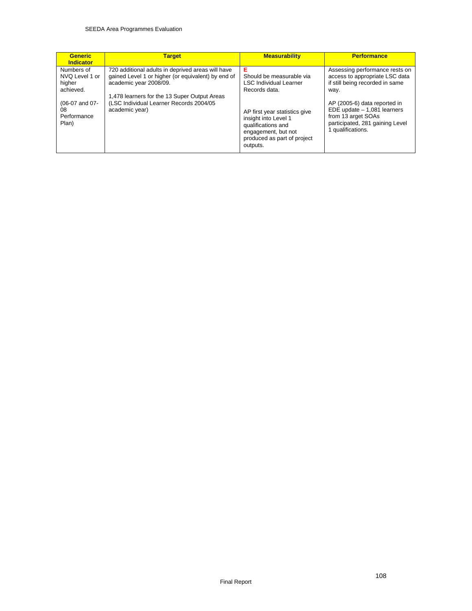| Assessing performance rests on<br>access to appropriate LSC data<br>if still being recorded in same<br>way.<br>AP (2005-6) data reported in<br>EDE update $-1,081$ learners<br>from 13 arget SOAs<br>participated, 281 gaining Level<br>1 qualifications. |
|-----------------------------------------------------------------------------------------------------------------------------------------------------------------------------------------------------------------------------------------------------------|
| produced as part of project                                                                                                                                                                                                                               |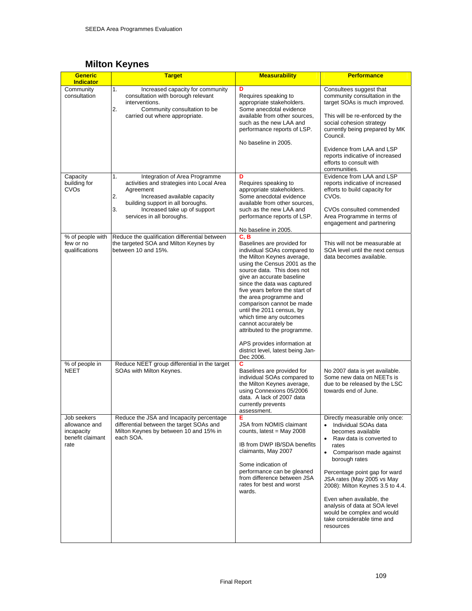## **Milton Keynes**

| <b>Generic</b><br><b>Indicator</b>                                     | <b>Target</b>                                                                                                                                                                                                                               | <b>Measurability</b>                                                                                                                                                                                                                                                                                                                                                                                                                                                                                                | <b>Performance</b>                                                                                                                                                                                                                                                                                                                                                                                                                           |
|------------------------------------------------------------------------|---------------------------------------------------------------------------------------------------------------------------------------------------------------------------------------------------------------------------------------------|---------------------------------------------------------------------------------------------------------------------------------------------------------------------------------------------------------------------------------------------------------------------------------------------------------------------------------------------------------------------------------------------------------------------------------------------------------------------------------------------------------------------|----------------------------------------------------------------------------------------------------------------------------------------------------------------------------------------------------------------------------------------------------------------------------------------------------------------------------------------------------------------------------------------------------------------------------------------------|
| Community<br>consultation                                              | 1.<br>Increased capacity for community<br>consultation with borough relevant<br>interventions.<br>2.<br>Community consultation to be<br>carried out where appropriate.                                                                      | D<br>Requires speaking to<br>appropriate stakeholders.<br>Some anecdotal evidence<br>available from other sources,<br>such as the new LAA and<br>performance reports of LSP.<br>No baseline in 2005.                                                                                                                                                                                                                                                                                                                | Consultees suggest that<br>community consultation in the<br>target SOAs is much improved.<br>This will be re-enforced by the<br>social cohesion strategy<br>currently being prepared by MK<br>Council.<br>Evidence from LAA and LSP<br>reports indicative of increased<br>efforts to consult with<br>communities.                                                                                                                            |
| Capacity<br>building for<br>CVOs                                       | 1.<br>Integration of Area Programme<br>activities and strategies into Local Area<br>Agreement<br>2.<br>Increased available capacity<br>building support in all boroughs.<br>3.<br>Increased take up of support<br>services in all boroughs. | D<br>Requires speaking to<br>appropriate stakeholders.<br>Some anecdotal evidence<br>available from other sources,<br>such as the new LAA and<br>performance reports of LSP.<br>No baseline in 2005.                                                                                                                                                                                                                                                                                                                | Evidence from LAA and LSP<br>reports indicative of increased<br>efforts to build capacity for<br>CVO <sub>s</sub> .<br>CVOs consulted commended<br>Area Programme in terms of<br>engagement and partnering                                                                                                                                                                                                                                   |
| % of people with<br>few or no<br>qualifications                        | Reduce the qualification differential between<br>the targeted SOA and Milton Keynes by<br>between 10 and 15%.                                                                                                                               | C, B<br>Baselines are provided for<br>individual SOAs compared to<br>the Milton Keynes average,<br>using the Census 2001 as the<br>source data. This does not<br>give an accurate baseline<br>since the data was captured<br>five years before the start of<br>the area programme and<br>comparison cannot be made<br>until the 2011 census, by<br>which time any outcomes<br>cannot accurately be<br>attributed to the programme.<br>APS provides information at<br>district level, latest being Jan-<br>Dec 2006. | This will not be measurable at<br>SOA level until the next census<br>data becomes available.                                                                                                                                                                                                                                                                                                                                                 |
| % of people in<br><b>NEET</b>                                          | Reduce NEET group differential in the target<br>SOAs with Milton Keynes.                                                                                                                                                                    | С<br>Baselines are provided for<br>individual SOAs compared to<br>the Milton Keynes average,<br>using Connexions 05/2006<br>data. A lack of 2007 data<br>currently prevents<br>assessment.                                                                                                                                                                                                                                                                                                                          | No 2007 data is yet available.<br>Some new data on NEETs is<br>due to be released by the LSC<br>towards end of June.                                                                                                                                                                                                                                                                                                                         |
| Job seekers<br>allowance and<br>incapacity<br>benefit claimant<br>rate | Reduce the JSA and Incapacity percentage<br>differential between the target SOAs and<br>Milton Keynes by between 10 and 15% in<br>each SOA.                                                                                                 | Е<br><b>JSA from NOMIS claimant</b><br>counts, latest = May 2008<br>IB from DWP IB/SDA benefits<br>claimants, May 2007<br>Some indication of<br>performance can be gleaned<br>from difference between JSA<br>rates for best and worst<br>wards.                                                                                                                                                                                                                                                                     | Directly measurable only once:<br>Individual SOAs data<br>$\bullet$<br>becomes available<br>Raw data is converted to<br>$\bullet$<br>rates<br>Comparison made against<br>$\bullet$<br>borough rates<br>Percentage point gap for ward<br>JSA rates (May 2005 vs May<br>2008): Milton Keynes 3.5 to 4.4.<br>Even when available, the<br>analysis of data at SOA level<br>would be complex and would<br>take considerable time and<br>resources |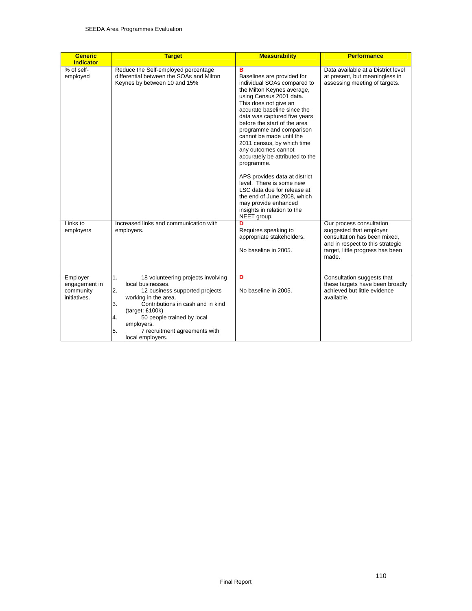| <b>Generic</b><br><b>Indicator</b>                     | <b>Target</b>                                                                                                                                                                                                                                                                                            | <b>Measurability</b>                                                                                                                                                                                                                                                                                                                                                                                                                                                                                                                                                                                           | <b>Performance</b>                                                                                                                                                   |
|--------------------------------------------------------|----------------------------------------------------------------------------------------------------------------------------------------------------------------------------------------------------------------------------------------------------------------------------------------------------------|----------------------------------------------------------------------------------------------------------------------------------------------------------------------------------------------------------------------------------------------------------------------------------------------------------------------------------------------------------------------------------------------------------------------------------------------------------------------------------------------------------------------------------------------------------------------------------------------------------------|----------------------------------------------------------------------------------------------------------------------------------------------------------------------|
| % of self-<br>employed                                 | Reduce the Self-employed percentage<br>differential between the SOAs and Milton<br>Keynes by between 10 and 15%                                                                                                                                                                                          | B<br>Baselines are provided for<br>individual SOAs compared to<br>the Milton Keynes average,<br>using Census 2001 data.<br>This does not give an<br>accurate baseline since the<br>data was captured five years<br>before the start of the area<br>programme and comparison<br>cannot be made until the<br>2011 census, by which time<br>any outcomes cannot<br>accurately be attributed to the<br>programme.<br>APS provides data at district<br>level. There is some new<br>LSC data due for release at<br>the end of June 2008, which<br>may provide enhanced<br>insights in relation to the<br>NEET group. | Data available at a District level<br>at present, but meaningless in<br>assessing meeting of targets.                                                                |
| Links to<br>employers                                  | Increased links and communication with<br>employers.                                                                                                                                                                                                                                                     | D<br>Requires speaking to<br>appropriate stakeholders.<br>No baseline in 2005.                                                                                                                                                                                                                                                                                                                                                                                                                                                                                                                                 | Our process consultation<br>suggested that employer<br>consultation has been mixed.<br>and in respect to this strategic<br>target, little progress has been<br>made. |
| Employer<br>engagement in<br>community<br>initiatives. | 1.<br>18 volunteering projects involving<br>local businesses.<br>2.<br>12 business supported projects<br>working in the area.<br>Contributions in cash and in kind<br>3.<br>(target: £100k)<br>4.<br>50 people trained by local<br>employers.<br>5.<br>7 recruitment agreements with<br>local employers. | D<br>No baseline in 2005.                                                                                                                                                                                                                                                                                                                                                                                                                                                                                                                                                                                      | Consultation suggests that<br>these targets have been broadly<br>achieved but little evidence<br>available.                                                          |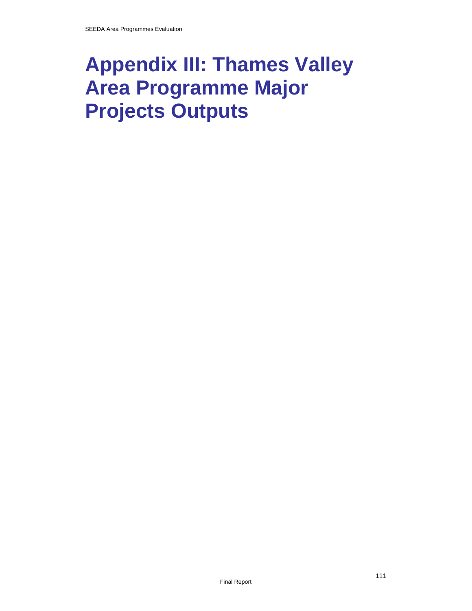# **Appendix III: Thames Valley Area Programme Major Projects Outputs**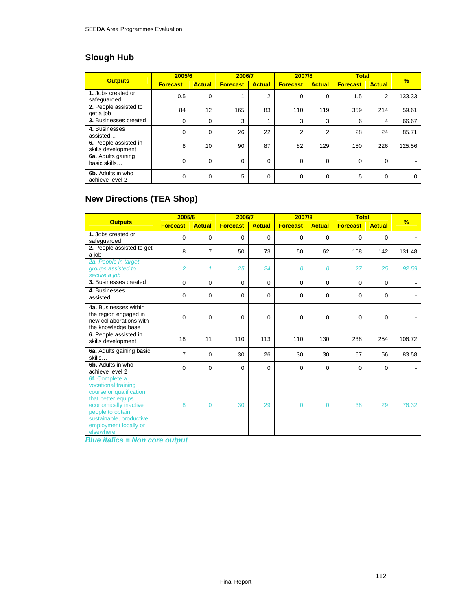# **Slough Hub**

| <b>Outputs</b>                              | 2005/6          |               | 2006/7          |               | 2007/8          |                | <b>Total</b>    |               | $\frac{9}{6}$ |
|---------------------------------------------|-----------------|---------------|-----------------|---------------|-----------------|----------------|-----------------|---------------|---------------|
|                                             | <b>Forecast</b> | <b>Actual</b> | <b>Forecast</b> | <b>Actual</b> | <b>Forecast</b> | <b>Actual</b>  | <b>Forecast</b> | <b>Actual</b> |               |
| 1. Jobs created or<br>safeguarded           | 0.5             | $\Omega$      |                 | 2             | 0               | $\Omega$       | 1.5             | 2             | 133.33        |
| 2. People assisted to<br>get a job          | 84              | 12            | 165             | 83            | 110             | 119            | 359             | 214           | 59.61         |
| <b>3. Businesses created</b>                | 0               | $\Omega$      | 3               |               | 3               | 3              | 6               | 4             | 66.67         |
| 4. Businesses<br>assisted                   | 0               | $\Omega$      | 26              | 22            | $\overline{2}$  | $\overline{2}$ | 28              | 24            | 85.71         |
| 6. People assisted in<br>skills development | 8               | 10            | 90              | 87            | 82              | 129            | 180             | 226           | 125.56        |
| 6a. Adults gaining<br>basic skills          | 0               | $\Omega$      | 0               | 0             | 0               | 0              | 0               | 0             |               |
| 6b. Adults in who<br>achieve level 2        | 0               | 0             | 5               | 0             | 0               | 0              | 5               | $\Omega$      | $\Omega$      |

# **New Directions (TEA Shop)**

|                                                                                                                                                                                                      | 2005/6          |                | 2006/7          |               | 2007/8          |               | <b>Total</b>    |               |               |
|------------------------------------------------------------------------------------------------------------------------------------------------------------------------------------------------------|-----------------|----------------|-----------------|---------------|-----------------|---------------|-----------------|---------------|---------------|
| <b>Outputs</b>                                                                                                                                                                                       | <b>Forecast</b> | <b>Actual</b>  | <b>Forecast</b> | <b>Actual</b> | <b>Forecast</b> | <b>Actual</b> | <b>Forecast</b> | <b>Actual</b> | $\frac{9}{6}$ |
| 1. Jobs created or<br>safeguarded                                                                                                                                                                    | 0               | $\Omega$       | 0               | $\Omega$      | 0               | $\Omega$      | $\Omega$        | $\Omega$      |               |
| 2. People assisted to get<br>a job                                                                                                                                                                   | 8               | $\overline{7}$ | 50              | 73            | 50              | 62            | 108             | 142           | 131.48        |
| 2a. People in target<br>groups assisted to<br>secure a job                                                                                                                                           | 2               | $\overline{1}$ | 25              | 24            | 0               | 0             | 27              | 25            | 92.59         |
| 3. Businesses created                                                                                                                                                                                | $\Omega$        | $\Omega$       | 0               | $\Omega$      | $\Omega$        | $\Omega$      | 0               | $\Omega$      |               |
| 4. Businesses<br>assisted                                                                                                                                                                            | $\mathbf 0$     | $\mathbf 0$    | 0               | $\mathbf 0$   | 0               | $\mathbf 0$   | 0               | $\mathbf 0$   |               |
| 4a. Businesses within<br>the region engaged in<br>new collaborations with<br>the knowledge base                                                                                                      | 0               | $\Omega$       | 0               | $\Omega$      | 0               | $\mathbf 0$   | 0               | $\Omega$      |               |
| 6. People assisted in<br>skills development                                                                                                                                                          | 18              | 11             | 110             | 113           | 110             | 130           | 238             | 254           | 106.72        |
| 6a. Adults gaining basic<br>skills                                                                                                                                                                   | 7               | $\Omega$       | 30              | 26            | 30              | 30            | 67              | 56            | 83.58         |
| 6b. Adults in who<br>achieve level 2                                                                                                                                                                 | $\mathbf 0$     | $\Omega$       | 0               | $\Omega$      | 0               | 0             | 0               | $\Omega$      |               |
| 6f. Complete a<br>vocational training<br>course or qualification<br>that better equips<br>economically inactive<br>people to obtain<br>sustainable, productive<br>employment locally or<br>elsewhere | 8               | $\Omega$       | 30              | 29            | $\overline{0}$  | $\mathbf{0}$  | 38              | 29            | 76.32         |

*Blue italics = Non core output*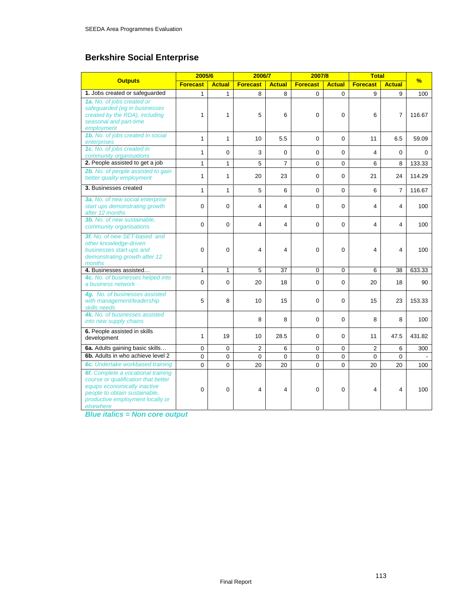# **Berkshire Social Enterprise**

|                                                                                                                                                                                             | 2005/6          |               | 2006/7          |                | 2007/8          |               | <b>Total</b>    |                |          |
|---------------------------------------------------------------------------------------------------------------------------------------------------------------------------------------------|-----------------|---------------|-----------------|----------------|-----------------|---------------|-----------------|----------------|----------|
| <b>Outputs</b>                                                                                                                                                                              | <b>Forecast</b> | <b>Actual</b> | <b>Forecast</b> | <b>Actual</b>  | <b>Forecast</b> | <b>Actual</b> | <b>Forecast</b> | <b>Actual</b>  | %        |
| 1. Jobs created or safeguarded                                                                                                                                                              | $\mathbf{1}$    | $\mathbf{1}$  | 8               | 8              | 0               | $\Omega$      | 9               | 9              | 100      |
| 1a. No. of jobs created or<br>safeguarded (eg in businesses<br>created by the RDA), including<br>seasonal and part-time<br>employment                                                       | 1               | 1             | 5               | 6              | 0               | $\Omega$      | 6               | 7              | 116.67   |
| 1b. No. of jobs created in social<br>enterprises                                                                                                                                            | $\mathbf{1}$    | $\mathbf{1}$  | 10              | 5.5            | $\Omega$        | $\Omega$      | 11              | 6.5            | 59.09    |
| 1c. No. of jobs created in<br>community organisations                                                                                                                                       | 1               | $\Omega$      | 3               | $\Omega$       | 0               | $\Omega$      | 4               | $\Omega$       | $\Omega$ |
| 2. People assisted to get a job                                                                                                                                                             | $\mathbf{1}$    | $\mathbf{1}$  | 5               | $\overline{7}$ | $\Omega$        | $\Omega$      | 6               | 8              | 133.33   |
| 2b. No. of people assisted to gain<br>better quality employment                                                                                                                             | 1               | 1             | 20              | 23             | 0               | $\Omega$      | 21              | 24             | 114.29   |
| 3. Businesses created                                                                                                                                                                       | $\mathbf{1}$    | $\mathbf{1}$  | 5               | 6              | 0               | 0             | 6               | $\overline{7}$ | 116.67   |
| 3a. No. of new social enterprise<br>start ups demonstrating growth<br>after 12 months                                                                                                       | 0               | $\mathbf 0$   | 4               | 4              | 0               | 0             | 4               | 4              | 100      |
| 3b. No. of new sustainable,<br>community organisations                                                                                                                                      | $\Omega$        | $\Omega$      | 4               | 4              | $\Omega$        | $\Omega$      | 4               | 4              | 100      |
| 3f. No. of new SET-based and<br>other knowledge-driven<br>businesses start-ups and<br>demonstrating growth after 12<br>months                                                               | 0               | $\mathbf 0$   | 4               | 4              | 0               | 0             | $\overline{4}$  | 4              | 100      |
| 4. Businesses assisted                                                                                                                                                                      | $\mathbf{1}$    | $\mathbf{1}$  | 5               | 37             | 0               | 0             | 6               | 38             | 633.33   |
| 4c. No. of businesses helped into<br>a business network                                                                                                                                     | 0               | $\mathbf 0$   | 20              | 18             | 0               | 0             | 20              | 18             | 90       |
| 4g. No. of businesses assisted<br>with management/leadership<br>skills needs                                                                                                                | 5               | 8             | 10              | 15             | $\Omega$        | $\Omega$      | 15              | 23             | 153.33   |
| 4k. No. of businesses assisted<br>into new supply chains                                                                                                                                    |                 |               | 8               | 8              | 0               | $\Omega$      | 8               | 8              | 100      |
| 6. People assisted in skills<br>development                                                                                                                                                 | $\mathbf{1}$    | 19            | 10              | 28.5           | $\Omega$        | $\Omega$      | 11              | 47.5           | 431.82   |
| 6a. Adults gaining basic skills                                                                                                                                                             | $\Omega$        | $\Omega$      | $\overline{2}$  | 6              | $\Omega$        | $\Omega$      | $\overline{2}$  | 6              | 300      |
| 6b. Adults in who achieve level 2                                                                                                                                                           | 0               | $\mathbf 0$   | 0               | $\mathbf 0$    | 0               | 0             | $\mathbf 0$     | 0              |          |
| 6c. Undertake workbased training                                                                                                                                                            | $\Omega$        | $\Omega$      | 20              | 20             | $\Omega$        | $\Omega$      | 20              | 20             | 100      |
| 6f. Complete a vocational training<br>course or qualification that better<br>equips economically inactive<br>people to obtain sustainable.<br>productive employment locally or<br>elsewhere | $\mathbf 0$     | $\mathbf 0$   | 4               | 4              | 0               | $\mathbf 0$   | $\overline{4}$  | 4              | 100      |

*Blue italics = Non core output*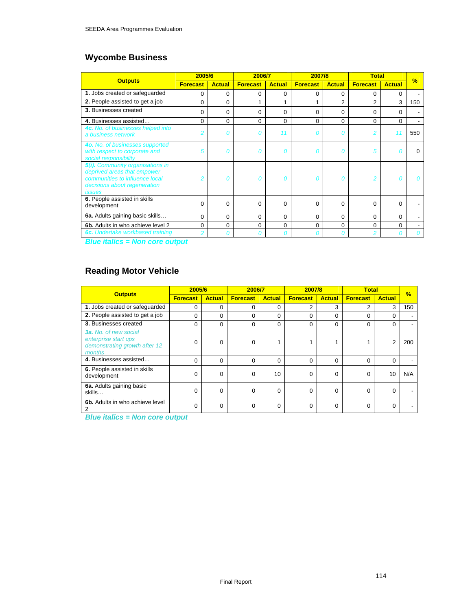# **Wycombe Business**

|                                                                                                                                                           | 2005/6          |               | 2006/7          |               | 2007/8          |                | <b>Total</b>    |               | $\frac{9}{6}$ |
|-----------------------------------------------------------------------------------------------------------------------------------------------------------|-----------------|---------------|-----------------|---------------|-----------------|----------------|-----------------|---------------|---------------|
| <b>Outputs</b>                                                                                                                                            | <b>Forecast</b> | <b>Actual</b> | <b>Forecast</b> | <b>Actual</b> | <b>Forecast</b> | <b>Actual</b>  | <b>Forecast</b> | <b>Actual</b> |               |
| 1. Jobs created or safeguarded                                                                                                                            | 0               | $\Omega$      | 0               | $\Omega$      | 0               | 0              | $\Omega$        | 0             |               |
| 2. People assisted to get a job                                                                                                                           | 0               | 0             |                 | 1             |                 | $\overline{2}$ | $\overline{2}$  | 3             | 150           |
| 3. Businesses created                                                                                                                                     | 0               | 0             | 0               | $\Omega$      | $\Omega$        | 0              | 0               | $\Omega$      |               |
| 4. Businesses assisted                                                                                                                                    | 0               | 0             | $\Omega$        | $\Omega$      | $\Omega$        | 0              | 0               | $\Omega$      |               |
| 4c. No. of businesses helped into<br>a business network                                                                                                   | $\overline{2}$  | Ω             | Ω               | 11            | Ω               | Ω              | 2               | 11            | 550           |
| 4o. No. of businesses supported<br>with respect to corporate and<br>social responsibility                                                                 | 5               | 0             | Ω               | 0             | Ω               | Ω              | 5               | O             | U             |
| 5(i). Community organisations in<br>deprived areas that empower<br>communities to influence local<br>decisions about regeneration<br><i><b>issues</b></i> | 2               | Ω             | Ω               | Ω             | Ω               | Ω              | 2               | Ω             |               |
| 6. People assisted in skills<br>development                                                                                                               | $\Omega$        | $\Omega$      | $\Omega$        | $\Omega$      | $\Omega$        | $\Omega$       | 0               | 0             |               |
| 6a. Adults gaining basic skills                                                                                                                           | 0               | $\Omega$      | 0               | $\Omega$      | $\Omega$        | 0              | $\Omega$        | 0             |               |
| 6b. Adults in who achieve level 2                                                                                                                         | 0               | 0             | 0               | 0             | 0               | 0              | 0               | 0             |               |
| <b>6c.</b> Undertake workbased training                                                                                                                   | $\overline{c}$  | n             |                 | Ω             |                 |                | 2               |               |               |

*Blue italics = Non core output* 

# **Reading Motor Vehicle**

|                                                                                                 | 2005/6          |               | 2006/7          |               | 2007/8          |               | <b>Total</b>    |               | $\frac{9}{6}$ |
|-------------------------------------------------------------------------------------------------|-----------------|---------------|-----------------|---------------|-----------------|---------------|-----------------|---------------|---------------|
| <b>Outputs</b>                                                                                  | <b>Forecast</b> | <b>Actual</b> | <b>Forecast</b> | <b>Actual</b> | <b>Forecast</b> | <b>Actual</b> | <b>Forecast</b> | <b>Actual</b> |               |
| 1. Jobs created or safeguarded                                                                  | 0               | 0             | 0               | 0             | 2               | 3             | 2               | 3             | 150           |
| 2. People assisted to get a job                                                                 | 0               | 0             | $\Omega$        | 0             | 0               | 0             | 0               | $\Omega$      |               |
| 3. Businesses created                                                                           | 0               | 0             | 0               | $\Omega$      | 0               | 0             | 0               | 0             |               |
| <b>3a.</b> No. of new social<br>enterprise start ups<br>demonstrating growth after 12<br>months | U               | 0             | 0               |               |                 |               |                 | 2             | 200           |
| 4. Businesses assisted                                                                          | 0               | 0             | $\Omega$        | $\Omega$      | $\Omega$        | 0             | $\Omega$        | $\Omega$      |               |
| 6. People assisted in skills<br>development                                                     | 0               | 0             | 0               | 10            | $\Omega$        | 0             | $\Omega$        | 10            | N/A           |
| 6a. Adults gaining basic<br>skills                                                              | $\Omega$        | 0             | 0               | $\Omega$      | $\Omega$        | 0             | $\Omega$        | $\Omega$      |               |
| 6b. Adults in who achieve level<br>2                                                            | 0               | 0             | $\Omega$        | $\Omega$      | $\Omega$        | 0             | $\Omega$        | $\Omega$      |               |

*Blue italics = Non core output*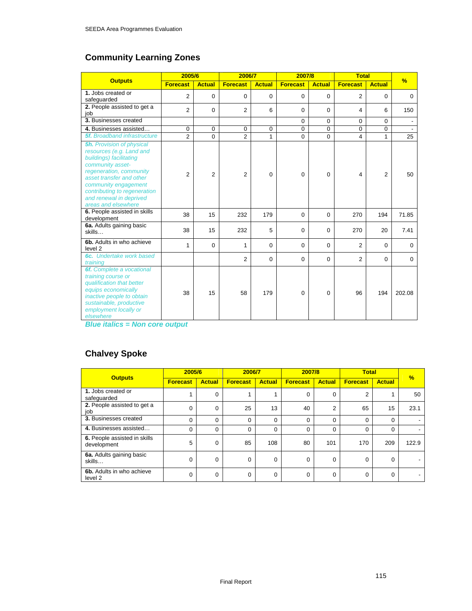# **Community Learning Zones**

|                                                                                                                                                                                                                                                                              | 2005/6          |                | 2006/7          |               | 2007/8          |               | <b>Total</b>    |                | $\frac{9}{6}$ |
|------------------------------------------------------------------------------------------------------------------------------------------------------------------------------------------------------------------------------------------------------------------------------|-----------------|----------------|-----------------|---------------|-----------------|---------------|-----------------|----------------|---------------|
| <b>Outputs</b>                                                                                                                                                                                                                                                               | <b>Forecast</b> | <b>Actual</b>  | <b>Forecast</b> | <b>Actual</b> | <b>Forecast</b> | <b>Actual</b> | <b>Forecast</b> | <b>Actual</b>  |               |
| 1. Jobs created or<br>safequarded                                                                                                                                                                                                                                            | $\overline{2}$  | $\mathbf 0$    | $\mathbf 0$     | $\mathbf 0$   | $\mathbf 0$     | 0             | $\overline{2}$  | $\mathbf 0$    | $\mathbf 0$   |
| 2. People assisted to get a<br>iob                                                                                                                                                                                                                                           | $\overline{2}$  | $\mathbf 0$    | 2               | 6             | 0               | $\Omega$      | 4               | 6              | 150           |
| 3. Businesses created                                                                                                                                                                                                                                                        |                 |                |                 |               | 0               | $\mathbf 0$   | 0               | 0              |               |
| 4. Businesses assisted                                                                                                                                                                                                                                                       | $\mathbf 0$     | $\mathbf 0$    | $\mathbf 0$     | 0             | $\Omega$        | 0             | 0               | 0              |               |
| <b>5f.</b> Broadband infrastructure                                                                                                                                                                                                                                          | $\overline{2}$  | $\Omega$       | $\overline{2}$  | 1             | $\Omega$        | $\Omega$      | 4               | 1              | 25            |
| <b>5h.</b> Provision of physical<br>resources (e.g. Land and<br>buildings) facilitating<br>community asset-<br>regeneration, community<br>asset transfer and other<br>community engagement<br>contributing to regeneration<br>and renewal in deprived<br>areas and elsewhere | $\overline{2}$  | $\overline{2}$ | $\overline{2}$  | $\Omega$      | $\Omega$        | $\Omega$      | 4               | $\overline{2}$ | 50            |
| 6. People assisted in skills<br>development                                                                                                                                                                                                                                  | 38              | 15             | 232             | 179           | 0               | $\Omega$      | 270             | 194            | 71.85         |
| 6a. Adults gaining basic<br>skills                                                                                                                                                                                                                                           | 38              | 15             | 232             | 5             | 0               | $\Omega$      | 270             | 20             | 7.41          |
| 6b. Adults in who achieve<br>level 2                                                                                                                                                                                                                                         | 1               | $\Omega$       | 1               | $\Omega$      | 0               | $\Omega$      | 2               | $\Omega$       | $\Omega$      |
| 6c. Undertake work based<br>training                                                                                                                                                                                                                                         |                 |                | 2               | $\mathbf 0$   | 0               | $\Omega$      | 2               | $\Omega$       | $\Omega$      |
| 6f. Complete a vocational<br>training course or<br>qualification that better<br>equips economically<br>inactive people to obtain<br>sustainable, productive<br>employment locally or<br>elsewhere                                                                            | 38              | 15             | 58              | 179           | 0               | $\Omega$      | 96              | 194            | 202.08        |

*Blue italics = Non core output* 

# **Chalvey Spoke**

|                                             | 2005/6          |               |                 | 2006/7        |                 | 2007/8         | <b>Total</b>    |               |               |
|---------------------------------------------|-----------------|---------------|-----------------|---------------|-----------------|----------------|-----------------|---------------|---------------|
| <b>Outputs</b>                              | <b>Forecast</b> | <b>Actual</b> | <b>Forecast</b> | <b>Actual</b> | <b>Forecast</b> | <b>Actual</b>  | <b>Forecast</b> | <b>Actual</b> | $\frac{9}{6}$ |
| 1. Jobs created or<br>safequarded           |                 | $\Omega$      |                 |               | $\Omega$        | 0              | 2               |               | 50            |
| 2. People assisted to get a<br>job          | $\Omega$        | $\Omega$      | 25              | 13            | 40              | $\overline{2}$ | 65              | 15            | 23.1          |
| 3. Businesses created                       | $\Omega$        | $\Omega$      | 0               | 0             | $\Omega$        | $\Omega$       | $\Omega$        | 0             |               |
| 4. Businesses assisted                      | $\Omega$        | $\Omega$      | 0               | 0             | $\Omega$        | $\Omega$       | 0               | 0             |               |
| 6. People assisted in skills<br>development | 5               | $\Omega$      | 85              | 108           | 80              | 101            | 170             | 209           | 122.9         |
| 6a. Adults gaining basic<br>skills          | $\Omega$        | $\Omega$      | 0               | 0             | $\Omega$        | $\Omega$       | $\Omega$        | 0             |               |
| 6b. Adults in who achieve<br>level 2        | $\Omega$        | $\Omega$      | 0               | 0             | $\Omega$        | $\Omega$       | $\Omega$        | 0             |               |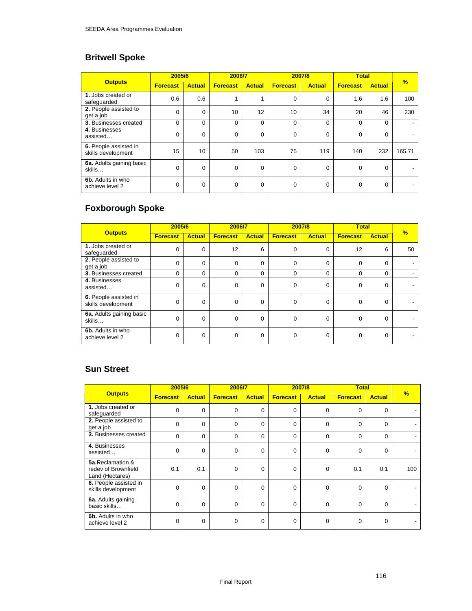# **Britwell Spoke**

|                                             | 2005/6          |               | 2006/7          |               | 2007/8          |               | <b>Total</b>    |               |               |
|---------------------------------------------|-----------------|---------------|-----------------|---------------|-----------------|---------------|-----------------|---------------|---------------|
| <b>Outputs</b>                              | <b>Forecast</b> | <b>Actual</b> | <b>Forecast</b> | <b>Actual</b> | <b>Forecast</b> | <b>Actual</b> | <b>Forecast</b> | <b>Actual</b> | $\frac{9}{6}$ |
| 1. Jobs created or<br>safeguarded           | 0.6             | 0.6           | 1               | 1             | 0               | 0             | 1.6             | 1.6           | 100           |
| 2. People assisted to<br>get a job          | $\Omega$        | $\Omega$      | 10              | 12            | 10              | 34            | 20              | 46            | 230           |
| 3. Businesses created                       | $\Omega$        | $\Omega$      | $\Omega$        | 0             | $\Omega$        | $\Omega$      | $\Omega$        | $\Omega$      |               |
| 4. Businesses<br>assisted                   | $\Omega$        | 0             | $\mathbf 0$     | 0             | $\Omega$        | 0             | $\mathbf 0$     | 0             |               |
| 6. People assisted in<br>skills development | 15              | 10            | 50              | 103           | 75              | 119           | 140             | 232           | 165.71        |
| 6a. Adults gaining basic<br>skills          | $\Omega$        | 0             | 0               | 0             | $\Omega$        | 0             | $\mathbf 0$     | $\Omega$      |               |
| 6b. Adults in who<br>achieve level 2        | $\Omega$        | 0             | 0               | 0             | $\Omega$        | 0             | $\mathbf 0$     | $\Omega$      |               |

# **Foxborough Spoke**

|                                             | 2005/6          |               | 2006/7          |               | 2007/8          |               | <b>Total</b>    |               | $\frac{9}{6}$ |
|---------------------------------------------|-----------------|---------------|-----------------|---------------|-----------------|---------------|-----------------|---------------|---------------|
| <b>Outputs</b>                              | <b>Forecast</b> | <b>Actual</b> | <b>Forecast</b> | <b>Actual</b> | <b>Forecast</b> | <b>Actual</b> | <b>Forecast</b> | <b>Actual</b> |               |
| 1. Jobs created or<br>safeguarded           | $\Omega$        | $\Omega$      | 12              | 6             | $\Omega$        | 0             | 12              | 6             | 50            |
| 2. People assisted to<br>get a job          | 0               | $\Omega$      | $\mathbf 0$     | 0             | $\Omega$        | 0             | $\Omega$        | 0             |               |
| 3. Businesses created                       | 0               | $\mathbf 0$   | $\mathbf 0$     | $\mathbf 0$   | $\Omega$        | 0             | 0               | 0             |               |
| 4. Businesses<br>assisted                   | 0               | $\Omega$      | $\mathbf 0$     | 0             | $\Omega$        | 0             | $\mathbf 0$     | $\mathbf 0$   |               |
| 6. People assisted in<br>skills development | 0               | $\mathbf 0$   | 0               | 0             | $\Omega$        | 0             | 0               | 0             |               |
| 6a. Adults gaining basic<br>skills          | 0               | $\mathbf 0$   | $\mathbf 0$     | 0             | $\Omega$        | 0             | 0               | 0             |               |
| 6b. Adults in who<br>achieve level 2        | 0               | $\mathbf 0$   | 0               | 0             | 0               | 0             | 0               | 0             |               |

## **Sun Street**

|                                                            | 2005/6          |               | 2006/7          |               |                 | 2007/8        | <b>Total</b>    |               |               |
|------------------------------------------------------------|-----------------|---------------|-----------------|---------------|-----------------|---------------|-----------------|---------------|---------------|
| <b>Outputs</b>                                             | <b>Forecast</b> | <b>Actual</b> | <b>Forecast</b> | <b>Actual</b> | <b>Forecast</b> | <b>Actual</b> | <b>Forecast</b> | <b>Actual</b> | $\frac{9}{6}$ |
| 1. Jobs created or<br>safeguarded                          | 0               | 0             | 0               | 0             | $\mathbf 0$     | 0             | $\mathbf 0$     | 0             |               |
| 2. People assisted to<br>get a job                         | 0               | $\mathbf 0$   | $\Omega$        | 0             | $\Omega$        | $\Omega$      | $\Omega$        | $\Omega$      |               |
| <b>3. Businesses created</b>                               | 0               | 0             | 0               | 0             | 0               | 0             | 0               | $\Omega$      |               |
| 4. Businesses<br>assisted                                  | 0               | $\mathbf 0$   | $\Omega$        | 0             | $\Omega$        | 0             | $\Omega$        | $\Omega$      |               |
| 5a.Reclamation &<br>redev of Brownfield<br>Land (Hectares) | 0.1             | 0.1           | $\Omega$        | 0             | $\Omega$        | 0             | 0.1             | 0.1           | 100           |
| 6. People assisted in<br>skills development                | 0               | 0             | 0               | 0             | $\mathbf 0$     | $\mathbf 0$   | $\Omega$        | 0             |               |
| 6a. Adults gaining<br>basic skills                         | 0               | $\Omega$      | $\Omega$        | $\Omega$      | $\Omega$        | $\mathbf 0$   | $\Omega$        | $\Omega$      |               |
| 6b. Adults in who<br>achieve level 2                       | 0               | $\mathbf 0$   | $\Omega$        | 0             | 0               | $\mathbf 0$   | $\Omega$        | $\Omega$      |               |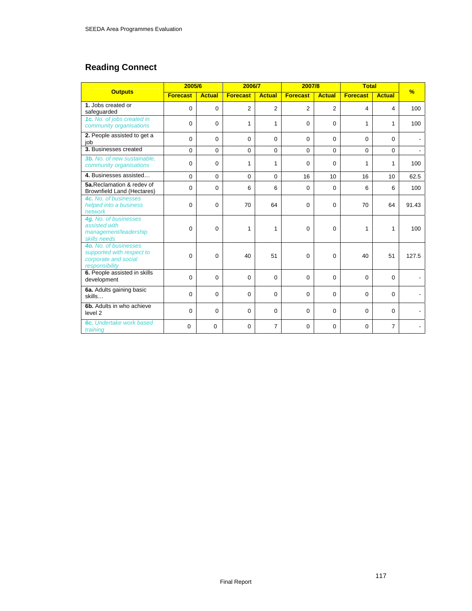## **Reading Connect**

|                                                                                              | 2005/6          |               | 2006/7          |                | 2007/8          |                | <b>Total</b>    |               |               |
|----------------------------------------------------------------------------------------------|-----------------|---------------|-----------------|----------------|-----------------|----------------|-----------------|---------------|---------------|
| <b>Outputs</b>                                                                               | <b>Forecast</b> | <b>Actual</b> | <b>Forecast</b> | <b>Actual</b>  | <b>Forecast</b> | <b>Actual</b>  | <b>Forecast</b> | <b>Actual</b> | $\frac{9}{6}$ |
| 1. Jobs created or<br>safeguarded                                                            | $\Omega$        | $\Omega$      | $\overline{2}$  | $\overline{2}$ | $\overline{2}$  | $\overline{2}$ | 4               | 4             | 100           |
| 1c. No. of jobs created in<br>community organisations                                        | $\Omega$        | $\Omega$      | $\mathbf{1}$    | $\mathbf{1}$   | $\Omega$        | $\Omega$       | 1               | 1             | 100           |
| 2. People assisted to get a<br>job                                                           | 0               | $\Omega$      | $\Omega$        | $\Omega$       | $\Omega$        | $\Omega$       | $\Omega$        | $\Omega$      |               |
| 3. Businesses created                                                                        | $\Omega$        | $\Omega$      | 0               | $\mathbf 0$    | $\Omega$        | $\Omega$       | $\mathbf 0$     | $\Omega$      |               |
| 3b. No. of new sustainable,<br>community organisations                                       | $\Omega$        | $\Omega$      | 1               | $\mathbf{1}$   | $\Omega$        | $\Omega$       | 1               | $\mathbf 1$   | 100           |
| 4. Businesses assisted                                                                       | $\Omega$        | $\Omega$      | $\Omega$        | $\Omega$       | 16              | 10             | 16              | 10            | 62.5          |
| 5a.Reclamation & redev of<br><b>Brownfield Land (Hectares)</b>                               | 0               | 0             | 6               | 6              | $\mathbf 0$     | $\mathbf 0$    | 6               | 6             | 100           |
| 4c. No. of businesses<br>helped into a business<br>network                                   | 0               | $\Omega$      | 70              | 64             | $\Omega$        | 0              | 70              | 64            | 91.43         |
| 4g. No. of businesses<br>assisted with<br>management/leadership<br>skills needs              | $\Omega$        | $\Omega$      | 1               | 1              | $\Omega$        | 0              | 1               | 1             | 100           |
| 4o. No. of businesses<br>supported with respect to<br>corporate and social<br>responsibility | $\Omega$        | $\Omega$      | 40              | 51             | 0               | $\Omega$       | 40              | 51            | 127.5         |
| 6. People assisted in skills<br>development                                                  | $\Omega$        | $\Omega$      | $\Omega$        | $\Omega$       | $\Omega$        | 0              | $\Omega$        | $\Omega$      |               |
| 6a. Adults gaining basic<br>skills                                                           | $\Omega$        | $\Omega$      | 0               | 0              | $\Omega$        | 0              | $\Omega$        | $\Omega$      |               |
| 6b. Adults in who achieve<br>level <sub>2</sub>                                              | $\Omega$        | $\Omega$      | $\mathbf 0$     | 0              | $\Omega$        | 0              | $\Omega$        | $\Omega$      |               |
| 6c. Undertake work based<br>training                                                         | $\Omega$        | 0             | $\Omega$        | $\overline{7}$ | $\Omega$        | 0              | $\Omega$        | 7             |               |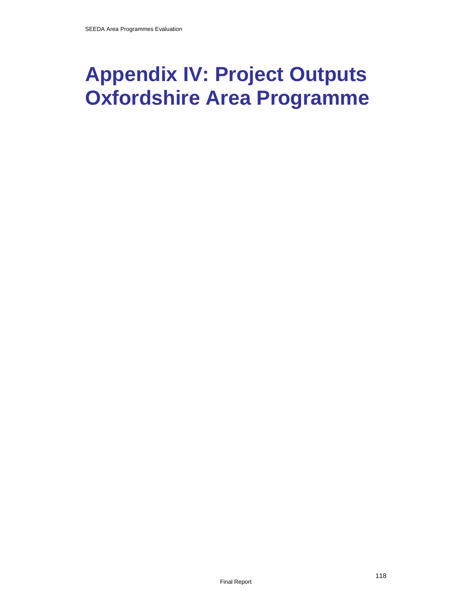# **Appendix IV: Project Outputs Oxfordshire Area Programme**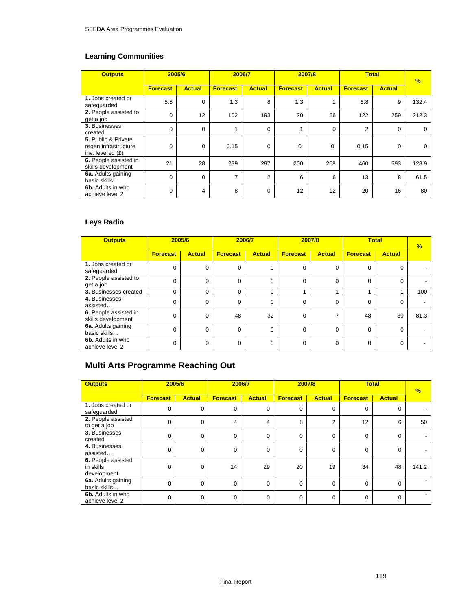## **Learning Communities**

| <b>Outputs</b>                                                    | 2005/6          |                | 2006/7          |                | 2007/8          |               |                 | <b>Total</b>  | $\frac{9}{6}$ |
|-------------------------------------------------------------------|-----------------|----------------|-----------------|----------------|-----------------|---------------|-----------------|---------------|---------------|
|                                                                   | <b>Forecast</b> | <b>Actual</b>  | <b>Forecast</b> | <b>Actual</b>  | <b>Forecast</b> | <b>Actual</b> | <b>Forecast</b> | <b>Actual</b> |               |
| 1. Jobs created or<br>safequarded                                 | 5.5             | $\mathbf 0$    | 1.3             | 8              | 1.3             |               | 6.8             | 9             | 132.4         |
| 2. People assisted to<br>get a job                                | $\mathbf 0$     | 12             | 102             | 193            | 20              | 66            | 122             | 259           | 212.3         |
| 3. Businesses<br>created                                          | $\Omega$        | $\mathbf 0$    |                 | $\mathbf 0$    |                 | $\mathbf 0$   | $\overline{2}$  | 0             | $\Omega$      |
| 5. Public & Private<br>regen infrastructure<br>inv. levered $(E)$ | 0               | $\Omega$       | 0.15            | $\Omega$       | 0               | $\Omega$      | 0.15            | $\Omega$      | $\Omega$      |
| 6. People assisted in<br>skills development                       | 21              | 28             | 239             | 297            | 200             | 268           | 460             | 593           | 128.9         |
| 6a. Adults gaining<br>basic skills                                | $\Omega$        | $\Omega$       | $\overline{ }$  | $\overline{2}$ | 6               | 6             | 13              | 8             | 61.5          |
| 6b. Adults in who<br>achieve level 2                              | $\Omega$        | $\overline{4}$ | 8               | $\Omega$       | 12              | 12            | 20              | 16            | 80            |

## **Leys Radio**

| <b>Outputs</b>                              | 2005/6          |               | 2006/7          |               | 2007/8          |               | <b>Total</b>    |               | $\frac{1}{2}$ |
|---------------------------------------------|-----------------|---------------|-----------------|---------------|-----------------|---------------|-----------------|---------------|---------------|
|                                             | <b>Forecast</b> | <b>Actual</b> | <b>Forecast</b> | <b>Actual</b> | <b>Forecast</b> | <b>Actual</b> | <b>Forecast</b> | <b>Actual</b> |               |
| 1. Jobs created or<br>safeguarded           | 0               | $\mathbf 0$   | 0               | 0             | 0               | 0             | $\Omega$        | $\Omega$      |               |
| 2. People assisted to<br>get a job          | $\Omega$        | $\mathbf 0$   | $\Omega$        | 0             | 0               | 0             | $\Omega$        | $\Omega$      |               |
| 3. Businesses created                       | 0               | $\Omega$      | $\Omega$        | $\Omega$      |                 |               |                 |               | 100           |
| 4. Businesses<br>assisted                   | 0               | $\mathbf 0$   | 0               | 0             | 0               | 0             | 0               | 0             |               |
| 6. People assisted in<br>skills development | $\Omega$        | $\Omega$      | 48              | 32            | $\Omega$        | ⇁             | 48              | 39            | 81.3          |
| 6a. Adults gaining<br>basic skills          | $\Omega$        | $\Omega$      | $\Omega$        | $\Omega$      | $\Omega$        | 0             | $\Omega$        | $\Omega$      |               |
| 6b. Adults in who<br>achieve level 2        | 0               | $\Omega$      | $\Omega$        | $\Omega$      | 0               | 0             | 0               | $\Omega$      |               |

# **Multi Arts Programme Reaching Out**

| <b>Outputs</b>                                 |                 | 2005/6        | 2006/7          |               | 2007/8          |               | <b>Total</b>    |               | $\frac{9}{6}$ |
|------------------------------------------------|-----------------|---------------|-----------------|---------------|-----------------|---------------|-----------------|---------------|---------------|
|                                                | <b>Forecast</b> | <b>Actual</b> | <b>Forecast</b> | <b>Actual</b> | <b>Forecast</b> | <b>Actual</b> | <b>Forecast</b> | <b>Actual</b> |               |
| 1. Jobs created or<br>safeguarded              | 0               | 0             | $\mathbf 0$     | 0             | $\mathbf 0$     | 0             | $\Omega$        | 0             |               |
| 2. People assisted<br>to get a job             | $\Omega$        | $\Omega$      | 4               | 4             | 8               | 2             | 12              | 6             | 50            |
| 3. Businesses<br>created                       | $\Omega$        | $\Omega$      | $\Omega$        | $\mathbf 0$   | $\Omega$        | 0             | $\Omega$        | 0             |               |
| 4. Businesses<br>assisted                      | $\Omega$        | $\Omega$      | $\Omega$        | $\Omega$      | $\Omega$        | $\Omega$      | $\Omega$        | $\mathbf 0$   |               |
| 6. People assisted<br>in skills<br>development | $\Omega$        | $\Omega$      | 14              | 29            | 20              | 19            | 34              | 48            | 141.2         |
| 6a. Adults gaining<br>basic skills             | $\Omega$        | $\Omega$      | $\Omega$        | $\Omega$      | $\Omega$        | 0             | $\Omega$        | $\mathbf 0$   |               |
| 6b. Adults in who<br>achieve level 2           | 0               | $\Omega$      | $\mathbf 0$     | 0             | $\Omega$        | 0             | $\Omega$        | 0             |               |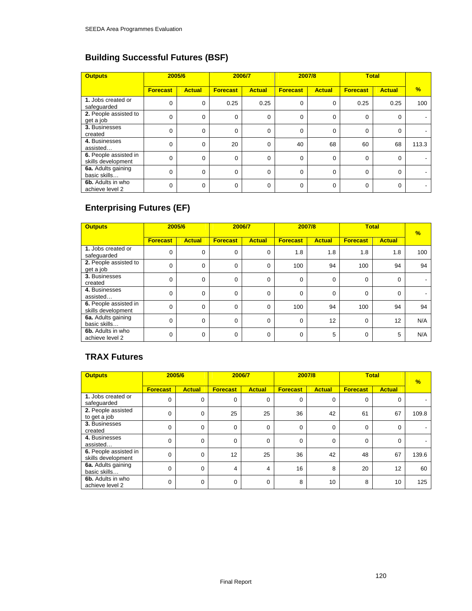# **Building Successful Futures (BSF)**

| <b>Outputs</b>                              | 2005/6          |               | 2006/7          |               | 2007/8          |               | <b>Total</b>    |               |               |
|---------------------------------------------|-----------------|---------------|-----------------|---------------|-----------------|---------------|-----------------|---------------|---------------|
|                                             | <b>Forecast</b> | <b>Actual</b> | <b>Forecast</b> | <b>Actual</b> | <b>Forecast</b> | <b>Actual</b> | <b>Forecast</b> | <b>Actual</b> | $\frac{9}{6}$ |
| 1. Jobs created or<br>safeguarded           | 0               | 0             | 0.25            | 0.25          | $\Omega$        | 0             | 0.25            | 0.25          | 100           |
| 2. People assisted to<br>get a job          | 0               | 0             | $\Omega$        | 0             | $\Omega$        | 0             | $\Omega$        | $\mathbf 0$   |               |
| 3. Businesses<br>created                    | 0               | 0             | $\Omega$        | 0             | 0               | 0             | $\Omega$        | $\mathbf 0$   |               |
| 4. Businesses<br>assisted                   | 0               | 0             | 20              | 0             | 40              | 68            | 60              | 68            | 113.3         |
| 6. People assisted in<br>skills development | 0               | 0             | $\Omega$        | 0             | $\Omega$        | $\mathbf 0$   | $\Omega$        | $\Omega$      |               |
| 6a. Adults gaining<br>basic skills          | 0               | $\Omega$      | $\Omega$        | $\Omega$      | $\Omega$        | $\Omega$      | $\Omega$        | $\Omega$      |               |
| 6b. Adults in who<br>achieve level 2        | 0               | 0             | $\mathbf 0$     | $\mathbf 0$   | $\Omega$        | 0             | $\Omega$        | $\Omega$      |               |

# **Enterprising Futures (EF)**

| <b>Outputs</b>                              | 2005/6          |               | 2006/7          |               | 2007/8          |               | <b>Total</b>    |               | $\frac{9}{6}$ |
|---------------------------------------------|-----------------|---------------|-----------------|---------------|-----------------|---------------|-----------------|---------------|---------------|
|                                             | <b>Forecast</b> | <b>Actual</b> | <b>Forecast</b> | <b>Actual</b> | <b>Forecast</b> | <b>Actual</b> | <b>Forecast</b> | <b>Actual</b> |               |
| 1. Jobs created or<br>safeguarded           | 0               | 0             | 0               | 0             | 1.8             | 1.8           | 1.8             | 1.8           | 100           |
| 2. People assisted to<br>get a job          | 0               | $\mathbf 0$   | $\mathbf 0$     | 0             | 100             | 94            | 100             | 94            | 94            |
| 3. Businesses<br>created                    | 0               | $\mathbf 0$   | 0               | 0             | $\Omega$        | 0             | $\Omega$        | $\mathbf 0$   |               |
| 4. Businesses<br>assisted                   | 0               | 0             | $\Omega$        | 0             | $\Omega$        | 0             | $\Omega$        | $\mathbf 0$   |               |
| 6. People assisted in<br>skills development | $\Omega$        | $\mathbf 0$   | $\Omega$        | 0             | 100             | 94            | 100             | 94            | 94            |
| 6a. Adults gaining<br>basic skills          | 0               | $\mathbf 0$   | $\Omega$        | $\Omega$      | $\Omega$        | 12            | $\Omega$        | 12            | N/A           |
| 6b. Adults in who<br>achieve level 2        | 0               | 0             | $\mathbf 0$     | $\mathbf 0$   | $\Omega$        | 5             | $\Omega$        | 5             | N/A           |

## **TRAX Futures**

| <b>Outputs</b>                              |                 | 2005/6        | 2006/7          |               | 2007/8          |               |                 | <b>Total</b>  | $\frac{1}{2}$ |
|---------------------------------------------|-----------------|---------------|-----------------|---------------|-----------------|---------------|-----------------|---------------|---------------|
|                                             | <b>Forecast</b> | <b>Actual</b> | <b>Forecast</b> | <b>Actual</b> | <b>Forecast</b> | <b>Actual</b> | <b>Forecast</b> | <b>Actual</b> |               |
| 1. Jobs created or<br>safeguarded           | $\Omega$        | 0             | 0               | 0             | $\Omega$        | $\Omega$      | $\Omega$        | $\Omega$      |               |
| 2. People assisted<br>to get a job          | 0               | 0             | 25              | 25            | 36              | 42            | 61              | 67            | 109.8         |
| 3. Businesses<br>created                    | $\Omega$        | $\Omega$      | $\Omega$        | $\Omega$      | $\Omega$        | $\Omega$      | $\Omega$        | $\Omega$      |               |
| 4. Businesses<br>assisted                   | $\Omega$        | $\Omega$      | $\Omega$        | $\Omega$      | $\Omega$        | $\Omega$      | $\Omega$        | $\Omega$      |               |
| 6. People assisted in<br>skills development | $\Omega$        | 0             | 12              | 25            | 36              | 42            | 48              | 67            | 139.6         |
| 6a. Adults gaining<br>basic skills          | $\Omega$        | $\Omega$      | 4               | 4             | 16              | 8             | 20              | 12            | 60            |
| 6b. Adults in who<br>achieve level 2        | $\Omega$        | $\Omega$      | $\Omega$        | $\Omega$      | 8               | 10            | 8               | 10            | 125           |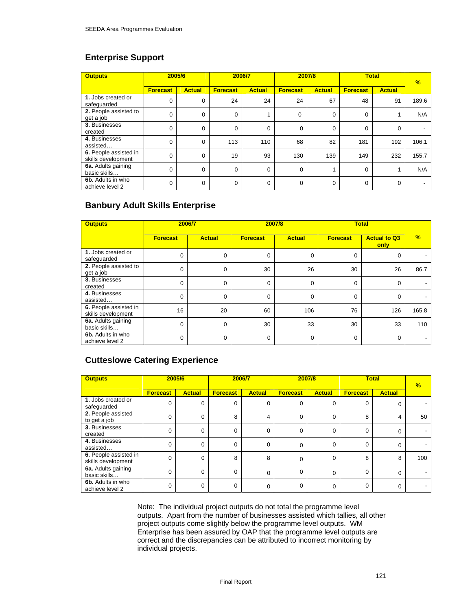## **Enterprise Support**

| <b>Outputs</b>                              |                 | 2005/6        |                 | 2006/7        |                 | 2007/8        | <b>Total</b>    |               | $\frac{9}{6}$ |
|---------------------------------------------|-----------------|---------------|-----------------|---------------|-----------------|---------------|-----------------|---------------|---------------|
|                                             | <b>Forecast</b> | <b>Actual</b> | <b>Forecast</b> | <b>Actual</b> | <b>Forecast</b> | <b>Actual</b> | <b>Forecast</b> | <b>Actual</b> |               |
| 1. Jobs created or<br>safequarded           | 0               | 0             | 24              | 24            | 24              | 67            | 48              | 91            | 189.6         |
| 2. People assisted to<br>get a job          | 0               | $\mathbf 0$   | $\mathbf 0$     |               | 0               | 0             | 0               |               | N/A           |
| 3. Businesses<br>created                    | 0               | 0             | $\Omega$        | $\mathbf 0$   | 0               | $\Omega$      | 0               | 0             |               |
| 4. Businesses<br>assisted                   | 0               | $\mathbf 0$   | 113             | 110           | 68              | 82            | 181             | 192           | 106.1         |
| 6. People assisted in<br>skills development | 0               | 0             | 19              | 93            | 130             | 139           | 149             | 232           | 155.7         |
| 6a. Adults gaining<br>basic skills          | 0               | $\mathbf 0$   | $\Omega$        | 0             | 0               |               | $\mathbf 0$     |               | N/A           |
| 6b. Adults in who<br>achieve level 2        | 0               | 0             | $\mathbf 0$     | 0             | 0               | 0             | 0               | 0             |               |

## **Banbury Adult Skills Enterprise**

| <b>Outputs</b>                              | 2006/7          |               | 2007/8          |               |                 | <b>Total</b>                |               |
|---------------------------------------------|-----------------|---------------|-----------------|---------------|-----------------|-----------------------------|---------------|
|                                             | <b>Forecast</b> | <b>Actual</b> | <b>Forecast</b> | <b>Actual</b> | <b>Forecast</b> | <b>Actual to Q3</b><br>only | $\frac{9}{6}$ |
| 1. Jobs created or<br>safeguarded           | $\Omega$        | 0             | 0               | $\Omega$      | 0               | 0                           |               |
| 2. People assisted to<br>get a job          | $\Omega$        | 0             | 30              | 26            | 30              | 26                          | 86.7          |
| 3. Businesses<br>created                    | $\Omega$        | 0             | 0               | 0             | $\mathbf 0$     | 0                           |               |
| 4. Businesses<br>assisted                   | $\Omega$        | 0             | 0               | $\Omega$      | $\mathbf 0$     | $\mathbf 0$                 |               |
| 6. People assisted in<br>skills development | 16              | 20            | 60              | 106           | 76              | 126                         | 165.8         |
| 6a. Adults gaining<br>basic skills          | $\Omega$        | 0             | 30              | 33            | 30              | 33                          | 110           |
| 6b. Adults in who<br>achieve level 2        | $\Omega$        | 0             | 0               | $\Omega$      | 0               | $\mathbf 0$                 |               |

## **Cutteslowe Catering Experience**

| <b>Outputs</b>                              | 2005/6          |               | 2006/7          |               |                 | 2007/8        | <b>Total</b>    |               | $\frac{9}{6}$ |
|---------------------------------------------|-----------------|---------------|-----------------|---------------|-----------------|---------------|-----------------|---------------|---------------|
|                                             | <b>Forecast</b> | <b>Actual</b> | <b>Forecast</b> | <b>Actual</b> | <b>Forecast</b> | <b>Actual</b> | <b>Forecast</b> | <b>Actual</b> |               |
| 1. Jobs created or<br>safequarded           | 0               | 0             | 0               | 0             | 0               | 0             | 0               | 0             |               |
| 2. People assisted<br>to get a job          | $\mathbf 0$     | 0             | 8               | 4             | 0               | 0             | 8               | 4             | 50            |
| 3. Businesses<br>created                    | $\Omega$        | $\Omega$      | $\Omega$        | $\Omega$      | $\Omega$        | $\mathbf 0$   | $\Omega$        | $\mathbf 0$   |               |
| 4. Businesses<br>assisted                   | $\Omega$        | $\Omega$      | $\Omega$        | $\Omega$      | $\Omega$        | 0             | 0               | 0             |               |
| 6. People assisted in<br>skills development | 0               | $\mathbf 0$   | 8               | 8             | $\Omega$        | 0             | 8               | 8             | 100           |
| 6a. Adults gaining<br>basic skills          | $\Omega$        | $\Omega$      | $\Omega$        | $\Omega$      | $\Omega$        | $\Omega$      | $\Omega$        | $\Omega$      |               |
| 6b. Adults in who<br>achieve level 2        | 0               | 0             | $\Omega$        | 0             | $\Omega$        | $\mathbf 0$   | 0               | 0             |               |

Note: The individual project outputs do not total the programme level outputs. Apart from the number of businesses assisted which tallies, all other project outputs come slightly below the programme level outputs. WM Enterprise has been assured by OAP that the programme level outputs are correct and the discrepancies can be attributed to incorrect monitoring by individual projects.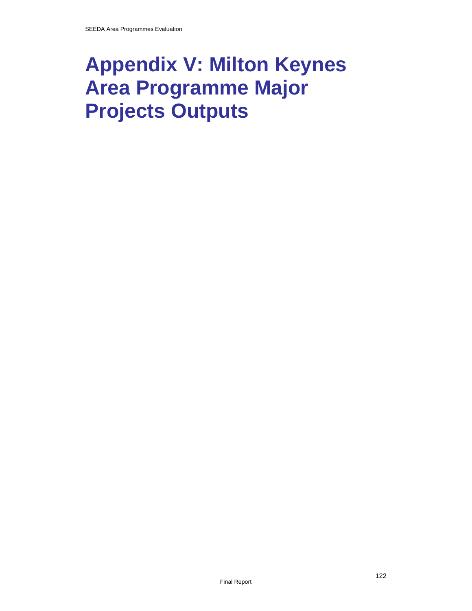# **Appendix V: Milton Keynes Area Programme Major Projects Outputs**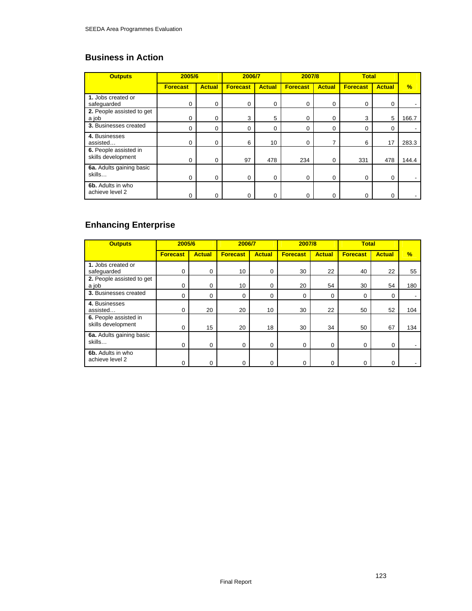# **Business in Action**

| <b>Outputs</b>                              | 2005/6          |               | 2006/7          |               | 2007/8          |               | <b>Total</b>    |               |               |
|---------------------------------------------|-----------------|---------------|-----------------|---------------|-----------------|---------------|-----------------|---------------|---------------|
|                                             | <b>Forecast</b> | <b>Actual</b> | <b>Forecast</b> | <b>Actual</b> | <b>Forecast</b> | <b>Actual</b> | <b>Forecast</b> | <b>Actual</b> | $\frac{9}{6}$ |
| 1. Jobs created or<br>safequarded           | 0               | 0             | 0               | 0             | 0               | 0             | 0               | 0             |               |
| 2. People assisted to get<br>a job          | 0               | 0             | 3               | 5             | 0               | 0             | 3               | 5             | 166.7         |
| 3. Businesses created                       | 0               | 0             | 0               | 0             | 0               | 0             | 0               | 0             |               |
| 4. Businesses<br>assisted                   | 0               | $\Omega$      | 6               | 10            | 0               |               | 6               | 17            | 283.3         |
| 6. People assisted in<br>skills development | 0               | $\Omega$      | 97              | 478           | 234             | 0             | 331             | 478           | 144.4         |
| 6a. Adults gaining basic<br>skills          | 0               | $\Omega$      | 0               | 0             | 0               | 0             | 0               | 0             |               |
| 6b. Adults in who<br>achieve level 2        | 0               |               | 0               | 0             | 0               |               | 0               | 0             |               |

# **Enhancing Enterprise**

| <b>Outputs</b>                              | 2005/6          |               | 2006/7          |               | 2007/8          |               | <b>Total</b>    |               |      |
|---------------------------------------------|-----------------|---------------|-----------------|---------------|-----------------|---------------|-----------------|---------------|------|
|                                             | <b>Forecast</b> | <b>Actual</b> | <b>Forecast</b> | <b>Actual</b> | <b>Forecast</b> | <b>Actual</b> | <b>Forecast</b> | <b>Actual</b> | $\%$ |
| 1. Jobs created or<br>safeguarded           | 0               | 0             | 10              | 0             | 30              | 22            | 40              | 22            | 55   |
| 2. People assisted to get<br>a job          | 0               | 0             | 10              | $\Omega$      | 20              | 54            | 30              | 54            | 180  |
| 3. Businesses created                       | 0               | 0             | $\Omega$        | $\Omega$      | $\Omega$        | 0             | 0               | $\Omega$      |      |
| 4. Businesses<br>assisted                   | 0               | 20            | 20              | 10            | 30              | 22            | 50              | 52            | 104  |
| 6. People assisted in<br>skills development | 0               | 15            | 20              | 18            | 30              | 34            | 50              | 67            | 134  |
| 6a. Adults gaining basic<br>skills          | 0               | $\mathbf 0$   | $\Omega$        | 0             | 0               | 0             | 0               | $\Omega$      |      |
| 6b. Adults in who<br>achieve level 2        | 0               | 0             | 0               | 0             | 0               |               | 0               | O             |      |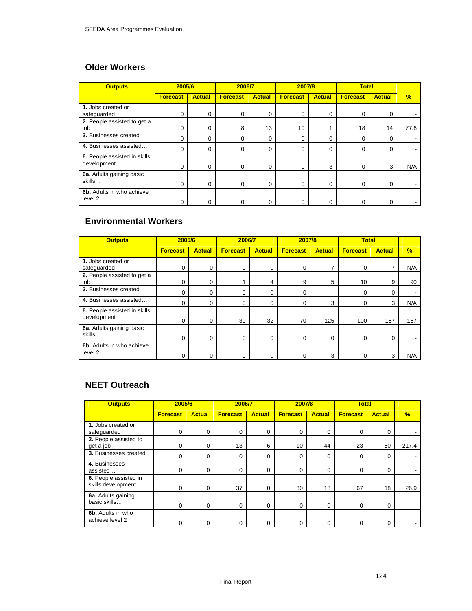## **Older Workers**

| <b>Outputs</b>                              | 2005/6          |               | 2006/7          |               | 2007/8          |               | <b>Total</b>    |               |               |
|---------------------------------------------|-----------------|---------------|-----------------|---------------|-----------------|---------------|-----------------|---------------|---------------|
|                                             | <b>Forecast</b> | <b>Actual</b> | <b>Forecast</b> | <b>Actual</b> | <b>Forecast</b> | <b>Actual</b> | <b>Forecast</b> | <b>Actual</b> | $\frac{9}{6}$ |
| 1. Jobs created or<br>safeguarded           | 0               | 0             | 0               | 0             | 0               | $\Omega$      | $\mathbf 0$     | 0             |               |
| 2. People assisted to get a<br>job          | 0               | 0             | 8               | 13            | 10              |               | 18              | 14            | 77.8          |
| 3. Businesses created                       | 0               | 0             | 0               | 0             | $\Omega$        | $\Omega$      | 0               | 0             |               |
| 4. Businesses assisted                      | 0               | 0             | 0               | 0             | $\Omega$        | $\Omega$      | $\mathbf 0$     | 0             |               |
| 6. People assisted in skills<br>development | 0               | 0             | $\Omega$        | 0             | 0               | 3             | 0               | 3             | N/A           |
| 6a. Adults gaining basic<br>skills          | 0               | 0             | 0               | 0             | $\Omega$        | 0             | 0               | 0             |               |
| 6b. Adults in who achieve<br>level 2        | 0               | 0             |                 |               |                 |               | 0               | 0             |               |

## **Environmental Workers**

| <b>Outputs</b>                              | 2005/6          |               | 2006/7          |               | 2007/8          |               | <b>Total</b>    |               |               |
|---------------------------------------------|-----------------|---------------|-----------------|---------------|-----------------|---------------|-----------------|---------------|---------------|
|                                             | <b>Forecast</b> | <b>Actual</b> | <b>Forecast</b> | <b>Actual</b> | <b>Forecast</b> | <b>Actual</b> | <b>Forecast</b> | <b>Actual</b> | $\frac{9}{6}$ |
| 1. Jobs created or<br>safequarded           | 0               | $\mathbf 0$   | 0               | 0             | $\Omega$        |               | 0               |               | N/A           |
| 2. People assisted to get a<br>job          | 0               | 0             |                 | 4             | 9               | 5             | 10              | 9             | 90            |
| 3. Businesses created                       | $\Omega$        | 0             | 0               | 0             | $\Omega$        |               | 0               | 0             |               |
| 4. Businesses assisted                      | $\Omega$        | 0             | 0               | 0             | $\Omega$        | 3             | 0               | 3             | N/A           |
| 6. People assisted in skills<br>development | $\Omega$        | $\Omega$      | 30              | 32            | 70              | 125           | 100             | 157           | 157           |
| 6a. Adults gaining basic<br>skills          | $\Omega$        | 0             | 0               | 0             | $\Omega$        | 0             | 0               | 0             |               |
| 6b. Adults in who achieve<br>level 2        | $\Omega$        |               | 0               | 0             | 0               | 3             | 0               | 3             | N/A           |

## **NEET Outreach**

| <b>Outputs</b>                              | 2005/6          |               | 2006/7          |               | 2007/8          |               | <b>Total</b>    |               |       |
|---------------------------------------------|-----------------|---------------|-----------------|---------------|-----------------|---------------|-----------------|---------------|-------|
|                                             | <b>Forecast</b> | <b>Actual</b> | <b>Forecast</b> | <b>Actual</b> | <b>Forecast</b> | <b>Actual</b> | <b>Forecast</b> | <b>Actual</b> | %     |
| 1. Jobs created or<br>safequarded           | 0               | 0             | 0               | 0             | 0               | 0             | 0               | 0             |       |
| 2. People assisted to<br>get a job          | 0               | 0             | 13              | 6             | 10              | 44            | 23              | 50            | 217.4 |
| 3. Businesses created                       | $\Omega$        | 0             | 0               | 0             | 0               | $\mathbf 0$   | 0               | 0             |       |
| 4. Businesses<br>assisted                   | $\Omega$        | 0             | 0               | 0             | 0               | $\mathbf 0$   | $\mathbf 0$     | 0             |       |
| 6. People assisted in<br>skills development | $\Omega$        | 0             | 37              | $\Omega$      | 30              | 18            | 67              | 18            | 26.9  |
| 6a. Adults gaining<br>basic skills          | $\Omega$        | 0             | $\Omega$        | 0             | 0               | 0             | $\Omega$        | 0             |       |
| 6b. Adults in who<br>achieve level 2        | 0               | 0             | $\Omega$        |               | 0               | 0             | $\Omega$        | 0             |       |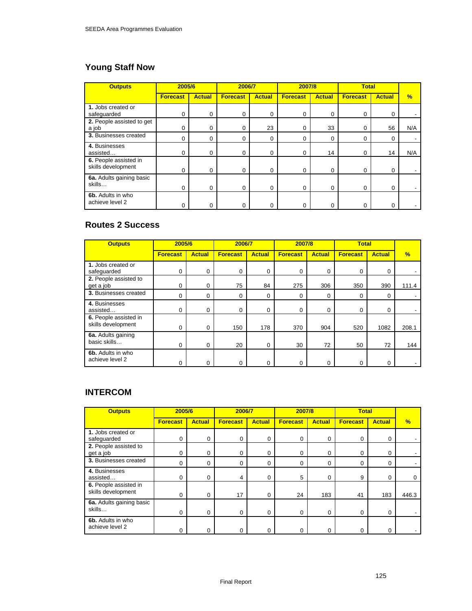# **Young Staff Now**

| <b>Outputs</b>                              | 2005/6          |               | 2006/7          |               | 2007/8          |               | <b>Total</b>    |               |     |
|---------------------------------------------|-----------------|---------------|-----------------|---------------|-----------------|---------------|-----------------|---------------|-----|
|                                             | <b>Forecast</b> | <b>Actual</b> | <b>Forecast</b> | <b>Actual</b> | <b>Forecast</b> | <b>Actual</b> | <b>Forecast</b> | <b>Actual</b> | %   |
| 1. Jobs created or<br>safeguarded           | 0               | 0             | $\mathbf 0$     | $\Omega$      | $\Omega$        | 0             | 0               | 0             |     |
| 2. People assisted to get<br>a job          | 0               | 0             | $\Omega$        | 23            | 0               | 33            | 0               | 56            | N/A |
| 3. Businesses created                       | 0               | 0             | 0               | $\Omega$      | 0               | 0             | 0               | 0             |     |
| 4. Businesses<br>assisted                   | 0               | 0             | 0               | $\Omega$      | 0               | 14            | 0               | 14            | N/A |
| 6. People assisted in<br>skills development | 0               | 0             | $\Omega$        | $\Omega$      | 0               | 0             | 0               | $\Omega$      |     |
| 6a. Adults gaining basic<br>skills          | $\mathbf 0$     | 0             | $\Omega$        | 0             | 0               | 0             | 0               | $\Omega$      |     |
| 6b. Adults in who<br>achieve level 2        | 0               | $\Omega$      | $\Omega$        | U             |                 | ი             | 0               | $\Omega$      |     |

## **Routes 2 Success**

| <b>Outputs</b>                              | 2005/6          |               | 2006/7          |               | 2007/8          |               |                 | <b>Total</b>  |       |
|---------------------------------------------|-----------------|---------------|-----------------|---------------|-----------------|---------------|-----------------|---------------|-------|
|                                             | <b>Forecast</b> | <b>Actual</b> | <b>Forecast</b> | <b>Actual</b> | <b>Forecast</b> | <b>Actual</b> | <b>Forecast</b> | <b>Actual</b> | %     |
| 1. Jobs created or<br>safeguarded           | 0               | 0             | 0               | 0             | 0               | 0             | 0               | 0             |       |
| 2. People assisted to<br>get a job          | $\Omega$        | 0             | 75              | 84            | 275             | 306           | 350             | 390           | 111.4 |
| 3. Businesses created                       | 0               | 0             | 0               | $\Omega$      | 0               | 0             | 0               | 0             |       |
| 4. Businesses<br>assisted                   | $\Omega$        | 0             | $\Omega$        | $\Omega$      | 0               | 0             | $\Omega$        | 0             |       |
| 6. People assisted in<br>skills development | $\Omega$        | 0             | 150             | 178           | 370             | 904           | 520             | 1082          | 208.1 |
| 6a. Adults gaining<br>basic skills          | $\Omega$        | 0             | 20              | $\Omega$      | 30              | 72            | 50              | 72            | 144   |
| 6b. Adults in who<br>achieve level 2        | $\Omega$        | 0             | 0               | 0             | 0               | 0             | 0               | 0             |       |

# **INTERCOM**

| <b>Outputs</b>                              | 2005/6          |               | 2006/7          |               | 2007/8          |               | <b>Total</b>    |               |               |
|---------------------------------------------|-----------------|---------------|-----------------|---------------|-----------------|---------------|-----------------|---------------|---------------|
|                                             | <b>Forecast</b> | <b>Actual</b> | <b>Forecast</b> | <b>Actual</b> | <b>Forecast</b> | <b>Actual</b> | <b>Forecast</b> | <b>Actual</b> | $\frac{9}{6}$ |
| 1. Jobs created or<br>safeguarded           | $\Omega$        | $\Omega$      | 0               | 0             | 0               | 0             | 0               | 0             |               |
| 2. People assisted to<br>get a job          | 0               | 0             | 0               | 0             | 0               | 0             | 0               | 0             |               |
| 3. Businesses created                       | $\Omega$        | 0             | $\Omega$        | 0             | 0               | 0             | 0               | $\Omega$      |               |
| 4. Businesses<br>assisted                   | $\Omega$        | 0             | 4               | $\Omega$      | 5               | $\Omega$      | 9               | $\Omega$      | $\Omega$      |
| 6. People assisted in<br>skills development | $\Omega$        | 0             | 17              | 0             | 24              | 183           | 41              | 183           | 446.3         |
| 6a. Adults gaining basic<br>skills          | $\Omega$        | 0             | $\Omega$        | 0             | 0               | $\Omega$      | 0               | 0             |               |
| 6b. Adults in who<br>achieve level 2        |                 | 0             | $\Omega$        |               | 0               | 0             | 0               | $\Omega$      |               |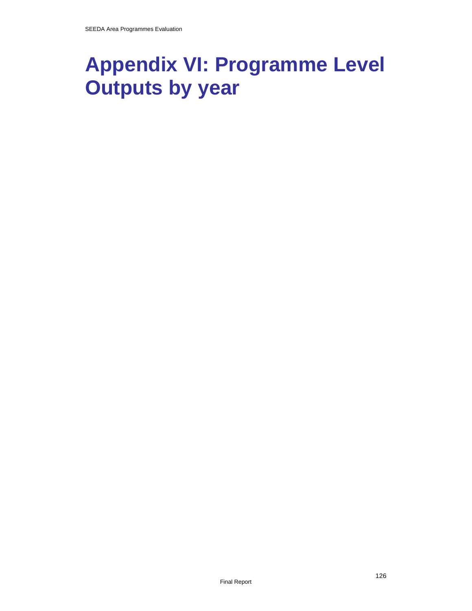# **Appendix VI: Programme Level Outputs by year**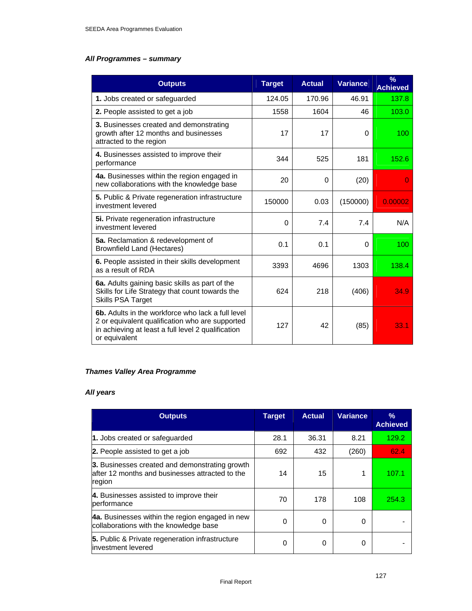## *All Programmes – summary*

| <b>Outputs</b>                                                                                                                                                                     | <b>Target</b> | <b>Actual</b> | Variance | $\frac{9}{6}$<br><b>Achieved</b> |
|------------------------------------------------------------------------------------------------------------------------------------------------------------------------------------|---------------|---------------|----------|----------------------------------|
| 1. Jobs created or safeguarded                                                                                                                                                     | 124.05        | 170.96        | 46.91    | 137.8                            |
| 2. People assisted to get a job                                                                                                                                                    | 1558          | 1604          | 46       | 103.0                            |
| 3. Businesses created and demonstrating<br>growth after 12 months and businesses<br>attracted to the region                                                                        | 17            | 17            | $\Omega$ | 100                              |
| 4. Businesses assisted to improve their<br>performance                                                                                                                             | 344           | 525           | 181      | 152.6                            |
| 4a. Businesses within the region engaged in<br>new collaborations with the knowledge base                                                                                          | 20            | $\Omega$      | (20)     |                                  |
| 5. Public & Private regeneration infrastructure<br>investment levered                                                                                                              | 150000        | 0.03          | (150000) | 0.00002                          |
| 5i. Private regeneration infrastructure<br>investment levered                                                                                                                      | $\Omega$      | 7.4           | 7.4      | N/A                              |
| 5a. Reclamation & redevelopment of<br><b>Brownfield Land (Hectares)</b>                                                                                                            | 0.1           | 0.1           | $\Omega$ | 100                              |
| 6. People assisted in their skills development<br>as a result of RDA                                                                                                               | 3393          | 4696          | 1303     | 138.4                            |
| 6a. Adults gaining basic skills as part of the<br>Skills for Life Strategy that count towards the<br><b>Skills PSA Target</b>                                                      | 624           | 218           | (406)    | 34.9                             |
| <b>6b.</b> Adults in the workforce who lack a full level<br>2 or equivalent qualification who are supported<br>in achieving at least a full level 2 qualification<br>or equivalent | 127           | 42            | (85)     | 33.1                             |

### *Thames Valley Area Programme*

## *All years*

| <b>Outputs</b>                                                                                              | <b>Target</b> | <b>Actual</b> | <b>Variance</b> | $\%$<br><b>Achieved</b> |
|-------------------------------------------------------------------------------------------------------------|---------------|---------------|-----------------|-------------------------|
| 1. Jobs created or safeguarded                                                                              | 28.1          | 36.31         | 8.21            | 129.2                   |
| 2. People assisted to get a job                                                                             | 692           | 432           | (260)           | 62.4                    |
| 3. Businesses created and demonstrating growth<br>after 12 months and businesses attracted to the<br>region | 14            | 15            | 1               | 107.1                   |
| 4. Businesses assisted to improve their<br>performance                                                      | 70            | 178           | 108             | 254.3                   |
| <b>4a.</b> Businesses within the region engaged in new<br>collaborations with the knowledge base            | $\Omega$      | 0             | 0               |                         |
| 5. Public & Private regeneration infrastructure<br>linvestment levered                                      | $\Omega$      | 0             | 0               |                         |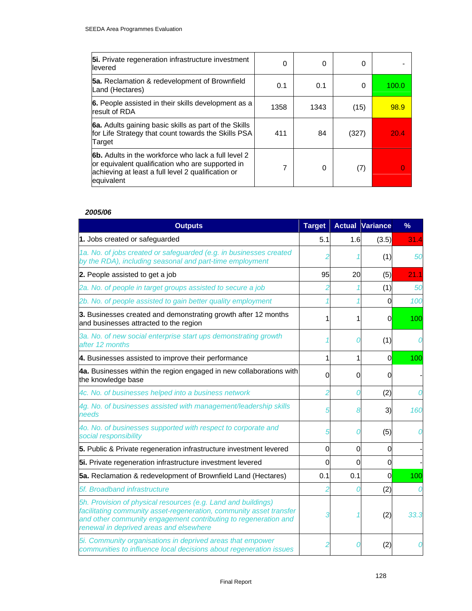| <b>5i.</b> Private regeneration infrastructure investment<br>llevered                                                                                                              | 0    | 0    | 0     |       |
|------------------------------------------------------------------------------------------------------------------------------------------------------------------------------------|------|------|-------|-------|
| <b>5a.</b> Reclamation & redevelopment of Brownfield<br>Land (Hectares)                                                                                                            | 0.1  | 0.1  | 0     | 100.0 |
| 6. People assisted in their skills development as a<br>result of RDA                                                                                                               | 1358 | 1343 | (15)  | 98.9  |
| 6a. Adults gaining basic skills as part of the Skills<br>for Life Strategy that count towards the Skills PSA<br>Target                                                             | 411  | 84   | (327) | 20.4  |
| <b>6b.</b> Adults in the workforce who lack a full level 2<br>or equivalent qualification who are supported in<br>achieving at least a full level 2 qualification or<br>equivalent |      | 0    | (7)   |       |

| <b>Outputs</b>                                                                                                                                                                                                                                     | <b>Target</b> |     | <b>Actual Variance</b> | %    |
|----------------------------------------------------------------------------------------------------------------------------------------------------------------------------------------------------------------------------------------------------|---------------|-----|------------------------|------|
| 1. Jobs created or safeguarded                                                                                                                                                                                                                     | 5.1           | 1.6 | (3.5)                  | 31.4 |
| 1a. No. of jobs created or safeguarded (e.g. in businesses created<br>by the RDA), including seasonal and part-time employment                                                                                                                     |               |     | (1)                    | 50   |
| 2. People assisted to get a job                                                                                                                                                                                                                    | 95            | 20  | (5)                    | 21.1 |
| 2a. No. of people in target groups assisted to secure a job                                                                                                                                                                                        |               |     | (1)                    | 50   |
| 2b. No. of people assisted to gain better quality employment                                                                                                                                                                                       |               |     | O                      | 100  |
| 3. Businesses created and demonstrating growth after 12 months<br>and businesses attracted to the region                                                                                                                                           |               | 1   | 0                      | 100  |
| 3a. No. of new social enterprise start ups demonstrating growth<br>after 12 months                                                                                                                                                                 |               |     | (1)                    |      |
| 4. Businesses assisted to improve their performance                                                                                                                                                                                                | 1             | 1   | 0                      | 100  |
| 4a. Businesses within the region engaged in new collaborations with<br>the knowledge base                                                                                                                                                          | $\Omega$      | 0   | Ω                      |      |
| 4c. No. of businesses helped into a business network                                                                                                                                                                                               |               | 0   | (2)                    |      |
| 4g. No. of businesses assisted with management/leadership skills<br>needs                                                                                                                                                                          |               | 8   | 3)                     | 160  |
| 4o. No. of businesses supported with respect to corporate and<br>social responsibility                                                                                                                                                             |               |     | (5)                    |      |
| 5. Public & Private regeneration infrastructure investment levered                                                                                                                                                                                 | 0             | 0   | 0                      |      |
| 5i. Private regeneration infrastructure investment levered                                                                                                                                                                                         | 0             | 0   | 0                      |      |
| 5a. Reclamation & redevelopment of Brownfield Land (Hectares)                                                                                                                                                                                      | 0.1           | 0.1 | <sub>0</sub>           | 100  |
| 5f. Broadband infrastructure                                                                                                                                                                                                                       |               |     | (2)                    |      |
| 5h. Provision of physical resources (e.g. Land and buildings)<br>facilitating community asset-regeneration, community asset transfer<br>and other community engagement contributing to regeneration and<br>renewal in deprived areas and elsewhere |               |     | (2)                    | 33.3 |
| 5i. Community organisations in deprived areas that empower<br>communities to influence local decisions about regeneration issues                                                                                                                   |               |     | (2)                    |      |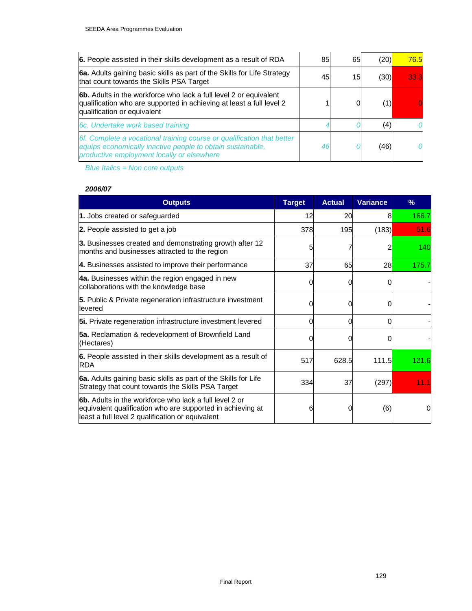| 6. People assisted in their skills development as a result of RDA                                                                                                                  | 85 | 65              | (20) | 76.5 |
|------------------------------------------------------------------------------------------------------------------------------------------------------------------------------------|----|-----------------|------|------|
| 6a. Adults gaining basic skills as part of the Skills for Life Strategy<br>that count towards the Skills PSA Target                                                                | 45 | 15 <sub>l</sub> | (30) | 33.3 |
| 6b. Adults in the workforce who lack a full level 2 or equivalent<br>qualification who are supported in achieving at least a full level 2<br>qualification or equivalent           |    | 0               | (1)  |      |
| 6c. Undertake work based training                                                                                                                                                  |    |                 | (4)  |      |
| 6f. Complete a vocational training course or qualification that better<br>equips economically inactive people to obtain sustainable,<br>productive employment locally or elsewhere |    |                 | (46) |      |

*Blue Italics = Non core outputs*

### *2006/07*

| <b>Outputs</b>                                                                                                                                                                  | <b>Target</b> | <b>Actual</b> | <b>Variance</b> | $\%$        |
|---------------------------------------------------------------------------------------------------------------------------------------------------------------------------------|---------------|---------------|-----------------|-------------|
| 1. Jobs created or safeguarded                                                                                                                                                  | 12            | 20            | 8               | 166.7       |
| 2. People assisted to get a job                                                                                                                                                 | 378           | 195           | (183)           | <b>51.6</b> |
| 3. Businesses created and demonstrating growth after 12<br>months and businesses attracted to the region                                                                        | 5             |               | 2               | 140         |
| 4. Businesses assisted to improve their performance                                                                                                                             | 37            | 65            | 28              | 175.7       |
| 4a. Businesses within the region engaged in new<br>collaborations with the knowledge base                                                                                       | 0             | 0             |                 |             |
| 5. Public & Private regeneration infrastructure investment<br>llevered                                                                                                          | 0             | 0             |                 |             |
| 5i. Private regeneration infrastructure investment levered                                                                                                                      | 0             | 0             |                 |             |
| 5a. Reclamation & redevelopment of Brownfield Land<br>(Hectares)                                                                                                                | ი             | ი             |                 |             |
| 6. People assisted in their skills development as a result of<br><b>RDA</b>                                                                                                     | 517           | 628.5         | 111.5           | 121.6       |
| 6a. Adults gaining basic skills as part of the Skills for Life<br>Strategy that count towards the Skills PSA Target                                                             | 334           | 37            | (297)           | 11.1        |
| <b>6b.</b> Adults in the workforce who lack a full level 2 or<br>equivalent qualification who are supported in achieving at<br>least a full level 2 qualification or equivalent | 6             | 0             | (6)             | 0           |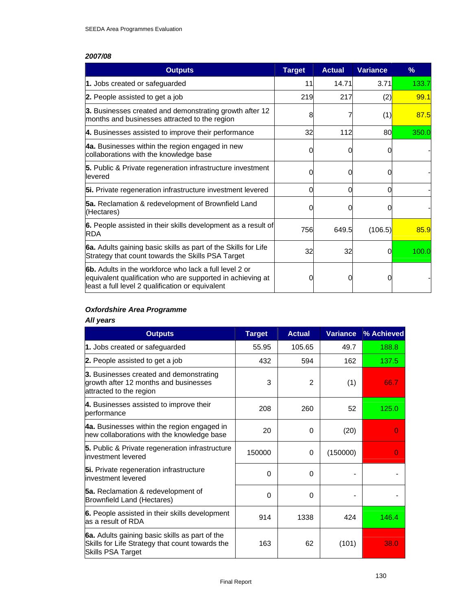| <b>Outputs</b>                                                                                                                                                                  | <b>Target</b> | <b>Actual</b> | <b>Variance</b> | %     |
|---------------------------------------------------------------------------------------------------------------------------------------------------------------------------------|---------------|---------------|-----------------|-------|
| 1. Jobs created or safeguarded                                                                                                                                                  | 11            | 14.71         | 3.71            | 133.7 |
| 2. People assisted to get a job                                                                                                                                                 | 219           | 217           | (2)             | 99.1  |
| 3. Businesses created and demonstrating growth after 12<br>months and businesses attracted to the region                                                                        | 8             |               | (1)             | 87.5  |
| 4. Businesses assisted to improve their performance                                                                                                                             | 32            | 112           | 80              | 350.0 |
| 4a. Businesses within the region engaged in new<br>collaborations with the knowledge base                                                                                       | 0             | O             |                 |       |
| 5. Public & Private regeneration infrastructure investment<br>llevered                                                                                                          | 0             |               |                 |       |
| 5i. Private regeneration infrastructure investment levered                                                                                                                      | 0             | 0             | 0               |       |
| 5a. Reclamation & redevelopment of Brownfield Land<br>(Hectares)                                                                                                                |               |               |                 |       |
| 6. People assisted in their skills development as a result of<br><b>RDA</b>                                                                                                     | 756           | 649.5         | (106.5)         | 85.9  |
| 6a. Adults gaining basic skills as part of the Skills for Life<br>Strategy that count towards the Skills PSA Target                                                             | 32            | 32            | 0               | 100.0 |
| <b>6b.</b> Adults in the workforce who lack a full level 2 or<br>equivalent qualification who are supported in achieving at<br>least a full level 2 qualification or equivalent | 0             |               |                 |       |

### *Oxfordshire Area Programme*

#### *All years*

| <b>Outputs</b>                                                                                                                | <b>Target</b> | <b>Actual</b> | <b>Variance</b> | % Achieved |
|-------------------------------------------------------------------------------------------------------------------------------|---------------|---------------|-----------------|------------|
| 1. Jobs created or safeguarded                                                                                                | 55.95         | 105.65        | 49.7            | 188.8      |
| 2. People assisted to get a job                                                                                               | 432           | 594           | 162             | 137.5      |
| 3. Businesses created and demonstrating<br>growth after 12 months and businesses<br>attracted to the region                   | 3             | 2             | (1)             | 66.7       |
| 4. Businesses assisted to improve their<br>performance                                                                        | 208           | 260           | 52              | 125.0      |
| 4a. Businesses within the region engaged in<br>new collaborations with the knowledge base                                     | 20            | $\Omega$      | (20)            | O          |
| 5. Public & Private regeneration infrastructure<br>linvestment levered                                                        | 150000        | 0             | (150000)        | O          |
| 5i. Private regeneration infrastructure<br>linvestment levered                                                                | $\Omega$      | 0             |                 |            |
| <b>5a.</b> Reclamation & redevelopment of<br>Brownfield Land (Hectares)                                                       | $\Omega$      | $\Omega$      |                 |            |
| 6. People assisted in their skills development<br>as a result of RDA                                                          | 914           | 1338          | 424             | 146.4      |
| 6a. Adults gaining basic skills as part of the<br>Skills for Life Strategy that count towards the<br><b>Skills PSA Target</b> | 163           | 62            | (101)           | 38.0       |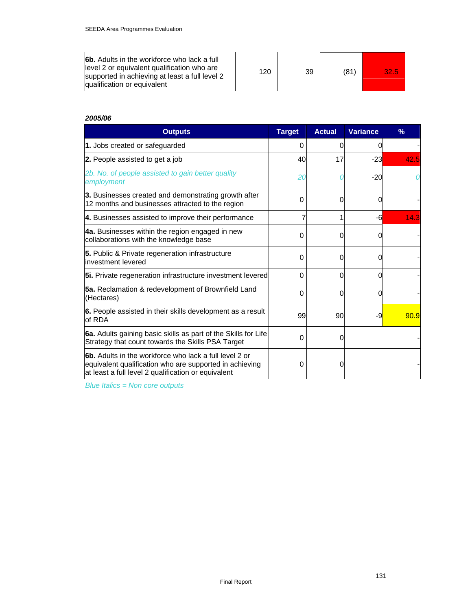| <b>6b.</b> Adults in the workforce who lack a full                                                                            |     |    |      |      |
|-------------------------------------------------------------------------------------------------------------------------------|-----|----|------|------|
| llevel 2 or equivalent qualification who are<br>supported in achieving at least a full level 2<br>qualification or equivalent | 120 | 39 | (81) | 32.5 |

| <b>Outputs</b>                                                                                                                                                                  | <b>Target</b> | <b>Actual</b> | <b>Variance</b> | $\%$ |
|---------------------------------------------------------------------------------------------------------------------------------------------------------------------------------|---------------|---------------|-----------------|------|
| 1. Jobs created or safeguarded                                                                                                                                                  | 0             |               |                 |      |
| 2. People assisted to get a job                                                                                                                                                 | 40            | 17            | $-23$           | 42.5 |
| 2b. No. of people assisted to gain better quality<br>employment                                                                                                                 | 20            |               | $-20$           |      |
| 3. Businesses created and demonstrating growth after<br>12 months and businesses attracted to the region                                                                        | 0             | 0             |                 |      |
| 4. Businesses assisted to improve their performance                                                                                                                             |               |               | -6              | 14.3 |
| 4a. Businesses within the region engaged in new<br>collaborations with the knowledge base                                                                                       | $\Omega$      | 0             |                 |      |
| 5. Public & Private regeneration infrastructure<br>linvestment levered                                                                                                          | 0             | O             |                 |      |
| 5i. Private regeneration infrastructure investment levered                                                                                                                      | $\Omega$      | 0             | O               |      |
| <b>5a.</b> Reclamation & redevelopment of Brownfield Land<br>(Hectares)                                                                                                         | 0             | O             |                 |      |
| 6. People assisted in their skills development as a result<br>of RDA                                                                                                            | 99            | 90            | -9              | 90.9 |
| 6a. Adults gaining basic skills as part of the Skills for Life<br>Strategy that count towards the Skills PSA Target                                                             | 0             | 0             |                 |      |
| <b>6b.</b> Adults in the workforce who lack a full level 2 or<br>equivalent qualification who are supported in achieving<br>at least a full level 2 qualification or equivalent | 0             | 0             |                 |      |

*Blue Italics = Non core outputs*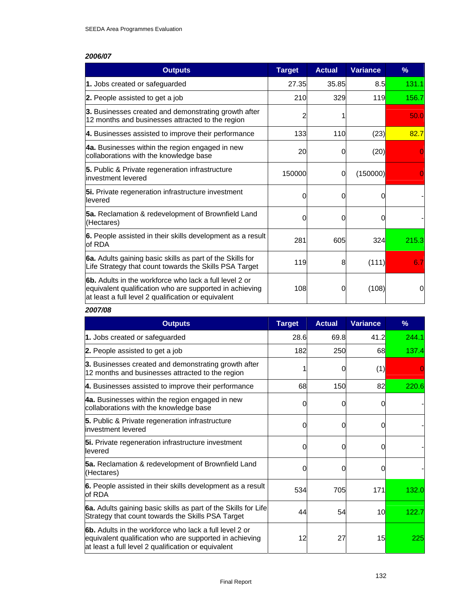| <b>Outputs</b>                                                                                                                                                                   | <b>Target</b> | <b>Actual</b> | <b>Variance</b> | $\%$  |
|----------------------------------------------------------------------------------------------------------------------------------------------------------------------------------|---------------|---------------|-----------------|-------|
| 1. Jobs created or safeguarded                                                                                                                                                   | 27.35         | 35.85         | 8.5             | 131.1 |
| 2. People assisted to get a job                                                                                                                                                  | 210           | 329           | 119             | 156.7 |
| 3. Businesses created and demonstrating growth after<br>12 months and businesses attracted to the region                                                                         | 2             |               |                 | 50.0  |
| 4. Businesses assisted to improve their performance                                                                                                                              | 133           | 110           | (23)            | 82.7  |
| 4a. Businesses within the region engaged in new<br>collaborations with the knowledge base                                                                                        | 20            | 0             | (20)            |       |
| 5. Public & Private regeneration infrastructure<br>linvestment levered                                                                                                           | 150000        | 0             | (150000)        |       |
| 5i. Private regeneration infrastructure investment<br>levered                                                                                                                    | 0             | 0             |                 |       |
| <b>5a.</b> Reclamation & redevelopment of Brownfield Land<br>(Hectares)                                                                                                          | 0             | 0             |                 |       |
| 6. People assisted in their skills development as a result<br>of RDA                                                                                                             | 281           | 605           | 324             | 215.3 |
| 6a. Adults gaining basic skills as part of the Skills for<br>Life Strategy that count towards the Skills PSA Target                                                              | 119           | 8             | (111)           | 6.7   |
| <b>l6b.</b> Adults in the workforce who lack a full level 2 or<br>equivalent qualification who are supported in achieving<br>at least a full level 2 qualification or equivalent | 108           | 0             | (108)           | 0     |

### *2007/08*

| <b>Outputs</b>                                                                                                                                                                  | <b>Target</b> | <b>Actual</b> | <b>Variance</b> | %     |
|---------------------------------------------------------------------------------------------------------------------------------------------------------------------------------|---------------|---------------|-----------------|-------|
| 1. Jobs created or safeguarded                                                                                                                                                  | 28.6          | 69.8          | 41.2            | 244.1 |
| 2. People assisted to get a job                                                                                                                                                 | 182           | 250           | 68              | 137.4 |
| 3. Businesses created and demonstrating growth after<br>12 months and businesses attracted to the region                                                                        |               |               | (1)             |       |
| 4. Businesses assisted to improve their performance                                                                                                                             | 68            | 150           | 82              | 220.6 |
| 4a. Businesses within the region engaged in new<br>collaborations with the knowledge base                                                                                       | 0             |               |                 |       |
| 5. Public & Private regeneration infrastructure<br>linvestment levered                                                                                                          | O             |               |                 |       |
| 5i. Private regeneration infrastructure investment<br>levered                                                                                                                   | 0             |               |                 |       |
| <b>5a.</b> Reclamation & redevelopment of Brownfield Land<br>(Hectares)                                                                                                         | 0             |               |                 |       |
| <b>6.</b> People assisted in their skills development as a result<br>of RDA                                                                                                     | 534           | 705           | 171             | 132.0 |
| 6a. Adults gaining basic skills as part of the Skills for Life<br>Strategy that count towards the Skills PSA Target                                                             | 44            | 54            | 10 <sup>l</sup> | 122.7 |
| <b>6b.</b> Adults in the workforce who lack a full level 2 or<br>equivalent qualification who are supported in achieving<br>at least a full level 2 qualification or equivalent | 12            | 27            | 15              | 225   |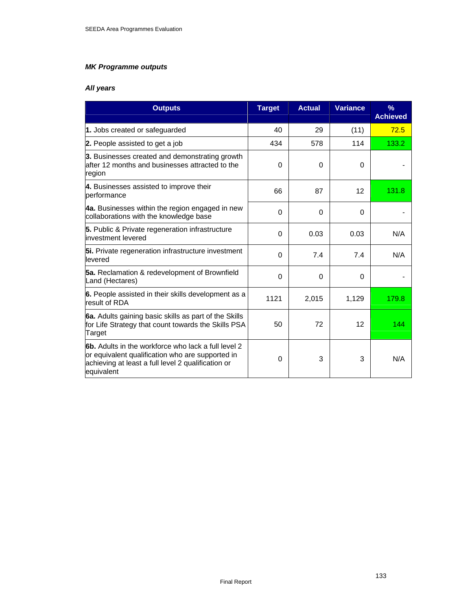## *MK Programme outputs*

## *All years*

| <b>Outputs</b>                                                                                                                                                                     | <b>Target</b> | <b>Actual</b> | <b>Variance</b> | $\frac{9}{6}$<br><b>Achieved</b> |
|------------------------------------------------------------------------------------------------------------------------------------------------------------------------------------|---------------|---------------|-----------------|----------------------------------|
| 1. Jobs created or safeguarded                                                                                                                                                     | 40            | 29            | (11)            | 72.5                             |
| <b>2.</b> People assisted to get a job                                                                                                                                             | 434           | 578           | 114             | 133.2                            |
| 3. Businesses created and demonstrating growth<br>after 12 months and businesses attracted to the<br>region                                                                        | 0             | 0             | 0               |                                  |
| 4. Businesses assisted to improve their<br>performance                                                                                                                             | 66            | 87            | 12              | 131.8                            |
| 4a. Businesses within the region engaged in new<br>collaborations with the knowledge base                                                                                          | 0             | 0             | 0               |                                  |
| 5. Public & Private regeneration infrastructure<br>investment levered                                                                                                              | $\Omega$      | 0.03          | 0.03            | N/A                              |
| 5i. Private regeneration infrastructure investment<br>levered                                                                                                                      | 0             | 7.4           | 7.4             | N/A                              |
| <b>5a.</b> Reclamation & redevelopment of Brownfield<br>Land (Hectares)                                                                                                            | $\Omega$      | $\Omega$      | $\Omega$        |                                  |
| 6. People assisted in their skills development as a<br>result of RDA                                                                                                               | 1121          | 2,015         | 1,129           | 179.8                            |
| 6a. Adults gaining basic skills as part of the Skills<br>for Life Strategy that count towards the Skills PSA<br>Target                                                             | 50            | 72            | 12              | 144                              |
| <b>6b.</b> Adults in the workforce who lack a full level 2<br>or equivalent qualification who are supported in<br>achieving at least a full level 2 qualification or<br>equivalent | 0             | 3             | 3               | N/A                              |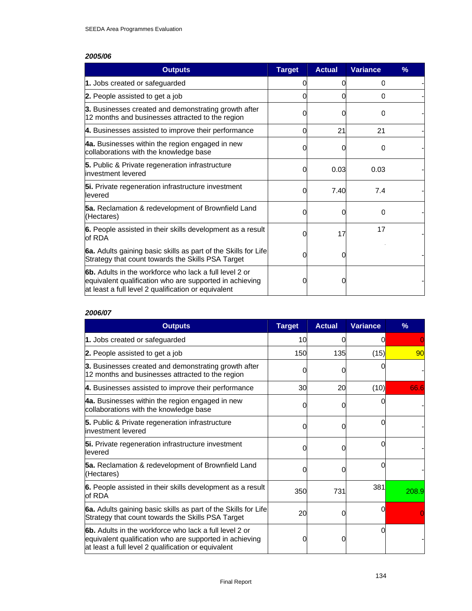| <b>Outputs</b>                                                                                                                                                                  | <b>Target</b> | <b>Actual</b> | <b>Variance</b> | $\frac{9}{6}$ |
|---------------------------------------------------------------------------------------------------------------------------------------------------------------------------------|---------------|---------------|-----------------|---------------|
| 1. Jobs created or safeguarded                                                                                                                                                  |               | Ω             | 0               |               |
| 2. People assisted to get a job                                                                                                                                                 |               | O             | $\Omega$        |               |
| 3. Businesses created and demonstrating growth after<br>12 months and businesses attracted to the region                                                                        |               | O             | 0               |               |
| 4. Businesses assisted to improve their performance                                                                                                                             | 0             | 21            | 21              |               |
| 4a. Businesses within the region engaged in new<br>collaborations with the knowledge base                                                                                       |               | O             | O               |               |
| <b>5.</b> Public & Private regeneration infrastructure<br>linvestment levered                                                                                                   |               | 0.03          | 0.03            |               |
| 5i. Private regeneration infrastructure investment<br>levered                                                                                                                   |               | 7.40          | 7.4             |               |
| <b>5a.</b> Reclamation & redevelopment of Brownfield Land<br>(Hectares)                                                                                                         |               | 0             | 0               |               |
| 6. People assisted in their skills development as a result<br>of RDA                                                                                                            |               | 17            | 17              |               |
| 6a. Adults gaining basic skills as part of the Skills for Life<br>Strategy that count towards the Skills PSA Target                                                             | O             | 0             |                 |               |
| <b>6b.</b> Adults in the workforce who lack a full level 2 or<br>equivalent qualification who are supported in achieving<br>at least a full level 2 qualification or equivalent |               |               |                 |               |

#### *2006/07*

| <b>Outputs</b>                                                                                                                                                                  | <b>Target</b> | <b>Actual</b> | <b>Variance</b> | $\%$  |
|---------------------------------------------------------------------------------------------------------------------------------------------------------------------------------|---------------|---------------|-----------------|-------|
| 1. Jobs created or safeguarded                                                                                                                                                  | 10            | O             | ი               |       |
| <b>2.</b> People assisted to get a job                                                                                                                                          | 150           | 135           | (15)            | 90    |
| 3. Businesses created and demonstrating growth after<br>12 months and businesses attracted to the region                                                                        | 0             | ი             |                 |       |
| 4. Businesses assisted to improve their performance                                                                                                                             | 30            | 20            | (10)            | 66.6  |
| 4a. Businesses within the region engaged in new<br>collaborations with the knowledge base                                                                                       | ი             |               |                 |       |
| 5. Public & Private regeneration infrastructure<br>investment levered                                                                                                           | 0             | 0             |                 |       |
| 5i. Private regeneration infrastructure investment<br>levered                                                                                                                   | 0             | ი             |                 |       |
| 5a. Reclamation & redevelopment of Brownfield Land<br>(Hectares)                                                                                                                | ი             |               |                 |       |
| 6. People assisted in their skills development as a result<br>of RDA                                                                                                            | 350           | 731           | 381             | 208.9 |
| 6a. Adults gaining basic skills as part of the Skills for Life<br>Strategy that count towards the Skills PSA Target                                                             | 20            |               | 0               |       |
| <b>6b.</b> Adults in the workforce who lack a full level 2 or<br>equivalent qualification who are supported in achieving<br>at least a full level 2 qualification or equivalent | 0             |               |                 |       |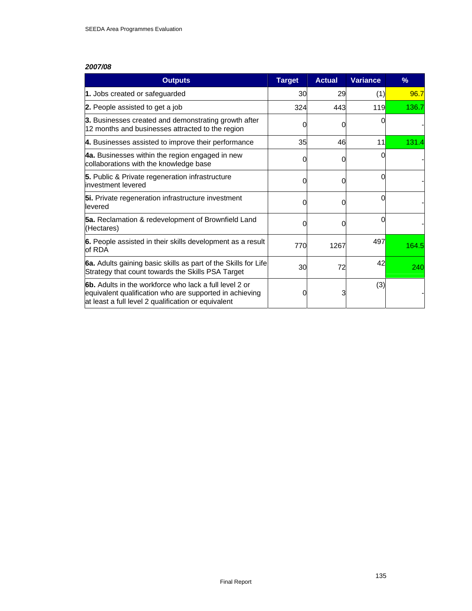| <b>Outputs</b>                                                                                                                                                                  | <b>Target</b> | <b>Actual</b> | <b>Variance</b> | $\frac{9}{6}$ |
|---------------------------------------------------------------------------------------------------------------------------------------------------------------------------------|---------------|---------------|-----------------|---------------|
| 1. Jobs created or safeguarded                                                                                                                                                  | 30            | 29            | (1)             | 96.7          |
| 2. People assisted to get a job                                                                                                                                                 | 324           | 443           | 119             | 136.7         |
| 3. Businesses created and demonstrating growth after<br>12 months and businesses attracted to the region                                                                        |               |               |                 |               |
| 4. Businesses assisted to improve their performance                                                                                                                             | 35            | 46            | 11              | 131.4         |
| 4a. Businesses within the region engaged in new<br>collaborations with the knowledge base                                                                                       |               | O             |                 |               |
| 5. Public & Private regeneration infrastructure<br>investment levered                                                                                                           |               |               |                 |               |
| 5i. Private regeneration infrastructure investment<br>levered                                                                                                                   |               |               |                 |               |
| 5a. Reclamation & redevelopment of Brownfield Land<br>(Hectares)                                                                                                                |               |               |                 |               |
| 6. People assisted in their skills development as a result<br>lof RDA                                                                                                           | 770           | 1267          | 497             | 164.5         |
| 6a. Adults gaining basic skills as part of the Skills for Life<br>Strategy that count towards the Skills PSA Target                                                             | 30            | 72            | 42              | 240           |
| <b>6b.</b> Adults in the workforce who lack a full level 2 or<br>equivalent qualification who are supported in achieving<br>at least a full level 2 qualification or equivalent |               |               | (3)             |               |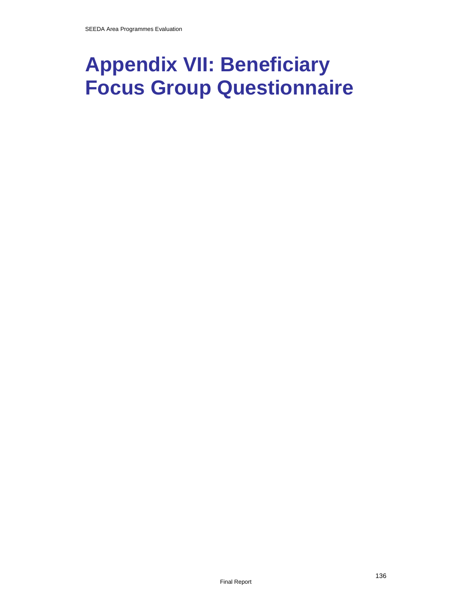# **Appendix VII: Beneficiary Focus Group Questionnaire**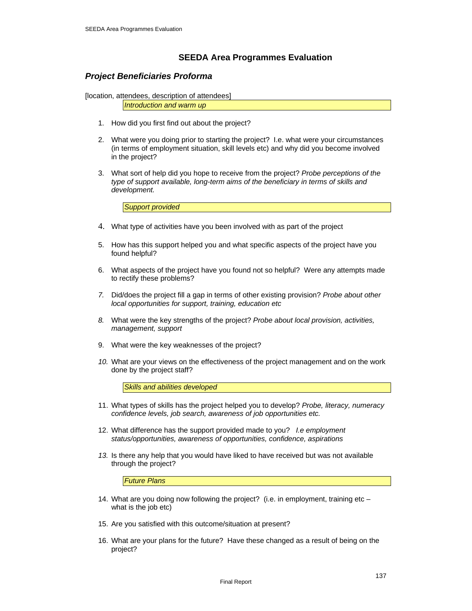## **SEEDA Area Programmes Evaluation**

### *Project Beneficiaries Proforma*

[location, attendees, description of attendees]

*Introduction and warm up* 

- 1. How did you first find out about the project?
- 2. What were you doing prior to starting the project? I.e. what were your circumstances (in terms of employment situation, skill levels etc) and why did you become involved in the project?
- 3. What sort of help did you hope to receive from the project? *Probe perceptions of the type of support available, long-term aims of the beneficiary in terms of skills and development.*

*Support provided* 

- 4. What type of activities have you been involved with as part of the project
- 5. How has this support helped you and what specific aspects of the project have you found helpful?
- 6. What aspects of the project have you found not so helpful? Were any attempts made to rectify these problems?
- *7.* Did/does the project fill a gap in terms of other existing provision? *Probe about other local opportunities for support, training, education etc*
- *8.* What were the key strengths of the project? *Probe about local provision, activities, management, support*
- 9. What were the key weaknesses of the project?
- *10.* What are your views on the effectiveness of the project management and on the work done by the project staff?

*Skills and abilities developed* 

- 11. What types of skills has the project helped you to develop? *Probe, literacy, numeracy confidence levels, job search, awareness of job opportunities etc.*
- 12. What difference has the support provided made to you? *I.e employment status/opportunities, awareness of opportunities, confidence, aspirations*
- *13.* Is there any help that you would have liked to have received but was not available through the project?

*Future Plans* 

- 14. What are you doing now following the project? (i.e. in employment, training etc what is the job etc)
- 15. Are you satisfied with this outcome/situation at present?
- 16. What are your plans for the future? Have these changed as a result of being on the project?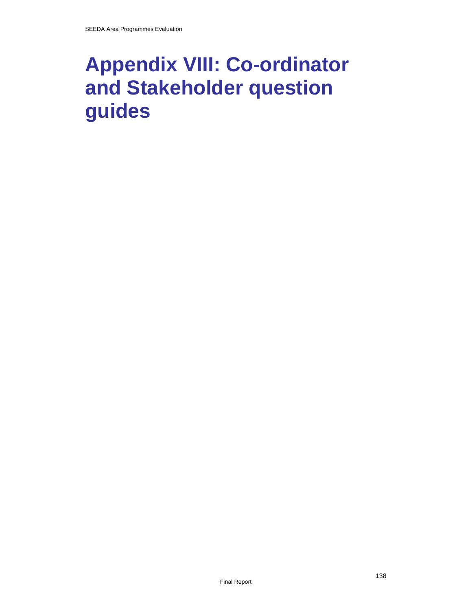# **Appendix VIII: Co-ordinator and Stakeholder question guides**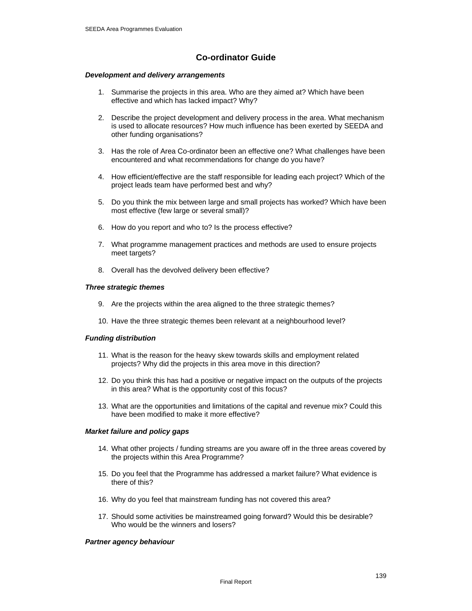## **Co-ordinator Guide**

#### *Development and delivery arrangements*

- 1. Summarise the projects in this area. Who are they aimed at? Which have been effective and which has lacked impact? Why?
- 2. Describe the project development and delivery process in the area. What mechanism is used to allocate resources? How much influence has been exerted by SEEDA and other funding organisations?
- 3. Has the role of Area Co-ordinator been an effective one? What challenges have been encountered and what recommendations for change do you have?
- 4. How efficient/effective are the staff responsible for leading each project? Which of the project leads team have performed best and why?
- 5. Do you think the mix between large and small projects has worked? Which have been most effective (few large or several small)?
- 6. How do you report and who to? Is the process effective?
- 7. What programme management practices and methods are used to ensure projects meet targets?
- 8. Overall has the devolved delivery been effective?

#### *Three strategic themes*

- 9. Are the projects within the area aligned to the three strategic themes?
- 10. Have the three strategic themes been relevant at a neighbourhood level?

#### *Funding distribution*

- 11. What is the reason for the heavy skew towards skills and employment related projects? Why did the projects in this area move in this direction?
- 12. Do you think this has had a positive or negative impact on the outputs of the projects in this area? What is the opportunity cost of this focus?
- 13. What are the opportunities and limitations of the capital and revenue mix? Could this have been modified to make it more effective?

#### *Market failure and policy gaps*

- 14. What other projects / funding streams are you aware off in the three areas covered by the projects within this Area Programme?
- 15. Do you feel that the Programme has addressed a market failure? What evidence is there of this?
- 16. Why do you feel that mainstream funding has not covered this area?
- 17. Should some activities be mainstreamed going forward? Would this be desirable? Who would be the winners and losers?

#### *Partner agency behaviour*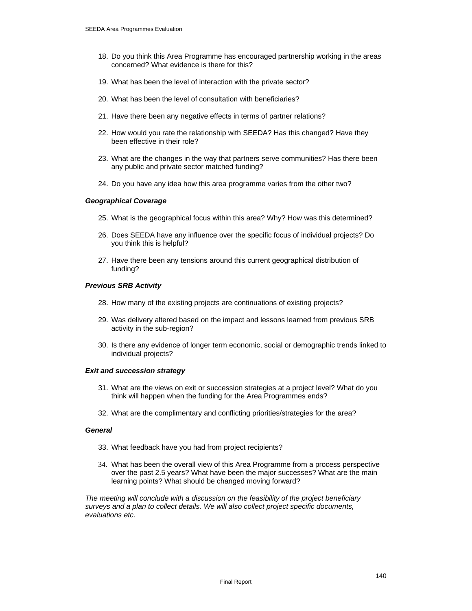- 18. Do you think this Area Programme has encouraged partnership working in the areas concerned? What evidence is there for this?
- 19. What has been the level of interaction with the private sector?
- 20. What has been the level of consultation with beneficiaries?
- 21. Have there been any negative effects in terms of partner relations?
- 22. How would you rate the relationship with SEEDA? Has this changed? Have they been effective in their role?
- 23. What are the changes in the way that partners serve communities? Has there been any public and private sector matched funding?
- 24. Do you have any idea how this area programme varies from the other two?

#### *Geographical Coverage*

- 25. What is the geographical focus within this area? Why? How was this determined?
- 26. Does SEEDA have any influence over the specific focus of individual projects? Do you think this is helpful?
- 27. Have there been any tensions around this current geographical distribution of funding?

#### *Previous SRB Activity*

- 28. How many of the existing projects are continuations of existing projects?
- 29. Was delivery altered based on the impact and lessons learned from previous SRB activity in the sub-region?
- 30. Is there any evidence of longer term economic, social or demographic trends linked to individual projects?

#### *Exit and succession strategy*

- 31. What are the views on exit or succession strategies at a project level? What do you think will happen when the funding for the Area Programmes ends?
- 32. What are the complimentary and conflicting priorities/strategies for the area?

#### *General*

- 33. What feedback have you had from project recipients?
- 34. What has been the overall view of this Area Programme from a process perspective over the past 2.5 years? What have been the major successes? What are the main learning points? What should be changed moving forward?

*The meeting will conclude with a discussion on the feasibility of the project beneficiary surveys and a plan to collect details. We will also collect project specific documents, evaluations etc.*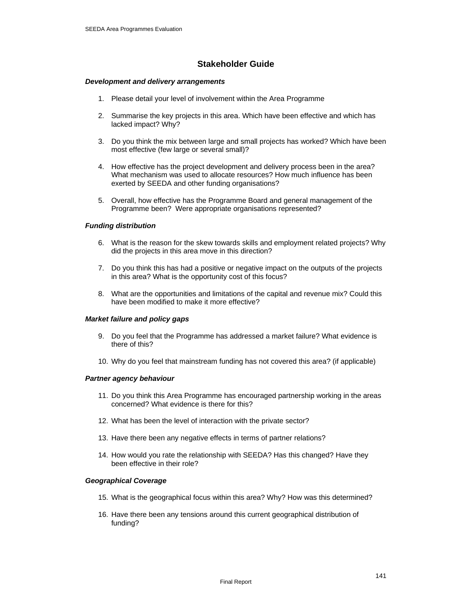## **Stakeholder Guide**

#### *Development and delivery arrangements*

- 1. Please detail your level of involvement within the Area Programme
- 2. Summarise the key projects in this area. Which have been effective and which has lacked impact? Why?
- 3. Do you think the mix between large and small projects has worked? Which have been most effective (few large or several small)?
- 4. How effective has the project development and delivery process been in the area? What mechanism was used to allocate resources? How much influence has been exerted by SEEDA and other funding organisations?
- 5. Overall, how effective has the Programme Board and general management of the Programme been? Were appropriate organisations represented?

#### *Funding distribution*

- 6. What is the reason for the skew towards skills and employment related projects? Why did the projects in this area move in this direction?
- 7. Do you think this has had a positive or negative impact on the outputs of the projects in this area? What is the opportunity cost of this focus?
- 8. What are the opportunities and limitations of the capital and revenue mix? Could this have been modified to make it more effective?

#### *Market failure and policy gaps*

- 9. Do you feel that the Programme has addressed a market failure? What evidence is there of this?
- 10. Why do you feel that mainstream funding has not covered this area? (if applicable)

#### *Partner agency behaviour*

- 11. Do you think this Area Programme has encouraged partnership working in the areas concerned? What evidence is there for this?
- 12. What has been the level of interaction with the private sector?
- 13. Have there been any negative effects in terms of partner relations?
- 14. How would you rate the relationship with SEEDA? Has this changed? Have they been effective in their role?

#### *Geographical Coverage*

- 15. What is the geographical focus within this area? Why? How was this determined?
- 16. Have there been any tensions around this current geographical distribution of funding?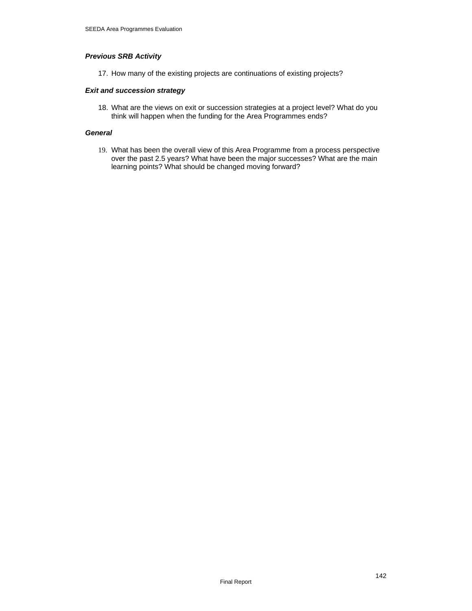#### *Previous SRB Activity*

17. How many of the existing projects are continuations of existing projects?

#### *Exit and succession strategy*

18. What are the views on exit or succession strategies at a project level? What do you think will happen when the funding for the Area Programmes ends?

#### *General*

19. What has been the overall view of this Area Programme from a process perspective over the past 2.5 years? What have been the major successes? What are the main learning points? What should be changed moving forward?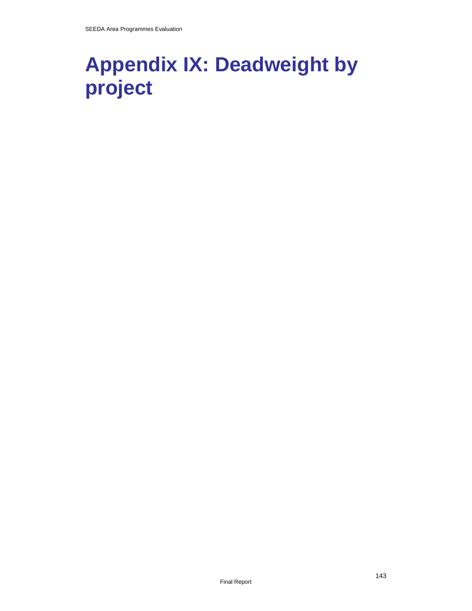# **Appendix IX: Deadweight by project**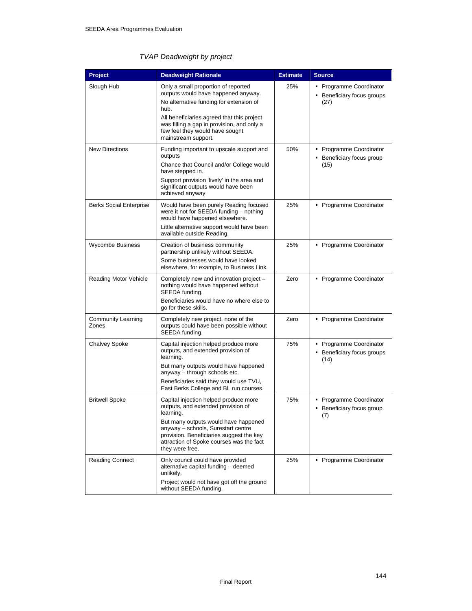## *TVAP Deadweight by project*

| Project                            | <b>Deadweight Rationale</b>                                                                                                                                                                                                                                                         | <b>Estimate</b> | <b>Source</b>                                                 |
|------------------------------------|-------------------------------------------------------------------------------------------------------------------------------------------------------------------------------------------------------------------------------------------------------------------------------------|-----------------|---------------------------------------------------------------|
| Slough Hub                         | Only a small proportion of reported<br>outputs would have happened anyway.<br>No alternative funding for extension of<br>hub.<br>All beneficiaries agreed that this project<br>was filling a gap in provision, and only a<br>few feel they would have sought<br>mainstream support. | 25%             | • Programme Coordinator<br>Beneficiary focus groups<br>(27)   |
| <b>New Directions</b>              | Funding important to upscale support and<br>outputs<br>Chance that Council and/or College would<br>have stepped in.<br>Support provision 'lively' in the area and<br>significant outputs would have been<br>achieved anyway.                                                        | 50%             | • Programme Coordinator<br>Beneficiary focus group<br>(15)    |
| <b>Berks Social Enterprise</b>     | Would have been purely Reading focused<br>were it not for SEEDA funding - nothing<br>would have happened elsewhere.<br>Little alternative support would have been<br>available outside Reading.                                                                                     | 25%             | • Programme Coordinator                                       |
| Wycombe Business                   | Creation of business community<br>partnership unlikely without SEEDA.<br>Some businesses would have looked<br>elsewhere, for example, to Business Link.                                                                                                                             | 25%             | • Programme Coordinator                                       |
| <b>Reading Motor Vehicle</b>       | Completely new and innovation project -<br>nothing would have happened without<br>SEEDA funding.<br>Beneficiaries would have no where else to<br>go for these skills.                                                                                                               | Zero            | • Programme Coordinator                                       |
| <b>Community Learning</b><br>Zones | Completely new project, none of the<br>outputs could have been possible without<br>SEEDA funding.                                                                                                                                                                                   | Zero            | • Programme Coordinator                                       |
| <b>Chalvey Spoke</b>               | Capital injection helped produce more<br>outputs, and extended provision of<br>learning.<br>But many outputs would have happened<br>anyway - through schools etc.<br>Beneficiaries said they would use TVU,<br>East Berks College and BL run courses.                               | 75%             | • Programme Coordinator<br>• Beneficiary focus groups<br>(14) |
| <b>Britwell Spoke</b>              | Capital injection helped produce more<br>outputs, and extended provision of<br>learning.<br>But many outputs would have happened<br>anyway - schools, Surestart centre<br>provision. Beneficiaries suggest the key<br>attraction of Spoke courses was the fact<br>they were free.   | 75%             | • Programme Coordinator<br>Beneficiary focus group<br>(7)     |
| <b>Reading Connect</b>             | Only council could have provided<br>alternative capital funding - deemed<br>unlikely.<br>Project would not have got off the ground<br>without SEEDA funding.                                                                                                                        | 25%             | • Programme Coordinator                                       |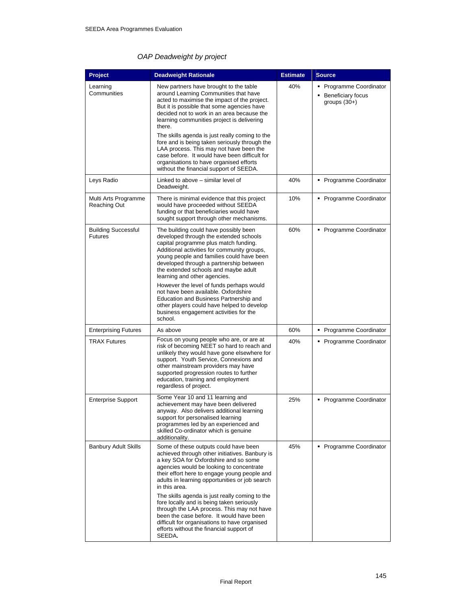# *OAP Deadweight by project*

| Project                                      | <b>Deadweight Rationale</b>                                                                                                                                                                                                                                                                                                                                                                                                                                                                                                                                                                     | <b>Estimate</b> | <b>Source</b>                                                  |
|----------------------------------------------|-------------------------------------------------------------------------------------------------------------------------------------------------------------------------------------------------------------------------------------------------------------------------------------------------------------------------------------------------------------------------------------------------------------------------------------------------------------------------------------------------------------------------------------------------------------------------------------------------|-----------------|----------------------------------------------------------------|
| Learning<br>Communities                      | New partners have brought to the table<br>around Learning Communities that have<br>acted to maximise the impact of the project.<br>But it is possible that some agencies have<br>decided not to work in an area because the<br>learning communities project is delivering<br>there.<br>The skills agenda is just really coming to the                                                                                                                                                                                                                                                           | 40%             | • Programme Coordinator<br>Beneficiary focus<br>groups $(30+)$ |
|                                              | fore and is being taken seriously through the<br>LAA process. This may not have been the<br>case before. It would have been difficult for<br>organisations to have organised efforts<br>without the financial support of SEEDA.                                                                                                                                                                                                                                                                                                                                                                 |                 |                                                                |
| Leys Radio                                   | Linked to above – similar level of<br>Deadweight.                                                                                                                                                                                                                                                                                                                                                                                                                                                                                                                                               | 40%             | • Programme Coordinator                                        |
| Multi Arts Programme<br><b>Reaching Out</b>  | There is minimal evidence that this project<br>would have proceeded without SEEDA<br>funding or that beneficiaries would have<br>sought support through other mechanisms.                                                                                                                                                                                                                                                                                                                                                                                                                       | 10%             | • Programme Coordinator                                        |
| <b>Building Successful</b><br><b>Futures</b> | The building could have possibly been<br>developed through the extended schools<br>capital programme plus match funding.<br>Additional activities for community groups,<br>young people and families could have been<br>developed through a partnership between<br>the extended schools and maybe adult<br>learning and other agencies.                                                                                                                                                                                                                                                         | 60%             | • Programme Coordinator                                        |
|                                              | However the level of funds perhaps would<br>not have been available. Oxfordshire<br>Education and Business Partnership and<br>other players could have helped to develop<br>business engagement activities for the<br>school.                                                                                                                                                                                                                                                                                                                                                                   |                 |                                                                |
| <b>Enterprising Futures</b>                  | As above                                                                                                                                                                                                                                                                                                                                                                                                                                                                                                                                                                                        | 60%             | • Programme Coordinator                                        |
| <b>TRAX Futures</b>                          | Focus on young people who are, or are at<br>risk of becoming NEET so hard to reach and<br>unlikely they would have gone elsewhere for<br>support. Youth Service, Connexions and<br>other mainstream providers may have<br>supported progression routes to further<br>education, training and employment<br>regardless of project.                                                                                                                                                                                                                                                               | 40%             | • Programme Coordinator                                        |
| <b>Enterprise Support</b>                    | Some Year 10 and 11 learning and<br>achievement may have been delivered<br>anyway. Also delivers additional learning<br>support for personalised learning<br>programmes led by an experienced and<br>skilled Co-ordinator which is genuine<br>additionality.                                                                                                                                                                                                                                                                                                                                    | 25%             | • Programme Coordinator                                        |
| <b>Banbury Adult Skills</b>                  | Some of these outputs could have been<br>achieved through other initiatives. Banbury is<br>a key SOA for Oxfordshire and so some<br>agencies would be looking to concentrate<br>their effort here to engage young people and<br>adults in learning opportunities or job search<br>in this area.<br>The skills agenda is just really coming to the<br>fore locally and is being taken seriously<br>through the LAA process. This may not have<br>been the case before. It would have been<br>difficult for organisations to have organised<br>efforts without the financial support of<br>SEEDA. | 45%             | • Programme Coordinator                                        |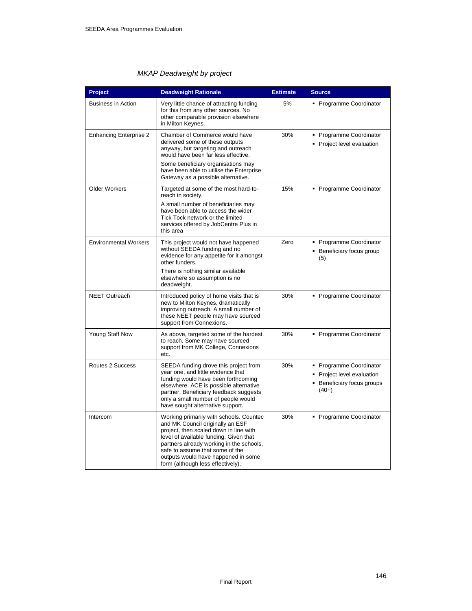#### *MKAP Deadweight by project*

| Project                       | <b>Deadweight Rationale</b>                                                                                                                                                                                                                                                                                                | <b>Estimate</b> | <b>Source</b>                                                                              |
|-------------------------------|----------------------------------------------------------------------------------------------------------------------------------------------------------------------------------------------------------------------------------------------------------------------------------------------------------------------------|-----------------|--------------------------------------------------------------------------------------------|
| <b>Business in Action</b>     | Very little chance of attracting funding<br>for this from any other sources. No<br>other comparable provision elsewhere<br>in Milton Keynes.                                                                                                                                                                               | 5%              | • Programme Coordinator                                                                    |
| <b>Enhancing Enterprise 2</b> | Chamber of Commerce would have<br>delivered some of these outputs<br>anyway, but targeting and outreach<br>would have been far less effective.                                                                                                                                                                             | 30%             | • Programme Coordinator<br>Project level evaluation                                        |
|                               | Some beneficiary organisations may<br>have been able to utilise the Enterprise<br>Gateway as a possible alternative.                                                                                                                                                                                                       |                 |                                                                                            |
| <b>Older Workers</b>          | Targeted at some of the most hard-to-<br>reach in society.                                                                                                                                                                                                                                                                 | 15%             | • Programme Coordinator                                                                    |
|                               | A small number of beneficiaries may<br>have been able to access the wider<br>Tick Tock network or the limited<br>services offered by JobCentre Plus in<br>this area                                                                                                                                                        |                 |                                                                                            |
| <b>Environmental Workers</b>  | This project would not have happened<br>without SEEDA funding and no<br>evidence for any appetite for it amongst<br>other funders.                                                                                                                                                                                         | Zero            | • Programme Coordinator<br>Beneficiary focus group<br>(5)                                  |
|                               | There is nothing similar available<br>elsewhere so assumption is no<br>deadweight.                                                                                                                                                                                                                                         |                 |                                                                                            |
| <b>NEET Outreach</b>          | Introduced policy of home visits that is<br>new to Milton Keynes, dramatically<br>improving outreach. A small number of<br>these NEET people may have sourced<br>support from Connexions.                                                                                                                                  | 30%             | • Programme Coordinator                                                                    |
| Young Staff Now               | As above, targeted some of the hardest<br>to reach. Some may have sourced<br>support from MK College, Connexions<br>etc.                                                                                                                                                                                                   | 30%             | • Programme Coordinator                                                                    |
| Routes 2 Success              | SEEDA funding drove this project from<br>year one, and little evidence that<br>funding would have been forthcoming<br>elsewhere. ACE is possible alternative<br>partner. Beneficiary feedback suggests<br>only a small number of people would<br>have sought alternative support.                                          | 30%             | • Programme Coordinator<br>Project level evaluation<br>Beneficiary focus groups<br>$(40+)$ |
| Intercom                      | Working primarily with schools. Countec<br>and MK Council originally an ESF<br>project, then scaled down in line with<br>level of available funding. Given that<br>partners already working in the schools,<br>safe to assume that some of the<br>outputs would have happened in some<br>form (although less effectively). | 30%             | • Programme Coordinator                                                                    |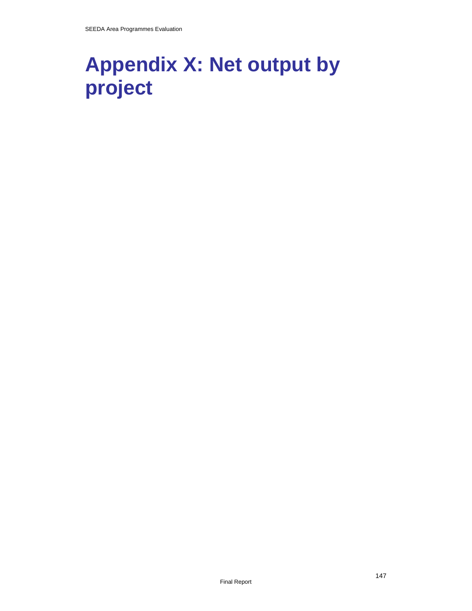# **Appendix X: Net output by project**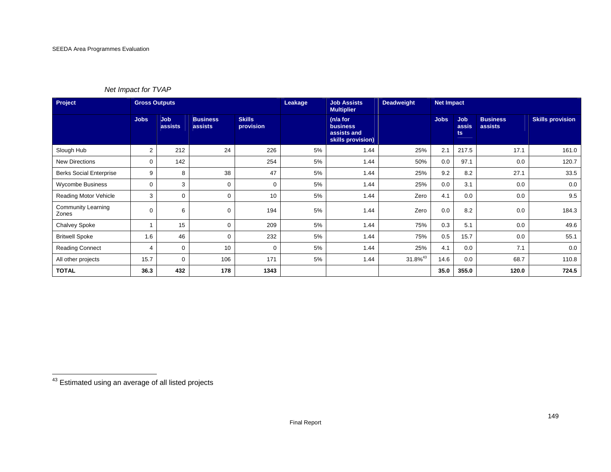#### *Net Impact for TVAP*

| Project                            | <b>Gross Outputs</b> |                       |                            |                            | Leakage | <b>Job Assists</b><br><b>Multiplier</b>                         | <b>Deadweight</b> | <b>Net Impact</b> |                            |                            |                         |
|------------------------------------|----------------------|-----------------------|----------------------------|----------------------------|---------|-----------------------------------------------------------------|-------------------|-------------------|----------------------------|----------------------------|-------------------------|
|                                    | <b>Jobs</b>          | <b>Job</b><br>assists | <b>Business</b><br>assists | <b>Skills</b><br>provision |         | (n/a for<br><b>business</b><br>assists and<br>skills provision) |                   | Jobs              | <b>Job</b><br>assis<br>ts. | <b>Business</b><br>assists | <b>Skills provision</b> |
| Slough Hub                         | $\overline{2}$       | 212                   | 24                         | 226                        | 5%      | 1.44                                                            | 25%               | 2.1               | 217.5                      | 17.1                       | 161.0                   |
| <b>New Directions</b>              | 0                    | 142                   |                            | 254                        | 5%      | 1.44                                                            | 50%               | 0.0               | 97.1                       | 0.0                        | 120.7                   |
| <b>Berks Social Enterprise</b>     | 9                    | 8                     | 38                         | 47                         | 5%      | 1.44                                                            | 25%               | 9.2               | 8.2                        | 27.1                       | 33.5                    |
| <b>Wycombe Business</b>            | 0                    | 3                     | 0                          | 0                          | 5%      | 1.44                                                            | 25%               | 0.0               | 3.1                        | 0.0                        | 0.0                     |
| Reading Motor Vehicle              | 3                    | 0                     | 0                          | 10                         | 5%      | 1.44                                                            | Zero              | 4.1               | 0.0                        | 0.0                        | 9.5                     |
| <b>Community Learning</b><br>Zones | 0                    | 6                     | 0                          | 194                        | 5%      | 1.44                                                            | Zero              | 0.0               | 8.2                        | 0.0                        | 184.3                   |
| <b>Chalvey Spoke</b>               |                      | 15                    | $\Omega$                   | 209                        | 5%      | 1.44                                                            | 75%               | 0.3               | 5.1                        | 0.0                        | 49.6                    |
| <b>Britwell Spoke</b>              | 1.6                  | 46                    | 0                          | 232                        | 5%      | 1.44                                                            | 75%               | 0.5               | 15.7                       | 0.0                        | 55.1                    |
| <b>Reading Connect</b>             | 4                    | 0                     | 10                         | 0                          | 5%      | 1.44                                                            | 25%               | 4.1               | 0.0                        | 7.1                        | 0.0                     |
| All other projects                 | 15.7                 | 0                     | 106                        | 171                        | 5%      | 1.44                                                            | $31.8\%^{43}$     | 14.6              | 0.0                        | 68.7                       | 110.8                   |
| <b>TOTAL</b>                       | 36.3                 | 432                   | 178                        | 1343                       |         |                                                                 |                   | 35.0              | 355.0                      | 120.0                      | 724.5                   |

<sup>43</sup> Estimated using an average of all listed projects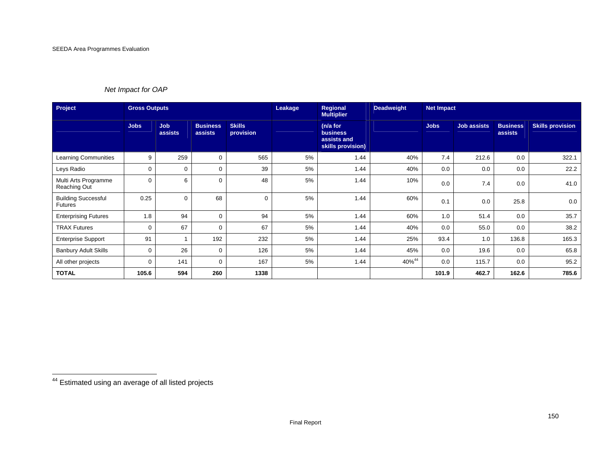## *Net Impact for OAP*

| Project                                      | <b>Gross Outputs</b> |                       |                            | Leakage                    | Regional<br><b>Multiplier</b> | <b>Deadweight</b>                                               | <b>Net Impact</b> |             |                    |                            |                         |
|----------------------------------------------|----------------------|-----------------------|----------------------------|----------------------------|-------------------------------|-----------------------------------------------------------------|-------------------|-------------|--------------------|----------------------------|-------------------------|
|                                              | <b>Jobs</b>          | <b>Job</b><br>assists | <b>Business</b><br>assists | <b>Skills</b><br>provision |                               | (n/a for<br><b>business</b><br>assists and<br>skills provision) |                   | <b>Jobs</b> | <b>Job assists</b> | <b>Business</b><br>assists | <b>Skills provision</b> |
| <b>Learning Communities</b>                  | 9                    | 259                   | 0                          | 565                        | 5%                            | 1.44                                                            | 40%               | 7.4         | 212.6              | 0.0                        | 322.1                   |
| Leys Radio                                   | $\Omega$             | $\Omega$              | $\Omega$                   | 39                         | 5%                            | 1.44                                                            | 40%               | 0.0         | 0.0                | 0.0                        | 22.2                    |
| Multi Arts Programme<br>Reaching Out         | $\Omega$             | 6                     | $\Omega$                   | 48                         | 5%                            | 1.44                                                            | 10%               | 0.0         | 7.4                | 0.0                        | 41.0                    |
| <b>Building Successful</b><br><b>Futures</b> | 0.25                 | 0                     | 68                         | $\mathbf 0$                | 5%                            | 1.44                                                            | 60%               | 0.1         | 0.0                | 25.8                       | 0.0                     |
| <b>Enterprising Futures</b>                  | 1.8                  | 94                    | $\mathbf 0$                | 94                         | 5%                            | 1.44                                                            | 60%               | 1.0         | 51.4               | 0.0                        | 35.7                    |
| <b>TRAX Futures</b>                          | $\Omega$             | 67                    | $\Omega$                   | 67                         | 5%                            | 1.44                                                            | 40%               | 0.0         | 55.0               | 0.0                        | 38.2                    |
| <b>Enterprise Support</b>                    | 91                   |                       | 192                        | 232                        | 5%                            | 1.44                                                            | 25%               | 93.4        | 1.0                | 136.8                      | 165.3                   |
| <b>Banbury Adult Skills</b>                  | $\Omega$             | 26                    | $\Omega$                   | 126                        | 5%                            | 1.44                                                            | 45%               | 0.0         | 19.6               | 0.0                        | 65.8                    |
| All other projects                           | $\Omega$             | 141                   | 0                          | 167                        | 5%                            | 1.44                                                            | 40% <sup>44</sup> | 0.0         | 115.7              | 0.0                        | 95.2                    |
| <b>TOTAL</b>                                 | 105.6                | 594                   | 260                        | 1338                       |                               |                                                                 |                   | 101.9       | 462.7              | 162.6                      | 785.6                   |

<sup>44</sup> Estimated using an average of all listed projects